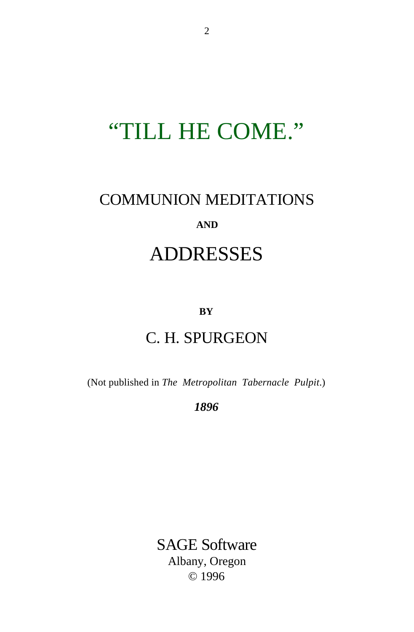# "TILL HE COME."

### COMMUNION MEDITATIONS

#### **AND**

## ADDRESSES

**BY**

## C. H. SPURGEON

(Not published in *The Metropolitan Tabernacle Pulpit*.)

*1896*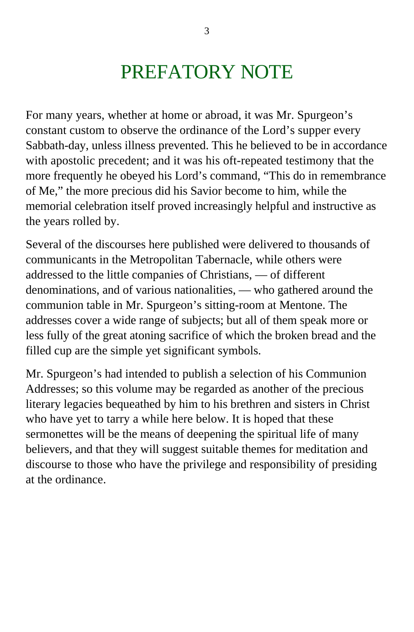## PREFATORY NOTE

For many years, whether at home or abroad, it was Mr. Spurgeon's constant custom to observe the ordinance of the Lord's supper every Sabbath-day, unless illness prevented. This he believed to be in accordance with apostolic precedent; and it was his oft-repeated testimony that the more frequently he obeyed his Lord's command, "This do in remembrance of Me," the more precious did his Savior become to him, while the memorial celebration itself proved increasingly helpful and instructive as the years rolled by.

Several of the discourses here published were delivered to thousands of communicants in the Metropolitan Tabernacle, while others were addressed to the little companies of Christians, — of different denominations, and of various nationalities, — who gathered around the communion table in Mr. Spurgeon's sitting-room at Mentone. The addresses cover a wide range of subjects; but all of them speak more or less fully of the great atoning sacrifice of which the broken bread and the filled cup are the simple yet significant symbols.

Mr. Spurgeon's had intended to publish a selection of his Communion Addresses; so this volume may be regarded as another of the precious literary legacies bequeathed by him to his brethren and sisters in Christ who have yet to tarry a while here below. It is hoped that these sermonettes will be the means of deepening the spiritual life of many believers, and that they will suggest suitable themes for meditation and discourse to those who have the privilege and responsibility of presiding at the ordinance.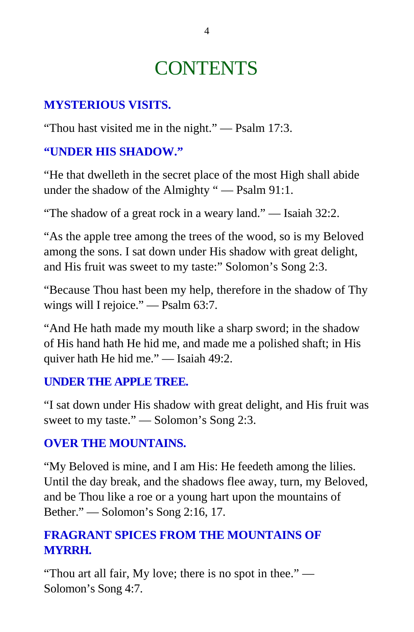## **CONTENTS**

### **MYSTERIOUS VISITS.**

"Thou hast visited me in the night." — Psalm 17:3.

#### **"UNDER HIS SHADOW."**

"He that dwelleth in the secret place of the most High shall abide under the shadow of the Almighty " — Psalm 91:1.

"The shadow of a great rock in a weary land." — Isaiah 32:2.

"As the apple tree among the trees of the wood, so is my Beloved among the sons. I sat down under His shadow with great delight, and His fruit was sweet to my taste:" Solomon's Song 2:3.

"Because Thou hast been my help, therefore in the shadow of Thy wings will I rejoice." — Psalm 63:7.

"And He hath made my mouth like a sharp sword; in the shadow of His hand hath He hid me, and made me a polished shaft; in His quiver hath He hid me." — Isaiah 49:2.

#### **UNDER THE APPLE TREE.**

"I sat down under His shadow with great delight, and His fruit was sweet to my taste." — Solomon's Song 2:3.

#### **OVER THE MOUNTAINS.**

"My Beloved is mine, and I am His: He feedeth among the lilies. Until the day break, and the shadows flee away, turn, my Beloved, and be Thou like a roe or a young hart upon the mountains of Bether." — Solomon's Song 2:16, 17.

### **FRAGRANT SPICES FROM THE MOUNTAINS OF MYRRH.**

"Thou art all fair, My love; there is no spot in thee." — Solomon's Song 4:7.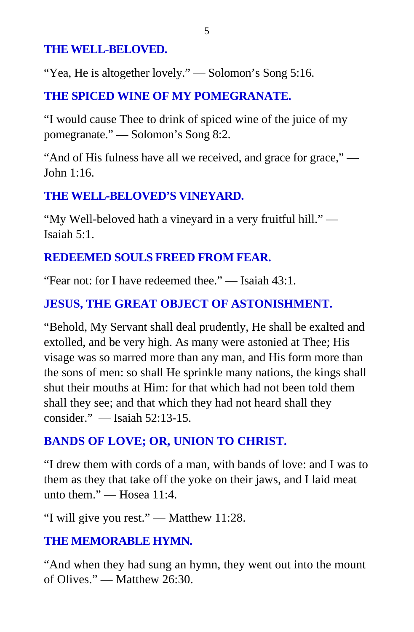#### **THE WELL-BELOVED.**

"Yea, He is altogether lovely." — Solomon's Song 5:16.

#### **THE SPICED WINE OF MY POMEGRANATE.**

"I would cause Thee to drink of spiced wine of the juice of my pomegranate." — Solomon's Song 8:2.

"And of His fulness have all we received, and grace for grace," John 1:16.

#### **THE WELL-BELOVED'S VINEYARD.**

"My Well-beloved hath a vineyard in a very fruitful hill." — Isaiah  $5.1$ .

#### **REDEEMED SOULS FREED FROM FEAR.**

"Fear not: for I have redeemed thee." — Isaiah 43:1.

#### **JESUS, THE GREAT OBJECT OF ASTONISHMENT.**

"Behold, My Servant shall deal prudently, He shall be exalted and extolled, and be very high. As many were astonied at Thee; His visage was so marred more than any man, and His form more than the sons of men: so shall He sprinkle many nations, the kings shall shut their mouths at Him: for that which had not been told them shall they see; and that which they had not heard shall they consider." — Isaiah 52:13-15.

#### **BANDS OF LOVE; OR, UNION TO CHRIST.**

"I drew them with cords of a man, with bands of love: and I was to them as they that take off the yoke on their jaws, and I laid meat unto them." — Hosea 11:4.

"I will give you rest." — Matthew 11:28.

#### **THE MEMORABLE HYMN.**

"And when they had sung an hymn, they went out into the mount of Olives." — Matthew 26:30.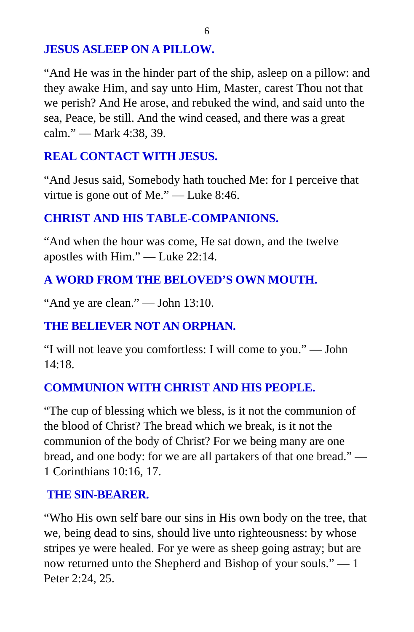#### **JESUS ASLEEP ON A PILLOW.**

"And He was in the hinder part of the ship, asleep on a pillow: and they awake Him, and say unto Him, Master, carest Thou not that we perish? And He arose, and rebuked the wind, and said unto the sea, Peace, be still. And the wind ceased, and there was a great calm." — Mark 4:38, 39.

#### **REAL CONTACT WITH JESUS.**

"And Jesus said, Somebody hath touched Me: for I perceive that virtue is gone out of Me." — Luke 8:46.

#### **CHRIST AND HIS TABLE-COMPANIONS.**

"And when the hour was come, He sat down, and the twelve apostles with Him." — Luke 22:14.

#### **A WORD FROM THE BELOVED'S OWN MOUTH.**

"And ye are clean." — John 13:10.

#### **THE BELIEVER NOT AN ORPHAN.**

"I will not leave you comfortless: I will come to you." — John 14:18.

#### **COMMUNION WITH CHRIST AND HIS PEOPLE.**

"The cup of blessing which we bless, is it not the communion of the blood of Christ? The bread which we break, is it not the communion of the body of Christ? For we being many are one bread, and one body: for we are all partakers of that one bread." — 1 Corinthians 10:16, 17.

#### **THE SIN-BEARER.**

"Who His own self bare our sins in His own body on the tree, that we, being dead to sins, should live unto righteousness: by whose stripes ye were healed. For ye were as sheep going astray; but are now returned unto the Shepherd and Bishop of your souls." — 1 Peter 2:24, 25.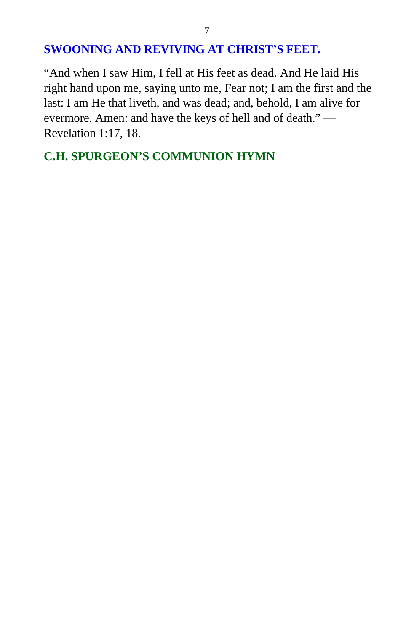#### **SWOONING AND REVIVING AT CHRIST'S FEET.**

"And when I saw Him, I fell at His feet as dead. And He laid His right hand upon me, saying unto me, Fear not; I am the first and the last: I am He that liveth, and was dead; and, behold, I am alive for evermore, Amen: and have the keys of hell and of death." — Revelation 1:17, 18.

#### **C.H. SPURGEON'S COMMUNION HYMN**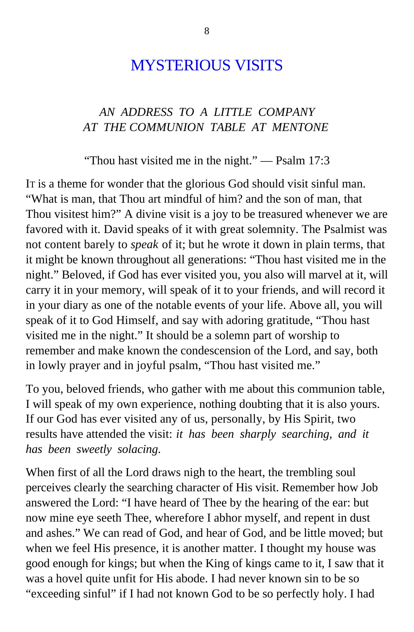## **MYSTERIOUS VISITS**

#### *AN ADDRESS TO A LITTLE COMPANY AT THE COMMUNION TABLE AT MENTONE*

"Thou hast visited me in the night." — Psalm 17:3

IT is a theme for wonder that the glorious God should visit sinful man. "What is man, that Thou art mindful of him? and the son of man, that Thou visitest him?" A divine visit is a joy to be treasured whenever we are favored with it. David speaks of it with great solemnity. The Psalmist was not content barely to *speak* of it; but he wrote it down in plain terms, that it might be known throughout all generations: "Thou hast visited me in the night." Beloved, if God has ever visited you, you also will marvel at it, will carry it in your memory, will speak of it to your friends, and will record it in your diary as one of the notable events of your life. Above all, you will speak of it to God Himself, and say with adoring gratitude, "Thou hast visited me in the night." It should be a solemn part of worship to remember and make known the condescension of the Lord, and say, both in lowly prayer and in joyful psalm, "Thou hast visited me."

To you, beloved friends, who gather with me about this communion table, I will speak of my own experience, nothing doubting that it is also yours. If our God has ever visited any of us, personally, by His Spirit, two results have attended the visit: *it has been sharply searching, and it has been sweetly solacing*.

When first of all the Lord draws nigh to the heart, the trembling soul perceives clearly the searching character of His visit. Remember how Job answered the Lord: "I have heard of Thee by the hearing of the ear: but now mine eye seeth Thee, wherefore I abhor myself, and repent in dust and ashes." We can read of God, and hear of God, and be little moved; but when we feel His presence, it is another matter. I thought my house was good enough for kings; but when the King of kings came to it, I saw that it was a hovel quite unfit for His abode. I had never known sin to be so "exceeding sinful" if I had not known God to be so perfectly holy. I had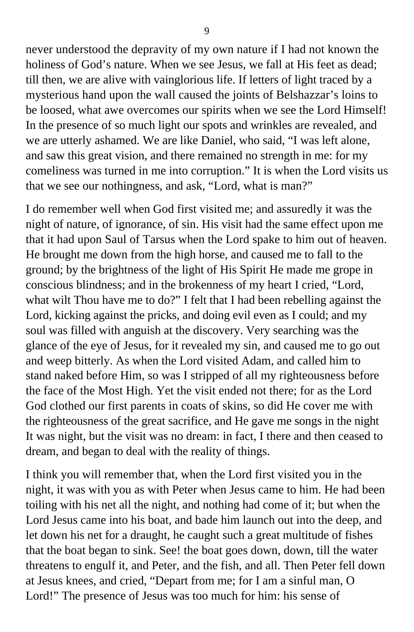never understood the depravity of my own nature if I had not known the holiness of God's nature. When we see Jesus, we fall at His feet as dead; till then, we are alive with vainglorious life. If letters of light traced by a mysterious hand upon the wall caused the joints of Belshazzar's loins to be loosed, what awe overcomes our spirits when we see the Lord Himself! In the presence of so much light our spots and wrinkles are revealed, and we are utterly ashamed. We are like Daniel, who said, "I was left alone, and saw this great vision, and there remained no strength in me: for my comeliness was turned in me into corruption." It is when the Lord visits us that we see our nothingness, and ask, "Lord, what is man?"

I do remember well when God first visited me; and assuredly it was the night of nature, of ignorance, of sin. His visit had the same effect upon me that it had upon Saul of Tarsus when the Lord spake to him out of heaven. He brought me down from the high horse, and caused me to fall to the ground; by the brightness of the light of His Spirit He made me grope in conscious blindness; and in the brokenness of my heart I cried, "Lord, what wilt Thou have me to do?" I felt that I had been rebelling against the Lord, kicking against the pricks, and doing evil even as I could; and my soul was filled with anguish at the discovery. Very searching was the glance of the eye of Jesus, for it revealed my sin, and caused me to go out and weep bitterly. As when the Lord visited Adam, and called him to stand naked before Him, so was I stripped of all my righteousness before the face of the Most High. Yet the visit ended not there; for as the Lord God clothed our first parents in coats of skins, so did He cover me with the righteousness of the great sacrifice, and He gave me songs in the night It was night, but the visit was no dream: in fact, I there and then ceased to dream, and began to deal with the reality of things.

I think you will remember that, when the Lord first visited you in the night, it was with you as with Peter when Jesus came to him. He had been toiling with his net all the night, and nothing had come of it; but when the Lord Jesus came into his boat, and bade him launch out into the deep, and let down his net for a draught, he caught such a great multitude of fishes that the boat began to sink. See! the boat goes down, down, till the water threatens to engulf it, and Peter, and the fish, and all. Then Peter fell down at Jesus knees, and cried, "Depart from me; for I am a sinful man, O Lord!" The presence of Jesus was too much for him: his sense of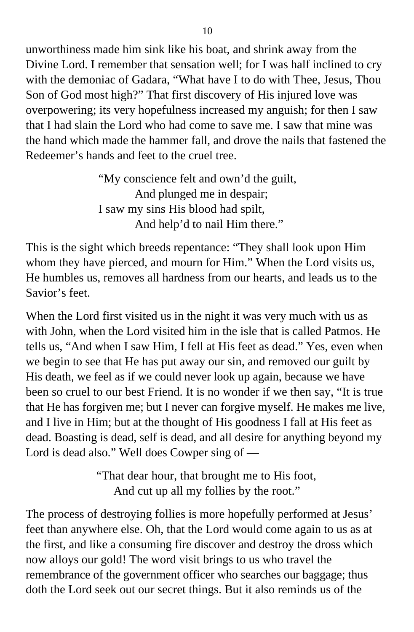unworthiness made him sink like his boat, and shrink away from the Divine Lord. I remember that sensation well; for I was half inclined to cry with the demoniac of Gadara, "What have I to do with Thee, Jesus, Thou Son of God most high?" That first discovery of His injured love was overpowering; its very hopefulness increased my anguish; for then I saw that I had slain the Lord who had come to save me. I saw that mine was the hand which made the hammer fall, and drove the nails that fastened the Redeemer's hands and feet to the cruel tree.

> "My conscience felt and own'd the guilt, And plunged me in despair; I saw my sins His blood had spilt, And help'd to nail Him there."

This is the sight which breeds repentance: "They shall look upon Him whom they have pierced, and mourn for Him." When the Lord visits us, He humbles us, removes all hardness from our hearts, and leads us to the Savior's feet.

When the Lord first visited us in the night it was very much with us as with John, when the Lord visited him in the isle that is called Patmos. He tells us, "And when I saw Him, I fell at His feet as dead." Yes, even when we begin to see that He has put away our sin, and removed our guilt by His death, we feel as if we could never look up again, because we have been so cruel to our best Friend. It is no wonder if we then say, "It is true that He has forgiven me; but I never can forgive myself. He makes me live, and I live in Him; but at the thought of His goodness I fall at His feet as dead. Boasting is dead, self is dead, and all desire for anything beyond my Lord is dead also." Well does Cowper sing of —

> "That dear hour, that brought me to His foot, And cut up all my follies by the root."

The process of destroying follies is more hopefully performed at Jesus' feet than anywhere else. Oh, that the Lord would come again to us as at the first, and like a consuming fire discover and destroy the dross which now alloys our gold! The word visit brings to us who travel the remembrance of the government officer who searches our baggage; thus doth the Lord seek out our secret things. But it also reminds us of the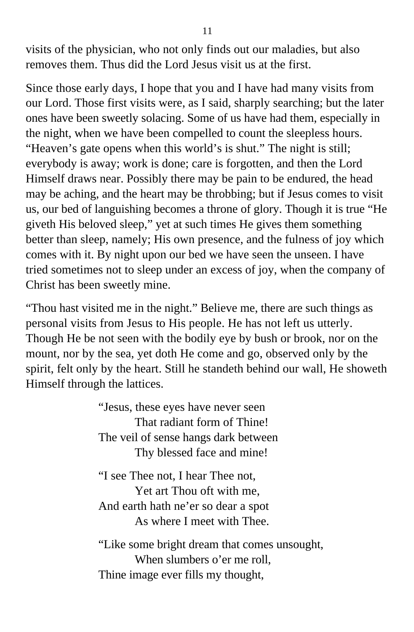visits of the physician, who not only finds out our maladies, but also removes them. Thus did the Lord Jesus visit us at the first.

Since those early days, I hope that you and I have had many visits from our Lord. Those first visits were, as I said, sharply searching; but the later ones have been sweetly solacing. Some of us have had them, especially in the night, when we have been compelled to count the sleepless hours. "Heaven's gate opens when this world's is shut." The night is still; everybody is away; work is done; care is forgotten, and then the Lord Himself draws near. Possibly there may be pain to be endured, the head may be aching, and the heart may be throbbing; but if Jesus comes to visit us, our bed of languishing becomes a throne of glory. Though it is true "He giveth His beloved sleep," yet at such times He gives them something better than sleep, namely; His own presence, and the fulness of joy which comes with it. By night upon our bed we have seen the unseen. I have tried sometimes not to sleep under an excess of joy, when the company of Christ has been sweetly mine.

"Thou hast visited me in the night." Believe me, there are such things as personal visits from Jesus to His people. He has not left us utterly. Though He be not seen with the bodily eye by bush or brook, nor on the mount, nor by the sea, yet doth He come and go, observed only by the spirit, felt only by the heart. Still he standeth behind our wall, He showeth Himself through the lattices.

> "Jesus, these eyes have never seen That radiant form of Thine! The veil of sense hangs dark between Thy blessed face and mine!

"I see Thee not, I hear Thee not, Yet art Thou oft with me, And earth hath ne'er so dear a spot As where I meet with Thee.

"Like some bright dream that comes unsought, When slumbers o'er me roll, Thine image ever fills my thought,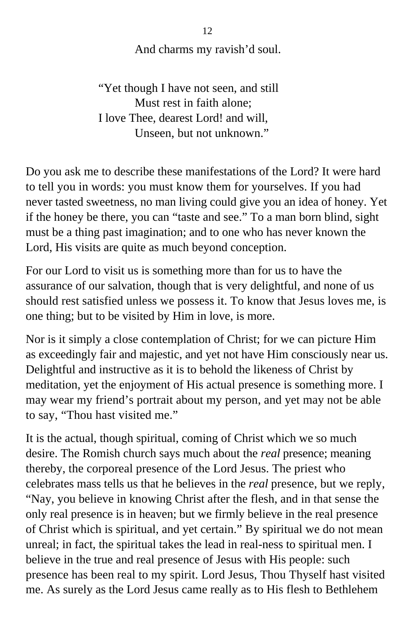#### And charms my ravish'd soul.

"Yet though I have not seen, and still Must rest in faith alone; I love Thee, dearest Lord! and will, Unseen, but not unknown."

Do you ask me to describe these manifestations of the Lord? It were hard to tell you in words: you must know them for yourselves. If you had never tasted sweetness, no man living could give you an idea of honey. Yet if the honey be there, you can "taste and see." To a man born blind, sight must be a thing past imagination; and to one who has never known the Lord, His visits are quite as much beyond conception.

For our Lord to visit us is something more than for us to have the assurance of our salvation, though that is very delightful, and none of us should rest satisfied unless we possess it. To know that Jesus loves me, is one thing; but to be visited by Him in love, is more.

Nor is it simply a close contemplation of Christ; for we can picture Him as exceedingly fair and majestic, and yet not have Him consciously near us. Delightful and instructive as it is to behold the likeness of Christ by meditation, yet the enjoyment of His actual presence is something more. I may wear my friend's portrait about my person, and yet may not be able to say, "Thou hast visited me."

It is the actual, though spiritual, coming of Christ which we so much desire. The Romish church says much about the *real* presence; meaning thereby, the corporeal presence of the Lord Jesus. The priest who celebrates mass tells us that he believes in the *real* presence, but we reply, "Nay, you believe in knowing Christ after the flesh, and in that sense the only real presence is in heaven; but we firmly believe in the real presence of Christ which is spiritual, and yet certain." By spiritual we do not mean unreal; in fact, the spiritual takes the lead in real-ness to spiritual men. I believe in the true and real presence of Jesus with His people: such presence has been real to my spirit. Lord Jesus, Thou Thyself hast visited me. As surely as the Lord Jesus came really as to His flesh to Bethlehem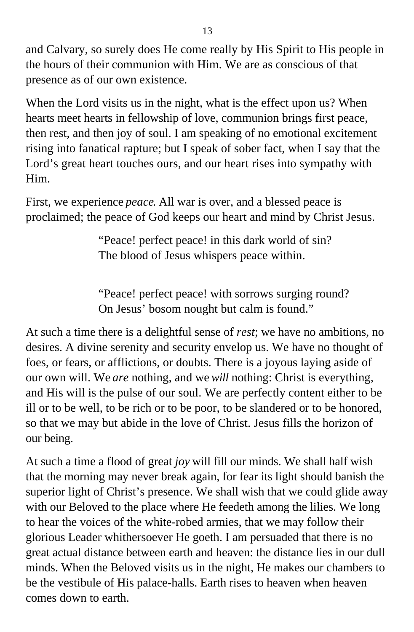and Calvary, so surely does He come really by His Spirit to His people in the hours of their communion with Him. We are as conscious of that presence as of our own existence.

When the Lord visits us in the night, what is the effect upon us? When hearts meet hearts in fellowship of love, communion brings first peace, then rest, and then joy of soul. I am speaking of no emotional excitement rising into fanatical rapture; but I speak of sober fact, when I say that the Lord's great heart touches ours, and our heart rises into sympathy with Him.

First, we experience *peace*. All war is over, and a blessed peace is proclaimed; the peace of God keeps our heart and mind by Christ Jesus.

> "Peace! perfect peace! in this dark world of sin? The blood of Jesus whispers peace within.

"Peace! perfect peace! with sorrows surging round? On Jesus' bosom nought but calm is found."

At such a time there is a delightful sense of *rest*; we have no ambitions, no desires. A divine serenity and security envelop us. We have no thought of foes, or fears, or afflictions, or doubts. There is a joyous laying aside of our own will. We *are* nothing, and we *will* nothing: Christ is everything, and His will is the pulse of our soul. We are perfectly content either to be ill or to be well, to be rich or to be poor, to be slandered or to be honored, so that we may but abide in the love of Christ. Jesus fills the horizon of our being.

At such a time a flood of great *joy* will fill our minds. We shall half wish that the morning may never break again, for fear its light should banish the superior light of Christ's presence. We shall wish that we could glide away with our Beloved to the place where He feedeth among the lilies. We long to hear the voices of the white-robed armies, that we may follow their glorious Leader whithersoever He goeth. I am persuaded that there is no great actual distance between earth and heaven: the distance lies in our dull minds. When the Beloved visits us in the night, He makes our chambers to be the vestibule of His palace-halls. Earth rises to heaven when heaven comes down to earth.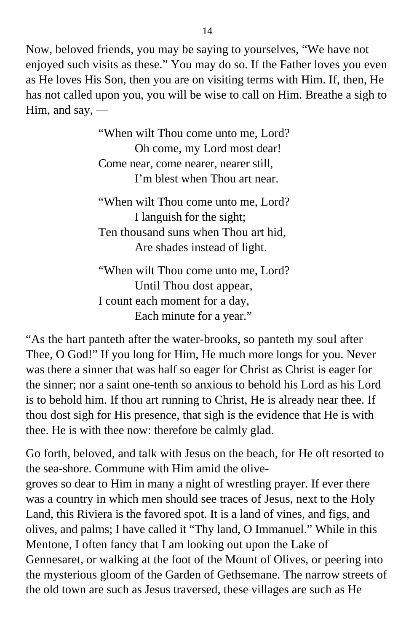Now, beloved friends, you may be saying to yourselves, "We have not enjoyed such visits as these." You may do so. If the Father loves you even as He loves His Son, then you are on visiting terms with Him. If, then, He has not called upon you, you will be wise to call on Him. Breathe a sigh to Him, and say, —

> "When wilt Thou come unto me, Lord? Oh come, my Lord most dear! Come near, come nearer, nearer still, I'm blest when Thou art near.

> "When wilt Thou come unto me, Lord? I languish for the sight; Ten thousand suns when Thou art hid, Are shades instead of light.

> "When wilt Thou come unto me, Lord? Until Thou dost appear, I count each moment for a day, Each minute for a year."

"As the hart panteth after the water-brooks, so panteth my soul after Thee, O God!" If you long for Him, He much more longs for you. Never was there a sinner that was half so eager for Christ as Christ is eager for the sinner; nor a saint one-tenth so anxious to behold his Lord as his Lord is to behold him. If thou art running to Christ, He is already near thee. If thou dost sigh for His presence, that sigh is the evidence that He is with thee. He is with thee now: therefore be calmly glad.

Go forth, beloved, and talk with Jesus on the beach, for He oft resorted to the sea-shore. Commune with Him amid the olivegroves so dear to Him in many a night of wrestling prayer. If ever there was a country in which men should see traces of Jesus, next to the Holy Land, this Riviera is the favored spot. It is a land of vines, and figs, and olives, and palms; I have called it "Thy land, O Immanuel." While in this Mentone, I often fancy that I am looking out upon the Lake of Gennesaret, or walking at the foot of the Mount of Olives, or peering into the mysterious gloom of the Garden of Gethsemane. The narrow streets of the old town are such as Jesus traversed, these villages are such as He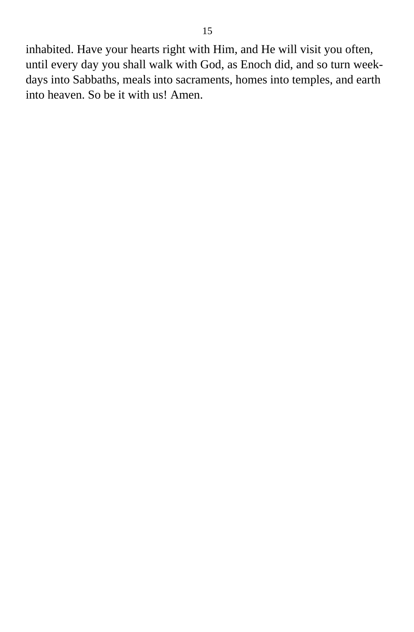inhabited. Have your hearts right with Him, and He will visit you often, until every day you shall walk with God, as Enoch did, and so turn weekdays into Sabbaths, meals into sacraments, homes into temples, and earth into heaven. So be it with us! Amen.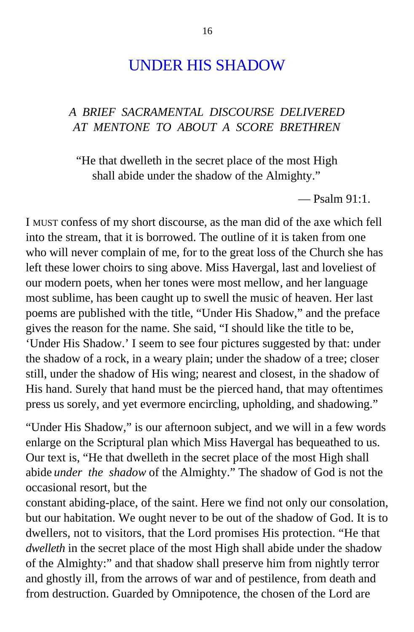## UNDER HIS SHADOW

#### *A BRIEF SACRAMENTAL DISCOURSE DELIVERED AT MENTONE TO ABOUT A SCORE BRETHREN*

"He that dwelleth in the secret place of the most High shall abide under the shadow of the Almighty."

 $-$  Psalm 91:1.

I MUST confess of my short discourse, as the man did of the axe which fell into the stream, that it is borrowed. The outline of it is taken from one who will never complain of me, for to the great loss of the Church she has left these lower choirs to sing above. Miss Havergal, last and loveliest of our modern poets, when her tones were most mellow, and her language most sublime, has been caught up to swell the music of heaven. Her last poems are published with the title, "Under His Shadow," and the preface gives the reason for the name. She said, "I should like the title to be, 'Under His Shadow.' I seem to see four pictures suggested by that: under the shadow of a rock, in a weary plain; under the shadow of a tree; closer still, under the shadow of His wing; nearest and closest, in the shadow of His hand. Surely that hand must be the pierced hand, that may oftentimes press us sorely, and yet evermore encircling, upholding, and shadowing."

"Under His Shadow," is our afternoon subject, and we will in a few words enlarge on the Scriptural plan which Miss Havergal has bequeathed to us. Our text is, "He that dwelleth in the secret place of the most High shall abide *under the shadow* of the Almighty." The shadow of God is not the occasional resort, but the

constant abiding-place, of the saint. Here we find not only our consolation, but our habitation. We ought never to be out of the shadow of God. It is to dwellers, not to visitors, that the Lord promises His protection. "He that *dwelleth* in the secret place of the most High shall abide under the shadow of the Almighty:" and that shadow shall preserve him from nightly terror and ghostly ill, from the arrows of war and of pestilence, from death and from destruction. Guarded by Omnipotence, the chosen of the Lord are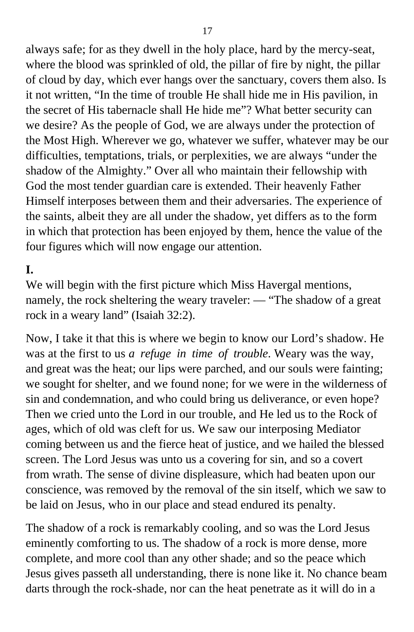always safe; for as they dwell in the holy place, hard by the mercy-seat, where the blood was sprinkled of old, the pillar of fire by night, the pillar of cloud by day, which ever hangs over the sanctuary, covers them also. Is it not written, "In the time of trouble He shall hide me in His pavilion, in the secret of His tabernacle shall He hide me"? What better security can we desire? As the people of God, we are always under the protection of the Most High. Wherever we go, whatever we suffer, whatever may be our difficulties, temptations, trials, or perplexities, we are always "under the shadow of the Almighty." Over all who maintain their fellowship with God the most tender guardian care is extended. Their heavenly Father Himself interposes between them and their adversaries. The experience of the saints, albeit they are all under the shadow, yet differs as to the form in which that protection has been enjoyed by them, hence the value of the four figures which will now engage our attention.

#### **I.**

We will begin with the first picture which Miss Havergal mentions, namely, the rock sheltering the weary traveler: — "The shadow of a great rock in a weary land" (Isaiah 32:2).

Now, I take it that this is where we begin to know our Lord's shadow. He was at the first to us *a refuge in time of trouble*. Weary was the way, and great was the heat; our lips were parched, and our souls were fainting; we sought for shelter, and we found none; for we were in the wilderness of sin and condemnation, and who could bring us deliverance, or even hope? Then we cried unto the Lord in our trouble, and He led us to the Rock of ages, which of old was cleft for us. We saw our interposing Mediator coming between us and the fierce heat of justice, and we hailed the blessed screen. The Lord Jesus was unto us a covering for sin, and so a covert from wrath. The sense of divine displeasure, which had beaten upon our conscience, was removed by the removal of the sin itself, which we saw to be laid on Jesus, who in our place and stead endured its penalty.

The shadow of a rock is remarkably cooling, and so was the Lord Jesus eminently comforting to us. The shadow of a rock is more dense, more complete, and more cool than any other shade; and so the peace which Jesus gives passeth all understanding, there is none like it. No chance beam darts through the rock-shade, nor can the heat penetrate as it will do in a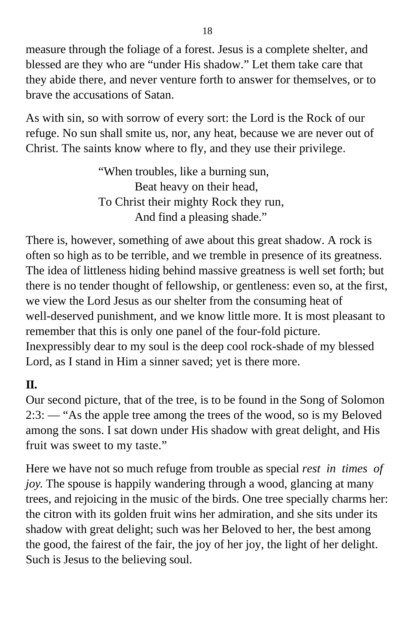measure through the foliage of a forest. Jesus is a complete shelter, and blessed are they who are "under His shadow." Let them take care that they abide there, and never venture forth to answer for themselves, or to brave the accusations of Satan.

As with sin, so with sorrow of every sort: the Lord is the Rock of our refuge. No sun shall smite us, nor, any heat, because we are never out of Christ. The saints know where to fly, and they use their privilege.

> "When troubles, like a burning sun, Beat heavy on their head, To Christ their mighty Rock they run, And find a pleasing shade."

There is, however, something of awe about this great shadow. A rock is often so high as to be terrible, and we tremble in presence of its greatness. The idea of littleness hiding behind massive greatness is well set forth; but there is no tender thought of fellowship, or gentleness: even so, at the first, we view the Lord Jesus as our shelter from the consuming heat of well-deserved punishment, and we know little more. It is most pleasant to remember that this is only one panel of the four-fold picture. Inexpressibly dear to my soul is the deep cool rock-shade of my blessed Lord, as I stand in Him a sinner saved; yet is there more.

## **II.**

Our second picture, that of the tree, is to be found in the Song of Solomon 2:3: — "As the apple tree among the trees of the wood, so is my Beloved among the sons. I sat down under His shadow with great delight, and His fruit was sweet to my taste."

Here we have not so much refuge from trouble as special *rest in times of joy*. The spouse is happily wandering through a wood, glancing at many trees, and rejoicing in the music of the birds. One tree specially charms her: the citron with its golden fruit wins her admiration, and she sits under its shadow with great delight; such was her Beloved to her, the best among the good, the fairest of the fair, the joy of her joy, the light of her delight. Such is Jesus to the believing soul.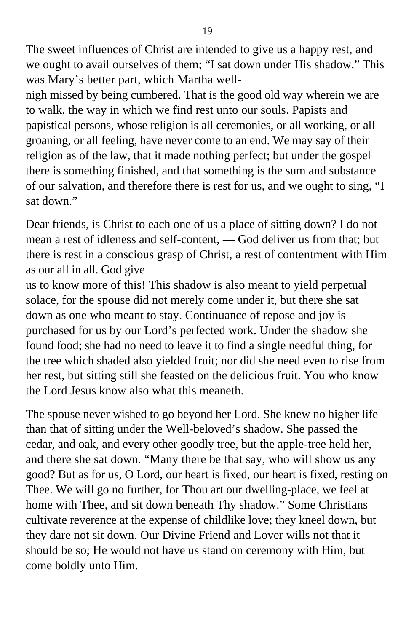The sweet influences of Christ are intended to give us a happy rest, and we ought to avail ourselves of them; "I sat down under His shadow." This was Mary's better part, which Martha well-

nigh missed by being cumbered. That is the good old way wherein we are to walk, the way in which we find rest unto our souls. Papists and papistical persons, whose religion is all ceremonies, or all working, or all groaning, or all feeling, have never come to an end. We may say of their religion as of the law, that it made nothing perfect; but under the gospel there is something finished, and that something is the sum and substance of our salvation, and therefore there is rest for us, and we ought to sing, "I sat down"

Dear friends, is Christ to each one of us a place of sitting down? I do not mean a rest of idleness and self-content, — God deliver us from that; but there is rest in a conscious grasp of Christ, a rest of contentment with Him as our all in all. God give

us to know more of this! This shadow is also meant to yield perpetual solace, for the spouse did not merely come under it, but there she sat down as one who meant to stay. Continuance of repose and joy is purchased for us by our Lord's perfected work. Under the shadow she found food; she had no need to leave it to find a single needful thing, for the tree which shaded also yielded fruit; nor did she need even to rise from her rest, but sitting still she feasted on the delicious fruit. You who know the Lord Jesus know also what this meaneth.

The spouse never wished to go beyond her Lord. She knew no higher life than that of sitting under the Well-beloved's shadow. She passed the cedar, and oak, and every other goodly tree, but the apple-tree held her, and there she sat down. "Many there be that say, who will show us any good? But as for us, O Lord, our heart is fixed, our heart is fixed, resting on Thee. We will go no further, for Thou art our dwelling-place, we feel at home with Thee, and sit down beneath Thy shadow." Some Christians cultivate reverence at the expense of childlike love; they kneel down, but they dare not sit down. Our Divine Friend and Lover wills not that it should be so; He would not have us stand on ceremony with Him, but come boldly unto Him.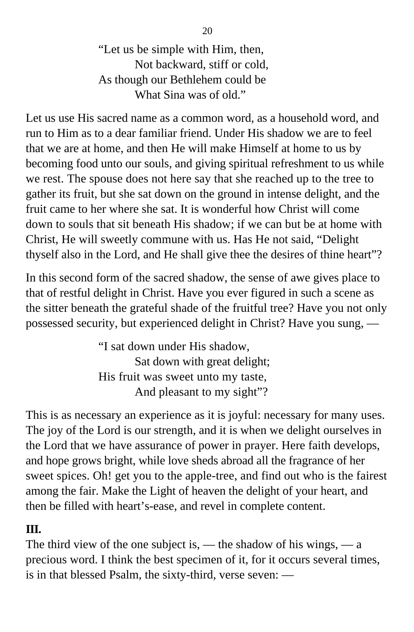"Let us be simple with Him, then, Not backward, stiff or cold, As though our Bethlehem could be What Sina was of old."

Let us use His sacred name as a common word, as a household word, and run to Him as to a dear familiar friend. Under His shadow we are to feel that we are at home, and then He will make Himself at home to us by becoming food unto our souls, and giving spiritual refreshment to us while we rest. The spouse does not here say that she reached up to the tree to gather its fruit, but she sat down on the ground in intense delight, and the fruit came to her where she sat. It is wonderful how Christ will come down to souls that sit beneath His shadow; if we can but be at home with Christ, He will sweetly commune with us. Has He not said, "Delight thyself also in the Lord, and He shall give thee the desires of thine heart"?

In this second form of the sacred shadow, the sense of awe gives place to that of restful delight in Christ. Have you ever figured in such a scene as the sitter beneath the grateful shade of the fruitful tree? Have you not only possessed security, but experienced delight in Christ? Have you sung, —

> "I sat down under His shadow, Sat down with great delight; His fruit was sweet unto my taste, And pleasant to my sight"?

This is as necessary an experience as it is joyful: necessary for many uses. The joy of the Lord is our strength, and it is when we delight ourselves in the Lord that we have assurance of power in prayer. Here faith develops, and hope grows bright, while love sheds abroad all the fragrance of her sweet spices. Oh! get you to the apple-tree, and find out who is the fairest among the fair. Make the Light of heaven the delight of your heart, and then be filled with heart's-ease, and revel in complete content.

#### **III.**

The third view of the one subject is, — the shadow of his wings, — a precious word. I think the best specimen of it, for it occurs several times, is in that blessed Psalm, the sixty-third, verse seven: —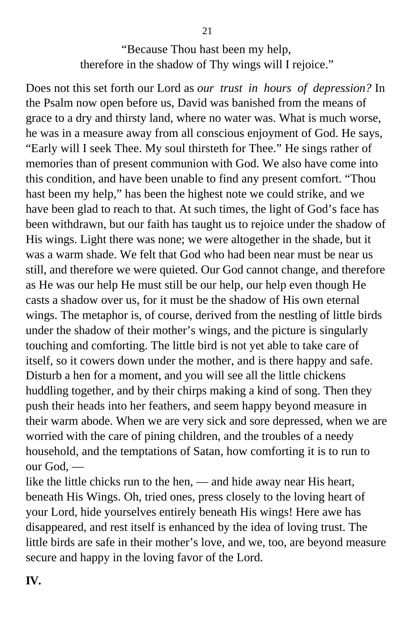"Because Thou hast been my help, therefore in the shadow of Thy wings will I rejoice."

Does not this set forth our Lord as *our trust in hours of depression?* In the Psalm now open before us, David was banished from the means of grace to a dry and thirsty land, where no water was. What is much worse, he was in a measure away from all conscious enjoyment of God. He says, "Early will I seek Thee. My soul thirsteth for Thee." He sings rather of memories than of present communion with God. We also have come into this condition, and have been unable to find any present comfort. "Thou hast been my help," has been the highest note we could strike, and we have been glad to reach to that. At such times, the light of God's face has been withdrawn, but our faith has taught us to rejoice under the shadow of His wings. Light there was none; we were altogether in the shade, but it was a warm shade. We felt that God who had been near must be near us still, and therefore we were quieted. Our God cannot change, and therefore as He was our help He must still be our help, our help even though He casts a shadow over us, for it must be the shadow of His own eternal wings. The metaphor is, of course, derived from the nestling of little birds under the shadow of their mother's wings, and the picture is singularly touching and comforting. The little bird is not yet able to take care of itself, so it cowers down under the mother, and is there happy and safe. Disturb a hen for a moment, and you will see all the little chickens huddling together, and by their chirps making a kind of song. Then they push their heads into her feathers, and seem happy beyond measure in their warm abode. When we are very sick and sore depressed, when we are worried with the care of pining children, and the troubles of a needy household, and the temptations of Satan, how comforting it is to run to our God, —

like the little chicks run to the hen, — and hide away near His heart, beneath His Wings. Oh, tried ones, press closely to the loving heart of your Lord, hide yourselves entirely beneath His wings! Here awe has disappeared, and rest itself is enhanced by the idea of loving trust. The little birds are safe in their mother's love, and we, too, are beyond measure secure and happy in the loving favor of the Lord.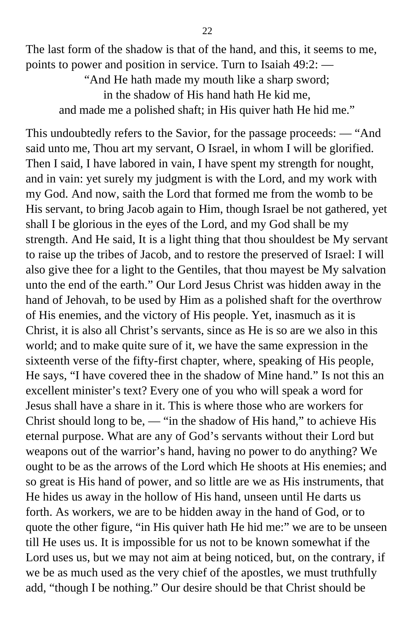The last form of the shadow is that of the hand, and this, it seems to me, points to power and position in service. Turn to Isaiah 49:2: — "And He hath made my mouth like a sharp sword; in the shadow of His hand hath He kid me, and made me a polished shaft; in His quiver hath He hid me."

This undoubtedly refers to the Savior, for the passage proceeds: — "And said unto me, Thou art my servant, O Israel, in whom I will be glorified. Then I said, I have labored in vain, I have spent my strength for nought, and in vain: yet surely my judgment is with the Lord, and my work with my God. And now, saith the Lord that formed me from the womb to be His servant, to bring Jacob again to Him, though Israel be not gathered, yet shall I be glorious in the eyes of the Lord, and my God shall be my strength. And He said, It is a light thing that thou shouldest be My servant to raise up the tribes of Jacob, and to restore the preserved of Israel: I will also give thee for a light to the Gentiles, that thou mayest be My salvation unto the end of the earth." Our Lord Jesus Christ was hidden away in the hand of Jehovah, to be used by Him as a polished shaft for the overthrow of His enemies, and the victory of His people. Yet, inasmuch as it is Christ, it is also all Christ's servants, since as He is so are we also in this world; and to make quite sure of it, we have the same expression in the sixteenth verse of the fifty-first chapter, where, speaking of His people, He says, "I have covered thee in the shadow of Mine hand." Is not this an excellent minister's text? Every one of you who will speak a word for Jesus shall have a share in it. This is where those who are workers for Christ should long to be, — "in the shadow of His hand," to achieve His eternal purpose. What are any of God's servants without their Lord but weapons out of the warrior's hand, having no power to do anything? We ought to be as the arrows of the Lord which He shoots at His enemies; and so great is His hand of power, and so little are we as His instruments, that He hides us away in the hollow of His hand, unseen until He darts us forth. As workers, we are to be hidden away in the hand of God, or to quote the other figure, "in His quiver hath He hid me:" we are to be unseen till He uses us. It is impossible for us not to be known somewhat if the Lord uses us, but we may not aim at being noticed, but, on the contrary, if we be as much used as the very chief of the apostles, we must truthfully add, "though I be nothing." Our desire should be that Christ should be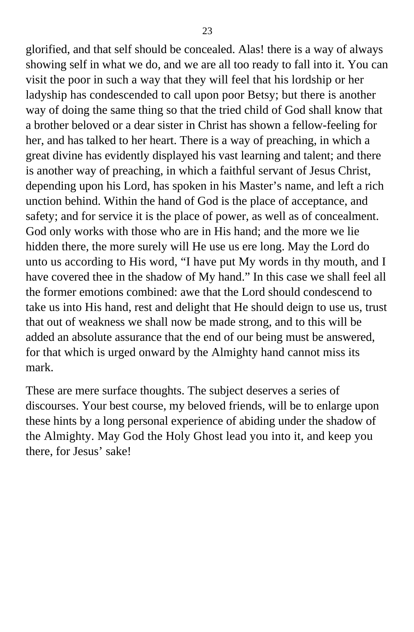glorified, and that self should be concealed. Alas! there is a way of always showing self in what we do, and we are all too ready to fall into it. You can visit the poor in such a way that they will feel that his lordship or her ladyship has condescended to call upon poor Betsy; but there is another way of doing the same thing so that the tried child of God shall know that a brother beloved or a dear sister in Christ has shown a fellow-feeling for her, and has talked to her heart. There is a way of preaching, in which a great divine has evidently displayed his vast learning and talent; and there is another way of preaching, in which a faithful servant of Jesus Christ, depending upon his Lord, has spoken in his Master's name, and left a rich unction behind. Within the hand of God is the place of acceptance, and safety; and for service it is the place of power, as well as of concealment. God only works with those who are in His hand; and the more we lie hidden there, the more surely will He use us ere long. May the Lord do unto us according to His word, "I have put My words in thy mouth, and I have covered thee in the shadow of My hand." In this case we shall feel all the former emotions combined: awe that the Lord should condescend to take us into His hand, rest and delight that He should deign to use us, trust that out of weakness we shall now be made strong, and to this will be added an absolute assurance that the end of our being must be answered, for that which is urged onward by the Almighty hand cannot miss its mark.

These are mere surface thoughts. The subject deserves a series of discourses. Your best course, my beloved friends, will be to enlarge upon these hints by a long personal experience of abiding under the shadow of the Almighty. May God the Holy Ghost lead you into it, and keep you there, for Jesus' sake!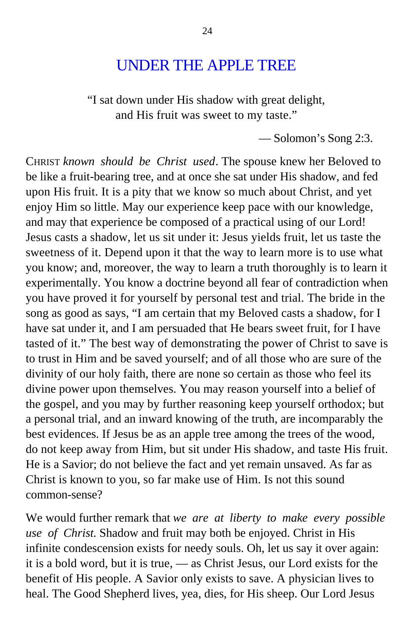## UNDER THE APPLE TREE

"I sat down under His shadow with great delight, and His fruit was sweet to my taste."

— Solomon's Song 2:3.

CHRIST *known should be Christ used*. The spouse knew her Beloved to be like a fruit-bearing tree, and at once she sat under His shadow, and fed upon His fruit. It is a pity that we know so much about Christ, and yet enjoy Him so little. May our experience keep pace with our knowledge, and may that experience be composed of a practical using of our Lord! Jesus casts a shadow, let us sit under it: Jesus yields fruit, let us taste the sweetness of it. Depend upon it that the way to learn more is to use what you know; and, moreover, the way to learn a truth thoroughly is to learn it experimentally. You know a doctrine beyond all fear of contradiction when you have proved it for yourself by personal test and trial. The bride in the song as good as says, "I am certain that my Beloved casts a shadow, for I have sat under it, and I am persuaded that He bears sweet fruit, for I have tasted of it." The best way of demonstrating the power of Christ to save is to trust in Him and be saved yourself; and of all those who are sure of the divinity of our holy faith, there are none so certain as those who feel its divine power upon themselves. You may reason yourself into a belief of the gospel, and you may by further reasoning keep yourself orthodox; but a personal trial, and an inward knowing of the truth, are incomparably the best evidences. If Jesus be as an apple tree among the trees of the wood, do not keep away from Him, but sit under His shadow, and taste His fruit. He is a Savior; do not believe the fact and yet remain unsaved. As far as Christ is known to you, so far make use of Him. Is not this sound common-sense?

We would further remark that *we are at liberty to make every possible use of Christ*. Shadow and fruit may both be enjoyed. Christ in His infinite condescension exists for needy souls. Oh, let us say it over again: it is a bold word, but it is true, — as Christ Jesus, our Lord exists for the benefit of His people. A Savior only exists to save. A physician lives to heal. The Good Shepherd lives, yea, dies, for His sheep. Our Lord Jesus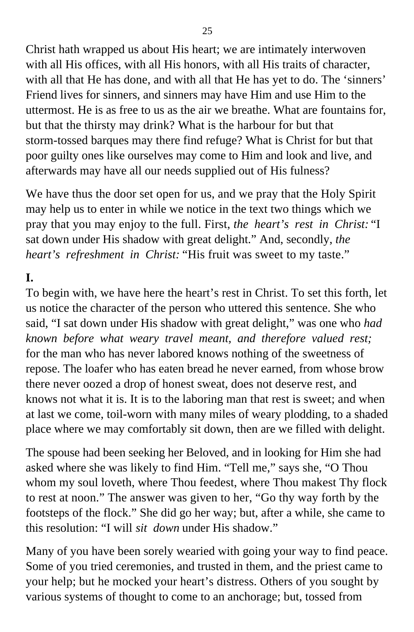Christ hath wrapped us about His heart; we are intimately interwoven with all His offices, with all His honors, with all His traits of character, with all that He has done, and with all that He has yet to do. The 'sinners' Friend lives for sinners, and sinners may have Him and use Him to the uttermost. He is as free to us as the air we breathe. What are fountains for, but that the thirsty may drink? What is the harbour for but that storm-tossed barques may there find refuge? What is Christ for but that poor guilty ones like ourselves may come to Him and look and live, and afterwards may have all our needs supplied out of His fulness?

We have thus the door set open for us, and we pray that the Holy Spirit may help us to enter in while we notice in the text two things which we pray that you may enjoy to the full. First, *the heart's rest in Christ:* "I sat down under His shadow with great delight." And, secondly, *the heart's refreshment in Christ:* "His fruit was sweet to my taste."

#### **I.**

To begin with, we have here the heart's rest in Christ. To set this forth, let us notice the character of the person who uttered this sentence. She who said, "I sat down under His shadow with great delight," was one who *had known before what weary travel meant, and therefore valued rest;* for the man who has never labored knows nothing of the sweetness of repose. The loafer who has eaten bread he never earned, from whose brow there never oozed a drop of honest sweat, does not deserve rest, and knows not what it is. It is to the laboring man that rest is sweet; and when at last we come, toil-worn with many miles of weary plodding, to a shaded place where we may comfortably sit down, then are we filled with delight.

The spouse had been seeking her Beloved, and in looking for Him she had asked where she was likely to find Him. "Tell me," says she, "O Thou whom my soul loveth, where Thou feedest, where Thou makest Thy flock to rest at noon." The answer was given to her, "Go thy way forth by the footsteps of the flock." She did go her way; but, after a while, she came to this resolution: "I will *sit down* under His shadow."

Many of you have been sorely wearied with going your way to find peace. Some of you tried ceremonies, and trusted in them, and the priest came to your help; but he mocked your heart's distress. Others of you sought by various systems of thought to come to an anchorage; but, tossed from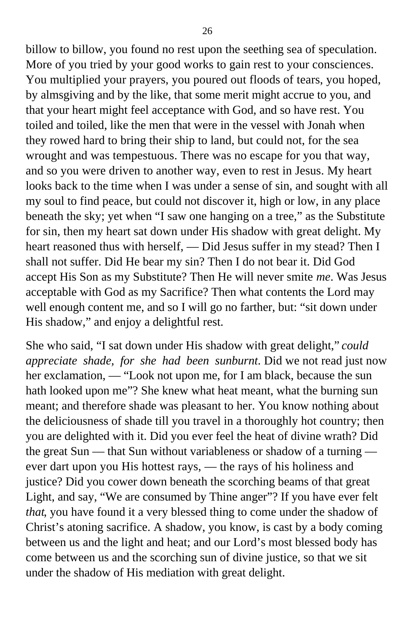billow to billow, you found no rest upon the seething sea of speculation. More of you tried by your good works to gain rest to your consciences. You multiplied your prayers, you poured out floods of tears, you hoped, by almsgiving and by the like, that some merit might accrue to you, and that your heart might feel acceptance with God, and so have rest. You toiled and toiled, like the men that were in the vessel with Jonah when they rowed hard to bring their ship to land, but could not, for the sea wrought and was tempestuous. There was no escape for you that way, and so you were driven to another way, even to rest in Jesus. My heart looks back to the time when I was under a sense of sin, and sought with all my soul to find peace, but could not discover it, high or low, in any place beneath the sky; yet when "I saw one hanging on a tree," as the Substitute for sin, then my heart sat down under His shadow with great delight. My heart reasoned thus with herself, — Did Jesus suffer in my stead? Then I shall not suffer. Did He bear my sin? Then I do not bear it. Did God accept His Son as my Substitute? Then He will never smite *me*. Was Jesus acceptable with God as my Sacrifice? Then what contents the Lord may well enough content me, and so I will go no farther, but: "sit down under His shadow," and enjoy a delightful rest.

She who said, "I sat down under His shadow with great delight," *could appreciate shade, for she had been sunburnt*. Did we not read just now her exclamation, — "Look not upon me, for I am black, because the sun hath looked upon me"? She knew what heat meant, what the burning sun meant; and therefore shade was pleasant to her. You know nothing about the deliciousness of shade till you travel in a thoroughly hot country; then you are delighted with it. Did you ever feel the heat of divine wrath? Did the great Sun — that Sun without variableness or shadow of a turning ever dart upon you His hottest rays, — the rays of his holiness and justice? Did you cower down beneath the scorching beams of that great Light, and say, "We are consumed by Thine anger"? If you have ever felt *that*, you have found it a very blessed thing to come under the shadow of Christ's atoning sacrifice. A shadow, you know, is cast by a body coming between us and the light and heat; and our Lord's most blessed body has come between us and the scorching sun of divine justice, so that we sit under the shadow of His mediation with great delight.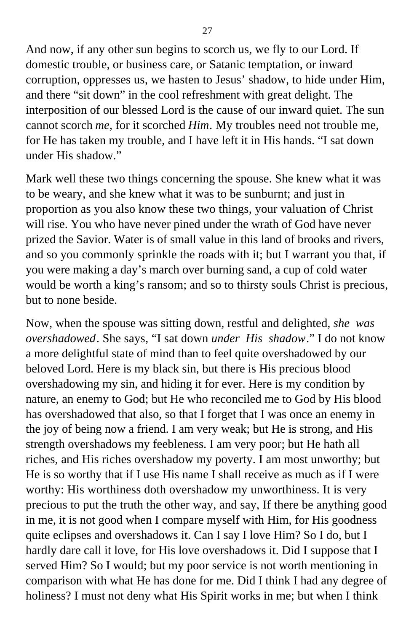And now, if any other sun begins to scorch us, we fly to our Lord. If domestic trouble, or business care, or Satanic temptation, or inward corruption, oppresses us, we hasten to Jesus' shadow, to hide under Him, and there "sit down" in the cool refreshment with great delight. The interposition of our blessed Lord is the cause of our inward quiet. The sun cannot scorch *me*, for it scorched *Him*. My troubles need not trouble me, for He has taken my trouble, and I have left it in His hands. "I sat down under His shadow."

Mark well these two things concerning the spouse. She knew what it was to be weary, and she knew what it was to be sunburnt; and just in proportion as you also know these two things, your valuation of Christ will rise. You who have never pined under the wrath of God have never prized the Savior. Water is of small value in this land of brooks and rivers, and so you commonly sprinkle the roads with it; but I warrant you that, if you were making a day's march over burning sand, a cup of cold water would be worth a king's ransom; and so to thirsty souls Christ is precious, but to none beside.

Now, when the spouse was sitting down, restful and delighted, *she was overshadowed*. She says, "I sat down *under His shadow*." I do not know a more delightful state of mind than to feel quite overshadowed by our beloved Lord. Here is my black sin, but there is His precious blood overshadowing my sin, and hiding it for ever. Here is my condition by nature, an enemy to God; but He who reconciled me to God by His blood has overshadowed that also, so that I forget that I was once an enemy in the joy of being now a friend. I am very weak; but He is strong, and His strength overshadows my feebleness. I am very poor; but He hath all riches, and His riches overshadow my poverty. I am most unworthy; but He is so worthy that if I use His name I shall receive as much as if I were worthy: His worthiness doth overshadow my unworthiness. It is very precious to put the truth the other way, and say, If there be anything good in me, it is not good when I compare myself with Him, for His goodness quite eclipses and overshadows it. Can I say I love Him? So I do, but I hardly dare call it love, for His love overshadows it. Did I suppose that I served Him? So I would; but my poor service is not worth mentioning in comparison with what He has done for me. Did I think I had any degree of holiness? I must not deny what His Spirit works in me; but when I think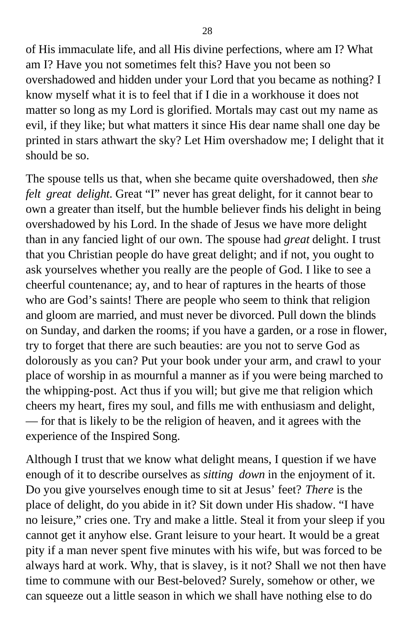of His immaculate life, and all His divine perfections, where am I? What am I? Have you not sometimes felt this? Have you not been so overshadowed and hidden under your Lord that you became as nothing? I know myself what it is to feel that if I die in a workhouse it does not matter so long as my Lord is glorified. Mortals may cast out my name as evil, if they like; but what matters it since His dear name shall one day be printed in stars athwart the sky? Let Him overshadow me; I delight that it should be so.

The spouse tells us that, when she became quite overshadowed, then *she felt great delight*. Great "I" never has great delight, for it cannot bear to own a greater than itself, but the humble believer finds his delight in being overshadowed by his Lord. In the shade of Jesus we have more delight than in any fancied light of our own. The spouse had *great* delight. I trust that you Christian people do have great delight; and if not, you ought to ask yourselves whether you really are the people of God. I like to see a cheerful countenance; ay, and to hear of raptures in the hearts of those who are God's saints! There are people who seem to think that religion and gloom are married, and must never be divorced. Pull down the blinds on Sunday, and darken the rooms; if you have a garden, or a rose in flower, try to forget that there are such beauties: are you not to serve God as dolorously as you can? Put your book under your arm, and crawl to your place of worship in as mournful a manner as if you were being marched to the whipping-post. Act thus if you will; but give me that religion which cheers my heart, fires my soul, and fills me with enthusiasm and delight, — for that is likely to be the religion of heaven, and it agrees with the experience of the Inspired Song.

Although I trust that we know what delight means, I question if we have enough of it to describe ourselves as *sitting down* in the enjoyment of it. Do you give yourselves enough time to sit at Jesus' feet? *There* is the place of delight, do you abide in it? Sit down under His shadow. "I have no leisure," cries one. Try and make a little. Steal it from your sleep if you cannot get it anyhow else. Grant leisure to your heart. It would be a great pity if a man never spent five minutes with his wife, but was forced to be always hard at work. Why, that is slavey, is it not? Shall we not then have time to commune with our Best-beloved? Surely, somehow or other, we can squeeze out a little season in which we shall have nothing else to do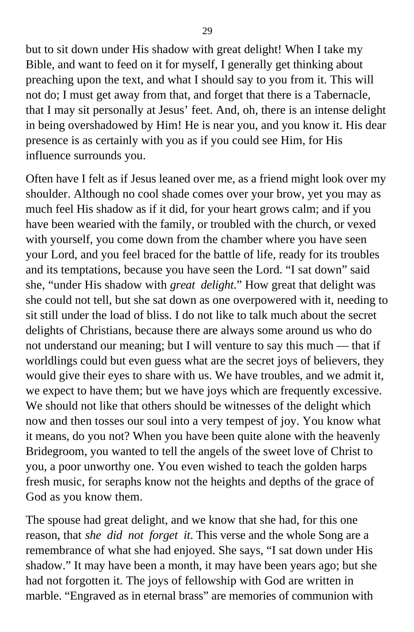but to sit down under His shadow with great delight! When I take my Bible, and want to feed on it for myself, I generally get thinking about preaching upon the text, and what I should say to you from it. This will not do; I must get away from that, and forget that there is a Tabernacle, that I may sit personally at Jesus' feet. And, oh, there is an intense delight in being overshadowed by Him! He is near you, and you know it. His dear presence is as certainly with you as if you could see Him, for His influence surrounds you.

Often have I felt as if Jesus leaned over me, as a friend might look over my shoulder. Although no cool shade comes over your brow, yet you may as much feel His shadow as if it did, for your heart grows calm; and if you have been wearied with the family, or troubled with the church, or vexed with yourself, you come down from the chamber where you have seen your Lord, and you feel braced for the battle of life, ready for its troubles and its temptations, because you have seen the Lord. "I sat down" said she, "under His shadow with *great delight*." How great that delight was she could not tell, but she sat down as one overpowered with it, needing to sit still under the load of bliss. I do not like to talk much about the secret delights of Christians, because there are always some around us who do not understand our meaning; but I will venture to say this much — that if worldlings could but even guess what are the secret joys of believers, they would give their eyes to share with us. We have troubles, and we admit it, we expect to have them; but we have joys which are frequently excessive. We should not like that others should be witnesses of the delight which now and then tosses our soul into a very tempest of joy. You know what it means, do you not? When you have been quite alone with the heavenly Bridegroom, you wanted to tell the angels of the sweet love of Christ to you, a poor unworthy one. You even wished to teach the golden harps fresh music, for seraphs know not the heights and depths of the grace of God as you know them.

The spouse had great delight, and we know that she had, for this one reason, that *she did not forget it*. This verse and the whole Song are a remembrance of what she had enjoyed. She says, "I sat down under His shadow." It may have been a month, it may have been years ago; but she had not forgotten it. The joys of fellowship with God are written in marble. "Engraved as in eternal brass" are memories of communion with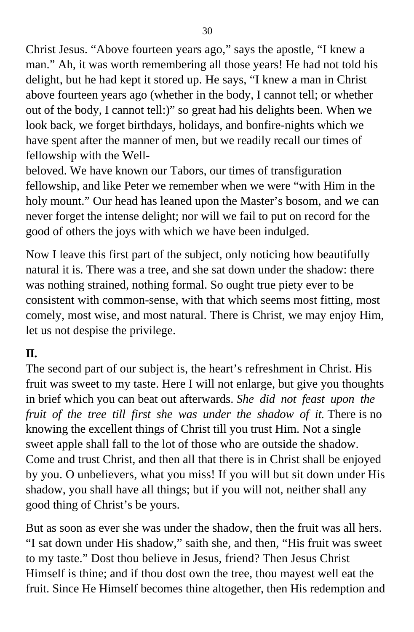Christ Jesus. "Above fourteen years ago," says the apostle, "I knew a man." Ah, it was worth remembering all those years! He had not told his delight, but he had kept it stored up. He says, "I knew a man in Christ above fourteen years ago (whether in the body, I cannot tell; or whether out of the body, I cannot tell:)" so great had his delights been. When we look back, we forget birthdays, holidays, and bonfire-nights which we have spent after the manner of men, but we readily recall our times of fellowship with the Well-

beloved. We have known our Tabors, our times of transfiguration fellowship, and like Peter we remember when we were "with Him in the holy mount." Our head has leaned upon the Master's bosom, and we can never forget the intense delight; nor will we fail to put on record for the good of others the joys with which we have been indulged.

Now I leave this first part of the subject, only noticing how beautifully natural it is. There was a tree, and she sat down under the shadow: there was nothing strained, nothing formal. So ought true piety ever to be consistent with common-sense, with that which seems most fitting, most comely, most wise, and most natural. There is Christ, we may enjoy Him, let us not despise the privilege.

#### **II.**

The second part of our subject is, the heart's refreshment in Christ. His fruit was sweet to my taste. Here I will not enlarge, but give you thoughts in brief which you can beat out afterwards. *She did not feast upon the fruit of the tree till first she was under the shadow of it.* There is no knowing the excellent things of Christ till you trust Him. Not a single sweet apple shall fall to the lot of those who are outside the shadow. Come and trust Christ, and then all that there is in Christ shall be enjoyed by you. O unbelievers, what you miss! If you will but sit down under His shadow, you shall have all things; but if you will not, neither shall any good thing of Christ's be yours.

But as soon as ever she was under the shadow, then the fruit was all hers. "I sat down under His shadow," saith she, and then, "His fruit was sweet to my taste." Dost thou believe in Jesus, friend? Then Jesus Christ Himself is thine; and if thou dost own the tree, thou mayest well eat the fruit. Since He Himself becomes thine altogether, then His redemption and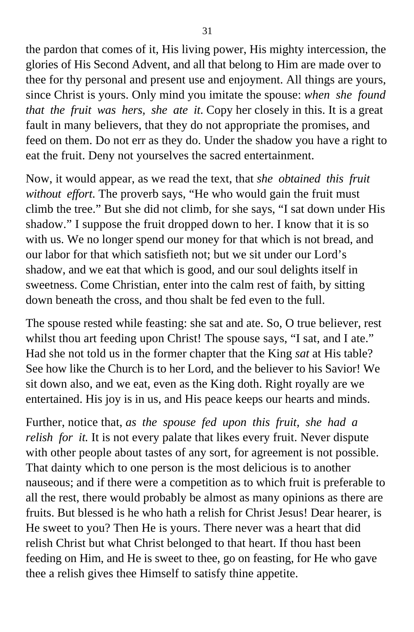the pardon that comes of it, His living power, His mighty intercession, the glories of His Second Advent, and all that belong to Him are made over to thee for thy personal and present use and enjoyment. All things are yours, since Christ is yours. Only mind you imitate the spouse: *when she found that the fruit was hers, she ate it*. Copy her closely in this. It is a great fault in many believers, that they do not appropriate the promises, and feed on them. Do not err as they do. Under the shadow you have a right to eat the fruit. Deny not yourselves the sacred entertainment.

Now, it would appear, as we read the text, that *she obtained this fruit without effort*. The proverb says, "He who would gain the fruit must climb the tree." But she did not climb, for she says, "I sat down under His shadow." I suppose the fruit dropped down to her. I know that it is so with us. We no longer spend our money for that which is not bread, and our labor for that which satisfieth not; but we sit under our Lord's shadow, and we eat that which is good, and our soul delights itself in sweetness. Come Christian, enter into the calm rest of faith, by sitting down beneath the cross, and thou shalt be fed even to the full.

The spouse rested while feasting: she sat and ate. So, O true believer, rest whilst thou art feeding upon Christ! The spouse says, "I sat, and I ate." Had she not told us in the former chapter that the King *sat* at His table? See how like the Church is to her Lord, and the believer to his Savior! We sit down also, and we eat, even as the King doth. Right royally are we entertained. His joy is in us, and His peace keeps our hearts and minds.

Further, notice that, *as the spouse fed upon this fruit, she had a relish for it.* It is not every palate that likes every fruit. Never dispute with other people about tastes of any sort, for agreement is not possible. That dainty which to one person is the most delicious is to another nauseous; and if there were a competition as to which fruit is preferable to all the rest, there would probably be almost as many opinions as there are fruits. But blessed is he who hath a relish for Christ Jesus! Dear hearer, is He sweet to you? Then He is yours. There never was a heart that did relish Christ but what Christ belonged to that heart. If thou hast been feeding on Him, and He is sweet to thee, go on feasting, for He who gave thee a relish gives thee Himself to satisfy thine appetite.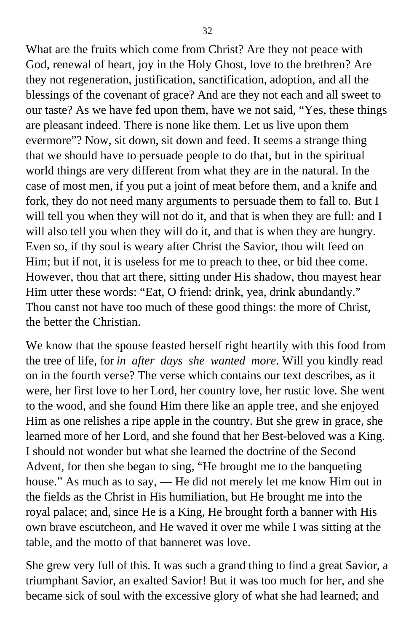What are the fruits which come from Christ? Are they not peace with God, renewal of heart, joy in the Holy Ghost, love to the brethren? Are they not regeneration, justification, sanctification, adoption, and all the blessings of the covenant of grace? And are they not each and all sweet to our taste? As we have fed upon them, have we not said, "Yes, these things are pleasant indeed. There is none like them. Let us live upon them evermore"? Now, sit down, sit down and feed. It seems a strange thing that we should have to persuade people to do that, but in the spiritual world things are very different from what they are in the natural. In the case of most men, if you put a joint of meat before them, and a knife and fork, they do not need many arguments to persuade them to fall to. But I will tell you when they will not do it, and that is when they are full: and I will also tell you when they will do it, and that is when they are hungry. Even so, if thy soul is weary after Christ the Savior, thou wilt feed on Him; but if not, it is useless for me to preach to thee, or bid thee come. However, thou that art there, sitting under His shadow, thou mayest hear Him utter these words: "Eat, O friend: drink, yea, drink abundantly." Thou canst not have too much of these good things: the more of Christ, the better the Christian.

We know that the spouse feasted herself right heartily with this food from the tree of life, for *in after days she wanted more*. Will you kindly read on in the fourth verse? The verse which contains our text describes, as it were, her first love to her Lord, her country love, her rustic love. She went to the wood, and she found Him there like an apple tree, and she enjoyed Him as one relishes a ripe apple in the country. But she grew in grace, she learned more of her Lord, and she found that her Best-beloved was a King. I should not wonder but what she learned the doctrine of the Second Advent, for then she began to sing, "He brought me to the banqueting house." As much as to say, — He did not merely let me know Him out in the fields as the Christ in His humiliation, but He brought me into the royal palace; and, since He is a King, He brought forth a banner with His own brave escutcheon, and He waved it over me while I was sitting at the table, and the motto of that banneret was love.

She grew very full of this. It was such a grand thing to find a great Savior, a triumphant Savior, an exalted Savior! But it was too much for her, and she became sick of soul with the excessive glory of what she had learned; and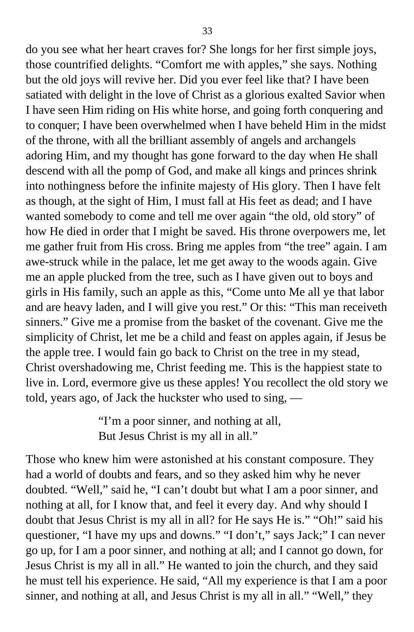do you see what her heart craves for? She longs for her first simple joys, those countrified delights. "Comfort me with apples," she says. Nothing but the old joys will revive her. Did you ever feel like that? I have been satiated with delight in the love of Christ as a glorious exalted Savior when I have seen Him riding on His white horse, and going forth conquering and to conquer; I have been overwhelmed when I have beheld Him in the midst of the throne, with all the brilliant assembly of angels and archangels adoring Him, and my thought has gone forward to the day when He shall descend with all the pomp of God, and make all kings and princes shrink into nothingness before the infinite majesty of His glory. Then I have felt as though, at the sight of Him, I must fall at His feet as dead; and I have wanted somebody to come and tell me over again "the old, old story" of how He died in order that I might be saved. His throne overpowers me, let me gather fruit from His cross. Bring me apples from "the tree" again. I am awe-struck while in the palace, let me get away to the woods again. Give me an apple plucked from the tree, such as I have given out to boys and girls in His family, such an apple as this, "Come unto Me all ye that labor and are heavy laden, and I will give you rest." Or this: "This man receiveth sinners." Give me a promise from the basket of the covenant. Give me the simplicity of Christ, let me be a child and feast on apples again, if Jesus be the apple tree. I would fain go back to Christ on the tree in my stead, Christ overshadowing me, Christ feeding me. This is the happiest state to live in. Lord, evermore give us these apples! You recollect the old story we told, years ago, of Jack the huckster who used to sing, —

> "I'm a poor sinner, and nothing at all, But Jesus Christ is my all in all."

Those who knew him were astonished at his constant composure. They had a world of doubts and fears, and so they asked him why he never doubted. "Well," said he, "I can't doubt but what I am a poor sinner, and nothing at all, for I know that, and feel it every day. And why should I doubt that Jesus Christ is my all in all? for He says He is." "Oh!" said his questioner, "I have my ups and downs." "I don't," says Jack;" I can never go up, for I am a poor sinner, and nothing at all; and I cannot go down, for Jesus Christ is my all in all." He wanted to join the church, and they said he must tell his experience. He said, "All my experience is that I am a poor sinner, and nothing at all, and Jesus Christ is my all in all." "Well," they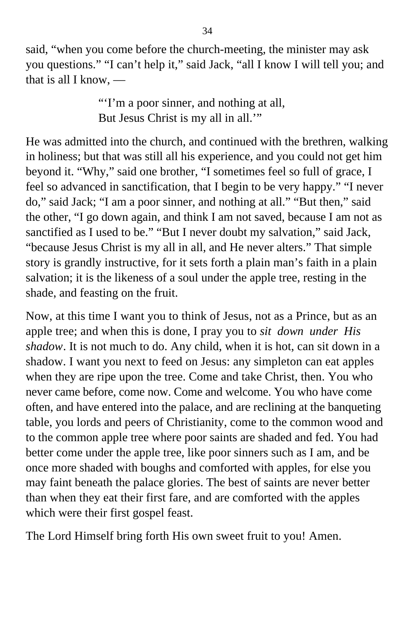said, "when you come before the church-meeting, the minister may ask you questions." "I can't help it," said Jack, "all I know I will tell you; and that is all I know, —

> "'I'm a poor sinner, and nothing at all, But Jesus Christ is my all in all.'"

He was admitted into the church, and continued with the brethren, walking in holiness; but that was still all his experience, and you could not get him beyond it. "Why," said one brother, "I sometimes feel so full of grace, I feel so advanced in sanctification, that I begin to be very happy." "I never do," said Jack; "I am a poor sinner, and nothing at all." "But then," said the other, "I go down again, and think I am not saved, because I am not as sanctified as I used to be." "But I never doubt my salvation," said Jack, "because Jesus Christ is my all in all, and He never alters." That simple story is grandly instructive, for it sets forth a plain man's faith in a plain salvation; it is the likeness of a soul under the apple tree, resting in the shade, and feasting on the fruit.

Now, at this time I want you to think of Jesus, not as a Prince, but as an apple tree; and when this is done, I pray you to *sit down under His shadow*. It is not much to do. Any child, when it is hot, can sit down in a shadow. I want you next to feed on Jesus: any simpleton can eat apples when they are ripe upon the tree. Come and take Christ, then. You who never came before, come now. Come and welcome. You who have come often, and have entered into the palace, and are reclining at the banqueting table, you lords and peers of Christianity, come to the common wood and to the common apple tree where poor saints are shaded and fed. You had better come under the apple tree, like poor sinners such as I am, and be once more shaded with boughs and comforted with apples, for else you may faint beneath the palace glories. The best of saints are never better than when they eat their first fare, and are comforted with the apples which were their first gospel feast.

The Lord Himself bring forth His own sweet fruit to you! Amen.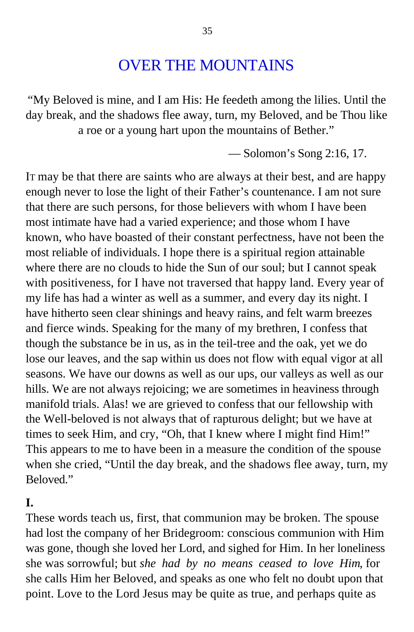## OVER THE MOUNTAINS

"My Beloved is mine, and I am His: He feedeth among the lilies. Until the day break, and the shadows flee away, turn, my Beloved, and be Thou like a roe or a young hart upon the mountains of Bether."

— Solomon's Song 2:16, 17.

IT may be that there are saints who are always at their best, and are happy enough never to lose the light of their Father's countenance. I am not sure that there are such persons, for those believers with whom I have been most intimate have had a varied experience; and those whom I have known, who have boasted of their constant perfectness, have not been the most reliable of individuals. I hope there is a spiritual region attainable where there are no clouds to hide the Sun of our soul; but I cannot speak with positiveness, for I have not traversed that happy land. Every year of my life has had a winter as well as a summer, and every day its night. I have hitherto seen clear shinings and heavy rains, and felt warm breezes and fierce winds. Speaking for the many of my brethren, I confess that though the substance be in us, as in the teil-tree and the oak, yet we do lose our leaves, and the sap within us does not flow with equal vigor at all seasons. We have our downs as well as our ups, our valleys as well as our hills. We are not always rejoicing; we are sometimes in heaviness through manifold trials. Alas! we are grieved to confess that our fellowship with the Well-beloved is not always that of rapturous delight; but we have at times to seek Him, and cry, "Oh, that I knew where I might find Him!" This appears to me to have been in a measure the condition of the spouse when she cried, "Until the day break, and the shadows flee away, turn, my Beloved."

#### **I.**

These words teach us, first, that communion may be broken. The spouse had lost the company of her Bridegroom: conscious communion with Him was gone, though she loved her Lord, and sighed for Him. In her loneliness she was sorrowful; but *she had by no means ceased to love Him*, for she calls Him her Beloved, and speaks as one who felt no doubt upon that point. Love to the Lord Jesus may be quite as true, and perhaps quite as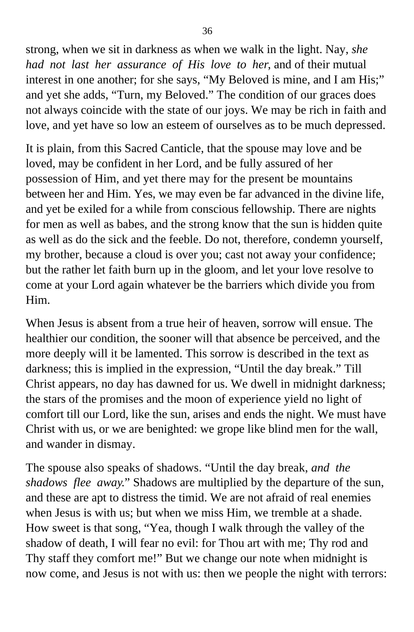strong, when we sit in darkness as when we walk in the light. Nay, *she had not last her assurance of His love to her*, and of their mutual interest in one another; for she says, "My Beloved is mine, and I am His;" and yet she adds, "Turn, my Beloved." The condition of our graces does not always coincide with the state of our joys. We may be rich in faith and love, and yet have so low an esteem of ourselves as to be much depressed.

It is plain, from this Sacred Canticle, that the spouse may love and be loved, may be confident in her Lord, and be fully assured of her possession of Him, and yet there may for the present be mountains between her and Him. Yes, we may even be far advanced in the divine life, and yet be exiled for a while from conscious fellowship. There are nights for men as well as babes, and the strong know that the sun is hidden quite as well as do the sick and the feeble. Do not, therefore, condemn yourself, my brother, because a cloud is over you; cast not away your confidence; but the rather let faith burn up in the gloom, and let your love resolve to come at your Lord again whatever be the barriers which divide you from Him.

When Jesus is absent from a true heir of heaven, sorrow will ensue. The healthier our condition, the sooner will that absence be perceived, and the more deeply will it be lamented. This sorrow is described in the text as darkness; this is implied in the expression, "Until the day break." Till Christ appears, no day has dawned for us. We dwell in midnight darkness; the stars of the promises and the moon of experience yield no light of comfort till our Lord, like the sun, arises and ends the night. We must have Christ with us, or we are benighted: we grope like blind men for the wall, and wander in dismay.

The spouse also speaks of shadows. "Until the day break, *and the shadows flee away*." Shadows are multiplied by the departure of the sun, and these are apt to distress the timid. We are not afraid of real enemies when Jesus is with us; but when we miss Him, we tremble at a shade. How sweet is that song, "Yea, though I walk through the valley of the shadow of death, I will fear no evil: for Thou art with me; Thy rod and Thy staff they comfort me!" But we change our note when midnight is now come, and Jesus is not with us: then we people the night with terrors: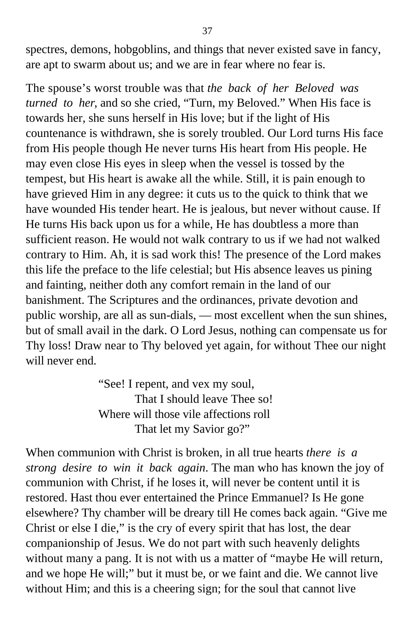spectres, demons, hobgoblins, and things that never existed save in fancy, are apt to swarm about us; and we are in fear where no fear is.

The spouse's worst trouble was that *the back of her Beloved was turned to her*, and so she cried, "Turn, my Beloved." When His face is towards her, she suns herself in His love; but if the light of His countenance is withdrawn, she is sorely troubled. Our Lord turns His face from His people though He never turns His heart from His people. He may even close His eyes in sleep when the vessel is tossed by the tempest, but His heart is awake all the while. Still, it is pain enough to have grieved Him in any degree: it cuts us to the quick to think that we have wounded His tender heart. He is jealous, but never without cause. If He turns His back upon us for a while, He has doubtless a more than sufficient reason. He would not walk contrary to us if we had not walked contrary to Him. Ah, it is sad work this! The presence of the Lord makes this life the preface to the life celestial; but His absence leaves us pining and fainting, neither doth any comfort remain in the land of our banishment. The Scriptures and the ordinances, private devotion and public worship, are all as sun-dials, — most excellent when the sun shines, but of small avail in the dark. O Lord Jesus, nothing can compensate us for Thy loss! Draw near to Thy beloved yet again, for without Thee our night will never end.

> "See! I repent, and vex my soul, That I should leave Thee so! Where will those vile affections roll That let my Savior go?"

When communion with Christ is broken, in all true hearts *there is a strong desire to win it back again*. The man who has known the joy of communion with Christ, if he loses it, will never be content until it is restored. Hast thou ever entertained the Prince Emmanuel? Is He gone elsewhere? Thy chamber will be dreary till He comes back again. "Give me Christ or else I die," is the cry of every spirit that has lost, the dear companionship of Jesus. We do not part with such heavenly delights without many a pang. It is not with us a matter of "maybe He will return, and we hope He will;" but it must be, or we faint and die. We cannot live without Him; and this is a cheering sign; for the soul that cannot live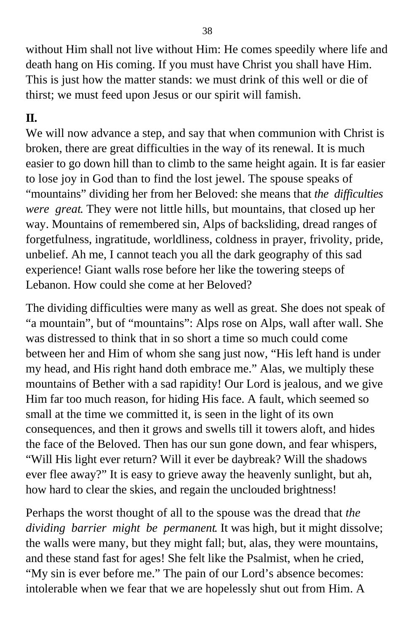without Him shall not live without Him: He comes speedily where life and death hang on His coming. If you must have Christ you shall have Him. This is just how the matter stands: we must drink of this well or die of thirst; we must feed upon Jesus or our spirit will famish.

## **II.**

We will now advance a step, and say that when communion with Christ is broken, there are great difficulties in the way of its renewal. It is much easier to go down hill than to climb to the same height again. It is far easier to lose joy in God than to find the lost jewel. The spouse speaks of "mountains" dividing her from her Beloved: she means that *the difficulties were great*. They were not little hills, but mountains, that closed up her way. Mountains of remembered sin, Alps of backsliding, dread ranges of forgetfulness, ingratitude, worldliness, coldness in prayer, frivolity, pride, unbelief. Ah me, I cannot teach you all the dark geography of this sad experience! Giant walls rose before her like the towering steeps of Lebanon. How could she come at her Beloved?

The dividing difficulties were many as well as great. She does not speak of "a mountain", but of "mountains": Alps rose on Alps, wall after wall. She was distressed to think that in so short a time so much could come between her and Him of whom she sang just now, "His left hand is under my head, and His right hand doth embrace me." Alas, we multiply these mountains of Bether with a sad rapidity! Our Lord is jealous, and we give Him far too much reason, for hiding His face. A fault, which seemed so small at the time we committed it, is seen in the light of its own consequences, and then it grows and swells till it towers aloft, and hides the face of the Beloved. Then has our sun gone down, and fear whispers, "Will His light ever return? Will it ever be daybreak? Will the shadows ever flee away?" It is easy to grieve away the heavenly sunlight, but ah, how hard to clear the skies, and regain the unclouded brightness!

Perhaps the worst thought of all to the spouse was the dread that *the dividing barrier might be permanent*. It was high, but it might dissolve; the walls were many, but they might fall; but, alas, they were mountains, and these stand fast for ages! She felt like the Psalmist, when he cried, "My sin is ever before me." The pain of our Lord's absence becomes: intolerable when we fear that we are hopelessly shut out from Him. A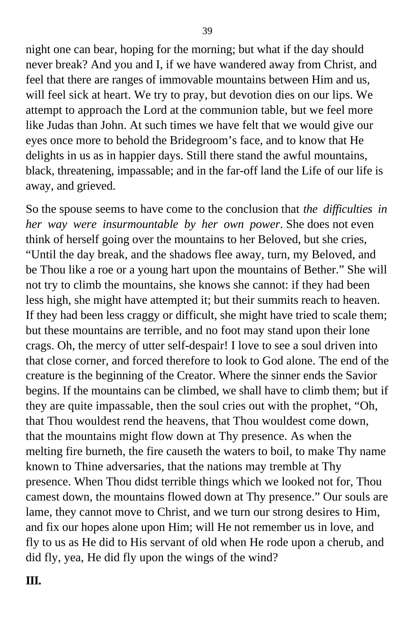night one can bear, hoping for the morning; but what if the day should never break? And you and I, if we have wandered away from Christ, and feel that there are ranges of immovable mountains between Him and us, will feel sick at heart. We try to pray, but devotion dies on our lips. We attempt to approach the Lord at the communion table, but we feel more like Judas than John. At such times we have felt that we would give our eyes once more to behold the Bridegroom's face, and to know that He delights in us as in happier days. Still there stand the awful mountains, black, threatening, impassable; and in the far-off land the Life of our life is away, and grieved.

So the spouse seems to have come to the conclusion that *the difficulties in her way were insurmountable by her own power*. She does not even think of herself going over the mountains to her Beloved, but she cries, "Until the day break, and the shadows flee away, turn, my Beloved, and be Thou like a roe or a young hart upon the mountains of Bether." She will not try to climb the mountains, she knows she cannot: if they had been less high, she might have attempted it; but their summits reach to heaven. If they had been less craggy or difficult, she might have tried to scale them; but these mountains are terrible, and no foot may stand upon their lone crags. Oh, the mercy of utter self-despair! I love to see a soul driven into that close corner, and forced therefore to look to God alone. The end of the creature is the beginning of the Creator. Where the sinner ends the Savior begins. If the mountains can be climbed, we shall have to climb them; but if they are quite impassable, then the soul cries out with the prophet, "Oh, that Thou wouldest rend the heavens, that Thou wouldest come down, that the mountains might flow down at Thy presence. As when the melting fire burneth, the fire causeth the waters to boil, to make Thy name known to Thine adversaries, that the nations may tremble at Thy presence. When Thou didst terrible things which we looked not for, Thou camest down, the mountains flowed down at Thy presence." Our souls are lame, they cannot move to Christ, and we turn our strong desires to Him, and fix our hopes alone upon Him; will He not remember us in love, and fly to us as He did to His servant of old when He rode upon a cherub, and did fly, yea, He did fly upon the wings of the wind?

**III.**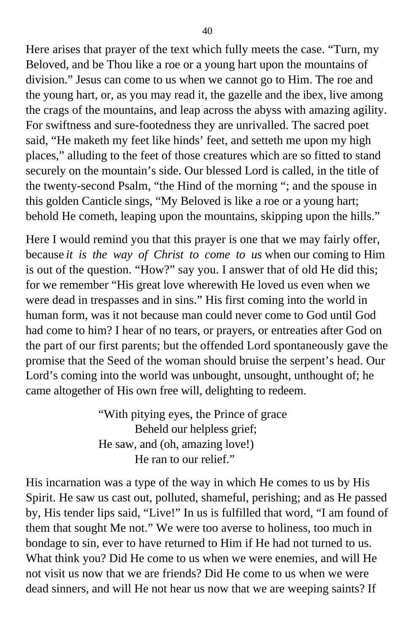Here arises that prayer of the text which fully meets the case. "Turn, my Beloved, and be Thou like a roe or a young hart upon the mountains of division." Jesus can come to us when we cannot go to Him. The roe and the young hart, or, as you may read it, the gazelle and the ibex, live among the crags of the mountains, and leap across the abyss with amazing agility. For swiftness and sure-footedness they are unrivalled. The sacred poet said, "He maketh my feet like hinds' feet, and setteth me upon my high places," alluding to the feet of those creatures which are so fitted to stand securely on the mountain's side. Our blessed Lord is called, in the title of the twenty-second Psalm, "the Hind of the morning "; and the spouse in this golden Canticle sings, "My Beloved is like a roe or a young hart; behold He cometh, leaping upon the mountains, skipping upon the hills."

Here I would remind you that this prayer is one that we may fairly offer, because *it is the way of Christ to come to us* when our coming to Him is out of the question. "How?" say you. I answer that of old He did this; for we remember "His great love wherewith He loved us even when we were dead in trespasses and in sins." His first coming into the world in human form, was it not because man could never come to God until God had come to him? I hear of no tears, or prayers, or entreaties after God on the part of our first parents; but the offended Lord spontaneously gave the promise that the Seed of the woman should bruise the serpent's head. Our Lord's coming into the world was unbought, unsought, unthought of; he came altogether of His own free will, delighting to redeem.

> "With pitying eyes, the Prince of grace Beheld our helpless grief; He saw, and (oh, amazing love!) He ran to our relief."

His incarnation was a type of the way in which He comes to us by His Spirit. He saw us cast out, polluted, shameful, perishing; and as He passed by, His tender lips said, "Live!" In us is fulfilled that word, "I am found of them that sought Me not." We were too averse to holiness, too much in bondage to sin, ever to have returned to Him if He had not turned to us. What think you? Did He come to us when we were enemies, and will He not visit us now that we are friends? Did He come to us when we were dead sinners, and will He not hear us now that we are weeping saints? If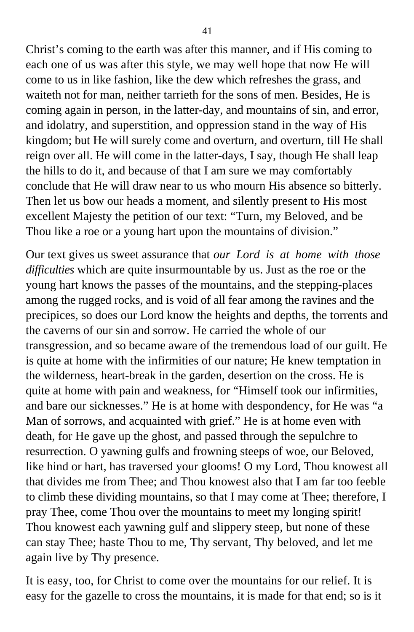Christ's coming to the earth was after this manner, and if His coming to each one of us was after this style, we may well hope that now He will come to us in like fashion, like the dew which refreshes the grass, and waiteth not for man, neither tarrieth for the sons of men. Besides, He is coming again in person, in the latter-day, and mountains of sin, and error, and idolatry, and superstition, and oppression stand in the way of His kingdom; but He will surely come and overturn, and overturn, till He shall reign over all. He will come in the latter-days, I say, though He shall leap the hills to do it, and because of that I am sure we may comfortably conclude that He will draw near to us who mourn His absence so bitterly. Then let us bow our heads a moment, and silently present to His most excellent Majesty the petition of our text: "Turn, my Beloved, and be Thou like a roe or a young hart upon the mountains of division."

Our text gives us sweet assurance that *our Lord is at home with those difficulties* which are quite insurmountable by us. Just as the roe or the young hart knows the passes of the mountains, and the stepping-places among the rugged rocks, and is void of all fear among the ravines and the precipices, so does our Lord know the heights and depths, the torrents and the caverns of our sin and sorrow. He carried the whole of our transgression, and so became aware of the tremendous load of our guilt. He is quite at home with the infirmities of our nature; He knew temptation in the wilderness, heart-break in the garden, desertion on the cross. He is quite at home with pain and weakness, for "Himself took our infirmities, and bare our sicknesses." He is at home with despondency, for He was "a Man of sorrows, and acquainted with grief." He is at home even with death, for He gave up the ghost, and passed through the sepulchre to resurrection. O yawning gulfs and frowning steeps of woe, our Beloved, like hind or hart, has traversed your glooms! O my Lord, Thou knowest all that divides me from Thee; and Thou knowest also that I am far too feeble to climb these dividing mountains, so that I may come at Thee; therefore, I pray Thee, come Thou over the mountains to meet my longing spirit! Thou knowest each yawning gulf and slippery steep, but none of these can stay Thee; haste Thou to me, Thy servant, Thy beloved, and let me again live by Thy presence.

It is easy, too, for Christ to come over the mountains for our relief. It is easy for the gazelle to cross the mountains, it is made for that end; so is it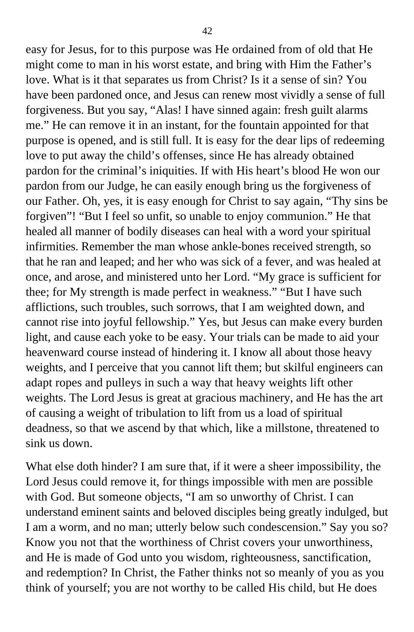easy for Jesus, for to this purpose was He ordained from of old that He might come to man in his worst estate, and bring with Him the Father's love. What is it that separates us from Christ? Is it a sense of sin? You have been pardoned once, and Jesus can renew most vividly a sense of full forgiveness. But you say, "Alas! I have sinned again: fresh guilt alarms me." He can remove it in an instant, for the fountain appointed for that purpose is opened, and is still full. It is easy for the dear lips of redeeming love to put away the child's offenses, since He has already obtained pardon for the criminal's iniquities. If with His heart's blood He won our pardon from our Judge, he can easily enough bring us the forgiveness of our Father. Oh, yes, it is easy enough for Christ to say again, "Thy sins be forgiven"! "But I feel so unfit, so unable to enjoy communion." He that healed all manner of bodily diseases can heal with a word your spiritual infirmities. Remember the man whose ankle-bones received strength, so that he ran and leaped; and her who was sick of a fever, and was healed at once, and arose, and ministered unto her Lord. "My grace is sufficient for thee; for My strength is made perfect in weakness." "But I have such afflictions, such troubles, such sorrows, that I am weighted down, and cannot rise into joyful fellowship." Yes, but Jesus can make every burden light, and cause each yoke to be easy. Your trials can be made to aid your heavenward course instead of hindering it. I know all about those heavy weights, and I perceive that you cannot lift them; but skilful engineers can adapt ropes and pulleys in such a way that heavy weights lift other weights. The Lord Jesus is great at gracious machinery, and He has the art of causing a weight of tribulation to lift from us a load of spiritual deadness, so that we ascend by that which, like a millstone, threatened to sink us down.

What else doth hinder? I am sure that, if it were a sheer impossibility, the Lord Jesus could remove it, for things impossible with men are possible with God. But someone objects, "I am so unworthy of Christ. I can understand eminent saints and beloved disciples being greatly indulged, but I am a worm, and no man; utterly below such condescension." Say you so? Know you not that the worthiness of Christ covers your unworthiness, and He is made of God unto you wisdom, righteousness, sanctification, and redemption? In Christ, the Father thinks not so meanly of you as you think of yourself; you are not worthy to be called His child, but He does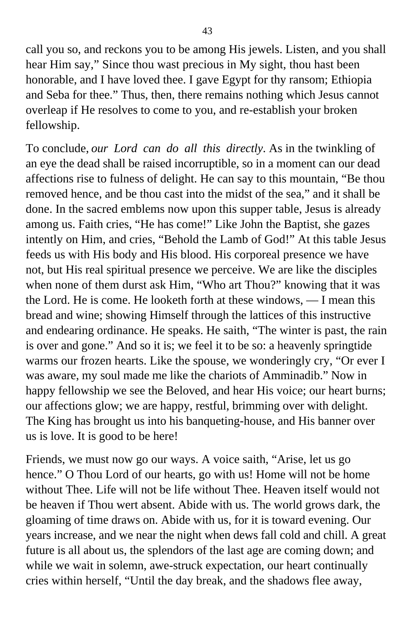call you so, and reckons you to be among His jewels. Listen, and you shall hear Him say," Since thou wast precious in My sight, thou hast been honorable, and I have loved thee. I gave Egypt for thy ransom; Ethiopia and Seba for thee." Thus, then, there remains nothing which Jesus cannot overleap if He resolves to come to you, and re-establish your broken fellowship.

To conclude, *our Lord can do all this directly*. As in the twinkling of an eye the dead shall be raised incorruptible, so in a moment can our dead affections rise to fulness of delight. He can say to this mountain, "Be thou removed hence, and be thou cast into the midst of the sea," and it shall be done. In the sacred emblems now upon this supper table, Jesus is already among us. Faith cries, "He has come!" Like John the Baptist, she gazes intently on Him, and cries, "Behold the Lamb of God!" At this table Jesus feeds us with His body and His blood. His corporeal presence we have not, but His real spiritual presence we perceive. We are like the disciples when none of them durst ask Him, "Who art Thou?" knowing that it was the Lord. He is come. He looketh forth at these windows, — I mean this bread and wine; showing Himself through the lattices of this instructive and endearing ordinance. He speaks. He saith, "The winter is past, the rain is over and gone." And so it is; we feel it to be so: a heavenly springtide warms our frozen hearts. Like the spouse, we wonderingly cry, "Or ever I was aware, my soul made me like the chariots of Amminadib." Now in happy fellowship we see the Beloved, and hear His voice; our heart burns; our affections glow; we are happy, restful, brimming over with delight. The King has brought us into his banqueting-house, and His banner over us is love. It is good to be here!

Friends, we must now go our ways. A voice saith, "Arise, let us go hence." O Thou Lord of our hearts, go with us! Home will not be home without Thee. Life will not be life without Thee. Heaven itself would not be heaven if Thou wert absent. Abide with us. The world grows dark, the gloaming of time draws on. Abide with us, for it is toward evening. Our years increase, and we near the night when dews fall cold and chill. A great future is all about us, the splendors of the last age are coming down; and while we wait in solemn, awe-struck expectation, our heart continually cries within herself, "Until the day break, and the shadows flee away,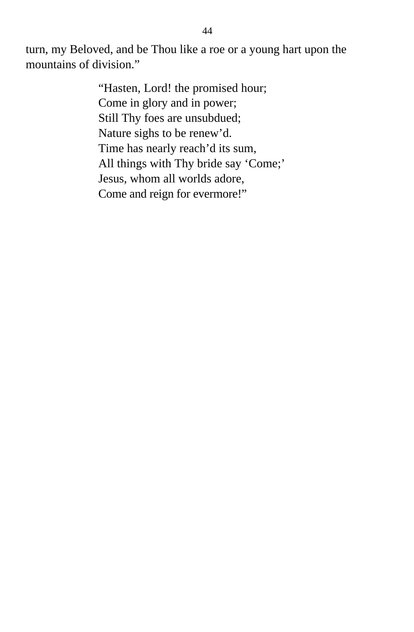turn, my Beloved, and be Thou like a roe or a young hart upon the mountains of division."

> "Hasten, Lord! the promised hour; Come in glory and in power; Still Thy foes are unsubdued; Nature sighs to be renew'd. Time has nearly reach'd its sum, All things with Thy bride say 'Come;' Jesus, whom all worlds adore, Come and reign for evermore!"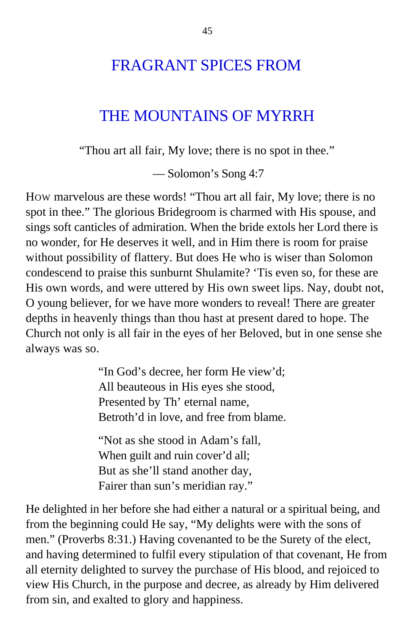# FRAGRANT SPICES FROM

## THE MOUNTAINS OF MYRRH

"Thou art all fair, My love; there is no spot in thee."

— Solomon's Song 4:7

HOW marvelous are these words! "Thou art all fair, My love; there is no spot in thee." The glorious Bridegroom is charmed with His spouse, and sings soft canticles of admiration. When the bride extols her Lord there is no wonder, for He deserves it well, and in Him there is room for praise without possibility of flattery. But does He who is wiser than Solomon condescend to praise this sunburnt Shulamite? 'Tis even so, for these are His own words, and were uttered by His own sweet lips. Nay, doubt not, O young believer, for we have more wonders to reveal! There are greater depths in heavenly things than thou hast at present dared to hope. The Church not only is all fair in the eyes of her Beloved, but in one sense she always was so.

> "In God's decree, her form He view'd; All beauteous in His eyes she stood, Presented by Th' eternal name, Betroth'd in love, and free from blame.

"Not as she stood in Adam's fall, When guilt and ruin cover'd all; But as she'll stand another day, Fairer than sun's meridian ray."

He delighted in her before she had either a natural or a spiritual being, and from the beginning could He say, "My delights were with the sons of men." (Proverbs 8:31.) Having covenanted to be the Surety of the elect, and having determined to fulfil every stipulation of that covenant, He from all eternity delighted to survey the purchase of His blood, and rejoiced to view His Church, in the purpose and decree, as already by Him delivered from sin, and exalted to glory and happiness.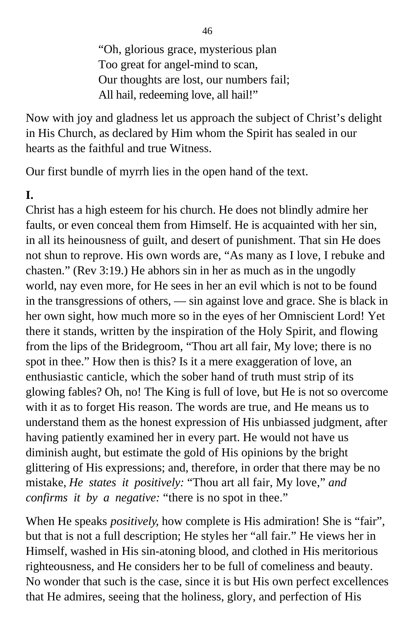"Oh, glorious grace, mysterious plan Too great for angel-mind to scan, Our thoughts are lost, our numbers fail; All hail, redeeming love, all hail!"

Now with joy and gladness let us approach the subject of Christ's delight in His Church, as declared by Him whom the Spirit has sealed in our hearts as the faithful and true Witness.

Our first bundle of myrrh lies in the open hand of the text.

## **I.**

Christ has a high esteem for his church. He does not blindly admire her faults, or even conceal them from Himself. He is acquainted with her sin, in all its heinousness of guilt, and desert of punishment. That sin He does not shun to reprove. His own words are, "As many as I love, I rebuke and chasten." (Rev 3:19.) He abhors sin in her as much as in the ungodly world, nay even more, for He sees in her an evil which is not to be found in the transgressions of others, — sin against love and grace. She is black in her own sight, how much more so in the eyes of her Omniscient Lord! Yet there it stands, written by the inspiration of the Holy Spirit, and flowing from the lips of the Bridegroom, "Thou art all fair, My love; there is no spot in thee." How then is this? Is it a mere exaggeration of love, an enthusiastic canticle, which the sober hand of truth must strip of its glowing fables? Oh, no! The King is full of love, but He is not so overcome with it as to forget His reason. The words are true, and He means us to understand them as the honest expression of His unbiassed judgment, after having patiently examined her in every part. He would not have us diminish aught, but estimate the gold of His opinions by the bright glittering of His expressions; and, therefore, in order that there may be no mistake, *He states it positively:* "Thou art all fair, My love," *and confirms it by a negative:* "there is no spot in thee."

When He speaks *positively*, how complete is His admiration! She is "fair", but that is not a full description; He styles her "all fair." He views her in Himself, washed in His sin-atoning blood, and clothed in His meritorious righteousness, and He considers her to be full of comeliness and beauty. No wonder that such is the case, since it is but His own perfect excellences that He admires, seeing that the holiness, glory, and perfection of His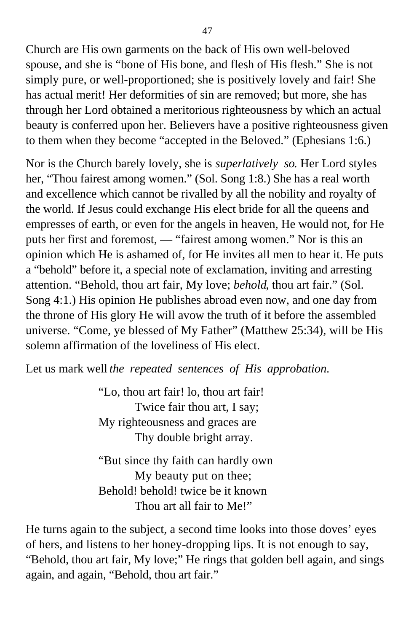Church are His own garments on the back of His own well-beloved spouse, and she is "bone of His bone, and flesh of His flesh." She is not simply pure, or well-proportioned; she is positively lovely and fair! She has actual merit! Her deformities of sin are removed; but more, she has through her Lord obtained a meritorious righteousness by which an actual beauty is conferred upon her. Believers have a positive righteousness given to them when they become "accepted in the Beloved." (Ephesians 1:6.)

Nor is the Church barely lovely, she is *superlatively so*. Her Lord styles her, "Thou fairest among women." (Sol. Song 1:8.) She has a real worth and excellence which cannot be rivalled by all the nobility and royalty of the world. If Jesus could exchange His elect bride for all the queens and empresses of earth, or even for the angels in heaven, He would not, for He puts her first and foremost, — "fairest among women." Nor is this an opinion which He is ashamed of, for He invites all men to hear it. He puts a "behold" before it, a special note of exclamation, inviting and arresting attention. "Behold, thou art fair, My love; *behold*, thou art fair." (Sol. Song 4:1.) His opinion He publishes abroad even now, and one day from the throne of His glory He will avow the truth of it before the assembled universe. "Come, ye blessed of My Father" (Matthew 25:34), will be His solemn affirmation of the loveliness of His elect.

Let us mark well *the repeated sentences of His approbation*.

"Lo, thou art fair! lo, thou art fair! Twice fair thou art, I say; My righteousness and graces are Thy double bright array.

"But since thy faith can hardly own My beauty put on thee; Behold! behold! twice be it known Thou art all fair to Me!"

He turns again to the subject, a second time looks into those doves' eyes of hers, and listens to her honey-dropping lips. It is not enough to say, "Behold, thou art fair, My love;" He rings that golden bell again, and sings again, and again, "Behold, thou art fair."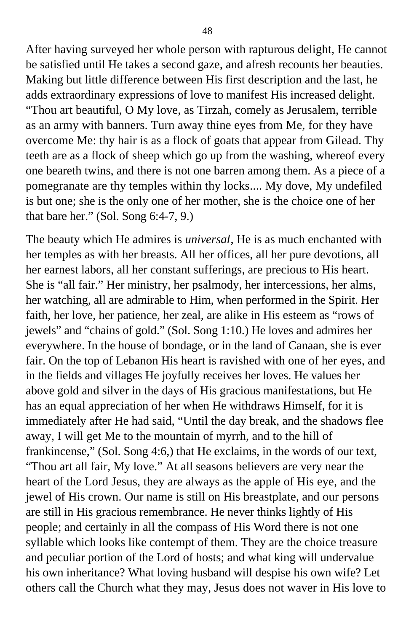After having surveyed her whole person with rapturous delight, He cannot be satisfied until He takes a second gaze, and afresh recounts her beauties. Making but little difference between His first description and the last, he adds extraordinary expressions of love to manifest His increased delight. "Thou art beautiful, O My love, as Tirzah, comely as Jerusalem, terrible as an army with banners. Turn away thine eyes from Me, for they have overcome Me: thy hair is as a flock of goats that appear from Gilead. Thy teeth are as a flock of sheep which go up from the washing, whereof every one beareth twins, and there is not one barren among them. As a piece of a pomegranate are thy temples within thy locks.... My dove, My undefiled is but one; she is the only one of her mother, she is the choice one of her that bare her." (Sol. Song 6:4-7, 9.)

The beauty which He admires is *universal*, He is as much enchanted with her temples as with her breasts. All her offices, all her pure devotions, all her earnest labors, all her constant sufferings, are precious to His heart. She is "all fair." Her ministry, her psalmody, her intercessions, her alms, her watching, all are admirable to Him, when performed in the Spirit. Her faith, her love, her patience, her zeal, are alike in His esteem as "rows of jewels" and "chains of gold." (Sol. Song 1:10.) He loves and admires her everywhere. In the house of bondage, or in the land of Canaan, she is ever fair. On the top of Lebanon His heart is ravished with one of her eyes, and in the fields and villages He joyfully receives her loves. He values her above gold and silver in the days of His gracious manifestations, but He has an equal appreciation of her when He withdraws Himself, for it is immediately after He had said, "Until the day break, and the shadows flee away, I will get Me to the mountain of myrrh, and to the hill of frankincense," (Sol. Song 4:6,) that He exclaims, in the words of our text, "Thou art all fair, My love." At all seasons believers are very near the heart of the Lord Jesus, they are always as the apple of His eye, and the jewel of His crown. Our name is still on His breastplate, and our persons are still in His gracious remembrance. He never thinks lightly of His people; and certainly in all the compass of His Word there is not one syllable which looks like contempt of them. They are the choice treasure and peculiar portion of the Lord of hosts; and what king will undervalue his own inheritance? What loving husband will despise his own wife? Let others call the Church what they may, Jesus does not waver in His love to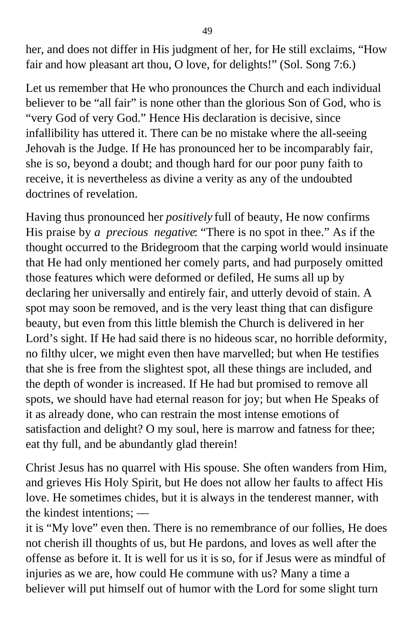her, and does not differ in His judgment of her, for He still exclaims, "How fair and how pleasant art thou, O love, for delights!" (Sol. Song 7:6.)

Let us remember that He who pronounces the Church and each individual believer to be "all fair" is none other than the glorious Son of God, who is "very God of very God." Hence His declaration is decisive, since infallibility has uttered it. There can be no mistake where the all-seeing Jehovah is the Judge. If He has pronounced her to be incomparably fair, she is so, beyond a doubt; and though hard for our poor puny faith to receive, it is nevertheless as divine a verity as any of the undoubted doctrines of revelation.

Having thus pronounced her *positively* full of beauty, He now confirms His praise by *a precious negative*: "There is no spot in thee." As if the thought occurred to the Bridegroom that the carping world would insinuate that He had only mentioned her comely parts, and had purposely omitted those features which were deformed or defiled, He sums all up by declaring her universally and entirely fair, and utterly devoid of stain. A spot may soon be removed, and is the very least thing that can disfigure beauty, but even from this little blemish the Church is delivered in her Lord's sight. If He had said there is no hideous scar, no horrible deformity, no filthy ulcer, we might even then have marvelled; but when He testifies that she is free from the slightest spot, all these things are included, and the depth of wonder is increased. If He had but promised to remove all spots, we should have had eternal reason for joy; but when He Speaks of it as already done, who can restrain the most intense emotions of satisfaction and delight? O my soul, here is marrow and fatness for thee; eat thy full, and be abundantly glad therein!

Christ Jesus has no quarrel with His spouse. She often wanders from Him, and grieves His Holy Spirit, but He does not allow her faults to affect His love. He sometimes chides, but it is always in the tenderest manner, with the kindest intentions; —

it is "My love" even then. There is no remembrance of our follies, He does not cherish ill thoughts of us, but He pardons, and loves as well after the offense as before it. It is well for us it is so, for if Jesus were as mindful of injuries as we are, how could He commune with us? Many a time a believer will put himself out of humor with the Lord for some slight turn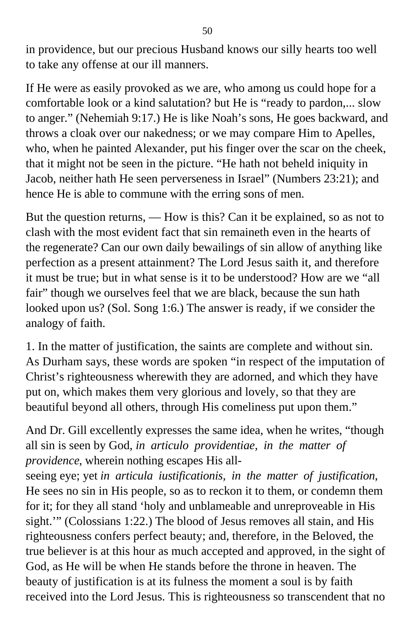in providence, but our precious Husband knows our silly hearts too well to take any offense at our ill manners.

If He were as easily provoked as we are, who among us could hope for a comfortable look or a kind salutation? but He is "ready to pardon,... slow to anger." (Nehemiah 9:17.) He is like Noah's sons, He goes backward, and throws a cloak over our nakedness; or we may compare Him to Apelles, who, when he painted Alexander, put his finger over the scar on the cheek, that it might not be seen in the picture. "He hath not beheld iniquity in Jacob, neither hath He seen perverseness in Israel" (Numbers 23:21); and hence He is able to commune with the erring sons of men.

But the question returns, — How is this? Can it be explained, so as not to clash with the most evident fact that sin remaineth even in the hearts of the regenerate? Can our own daily bewailings of sin allow of anything like perfection as a present attainment? The Lord Jesus saith it, and therefore it must be true; but in what sense is it to be understood? How are we "all fair" though we ourselves feel that we are black, because the sun hath looked upon us? (Sol. Song 1:6.) The answer is ready, if we consider the analogy of faith.

1. In the matter of justification, the saints are complete and without sin. As Durham says, these words are spoken "in respect of the imputation of Christ's righteousness wherewith they are adorned, and which they have put on, which makes them very glorious and lovely, so that they are beautiful beyond all others, through His comeliness put upon them."

And Dr. Gill excellently expresses the same idea, when he writes, "though all sin is seen by God, *in articulo providentiae, in the matter of providence*, wherein nothing escapes His all-

seeing eye; yet *in articula iustificationis, in the matter of justification*, He sees no sin in His people, so as to reckon it to them, or condemn them for it; for they all stand 'holy and unblameable and unreproveable in His sight.'" (Colossians 1:22.) The blood of Jesus removes all stain, and His righteousness confers perfect beauty; and, therefore, in the Beloved, the true believer is at this hour as much accepted and approved, in the sight of God, as He will be when He stands before the throne in heaven. The beauty of justification is at its fulness the moment a soul is by faith received into the Lord Jesus. This is righteousness so transcendent that no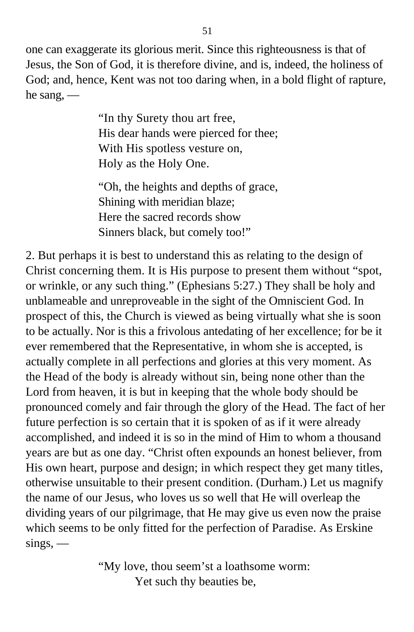one can exaggerate its glorious merit. Since this righteousness is that of Jesus, the Son of God, it is therefore divine, and is, indeed, the holiness of God; and, hence, Kent was not too daring when, in a bold flight of rapture, he sang, —

> "In thy Surety thou art free, His dear hands were pierced for thee; With His spotless vesture on, Holy as the Holy One.

> "Oh, the heights and depths of grace, Shining with meridian blaze; Here the sacred records show Sinners black, but comely too!"

2. But perhaps it is best to understand this as relating to the design of Christ concerning them. It is His purpose to present them without "spot, or wrinkle, or any such thing." (Ephesians 5:27.) They shall be holy and unblameable and unreproveable in the sight of the Omniscient God. In prospect of this, the Church is viewed as being virtually what she is soon to be actually. Nor is this a frivolous antedating of her excellence; for be it ever remembered that the Representative, in whom she is accepted, is actually complete in all perfections and glories at this very moment. As the Head of the body is already without sin, being none other than the Lord from heaven, it is but in keeping that the whole body should be pronounced comely and fair through the glory of the Head. The fact of her future perfection is so certain that it is spoken of as if it were already accomplished, and indeed it is so in the mind of Him to whom a thousand years are but as one day. "Christ often expounds an honest believer, from His own heart, purpose and design; in which respect they get many titles, otherwise unsuitable to their present condition. (Durham.) Let us magnify the name of our Jesus, who loves us so well that He will overleap the dividing years of our pilgrimage, that He may give us even now the praise which seems to be only fitted for the perfection of Paradise. As Erskine  $sings$ , —

> "My love, thou seem'st a loathsome worm: Yet such thy beauties be,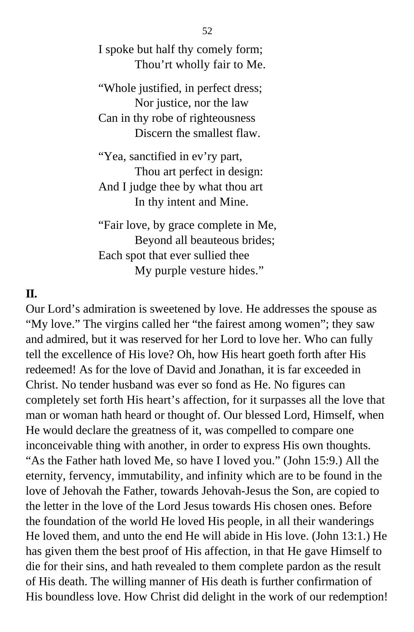I spoke but half thy comely form; Thou'rt wholly fair to Me.

"Whole justified, in perfect dress; Nor justice, nor the law Can in thy robe of righteousness Discern the smallest flaw.

"Yea, sanctified in ev'ry part, Thou art perfect in design: And I judge thee by what thou art In thy intent and Mine.

"Fair love, by grace complete in Me, Beyond all beauteous brides; Each spot that ever sullied thee My purple vesture hides."

#### **II.**

Our Lord's admiration is sweetened by love. He addresses the spouse as "My love." The virgins called her "the fairest among women"; they saw and admired, but it was reserved for her Lord to love her. Who can fully tell the excellence of His love? Oh, how His heart goeth forth after His redeemed! As for the love of David and Jonathan, it is far exceeded in Christ. No tender husband was ever so fond as He. No figures can completely set forth His heart's affection, for it surpasses all the love that man or woman hath heard or thought of. Our blessed Lord, Himself, when He would declare the greatness of it, was compelled to compare one inconceivable thing with another, in order to express His own thoughts. "As the Father hath loved Me, so have I loved you." (John 15:9.) All the eternity, fervency, immutability, and infinity which are to be found in the love of Jehovah the Father, towards Jehovah-Jesus the Son, are copied to the letter in the love of the Lord Jesus towards His chosen ones. Before the foundation of the world He loved His people, in all their wanderings He loved them, and unto the end He will abide in His love. (John 13:1.) He has given them the best proof of His affection, in that He gave Himself to die for their sins, and hath revealed to them complete pardon as the result of His death. The willing manner of His death is further confirmation of His boundless love. How Christ did delight in the work of our redemption!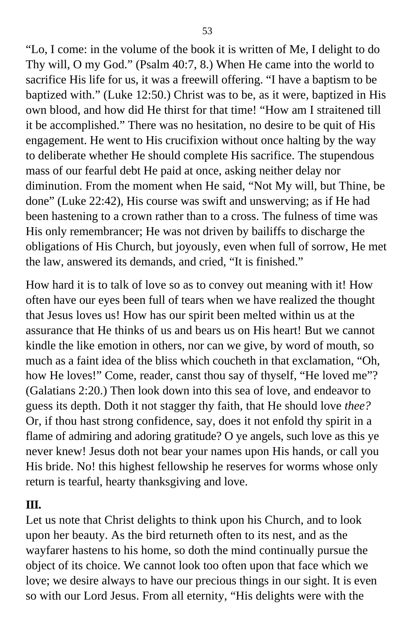"Lo, I come: in the volume of the book it is written of Me, I delight to do Thy will, O my God." (Psalm 40:7, 8.) When He came into the world to sacrifice His life for us, it was a freewill offering. "I have a baptism to be baptized with." (Luke 12:50.) Christ was to be, as it were, baptized in His own blood, and how did He thirst for that time! "How am I straitened till it be accomplished." There was no hesitation, no desire to be quit of His engagement. He went to His crucifixion without once halting by the way to deliberate whether He should complete His sacrifice. The stupendous mass of our fearful debt He paid at once, asking neither delay nor diminution. From the moment when He said, "Not My will, but Thine, be done" (Luke 22:42), His course was swift and unswerving; as if He had been hastening to a crown rather than to a cross. The fulness of time was His only remembrancer; He was not driven by bailiffs to discharge the obligations of His Church, but joyously, even when full of sorrow, He met the law, answered its demands, and cried, "It is finished."

How hard it is to talk of love so as to convey out meaning with it! How often have our eyes been full of tears when we have realized the thought that Jesus loves us! How has our spirit been melted within us at the assurance that He thinks of us and bears us on His heart! But we cannot kindle the like emotion in others, nor can we give, by word of mouth, so much as a faint idea of the bliss which coucheth in that exclamation, "Oh, how He loves!" Come, reader, canst thou say of thyself, "He loved me"? (Galatians 2:20.) Then look down into this sea of love, and endeavor to guess its depth. Doth it not stagger thy faith, that He should love *thee?* Or, if thou hast strong confidence, say, does it not enfold thy spirit in a flame of admiring and adoring gratitude? O ye angels, such love as this ye never knew! Jesus doth not bear your names upon His hands, or call you His bride. No! this highest fellowship he reserves for worms whose only return is tearful, hearty thanksgiving and love.

#### **III.**

Let us note that Christ delights to think upon his Church, and to look upon her beauty. As the bird returneth often to its nest, and as the wayfarer hastens to his home, so doth the mind continually pursue the object of its choice. We cannot look too often upon that face which we love; we desire always to have our precious things in our sight. It is even so with our Lord Jesus. From all eternity, "His delights were with the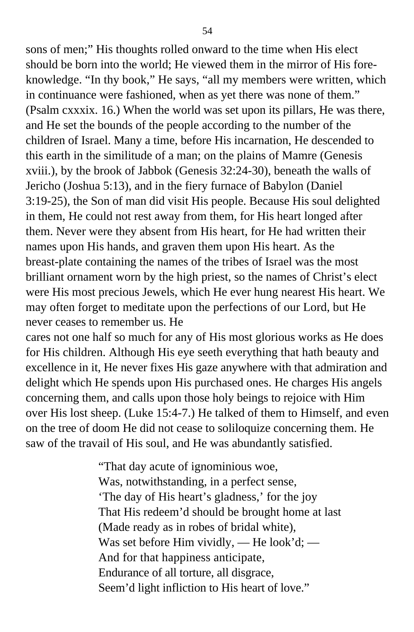sons of men;" His thoughts rolled onward to the time when His elect should be born into the world; He viewed them in the mirror of His foreknowledge. "In thy book," He says, "all my members were written, which in continuance were fashioned, when as yet there was none of them." (Psalm cxxxix. 16.) When the world was set upon its pillars, He was there, and He set the bounds of the people according to the number of the children of Israel. Many a time, before His incarnation, He descended to this earth in the similitude of a man; on the plains of Mamre (Genesis xviii.), by the brook of Jabbok (Genesis 32:24-30), beneath the walls of Jericho (Joshua 5:13), and in the fiery furnace of Babylon (Daniel 3:19-25), the Son of man did visit His people. Because His soul delighted in them, He could not rest away from them, for His heart longed after them. Never were they absent from His heart, for He had written their names upon His hands, and graven them upon His heart. As the breast-plate containing the names of the tribes of Israel was the most brilliant ornament worn by the high priest, so the names of Christ's elect were His most precious Jewels, which He ever hung nearest His heart. We may often forget to meditate upon the perfections of our Lord, but He never ceases to remember us. He

cares not one half so much for any of His most glorious works as He does for His children. Although His eye seeth everything that hath beauty and excellence in it, He never fixes His gaze anywhere with that admiration and delight which He spends upon His purchased ones. He charges His angels concerning them, and calls upon those holy beings to rejoice with Him over His lost sheep. (Luke 15:4-7.) He talked of them to Himself, and even on the tree of doom He did not cease to soliloquize concerning them. He saw of the travail of His soul, and He was abundantly satisfied.

> "That day acute of ignominious woe, Was, notwithstanding, in a perfect sense, 'The day of His heart's gladness,' for the joy That His redeem'd should be brought home at last (Made ready as in robes of bridal white), Was set before Him vividly, — He look'd; — And for that happiness anticipate, Endurance of all torture, all disgrace, Seem'd light infliction to His heart of love."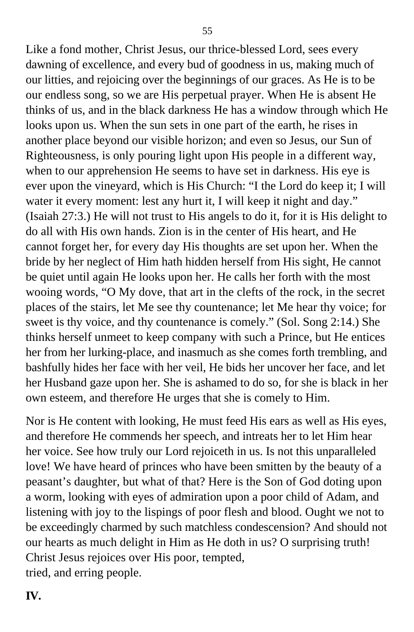Like a fond mother, Christ Jesus, our thrice-blessed Lord, sees every dawning of excellence, and every bud of goodness in us, making much of our litties, and rejoicing over the beginnings of our graces. As He is to be our endless song, so we are His perpetual prayer. When He is absent He thinks of us, and in the black darkness He has a window through which He looks upon us. When the sun sets in one part of the earth, he rises in another place beyond our visible horizon; and even so Jesus, our Sun of Righteousness, is only pouring light upon His people in a different way, when to our apprehension He seems to have set in darkness. His eye is ever upon the vineyard, which is His Church: "I the Lord do keep it; I will water it every moment: lest any hurt it, I will keep it night and day." (Isaiah 27:3.) He will not trust to His angels to do it, for it is His delight to do all with His own hands. Zion is in the center of His heart, and He cannot forget her, for every day His thoughts are set upon her. When the bride by her neglect of Him hath hidden herself from His sight, He cannot be quiet until again He looks upon her. He calls her forth with the most wooing words, "O My dove, that art in the clefts of the rock, in the secret places of the stairs, let Me see thy countenance; let Me hear thy voice; for sweet is thy voice, and thy countenance is comely." (Sol. Song 2:14.) She thinks herself unmeet to keep company with such a Prince, but He entices her from her lurking-place, and inasmuch as she comes forth trembling, and bashfully hides her face with her veil, He bids her uncover her face, and let her Husband gaze upon her. She is ashamed to do so, for she is black in her own esteem, and therefore He urges that she is comely to Him.

Nor is He content with looking, He must feed His ears as well as His eyes, and therefore He commends her speech, and intreats her to let Him hear her voice. See how truly our Lord rejoiceth in us. Is not this unparalleled love! We have heard of princes who have been smitten by the beauty of a peasant's daughter, but what of that? Here is the Son of God doting upon a worm, looking with eyes of admiration upon a poor child of Adam, and listening with joy to the lispings of poor flesh and blood. Ought we not to be exceedingly charmed by such matchless condescension? And should not our hearts as much delight in Him as He doth in us? O surprising truth! Christ Jesus rejoices over His poor, tempted, tried, and erring people.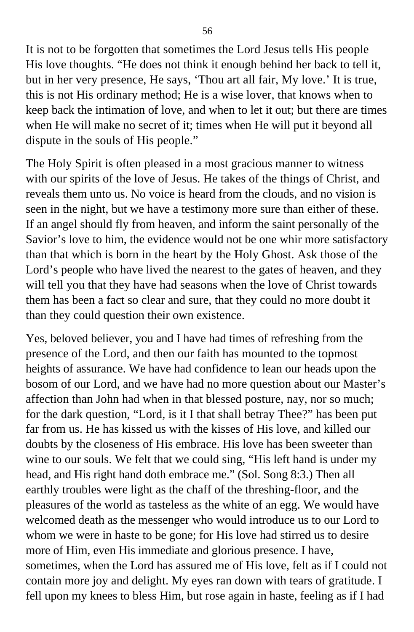It is not to be forgotten that sometimes the Lord Jesus tells His people His love thoughts. "He does not think it enough behind her back to tell it, but in her very presence, He says, 'Thou art all fair, My love.' It is true, this is not His ordinary method; He is a wise lover, that knows when to keep back the intimation of love, and when to let it out; but there are times when He will make no secret of it; times when He will put it beyond all dispute in the souls of His people."

The Holy Spirit is often pleased in a most gracious manner to witness with our spirits of the love of Jesus. He takes of the things of Christ, and reveals them unto us. No voice is heard from the clouds, and no vision is seen in the night, but we have a testimony more sure than either of these. If an angel should fly from heaven, and inform the saint personally of the Savior's love to him, the evidence would not be one whir more satisfactory than that which is born in the heart by the Holy Ghost. Ask those of the Lord's people who have lived the nearest to the gates of heaven, and they will tell you that they have had seasons when the love of Christ towards them has been a fact so clear and sure, that they could no more doubt it than they could question their own existence.

Yes, beloved believer, you and I have had times of refreshing from the presence of the Lord, and then our faith has mounted to the topmost heights of assurance. We have had confidence to lean our heads upon the bosom of our Lord, and we have had no more question about our Master's affection than John had when in that blessed posture, nay, nor so much; for the dark question, "Lord, is it I that shall betray Thee?" has been put far from us. He has kissed us with the kisses of His love, and killed our doubts by the closeness of His embrace. His love has been sweeter than wine to our souls. We felt that we could sing, "His left hand is under my head, and His right hand doth embrace me." (Sol. Song 8:3.) Then all earthly troubles were light as the chaff of the threshing-floor, and the pleasures of the world as tasteless as the white of an egg. We would have welcomed death as the messenger who would introduce us to our Lord to whom we were in haste to be gone; for His love had stirred us to desire more of Him, even His immediate and glorious presence. I have, sometimes, when the Lord has assured me of His love, felt as if I could not contain more joy and delight. My eyes ran down with tears of gratitude. I fell upon my knees to bless Him, but rose again in haste, feeling as if I had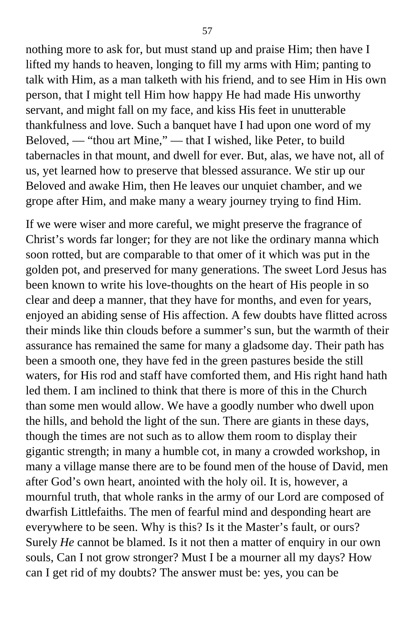nothing more to ask for, but must stand up and praise Him; then have I lifted my hands to heaven, longing to fill my arms with Him; panting to talk with Him, as a man talketh with his friend, and to see Him in His own person, that I might tell Him how happy He had made His unworthy servant, and might fall on my face, and kiss His feet in unutterable thankfulness and love. Such a banquet have I had upon one word of my Beloved, — "thou art Mine," — that I wished, like Peter, to build tabernacles in that mount, and dwell for ever. But, alas, we have not, all of us, yet learned how to preserve that blessed assurance. We stir up our Beloved and awake Him, then He leaves our unquiet chamber, and we grope after Him, and make many a weary journey trying to find Him.

If we were wiser and more careful, we might preserve the fragrance of Christ's words far longer; for they are not like the ordinary manna which soon rotted, but are comparable to that omer of it which was put in the golden pot, and preserved for many generations. The sweet Lord Jesus has been known to write his love-thoughts on the heart of His people in so clear and deep a manner, that they have for months, and even for years, enjoyed an abiding sense of His affection. A few doubts have flitted across their minds like thin clouds before a summer's sun, but the warmth of their assurance has remained the same for many a gladsome day. Their path has been a smooth one, they have fed in the green pastures beside the still waters, for His rod and staff have comforted them, and His right hand hath led them. I am inclined to think that there is more of this in the Church than some men would allow. We have a goodly number who dwell upon the hills, and behold the light of the sun. There are giants in these days, though the times are not such as to allow them room to display their gigantic strength; in many a humble cot, in many a crowded workshop, in many a village manse there are to be found men of the house of David, men after God's own heart, anointed with the holy oil. It is, however, a mournful truth, that whole ranks in the army of our Lord are composed of dwarfish Littlefaiths. The men of fearful mind and desponding heart are everywhere to be seen. Why is this? Is it the Master's fault, or ours? Surely *He* cannot be blamed. Is it not then a matter of enquiry in our own souls, Can I not grow stronger? Must I be a mourner all my days? How can I get rid of my doubts? The answer must be: yes, you can be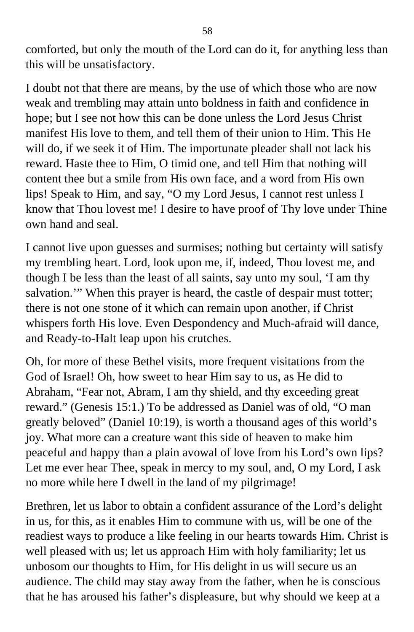comforted, but only the mouth of the Lord can do it, for anything less than this will be unsatisfactory.

I doubt not that there are means, by the use of which those who are now weak and trembling may attain unto boldness in faith and confidence in hope; but I see not how this can be done unless the Lord Jesus Christ manifest His love to them, and tell them of their union to Him. This He will do, if we seek it of Him. The importunate pleader shall not lack his reward. Haste thee to Him, O timid one, and tell Him that nothing will content thee but a smile from His own face, and a word from His own lips! Speak to Him, and say, "O my Lord Jesus, I cannot rest unless I know that Thou lovest me! I desire to have proof of Thy love under Thine own hand and seal.

I cannot live upon guesses and surmises; nothing but certainty will satisfy my trembling heart. Lord, look upon me, if, indeed, Thou lovest me, and though I be less than the least of all saints, say unto my soul, 'I am thy salvation." When this prayer is heard, the castle of despair must totter; there is not one stone of it which can remain upon another, if Christ whispers forth His love. Even Despondency and Much-afraid will dance, and Ready-to-Halt leap upon his crutches.

Oh, for more of these Bethel visits, more frequent visitations from the God of Israel! Oh, how sweet to hear Him say to us, as He did to Abraham, "Fear not, Abram, I am thy shield, and thy exceeding great reward." (Genesis 15:1.) To be addressed as Daniel was of old, "O man greatly beloved" (Daniel 10:19), is worth a thousand ages of this world's joy. What more can a creature want this side of heaven to make him peaceful and happy than a plain avowal of love from his Lord's own lips? Let me ever hear Thee, speak in mercy to my soul, and, O my Lord, I ask no more while here I dwell in the land of my pilgrimage!

Brethren, let us labor to obtain a confident assurance of the Lord's delight in us, for this, as it enables Him to commune with us, will be one of the readiest ways to produce a like feeling in our hearts towards Him. Christ is well pleased with us; let us approach Him with holy familiarity; let us unbosom our thoughts to Him, for His delight in us will secure us an audience. The child may stay away from the father, when he is conscious that he has aroused his father's displeasure, but why should we keep at a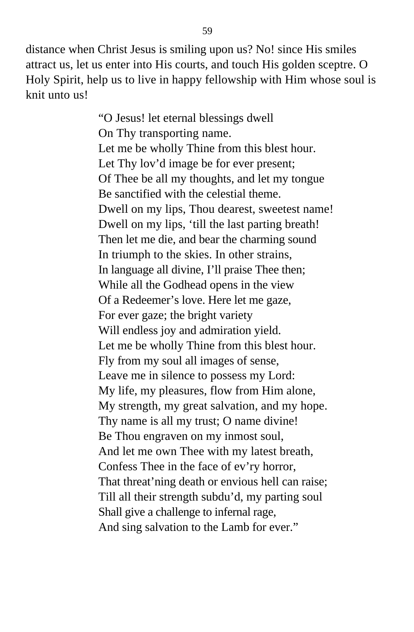distance when Christ Jesus is smiling upon us? No! since His smiles attract us, let us enter into His courts, and touch His golden sceptre. O Holy Spirit, help us to live in happy fellowship with Him whose soul is knit unto us!

> "O Jesus! let eternal blessings dwell On Thy transporting name. Let me be wholly Thine from this blest hour. Let Thy lov'd image be for ever present; Of Thee be all my thoughts, and let my tongue Be sanctified with the celestial theme. Dwell on my lips, Thou dearest, sweetest name! Dwell on my lips, 'till the last parting breath! Then let me die, and bear the charming sound In triumph to the skies. In other strains, In language all divine, I'll praise Thee then; While all the Godhead opens in the view Of a Redeemer's love. Here let me gaze, For ever gaze; the bright variety Will endless joy and admiration yield. Let me be wholly Thine from this blest hour. Fly from my soul all images of sense, Leave me in silence to possess my Lord: My life, my pleasures, flow from Him alone, My strength, my great salvation, and my hope. Thy name is all my trust; O name divine! Be Thou engraven on my inmost soul, And let me own Thee with my latest breath, Confess Thee in the face of ev'ry horror, That threat'ning death or envious hell can raise; Till all their strength subdu'd, my parting soul Shall give a challenge to infernal rage, And sing salvation to the Lamb for ever."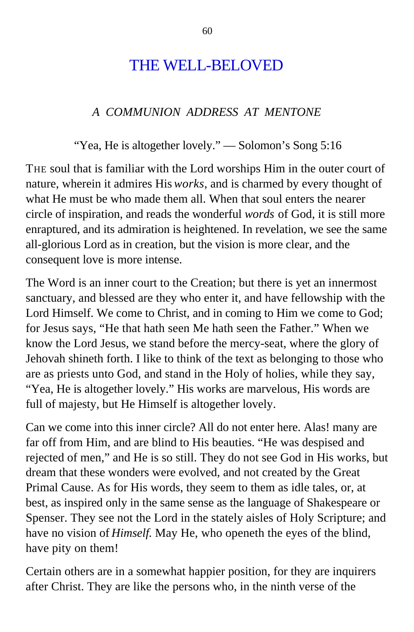# THE WELL-BELOVED

#### *A COMMUNION ADDRESS AT MENTONE*

"Yea, He is altogether lovely." — Solomon's Song 5:16

THE soul that is familiar with the Lord worships Him in the outer court of nature, wherein it admires His *works*, and is charmed by every thought of what He must be who made them all. When that soul enters the nearer circle of inspiration, and reads the wonderful *words* of God, it is still more enraptured, and its admiration is heightened. In revelation, we see the same all-glorious Lord as in creation, but the vision is more clear, and the consequent love is more intense.

The Word is an inner court to the Creation; but there is yet an innermost sanctuary, and blessed are they who enter it, and have fellowship with the Lord Himself. We come to Christ, and in coming to Him we come to God; for Jesus says, "He that hath seen Me hath seen the Father." When we know the Lord Jesus, we stand before the mercy-seat, where the glory of Jehovah shineth forth. I like to think of the text as belonging to those who are as priests unto God, and stand in the Holy of holies, while they say, "Yea, He is altogether lovely." His works are marvelous, His words are full of majesty, but He Himself is altogether lovely.

Can we come into this inner circle? All do not enter here. Alas! many are far off from Him, and are blind to His beauties. "He was despised and rejected of men," and He is so still. They do not see God in His works, but dream that these wonders were evolved, and not created by the Great Primal Cause. As for His words, they seem to them as idle tales, or, at best, as inspired only in the same sense as the language of Shakespeare or Spenser. They see not the Lord in the stately aisles of Holy Scripture; and have no vision of *Himself*. May He, who openeth the eyes of the blind, have pity on them!

Certain others are in a somewhat happier position, for they are inquirers after Christ. They are like the persons who, in the ninth verse of the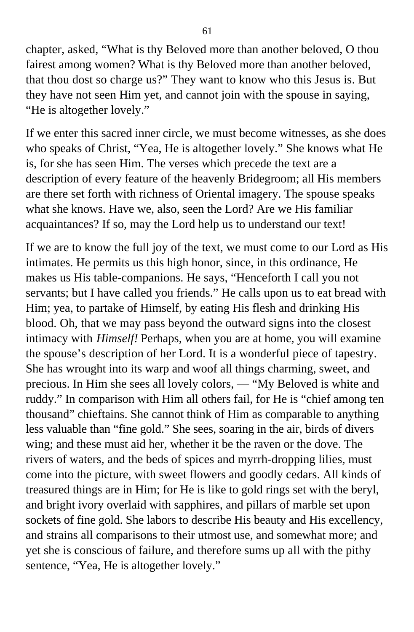chapter, asked, "What is thy Beloved more than another beloved, O thou fairest among women? What is thy Beloved more than another beloved, that thou dost so charge us?" They want to know who this Jesus is. But they have not seen Him yet, and cannot join with the spouse in saying, "He is altogether lovely."

If we enter this sacred inner circle, we must become witnesses, as she does who speaks of Christ, "Yea, He is altogether lovely." She knows what He is, for she has seen Him. The verses which precede the text are a description of every feature of the heavenly Bridegroom; all His members are there set forth with richness of Oriental imagery. The spouse speaks what she knows. Have we, also, seen the Lord? Are we His familiar acquaintances? If so, may the Lord help us to understand our text!

If we are to know the full joy of the text, we must come to our Lord as His intimates. He permits us this high honor, since, in this ordinance, He makes us His table-companions. He says, "Henceforth I call you not servants; but I have called you friends." He calls upon us to eat bread with Him; yea, to partake of Himself, by eating His flesh and drinking His blood. Oh, that we may pass beyond the outward signs into the closest intimacy with *Himself!* Perhaps, when you are at home, you will examine the spouse's description of her Lord. It is a wonderful piece of tapestry. She has wrought into its warp and woof all things charming, sweet, and precious. In Him she sees all lovely colors, — "My Beloved is white and ruddy." In comparison with Him all others fail, for He is "chief among ten thousand" chieftains. She cannot think of Him as comparable to anything less valuable than "fine gold." She sees, soaring in the air, birds of divers wing; and these must aid her, whether it be the raven or the dove. The rivers of waters, and the beds of spices and myrrh-dropping lilies, must come into the picture, with sweet flowers and goodly cedars. All kinds of treasured things are in Him; for He is like to gold rings set with the beryl, and bright ivory overlaid with sapphires, and pillars of marble set upon sockets of fine gold. She labors to describe His beauty and His excellency, and strains all comparisons to their utmost use, and somewhat more; and yet she is conscious of failure, and therefore sums up all with the pithy sentence, "Yea, He is altogether lovely."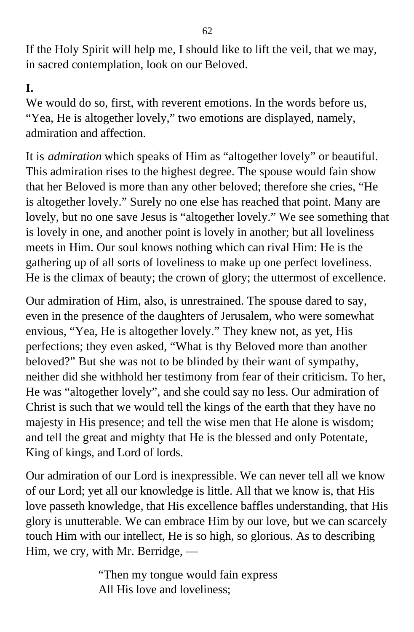If the Holy Spirit will help me, I should like to lift the veil, that we may, in sacred contemplation, look on our Beloved.

### **I.**

We would do so, first, with reverent emotions. In the words before us, "Yea, He is altogether lovely," two emotions are displayed, namely, admiration and affection.

It is *admiration* which speaks of Him as "altogether lovely" or beautiful. This admiration rises to the highest degree. The spouse would fain show that her Beloved is more than any other beloved; therefore she cries, "He is altogether lovely." Surely no one else has reached that point. Many are lovely, but no one save Jesus is "altogether lovely." We see something that is lovely in one, and another point is lovely in another; but all loveliness meets in Him. Our soul knows nothing which can rival Him: He is the gathering up of all sorts of loveliness to make up one perfect loveliness. He is the climax of beauty; the crown of glory; the uttermost of excellence.

Our admiration of Him, also, is unrestrained. The spouse dared to say, even in the presence of the daughters of Jerusalem, who were somewhat envious, "Yea, He is altogether lovely." They knew not, as yet, His perfections; they even asked, "What is thy Beloved more than another beloved?" But she was not to be blinded by their want of sympathy, neither did she withhold her testimony from fear of their criticism. To her, He was "altogether lovely", and she could say no less. Our admiration of Christ is such that we would tell the kings of the earth that they have no majesty in His presence; and tell the wise men that He alone is wisdom; and tell the great and mighty that He is the blessed and only Potentate, King of kings, and Lord of lords.

Our admiration of our Lord is inexpressible. We can never tell all we know of our Lord; yet all our knowledge is little. All that we know is, that His love passeth knowledge, that His excellence baffles understanding, that His glory is unutterable. We can embrace Him by our love, but we can scarcely touch Him with our intellect, He is so high, so glorious. As to describing Him, we cry, with Mr. Berridge, —

> "Then my tongue would fain express All His love and loveliness;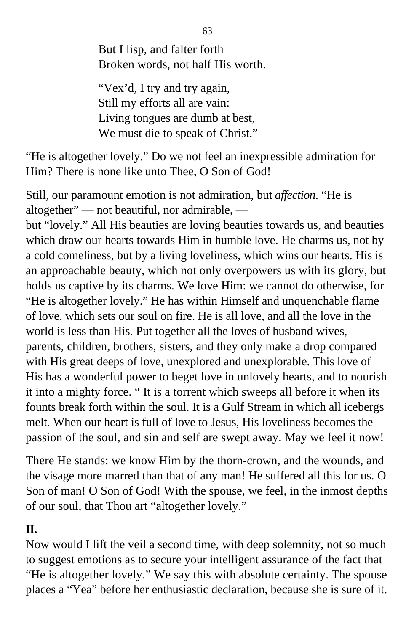But I lisp, and falter forth Broken words, not half His worth.

"Vex'd, I try and try again, Still my efforts all are vain: Living tongues are dumb at best, We must die to speak of Christ."

"He is altogether lovely." Do we not feel an inexpressible admiration for Him? There is none like unto Thee, O Son of God!

Still, our paramount emotion is not admiration, but *affection*. "He is altogether" — not beautiful, nor admirable, —

but "lovely." All His beauties are loving beauties towards us, and beauties which draw our hearts towards Him in humble love. He charms us, not by a cold comeliness, but by a living loveliness, which wins our hearts. His is an approachable beauty, which not only overpowers us with its glory, but holds us captive by its charms. We love Him: we cannot do otherwise, for "He is altogether lovely." He has within Himself and unquenchable flame of love, which sets our soul on fire. He is all love, and all the love in the world is less than His. Put together all the loves of husband wives, parents, children, brothers, sisters, and they only make a drop compared with His great deeps of love, unexplored and unexplorable. This love of His has a wonderful power to beget love in unlovely hearts, and to nourish it into a mighty force. " It is a torrent which sweeps all before it when its founts break forth within the soul. It is a Gulf Stream in which all icebergs melt. When our heart is full of love to Jesus, His loveliness becomes the passion of the soul, and sin and self are swept away. May we feel it now!

There He stands: we know Him by the thorn-crown, and the wounds, and the visage more marred than that of any man! He suffered all this for us. O Son of man! O Son of God! With the spouse, we feel, in the inmost depths of our soul, that Thou art "altogether lovely."

#### **II.**

Now would I lift the veil a second time, with deep solemnity, not so much to suggest emotions as to secure your intelligent assurance of the fact that "He is altogether lovely." We say this with absolute certainty. The spouse places a "Yea" before her enthusiastic declaration, because she is sure of it.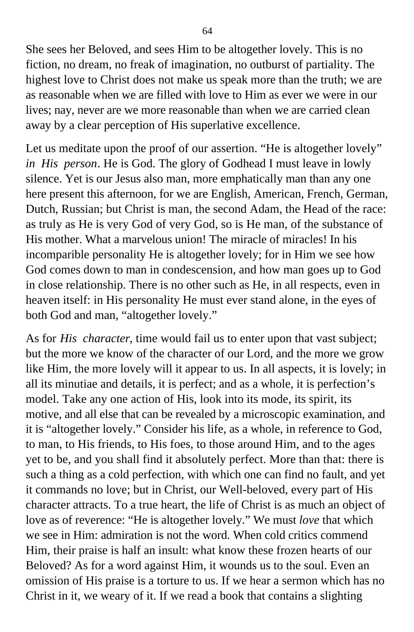She sees her Beloved, and sees Him to be altogether lovely. This is no fiction, no dream, no freak of imagination, no outburst of partiality. The highest love to Christ does not make us speak more than the truth; we are as reasonable when we are filled with love to Him as ever we were in our lives; nay, never are we more reasonable than when we are carried clean away by a clear perception of His superlative excellence.

Let us meditate upon the proof of our assertion. "He is altogether lovely" *in His person*. He is God. The glory of Godhead I must leave in lowly silence. Yet is our Jesus also man, more emphatically man than any one here present this afternoon, for we are English, American, French, German, Dutch, Russian; but Christ is man, the second Adam, the Head of the race: as truly as He is very God of very God, so is He man, of the substance of His mother. What a marvelous union! The miracle of miracles! In his incomparible personality He is altogether lovely; for in Him we see how God comes down to man in condescension, and how man goes up to God in close relationship. There is no other such as He, in all respects, even in heaven itself: in His personality He must ever stand alone, in the eyes of both God and man, "altogether lovely."

As for *His character*, time would fail us to enter upon that vast subject; but the more we know of the character of our Lord, and the more we grow like Him, the more lovely will it appear to us. In all aspects, it is lovely; in all its minutiae and details, it is perfect; and as a whole, it is perfection's model. Take any one action of His, look into its mode, its spirit, its motive, and all else that can be revealed by a microscopic examination, and it is "altogether lovely." Consider his life, as a whole, in reference to God, to man, to His friends, to His foes, to those around Him, and to the ages yet to be, and you shall find it absolutely perfect. More than that: there is such a thing as a cold perfection, with which one can find no fault, and yet it commands no love; but in Christ, our Well-beloved, every part of His character attracts. To a true heart, the life of Christ is as much an object of love as of reverence: "He is altogether lovely." We must *love* that which we see in Him: admiration is not the word. When cold critics commend Him, their praise is half an insult: what know these frozen hearts of our Beloved? As for a word against Him, it wounds us to the soul. Even an omission of His praise is a torture to us. If we hear a sermon which has no Christ in it, we weary of it. If we read a book that contains a slighting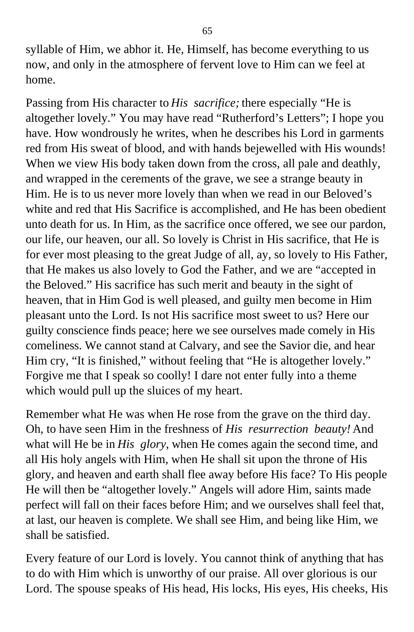syllable of Him, we abhor it. He, Himself, has become everything to us now, and only in the atmosphere of fervent love to Him can we feel at home.

Passing from His character to *His sacrifice;* there especially "He is altogether lovely." You may have read "Rutherford's Letters"; I hope you have. How wondrously he writes, when he describes his Lord in garments red from His sweat of blood, and with hands bejewelled with His wounds! When we view His body taken down from the cross, all pale and deathly, and wrapped in the cerements of the grave, we see a strange beauty in Him. He is to us never more lovely than when we read in our Beloved's white and red that His Sacrifice is accomplished, and He has been obedient unto death for us. In Him, as the sacrifice once offered, we see our pardon, our life, our heaven, our all. So lovely is Christ in His sacrifice, that He is for ever most pleasing to the great Judge of all, ay, so lovely to His Father, that He makes us also lovely to God the Father, and we are "accepted in the Beloved." His sacrifice has such merit and beauty in the sight of heaven, that in Him God is well pleased, and guilty men become in Him pleasant unto the Lord. Is not His sacrifice most sweet to us? Here our guilty conscience finds peace; here we see ourselves made comely in His comeliness. We cannot stand at Calvary, and see the Savior die, and hear Him cry, "It is finished," without feeling that "He is altogether lovely." Forgive me that I speak so coolly! I dare not enter fully into a theme which would pull up the sluices of my heart.

Remember what He was when He rose from the grave on the third day. Oh, to have seen Him in the freshness of *His resurrection beauty!* And what will He be in *His glory*, when He comes again the second time, and all His holy angels with Him, when He shall sit upon the throne of His glory, and heaven and earth shall flee away before His face? To His people He will then be "altogether lovely." Angels will adore Him, saints made perfect will fall on their faces before Him; and we ourselves shall feel that, at last, our heaven is complete. We shall see Him, and being like Him, we shall be satisfied.

Every feature of our Lord is lovely. You cannot think of anything that has to do with Him which is unworthy of our praise. All over glorious is our Lord. The spouse speaks of His head, His locks, His eyes, His cheeks, His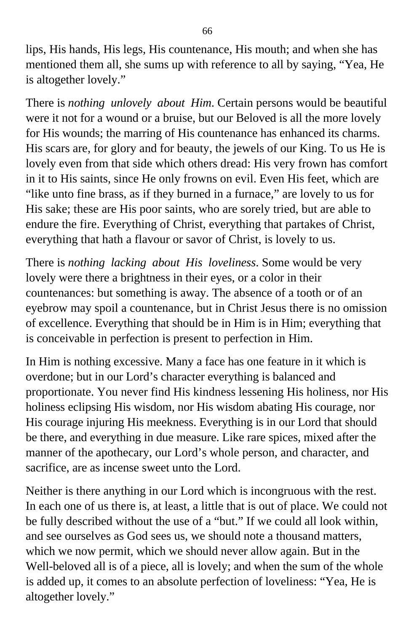lips, His hands, His legs, His countenance, His mouth; and when she has mentioned them all, she sums up with reference to all by saying, "Yea, He is altogether lovely."

There is *nothing unlovely about Him*. Certain persons would be beautiful were it not for a wound or a bruise, but our Beloved is all the more lovely for His wounds; the marring of His countenance has enhanced its charms. His scars are, for glory and for beauty, the jewels of our King. To us He is lovely even from that side which others dread: His very frown has comfort in it to His saints, since He only frowns on evil. Even His feet, which are "like unto fine brass, as if they burned in a furnace," are lovely to us for His sake; these are His poor saints, who are sorely tried, but are able to endure the fire. Everything of Christ, everything that partakes of Christ, everything that hath a flavour or savor of Christ, is lovely to us.

There is *nothing lacking about His loveliness*. Some would be very lovely were there a brightness in their eyes, or a color in their countenances: but something is away. The absence of a tooth or of an eyebrow may spoil a countenance, but in Christ Jesus there is no omission of excellence. Everything that should be in Him is in Him; everything that is conceivable in perfection is present to perfection in Him.

In Him is nothing excessive. Many a face has one feature in it which is overdone; but in our Lord's character everything is balanced and proportionate. You never find His kindness lessening His holiness, nor His holiness eclipsing His wisdom, nor His wisdom abating His courage, nor His courage injuring His meekness. Everything is in our Lord that should be there, and everything in due measure. Like rare spices, mixed after the manner of the apothecary, our Lord's whole person, and character, and sacrifice, are as incense sweet unto the Lord.

Neither is there anything in our Lord which is incongruous with the rest. In each one of us there is, at least, a little that is out of place. We could not be fully described without the use of a "but." If we could all look within, and see ourselves as God sees us, we should note a thousand matters, which we now permit, which we should never allow again. But in the Well-beloved all is of a piece, all is lovely; and when the sum of the whole is added up, it comes to an absolute perfection of loveliness: "Yea, He is altogether lovely."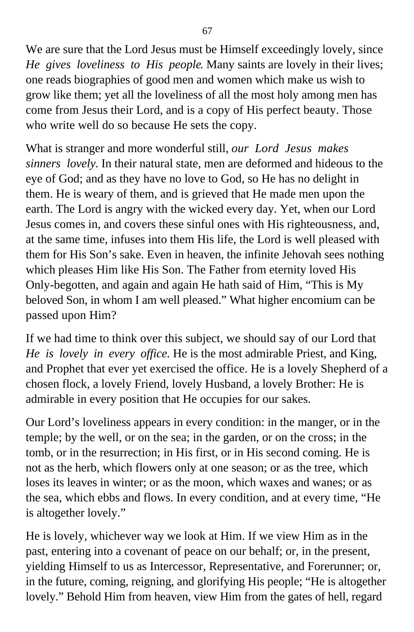We are sure that the Lord Jesus must be Himself exceedingly lovely, since *He gives loveliness to His people*. Many saints are lovely in their lives; one reads biographies of good men and women which make us wish to grow like them; yet all the loveliness of all the most holy among men has come from Jesus their Lord, and is a copy of His perfect beauty. Those who write well do so because He sets the copy.

What is stranger and more wonderful still, *our Lord Jesus makes sinners lovely.* In their natural state, men are deformed and hideous to the eye of God; and as they have no love to God, so He has no delight in them. He is weary of them, and is grieved that He made men upon the earth. The Lord is angry with the wicked every day. Yet, when our Lord Jesus comes in, and covers these sinful ones with His righteousness, and, at the same time, infuses into them His life, the Lord is well pleased with them for His Son's sake. Even in heaven, the infinite Jehovah sees nothing which pleases Him like His Son. The Father from eternity loved His Only-begotten, and again and again He hath said of Him, "This is My beloved Son, in whom I am well pleased." What higher encomium can be passed upon Him?

If we had time to think over this subject, we should say of our Lord that *He is lovely in every office.* He is the most admirable Priest, and King, and Prophet that ever yet exercised the office. He is a lovely Shepherd of a chosen flock, a lovely Friend, lovely Husband, a lovely Brother: He is admirable in every position that He occupies for our sakes.

Our Lord's loveliness appears in every condition: in the manger, or in the temple; by the well, or on the sea; in the garden, or on the cross; in the tomb, or in the resurrection; in His first, or in His second coming. He is not as the herb, which flowers only at one season; or as the tree, which loses its leaves in winter; or as the moon, which waxes and wanes; or as the sea, which ebbs and flows. In every condition, and at every time, "He is altogether lovely."

He is lovely, whichever way we look at Him. If we view Him as in the past, entering into a covenant of peace on our behalf; or, in the present, yielding Himself to us as Intercessor, Representative, and Forerunner; or, in the future, coming, reigning, and glorifying His people; "He is altogether lovely." Behold Him from heaven, view Him from the gates of hell, regard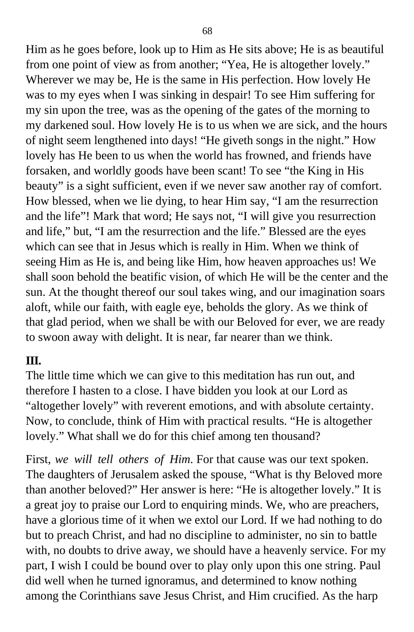Him as he goes before, look up to Him as He sits above; He is as beautiful from one point of view as from another; "Yea, He is altogether lovely." Wherever we may be, He is the same in His perfection. How lovely He was to my eyes when I was sinking in despair! To see Him suffering for my sin upon the tree, was as the opening of the gates of the morning to my darkened soul. How lovely He is to us when we are sick, and the hours of night seem lengthened into days! "He giveth songs in the night." How lovely has He been to us when the world has frowned, and friends have forsaken, and worldly goods have been scant! To see "the King in His beauty" is a sight sufficient, even if we never saw another ray of comfort. How blessed, when we lie dying, to hear Him say, "I am the resurrection and the life"! Mark that word; He says not, "I will give you resurrection and life," but, "I am the resurrection and the life." Blessed are the eyes which can see that in Jesus which is really in Him. When we think of seeing Him as He is, and being like Him, how heaven approaches us! We shall soon behold the beatific vision, of which He will be the center and the sun. At the thought thereof our soul takes wing, and our imagination soars aloft, while our faith, with eagle eye, beholds the glory. As we think of that glad period, when we shall be with our Beloved for ever, we are ready to swoon away with delight. It is near, far nearer than we think.

#### **III.**

The little time which we can give to this meditation has run out, and therefore I hasten to a close. I have bidden you look at our Lord as "altogether lovely" with reverent emotions, and with absolute certainty. Now, to conclude, think of Him with practical results. "He is altogether lovely." What shall we do for this chief among ten thousand?

First, *we will tell others of Him*. For that cause was our text spoken. The daughters of Jerusalem asked the spouse, "What is thy Beloved more than another beloved?" Her answer is here: "He is altogether lovely." It is a great joy to praise our Lord to enquiring minds. We, who are preachers, have a glorious time of it when we extol our Lord. If we had nothing to do but to preach Christ, and had no discipline to administer, no sin to battle with, no doubts to drive away, we should have a heavenly service. For my part, I wish I could be bound over to play only upon this one string. Paul did well when he turned ignoramus, and determined to know nothing among the Corinthians save Jesus Christ, and Him crucified. As the harp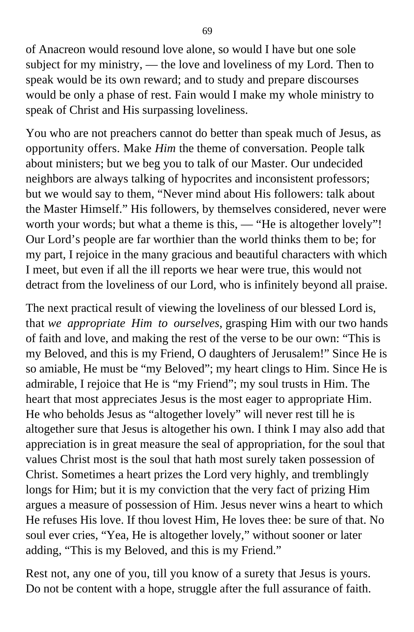of Anacreon would resound love alone, so would I have but one sole subject for my ministry, — the love and loveliness of my Lord. Then to speak would be its own reward; and to study and prepare discourses would be only a phase of rest. Fain would I make my whole ministry to speak of Christ and His surpassing loveliness.

You who are not preachers cannot do better than speak much of Jesus, as opportunity offers. Make *Him* the theme of conversation. People talk about ministers; but we beg you to talk of our Master. Our undecided neighbors are always talking of hypocrites and inconsistent professors; but we would say to them, "Never mind about His followers: talk about the Master Himself." His followers, by themselves considered, never were worth your words; but what a theme is this, — "He is altogether lovely"! Our Lord's people are far worthier than the world thinks them to be; for my part, I rejoice in the many gracious and beautiful characters with which I meet, but even if all the ill reports we hear were true, this would not detract from the loveliness of our Lord, who is infinitely beyond all praise.

The next practical result of viewing the loveliness of our blessed Lord is, that *we appropriate Him to ourselves*, grasping Him with our two hands of faith and love, and making the rest of the verse to be our own: "This is my Beloved, and this is my Friend, O daughters of Jerusalem!" Since He is so amiable, He must be "my Beloved"; my heart clings to Him. Since He is admirable, I rejoice that He is "my Friend"; my soul trusts in Him. The heart that most appreciates Jesus is the most eager to appropriate Him. He who beholds Jesus as "altogether lovely" will never rest till he is altogether sure that Jesus is altogether his own. I think I may also add that appreciation is in great measure the seal of appropriation, for the soul that values Christ most is the soul that hath most surely taken possession of Christ. Sometimes a heart prizes the Lord very highly, and tremblingly longs for Him; but it is my conviction that the very fact of prizing Him argues a measure of possession of Him. Jesus never wins a heart to which He refuses His love. If thou lovest Him, He loves thee: be sure of that. No soul ever cries, "Yea, He is altogether lovely," without sooner or later adding, "This is my Beloved, and this is my Friend."

Rest not, any one of you, till you know of a surety that Jesus is yours. Do not be content with a hope, struggle after the full assurance of faith.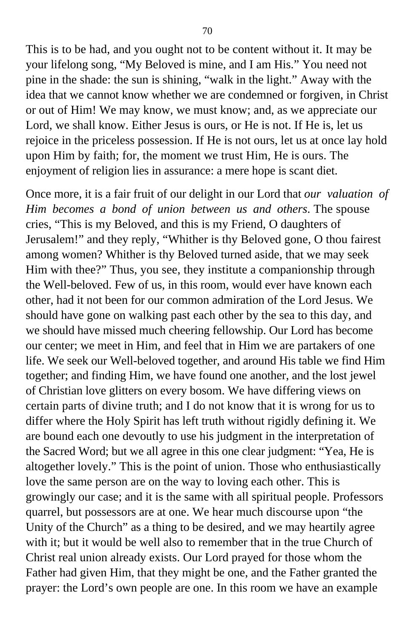This is to be had, and you ought not to be content without it. It may be your lifelong song, "My Beloved is mine, and I am His." You need not pine in the shade: the sun is shining, "walk in the light." Away with the idea that we cannot know whether we are condemned or forgiven, in Christ or out of Him! We may know, we must know; and, as we appreciate our Lord, we shall know. Either Jesus is ours, or He is not. If He is, let us rejoice in the priceless possession. If He is not ours, let us at once lay hold upon Him by faith; for, the moment we trust Him, He is ours. The enjoyment of religion lies in assurance: a mere hope is scant diet.

Once more, it is a fair fruit of our delight in our Lord that *our valuation of Him becomes a bond of union between us and others*. The spouse cries, "This is my Beloved, and this is my Friend, O daughters of Jerusalem!" and they reply, "Whither is thy Beloved gone, O thou fairest among women? Whither is thy Beloved turned aside, that we may seek Him with thee?" Thus, you see, they institute a companionship through the Well-beloved. Few of us, in this room, would ever have known each other, had it not been for our common admiration of the Lord Jesus. We should have gone on walking past each other by the sea to this day, and we should have missed much cheering fellowship. Our Lord has become our center; we meet in Him, and feel that in Him we are partakers of one life. We seek our Well-beloved together, and around His table we find Him together; and finding Him, we have found one another, and the lost jewel of Christian love glitters on every bosom. We have differing views on certain parts of divine truth; and I do not know that it is wrong for us to differ where the Holy Spirit has left truth without rigidly defining it. We are bound each one devoutly to use his judgment in the interpretation of the Sacred Word; but we all agree in this one clear judgment: "Yea, He is altogether lovely." This is the point of union. Those who enthusiastically love the same person are on the way to loving each other. This is growingly our case; and it is the same with all spiritual people. Professors quarrel, but possessors are at one. We hear much discourse upon "the Unity of the Church" as a thing to be desired, and we may heartily agree with it; but it would be well also to remember that in the true Church of Christ real union already exists. Our Lord prayed for those whom the Father had given Him, that they might be one, and the Father granted the prayer: the Lord's own people are one. In this room we have an example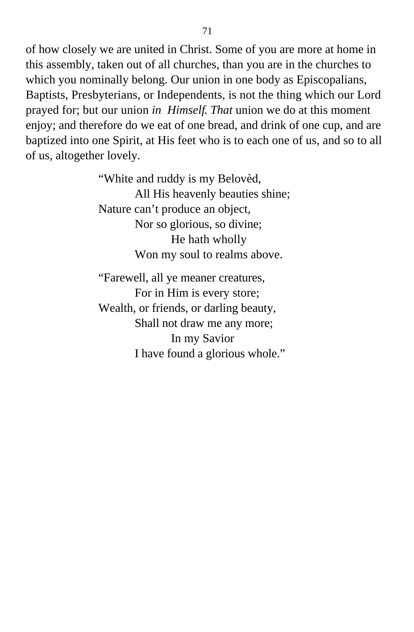of how closely we are united in Christ. Some of you are more at home in this assembly, taken out of all churches, than you are in the churches to which you nominally belong. Our union in one body as Episcopalians, Baptists, Presbyterians, or Independents, is not the thing which our Lord prayed for; but our union *in Himself*. *That* union we do at this moment enjoy; and therefore do we eat of one bread, and drink of one cup, and are baptized into one Spirit, at His feet who is to each one of us, and so to all of us, altogether lovely.

> "White and ruddy is my Belovèd, All His heavenly beauties shine; Nature can't produce an object, Nor so glorious, so divine; He hath wholly Won my soul to realms above.

"Farewell, all ye meaner creatures, For in Him is every store; Wealth, or friends, or darling beauty, Shall not draw me any more; In my Savior I have found a glorious whole."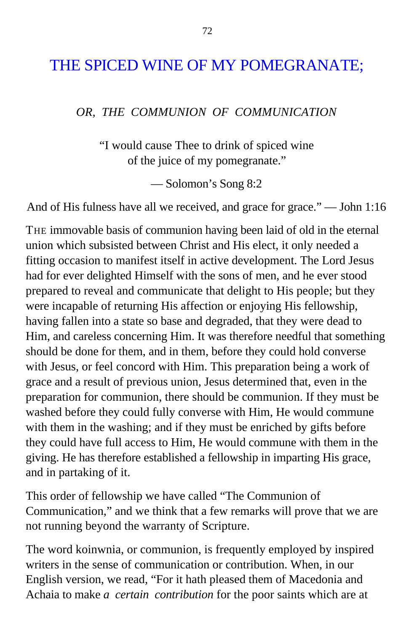# THE SPICED WINE OF MY POMEGRANATE;

#### *OR, THE COMMUNION OF COMMUNICATION*

"I would cause Thee to drink of spiced wine of the juice of my pomegranate."

— Solomon's Song 8:2

And of His fulness have all we received, and grace for grace." — John 1:16

THE immovable basis of communion having been laid of old in the eternal union which subsisted between Christ and His elect, it only needed a fitting occasion to manifest itself in active development. The Lord Jesus had for ever delighted Himself with the sons of men, and he ever stood prepared to reveal and communicate that delight to His people; but they were incapable of returning His affection or enjoying His fellowship, having fallen into a state so base and degraded, that they were dead to Him, and careless concerning Him. It was therefore needful that something should be done for them, and in them, before they could hold converse with Jesus, or feel concord with Him. This preparation being a work of grace and a result of previous union, Jesus determined that, even in the preparation for communion, there should be communion. If they must be washed before they could fully converse with Him, He would commune with them in the washing; and if they must be enriched by gifts before they could have full access to Him, He would commune with them in the giving. He has therefore established a fellowship in imparting His grace, and in partaking of it.

This order of fellowship we have called "The Communion of Communication," and we think that a few remarks will prove that we are not running beyond the warranty of Scripture.

The word koinwnia, or communion, is frequently employed by inspired writers in the sense of communication or contribution. When, in our English version, we read, "For it hath pleased them of Macedonia and Achaia to make *a certain contribution* for the poor saints which are at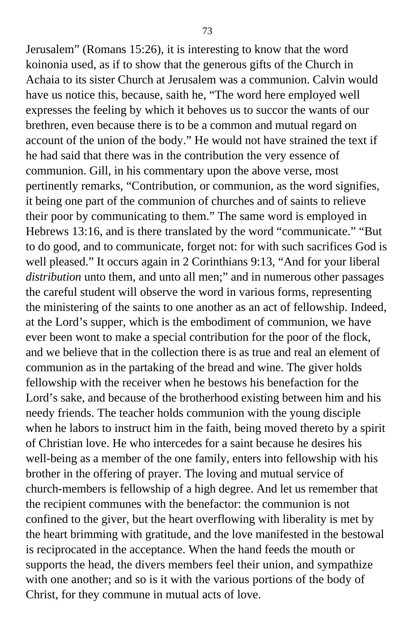Jerusalem" (Romans 15:26), it is interesting to know that the word koinonia used, as if to show that the generous gifts of the Church in Achaia to its sister Church at Jerusalem was a communion. Calvin would have us notice this, because, saith he, "The word here employed well expresses the feeling by which it behoves us to succor the wants of our brethren, even because there is to be a common and mutual regard on account of the union of the body." He would not have strained the text if he had said that there was in the contribution the very essence of communion. Gill, in his commentary upon the above verse, most pertinently remarks, "Contribution, or communion, as the word signifies, it being one part of the communion of churches and of saints to relieve their poor by communicating to them." The same word is employed in Hebrews 13:16, and is there translated by the word "communicate." "But to do good, and to communicate, forget not: for with such sacrifices God is well pleased." It occurs again in 2 Corinthians 9:13, "And for your liberal *distribution* unto them, and unto all men;" and in numerous other passages the careful student will observe the word in various forms, representing the ministering of the saints to one another as an act of fellowship. Indeed, at the Lord's supper, which is the embodiment of communion, we have ever been wont to make a special contribution for the poor of the flock, and we believe that in the collection there is as true and real an element of communion as in the partaking of the bread and wine. The giver holds fellowship with the receiver when he bestows his benefaction for the Lord's sake, and because of the brotherhood existing between him and his needy friends. The teacher holds communion with the young disciple when he labors to instruct him in the faith, being moved thereto by a spirit of Christian love. He who intercedes for a saint because he desires his well-being as a member of the one family, enters into fellowship with his brother in the offering of prayer. The loving and mutual service of church-members is fellowship of a high degree. And let us remember that the recipient communes with the benefactor: the communion is not confined to the giver, but the heart overflowing with liberality is met by the heart brimming with gratitude, and the love manifested in the bestowal is reciprocated in the acceptance. When the hand feeds the mouth or supports the head, the divers members feel their union, and sympathize with one another; and so is it with the various portions of the body of Christ, for they commune in mutual acts of love.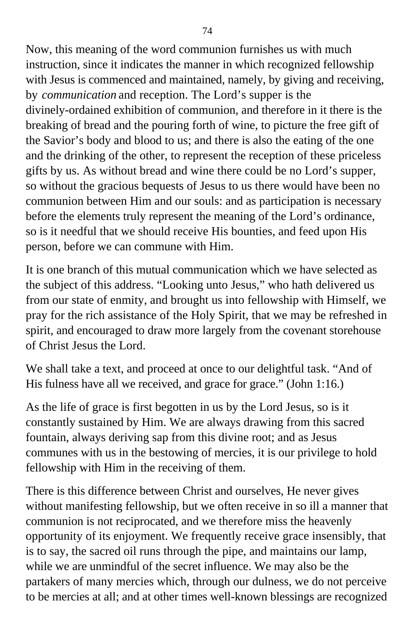Now, this meaning of the word communion furnishes us with much instruction, since it indicates the manner in which recognized fellowship with Jesus is commenced and maintained, namely, by giving and receiving, by *communication* and reception. The Lord's supper is the divinely-ordained exhibition of communion, and therefore in it there is the breaking of bread and the pouring forth of wine, to picture the free gift of the Savior's body and blood to us; and there is also the eating of the one and the drinking of the other, to represent the reception of these priceless gifts by us. As without bread and wine there could be no Lord's supper, so without the gracious bequests of Jesus to us there would have been no communion between Him and our souls: and as participation is necessary before the elements truly represent the meaning of the Lord's ordinance, so is it needful that we should receive His bounties, and feed upon His person, before we can commune with Him.

It is one branch of this mutual communication which we have selected as the subject of this address. "Looking unto Jesus," who hath delivered us from our state of enmity, and brought us into fellowship with Himself, we pray for the rich assistance of the Holy Spirit, that we may be refreshed in spirit, and encouraged to draw more largely from the covenant storehouse of Christ Jesus the Lord.

We shall take a text, and proceed at once to our delightful task. "And of His fulness have all we received, and grace for grace." (John 1:16.)

As the life of grace is first begotten in us by the Lord Jesus, so is it constantly sustained by Him. We are always drawing from this sacred fountain, always deriving sap from this divine root; and as Jesus communes with us in the bestowing of mercies, it is our privilege to hold fellowship with Him in the receiving of them.

There is this difference between Christ and ourselves, He never gives without manifesting fellowship, but we often receive in so ill a manner that communion is not reciprocated, and we therefore miss the heavenly opportunity of its enjoyment. We frequently receive grace insensibly, that is to say, the sacred oil runs through the pipe, and maintains our lamp, while we are unmindful of the secret influence. We may also be the partakers of many mercies which, through our dulness, we do not perceive to be mercies at all; and at other times well-known blessings are recognized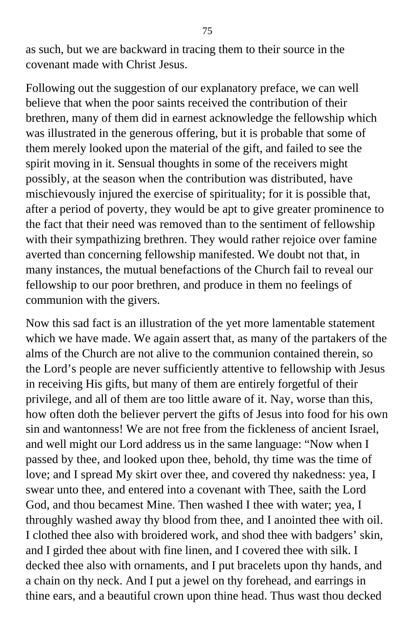as such, but we are backward in tracing them to their source in the covenant made with Christ Jesus.

Following out the suggestion of our explanatory preface, we can well believe that when the poor saints received the contribution of their brethren, many of them did in earnest acknowledge the fellowship which was illustrated in the generous offering, but it is probable that some of them merely looked upon the material of the gift, and failed to see the spirit moving in it. Sensual thoughts in some of the receivers might possibly, at the season when the contribution was distributed, have mischievously injured the exercise of spirituality; for it is possible that, after a period of poverty, they would be apt to give greater prominence to the fact that their need was removed than to the sentiment of fellowship with their sympathizing brethren. They would rather rejoice over famine averted than concerning fellowship manifested. We doubt not that, in many instances, the mutual benefactions of the Church fail to reveal our fellowship to our poor brethren, and produce in them no feelings of communion with the givers.

Now this sad fact is an illustration of the yet more lamentable statement which we have made. We again assert that, as many of the partakers of the alms of the Church are not alive to the communion contained therein, so the Lord's people are never sufficiently attentive to fellowship with Jesus in receiving His gifts, but many of them are entirely forgetful of their privilege, and all of them are too little aware of it. Nay, worse than this, how often doth the believer pervert the gifts of Jesus into food for his own sin and wantonness! We are not free from the fickleness of ancient Israel, and well might our Lord address us in the same language: "Now when I passed by thee, and looked upon thee, behold, thy time was the time of love; and I spread My skirt over thee, and covered thy nakedness: yea, I swear unto thee, and entered into a covenant with Thee, saith the Lord God, and thou becamest Mine. Then washed I thee with water; yea, I throughly washed away thy blood from thee, and I anointed thee with oil. I clothed thee also with broidered work, and shod thee with badgers' skin, and I girded thee about with fine linen, and I covered thee with silk. I decked thee also with ornaments, and I put bracelets upon thy hands, and a chain on thy neck. And I put a jewel on thy forehead, and earrings in thine ears, and a beautiful crown upon thine head. Thus wast thou decked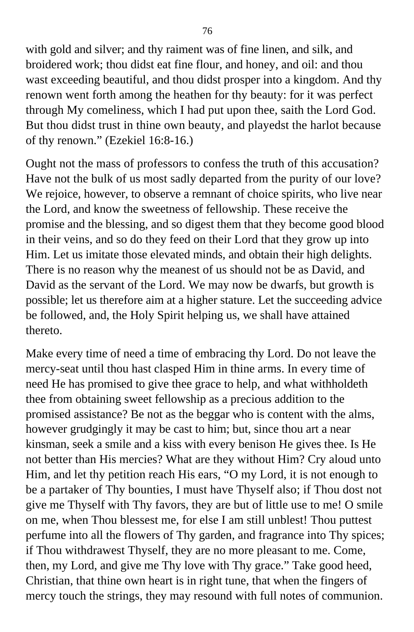with gold and silver; and thy raiment was of fine linen, and silk, and broidered work; thou didst eat fine flour, and honey, and oil: and thou wast exceeding beautiful, and thou didst prosper into a kingdom. And thy renown went forth among the heathen for thy beauty: for it was perfect through My comeliness, which I had put upon thee, saith the Lord God. But thou didst trust in thine own beauty, and playedst the harlot because of thy renown." (Ezekiel 16:8-16.)

Ought not the mass of professors to confess the truth of this accusation? Have not the bulk of us most sadly departed from the purity of our love? We rejoice, however, to observe a remnant of choice spirits, who live near the Lord, and know the sweetness of fellowship. These receive the promise and the blessing, and so digest them that they become good blood in their veins, and so do they feed on their Lord that they grow up into Him. Let us imitate those elevated minds, and obtain their high delights. There is no reason why the meanest of us should not be as David, and David as the servant of the Lord. We may now be dwarfs, but growth is possible; let us therefore aim at a higher stature. Let the succeeding advice be followed, and, the Holy Spirit helping us, we shall have attained thereto.

Make every time of need a time of embracing thy Lord. Do not leave the mercy-seat until thou hast clasped Him in thine arms. In every time of need He has promised to give thee grace to help, and what withholdeth thee from obtaining sweet fellowship as a precious addition to the promised assistance? Be not as the beggar who is content with the alms, however grudgingly it may be cast to him; but, since thou art a near kinsman, seek a smile and a kiss with every benison He gives thee. Is He not better than His mercies? What are they without Him? Cry aloud unto Him, and let thy petition reach His ears, "O my Lord, it is not enough to be a partaker of Thy bounties, I must have Thyself also; if Thou dost not give me Thyself with Thy favors, they are but of little use to me! O smile on me, when Thou blessest me, for else I am still unblest! Thou puttest perfume into all the flowers of Thy garden, and fragrance into Thy spices; if Thou withdrawest Thyself, they are no more pleasant to me. Come, then, my Lord, and give me Thy love with Thy grace." Take good heed, Christian, that thine own heart is in right tune, that when the fingers of mercy touch the strings, they may resound with full notes of communion.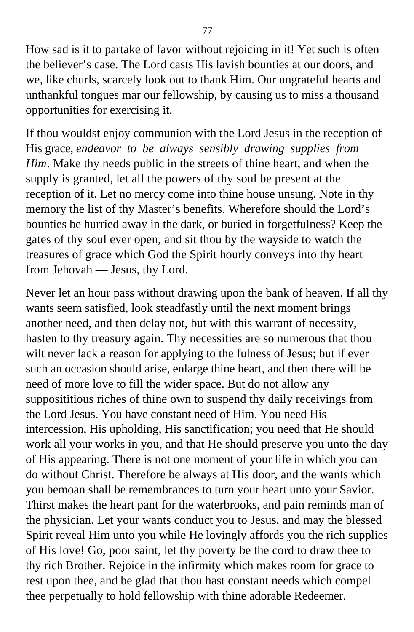How sad is it to partake of favor without rejoicing in it! Yet such is often the believer's case. The Lord casts His lavish bounties at our doors, and we, like churls, scarcely look out to thank Him. Our ungrateful hearts and unthankful tongues mar our fellowship, by causing us to miss a thousand opportunities for exercising it.

If thou wouldst enjoy communion with the Lord Jesus in the reception of His grace, *endeavor to be always sensibly drawing supplies from Him*. Make thy needs public in the streets of thine heart, and when the supply is granted, let all the powers of thy soul be present at the reception of it. Let no mercy come into thine house unsung. Note in thy memory the list of thy Master's benefits. Wherefore should the Lord's bounties be hurried away in the dark, or buried in forgetfulness? Keep the gates of thy soul ever open, and sit thou by the wayside to watch the treasures of grace which God the Spirit hourly conveys into thy heart from Jehovah — Jesus, thy Lord.

Never let an hour pass without drawing upon the bank of heaven. If all thy wants seem satisfied, look steadfastly until the next moment brings another need, and then delay not, but with this warrant of necessity, hasten to thy treasury again. Thy necessities are so numerous that thou wilt never lack a reason for applying to the fulness of Jesus; but if ever such an occasion should arise, enlarge thine heart, and then there will be need of more love to fill the wider space. But do not allow any supposititious riches of thine own to suspend thy daily receivings from the Lord Jesus. You have constant need of Him. You need His intercession, His upholding, His sanctification; you need that He should work all your works in you, and that He should preserve you unto the day of His appearing. There is not one moment of your life in which you can do without Christ. Therefore be always at His door, and the wants which you bemoan shall be remembrances to turn your heart unto your Savior. Thirst makes the heart pant for the waterbrooks, and pain reminds man of the physician. Let your wants conduct you to Jesus, and may the blessed Spirit reveal Him unto you while He lovingly affords you the rich supplies of His love! Go, poor saint, let thy poverty be the cord to draw thee to thy rich Brother. Rejoice in the infirmity which makes room for grace to rest upon thee, and be glad that thou hast constant needs which compel thee perpetually to hold fellowship with thine adorable Redeemer.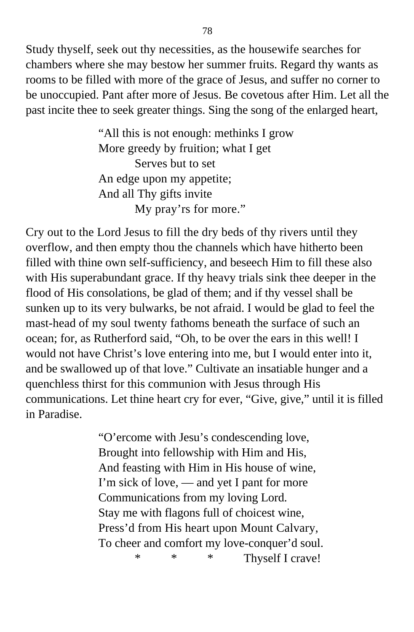Study thyself, seek out thy necessities, as the housewife searches for chambers where she may bestow her summer fruits. Regard thy wants as rooms to be filled with more of the grace of Jesus, and suffer no corner to be unoccupied. Pant after more of Jesus. Be covetous after Him. Let all the past incite thee to seek greater things. Sing the song of the enlarged heart,

> "All this is not enough: methinks I grow More greedy by fruition; what I get Serves but to set An edge upon my appetite; And all Thy gifts invite My pray'rs for more."

Cry out to the Lord Jesus to fill the dry beds of thy rivers until they overflow, and then empty thou the channels which have hitherto been filled with thine own self-sufficiency, and beseech Him to fill these also with His superabundant grace. If thy heavy trials sink thee deeper in the flood of His consolations, be glad of them; and if thy vessel shall be sunken up to its very bulwarks, be not afraid. I would be glad to feel the mast-head of my soul twenty fathoms beneath the surface of such an ocean; for, as Rutherford said, "Oh, to be over the ears in this well! I would not have Christ's love entering into me, but I would enter into it, and be swallowed up of that love." Cultivate an insatiable hunger and a quenchless thirst for this communion with Jesus through His communications. Let thine heart cry for ever, "Give, give," until it is filled in Paradise.

> "O'ercome with Jesu's condescending love, Brought into fellowship with Him and His, And feasting with Him in His house of wine, I'm sick of love, — and yet I pant for more Communications from my loving Lord. Stay me with flagons full of choicest wine, Press'd from His heart upon Mount Calvary, To cheer and comfort my love-conquer'd soul. \* \* \* Thyself I crave!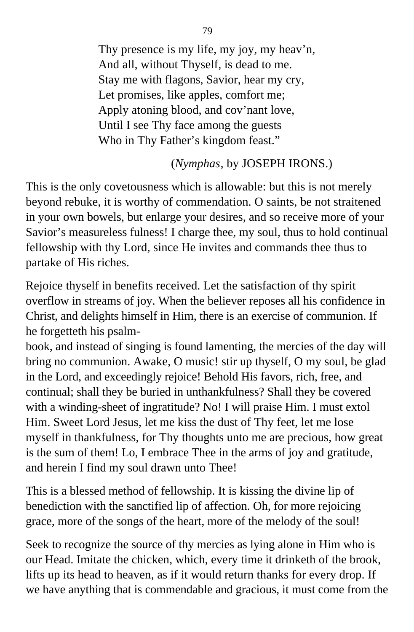Thy presence is my life, my joy, my heav'n, And all, without Thyself, is dead to me. Stay me with flagons, Savior, hear my cry, Let promises, like apples, comfort me; Apply atoning blood, and cov'nant love, Until I see Thy face among the guests Who in Thy Father's kingdom feast."

(*Nymphas*, by JOSEPH IRONS.)

This is the only covetousness which is allowable: but this is not merely beyond rebuke, it is worthy of commendation. O saints, be not straitened in your own bowels, but enlarge your desires, and so receive more of your Savior's measureless fulness! I charge thee, my soul, thus to hold continual fellowship with thy Lord, since He invites and commands thee thus to partake of His riches.

Rejoice thyself in benefits received. Let the satisfaction of thy spirit overflow in streams of joy. When the believer reposes all his confidence in Christ, and delights himself in Him, there is an exercise of communion. If he forgetteth his psalm-

book, and instead of singing is found lamenting, the mercies of the day will bring no communion. Awake, O music! stir up thyself, O my soul, be glad in the Lord, and exceedingly rejoice! Behold His favors, rich, free, and continual; shall they be buried in unthankfulness? Shall they be covered with a winding-sheet of ingratitude? No! I will praise Him. I must extol Him. Sweet Lord Jesus, let me kiss the dust of Thy feet, let me lose myself in thankfulness, for Thy thoughts unto me are precious, how great is the sum of them! Lo, I embrace Thee in the arms of joy and gratitude, and herein I find my soul drawn unto Thee!

This is a blessed method of fellowship. It is kissing the divine lip of benediction with the sanctified lip of affection. Oh, for more rejoicing grace, more of the songs of the heart, more of the melody of the soul!

Seek to recognize the source of thy mercies as lying alone in Him who is our Head. Imitate the chicken, which, every time it drinketh of the brook, lifts up its head to heaven, as if it would return thanks for every drop. If we have anything that is commendable and gracious, it must come from the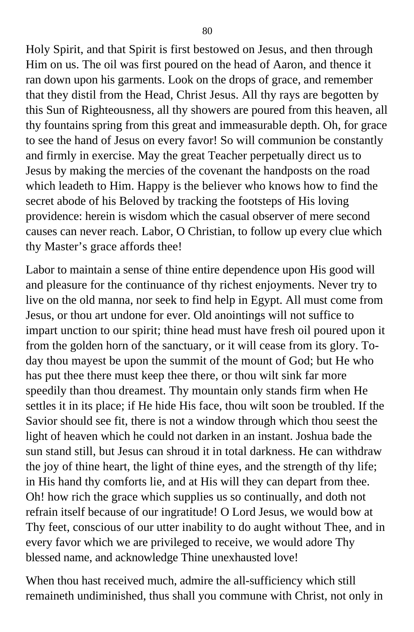Holy Spirit, and that Spirit is first bestowed on Jesus, and then through Him on us. The oil was first poured on the head of Aaron, and thence it ran down upon his garments. Look on the drops of grace, and remember that they distil from the Head, Christ Jesus. All thy rays are begotten by this Sun of Righteousness, all thy showers are poured from this heaven, all thy fountains spring from this great and immeasurable depth. Oh, for grace to see the hand of Jesus on every favor! So will communion be constantly and firmly in exercise. May the great Teacher perpetually direct us to Jesus by making the mercies of the covenant the handposts on the road which leadeth to Him. Happy is the believer who knows how to find the secret abode of his Beloved by tracking the footsteps of His loving providence: herein is wisdom which the casual observer of mere second causes can never reach. Labor, O Christian, to follow up every clue which thy Master's grace affords thee!

Labor to maintain a sense of thine entire dependence upon His good will and pleasure for the continuance of thy richest enjoyments. Never try to live on the old manna, nor seek to find help in Egypt. All must come from Jesus, or thou art undone for ever. Old anointings will not suffice to impart unction to our spirit; thine head must have fresh oil poured upon it from the golden horn of the sanctuary, or it will cease from its glory. Today thou mayest be upon the summit of the mount of God; but He who has put thee there must keep thee there, or thou wilt sink far more speedily than thou dreamest. Thy mountain only stands firm when He settles it in its place; if He hide His face, thou wilt soon be troubled. If the Savior should see fit, there is not a window through which thou seest the light of heaven which he could not darken in an instant. Joshua bade the sun stand still, but Jesus can shroud it in total darkness. He can withdraw the joy of thine heart, the light of thine eyes, and the strength of thy life; in His hand thy comforts lie, and at His will they can depart from thee. Oh! how rich the grace which supplies us so continually, and doth not refrain itself because of our ingratitude! O Lord Jesus, we would bow at Thy feet, conscious of our utter inability to do aught without Thee, and in every favor which we are privileged to receive, we would adore Thy blessed name, and acknowledge Thine unexhausted love!

When thou hast received much, admire the all-sufficiency which still remaineth undiminished, thus shall you commune with Christ, not only in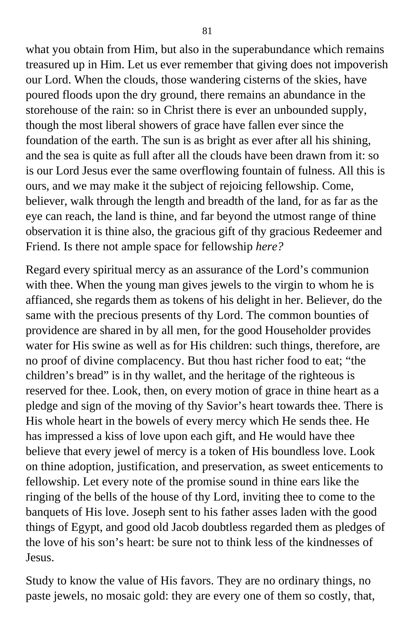what you obtain from Him, but also in the superabundance which remains treasured up in Him. Let us ever remember that giving does not impoverish our Lord. When the clouds, those wandering cisterns of the skies, have poured floods upon the dry ground, there remains an abundance in the storehouse of the rain: so in Christ there is ever an unbounded supply, though the most liberal showers of grace have fallen ever since the foundation of the earth. The sun is as bright as ever after all his shining, and the sea is quite as full after all the clouds have been drawn from it: so is our Lord Jesus ever the same overflowing fountain of fulness. All this is ours, and we may make it the subject of rejoicing fellowship. Come, believer, walk through the length and breadth of the land, for as far as the eye can reach, the land is thine, and far beyond the utmost range of thine observation it is thine also, the gracious gift of thy gracious Redeemer and Friend. Is there not ample space for fellowship *here?*

Regard every spiritual mercy as an assurance of the Lord's communion with thee. When the young man gives jewels to the virgin to whom he is affianced, she regards them as tokens of his delight in her. Believer, do the same with the precious presents of thy Lord. The common bounties of providence are shared in by all men, for the good Householder provides water for His swine as well as for His children: such things, therefore, are no proof of divine complacency. But thou hast richer food to eat; "the children's bread" is in thy wallet, and the heritage of the righteous is reserved for thee. Look, then, on every motion of grace in thine heart as a pledge and sign of the moving of thy Savior's heart towards thee. There is His whole heart in the bowels of every mercy which He sends thee. He has impressed a kiss of love upon each gift, and He would have thee believe that every jewel of mercy is a token of His boundless love. Look on thine adoption, justification, and preservation, as sweet enticements to fellowship. Let every note of the promise sound in thine ears like the ringing of the bells of the house of thy Lord, inviting thee to come to the banquets of His love. Joseph sent to his father asses laden with the good things of Egypt, and good old Jacob doubtless regarded them as pledges of the love of his son's heart: be sure not to think less of the kindnesses of Jesus.

Study to know the value of His favors. They are no ordinary things, no paste jewels, no mosaic gold: they are every one of them so costly, that,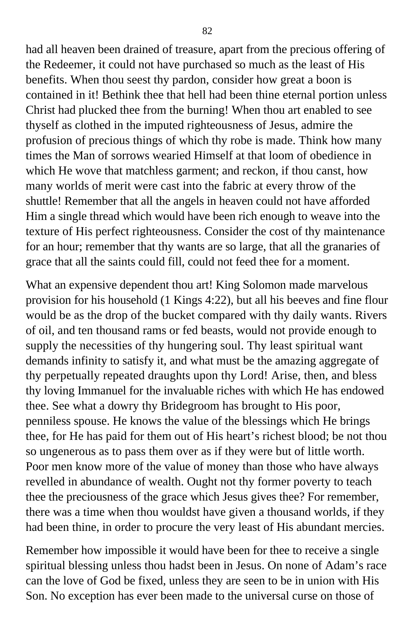had all heaven been drained of treasure, apart from the precious offering of the Redeemer, it could not have purchased so much as the least of His benefits. When thou seest thy pardon, consider how great a boon is contained in it! Bethink thee that hell had been thine eternal portion unless Christ had plucked thee from the burning! When thou art enabled to see thyself as clothed in the imputed righteousness of Jesus, admire the profusion of precious things of which thy robe is made. Think how many times the Man of sorrows wearied Himself at that loom of obedience in which He wove that matchless garment; and reckon, if thou canst, how many worlds of merit were cast into the fabric at every throw of the shuttle! Remember that all the angels in heaven could not have afforded Him a single thread which would have been rich enough to weave into the texture of His perfect righteousness. Consider the cost of thy maintenance for an hour; remember that thy wants are so large, that all the granaries of grace that all the saints could fill, could not feed thee for a moment.

What an expensive dependent thou art! King Solomon made marvelous provision for his household (1 Kings 4:22), but all his beeves and fine flour would be as the drop of the bucket compared with thy daily wants. Rivers of oil, and ten thousand rams or fed beasts, would not provide enough to supply the necessities of thy hungering soul. Thy least spiritual want demands infinity to satisfy it, and what must be the amazing aggregate of thy perpetually repeated draughts upon thy Lord! Arise, then, and bless thy loving Immanuel for the invaluable riches with which He has endowed thee. See what a dowry thy Bridegroom has brought to His poor, penniless spouse. He knows the value of the blessings which He brings thee, for He has paid for them out of His heart's richest blood; be not thou so ungenerous as to pass them over as if they were but of little worth. Poor men know more of the value of money than those who have always revelled in abundance of wealth. Ought not thy former poverty to teach thee the preciousness of the grace which Jesus gives thee? For remember, there was a time when thou wouldst have given a thousand worlds, if they had been thine, in order to procure the very least of His abundant mercies.

Remember how impossible it would have been for thee to receive a single spiritual blessing unless thou hadst been in Jesus. On none of Adam's race can the love of God be fixed, unless they are seen to be in union with His Son. No exception has ever been made to the universal curse on those of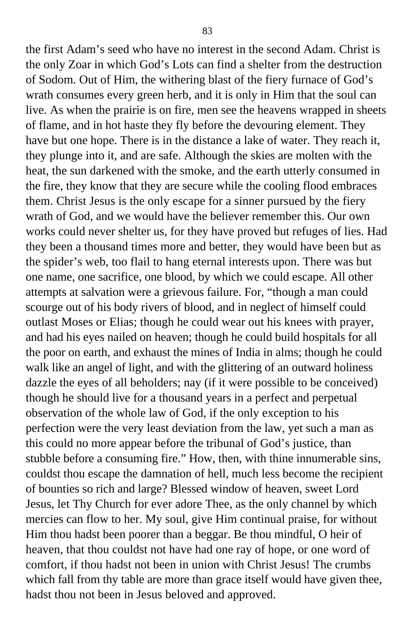the first Adam's seed who have no interest in the second Adam. Christ is the only Zoar in which God's Lots can find a shelter from the destruction of Sodom. Out of Him, the withering blast of the fiery furnace of God's wrath consumes every green herb, and it is only in Him that the soul can live. As when the prairie is on fire, men see the heavens wrapped in sheets of flame, and in hot haste they fly before the devouring element. They have but one hope. There is in the distance a lake of water. They reach it, they plunge into it, and are safe. Although the skies are molten with the heat, the sun darkened with the smoke, and the earth utterly consumed in the fire, they know that they are secure while the cooling flood embraces them. Christ Jesus is the only escape for a sinner pursued by the fiery wrath of God, and we would have the believer remember this. Our own works could never shelter us, for they have proved but refuges of lies. Had they been a thousand times more and better, they would have been but as the spider's web, too flail to hang eternal interests upon. There was but one name, one sacrifice, one blood, by which we could escape. All other attempts at salvation were a grievous failure. For, "though a man could scourge out of his body rivers of blood, and in neglect of himself could outlast Moses or Elias; though he could wear out his knees with prayer, and had his eyes nailed on heaven; though he could build hospitals for all the poor on earth, and exhaust the mines of India in alms; though he could walk like an angel of light, and with the glittering of an outward holiness dazzle the eyes of all beholders; nay (if it were possible to be conceived) though he should live for a thousand years in a perfect and perpetual observation of the whole law of God, if the only exception to his perfection were the very least deviation from the law, yet such a man as this could no more appear before the tribunal of God's justice, than stubble before a consuming fire." How, then, with thine innumerable sins, couldst thou escape the damnation of hell, much less become the recipient of bounties so rich and large? Blessed window of heaven, sweet Lord Jesus, let Thy Church for ever adore Thee, as the only channel by which mercies can flow to her. My soul, give Him continual praise, for without Him thou hadst been poorer than a beggar. Be thou mindful, O heir of heaven, that thou couldst not have had one ray of hope, or one word of comfort, if thou hadst not been in union with Christ Jesus! The crumbs which fall from thy table are more than grace itself would have given thee, hadst thou not been in Jesus beloved and approved.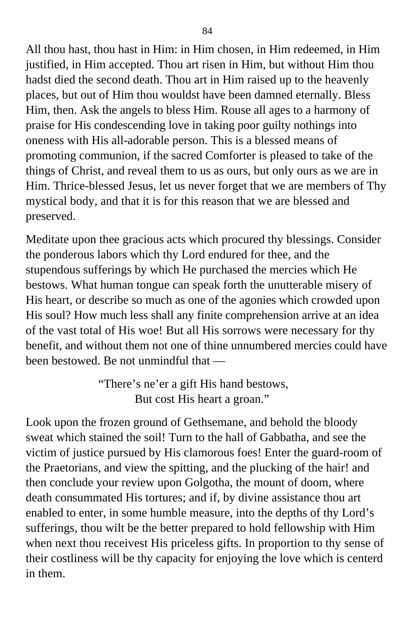All thou hast, thou hast in Him: in Him chosen, in Him redeemed, in Him justified, in Him accepted. Thou art risen in Him, but without Him thou hadst died the second death. Thou art in Him raised up to the heavenly places, but out of Him thou wouldst have been damned eternally. Bless Him, then. Ask the angels to bless Him. Rouse all ages to a harmony of praise for His condescending love in taking poor guilty nothings into oneness with His all-adorable person. This is a blessed means of promoting communion, if the sacred Comforter is pleased to take of the things of Christ, and reveal them to us as ours, but only ours as we are in Him. Thrice-blessed Jesus, let us never forget that we are members of Thy mystical body, and that it is for this reason that we are blessed and preserved.

Meditate upon thee gracious acts which procured thy blessings. Consider the ponderous labors which thy Lord endured for thee, and the stupendous sufferings by which He purchased the mercies which He bestows. What human tongue can speak forth the unutterable misery of His heart, or describe so much as one of the agonies which crowded upon His soul? How much less shall any finite comprehension arrive at an idea of the vast total of His woe! But all His sorrows were necessary for thy benefit, and without them not one of thine unnumbered mercies could have been bestowed. Be not unmindful that —

> "There's ne'er a gift His hand bestows, But cost His heart a groan."

Look upon the frozen ground of Gethsemane, and behold the bloody sweat which stained the soil! Turn to the hall of Gabbatha, and see the victim of justice pursued by His clamorous foes! Enter the guard-room of the Praetorians, and view the spitting, and the plucking of the hair! and then conclude your review upon Golgotha, the mount of doom, where death consummated His tortures; and if, by divine assistance thou art enabled to enter, in some humble measure, into the depths of thy Lord's sufferings, thou wilt be the better prepared to hold fellowship with Him when next thou receivest His priceless gifts. In proportion to thy sense of their costliness will be thy capacity for enjoying the love which is centerd in them.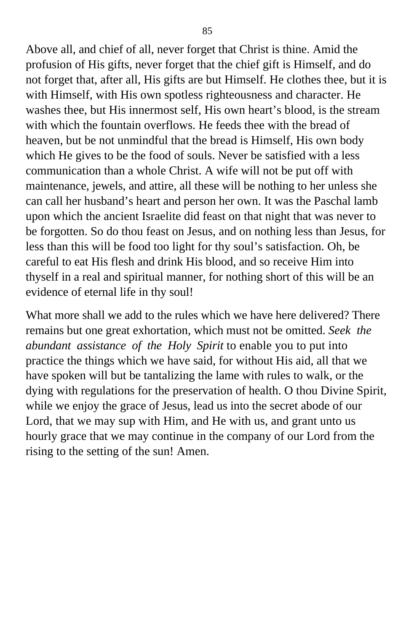Above all, and chief of all, never forget that Christ is thine. Amid the profusion of His gifts, never forget that the chief gift is Himself, and do not forget that, after all, His gifts are but Himself. He clothes thee, but it is with Himself, with His own spotless righteousness and character. He washes thee, but His innermost self, His own heart's blood, is the stream with which the fountain overflows. He feeds thee with the bread of heaven, but be not unmindful that the bread is Himself, His own body which He gives to be the food of souls. Never be satisfied with a less communication than a whole Christ. A wife will not be put off with maintenance, jewels, and attire, all these will be nothing to her unless she can call her husband's heart and person her own. It was the Paschal lamb upon which the ancient Israelite did feast on that night that was never to be forgotten. So do thou feast on Jesus, and on nothing less than Jesus, for less than this will be food too light for thy soul's satisfaction. Oh, be careful to eat His flesh and drink His blood, and so receive Him into thyself in a real and spiritual manner, for nothing short of this will be an evidence of eternal life in thy soul!

What more shall we add to the rules which we have here delivered? There remains but one great exhortation, which must not be omitted. *Seek the abundant assistance of the Holy Spirit* to enable you to put into practice the things which we have said, for without His aid, all that we have spoken will but be tantalizing the lame with rules to walk, or the dying with regulations for the preservation of health. O thou Divine Spirit, while we enjoy the grace of Jesus, lead us into the secret abode of our Lord, that we may sup with Him, and He with us, and grant unto us hourly grace that we may continue in the company of our Lord from the rising to the setting of the sun! Amen.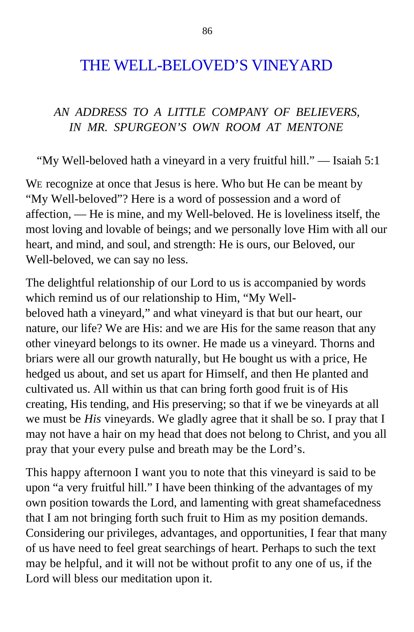# THE WELL-BELOVED'S VINEYARD

### *AN ADDRESS TO A LITTLE COMPANY OF BELIEVERS, IN MR. SPURGEON'S OWN ROOM AT MENTONE*

"My Well-beloved hath a vineyard in a very fruitful hill." — Isaiah 5:1

WE recognize at once that Jesus is here. Who but He can be meant by "My Well-beloved"? Here is a word of possession and a word of affection, — He is mine, and my Well-beloved. He is loveliness itself, the most loving and lovable of beings; and we personally love Him with all our heart, and mind, and soul, and strength: He is ours, our Beloved, our Well-beloved, we can say no less.

The delightful relationship of our Lord to us is accompanied by words which remind us of our relationship to Him, "My Wellbeloved hath a vineyard," and what vineyard is that but our heart, our nature, our life? We are His: and we are His for the same reason that any other vineyard belongs to its owner. He made us a vineyard. Thorns and briars were all our growth naturally, but He bought us with a price, He hedged us about, and set us apart for Himself, and then He planted and cultivated us. All within us that can bring forth good fruit is of His creating, His tending, and His preserving; so that if we be vineyards at all we must be *His* vineyards. We gladly agree that it shall be so. I pray that I may not have a hair on my head that does not belong to Christ, and you all pray that your every pulse and breath may be the Lord's.

This happy afternoon I want you to note that this vineyard is said to be upon "a very fruitful hill." I have been thinking of the advantages of my own position towards the Lord, and lamenting with great shamefacedness that I am not bringing forth such fruit to Him as my position demands. Considering our privileges, advantages, and opportunities, I fear that many of us have need to feel great searchings of heart. Perhaps to such the text may be helpful, and it will not be without profit to any one of us, if the Lord will bless our meditation upon it.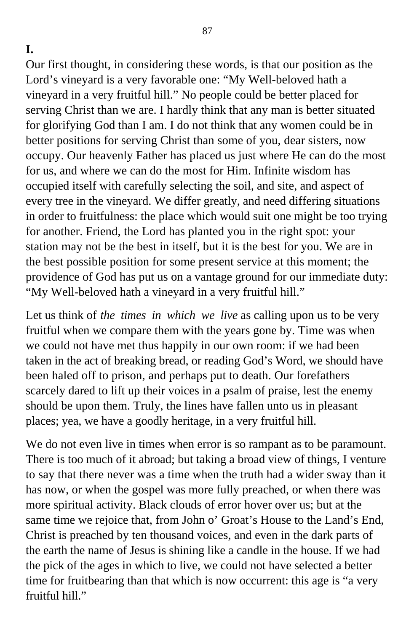Our first thought, in considering these words, is that our position as the Lord's vineyard is a very favorable one: "My Well-beloved hath a vineyard in a very fruitful hill." No people could be better placed for serving Christ than we are. I hardly think that any man is better situated for glorifying God than I am. I do not think that any women could be in better positions for serving Christ than some of you, dear sisters, now occupy. Our heavenly Father has placed us just where He can do the most for us, and where we can do the most for Him. Infinite wisdom has occupied itself with carefully selecting the soil, and site, and aspect of every tree in the vineyard. We differ greatly, and need differing situations in order to fruitfulness: the place which would suit one might be too trying for another. Friend, the Lord has planted you in the right spot: your station may not be the best in itself, but it is the best for you. We are in the best possible position for some present service at this moment; the providence of God has put us on a vantage ground for our immediate duty: "My Well-beloved hath a vineyard in a very fruitful hill."

Let us think of *the times in which we live* as calling upon us to be very fruitful when we compare them with the years gone by. Time was when we could not have met thus happily in our own room: if we had been taken in the act of breaking bread, or reading God's Word, we should have been haled off to prison, and perhaps put to death. Our forefathers scarcely dared to lift up their voices in a psalm of praise, lest the enemy should be upon them. Truly, the lines have fallen unto us in pleasant places; yea, we have a goodly heritage, in a very fruitful hill.

We do not even live in times when error is so rampant as to be paramount. There is too much of it abroad; but taking a broad view of things, I venture to say that there never was a time when the truth had a wider sway than it has now, or when the gospel was more fully preached, or when there was more spiritual activity. Black clouds of error hover over us; but at the same time we rejoice that, from John o' Groat's House to the Land's End, Christ is preached by ten thousand voices, and even in the dark parts of the earth the name of Jesus is shining like a candle in the house. If we had the pick of the ages in which to live, we could not have selected a better time for fruitbearing than that which is now occurrent: this age is "a very fruitful hill."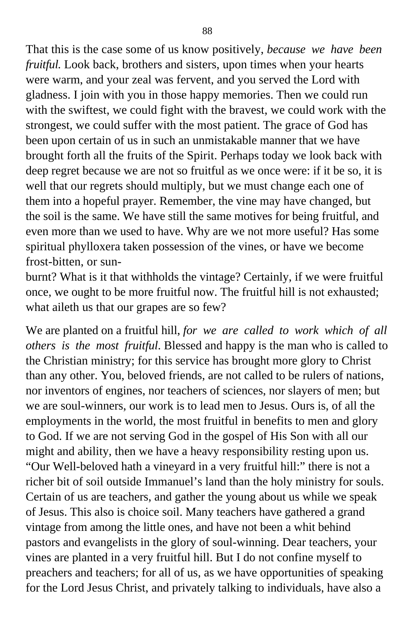That this is the case some of us know positively, *because we have been fruitful.* Look back, brothers and sisters, upon times when your hearts were warm, and your zeal was fervent, and you served the Lord with gladness. I join with you in those happy memories. Then we could run with the swiftest, we could fight with the bravest, we could work with the strongest, we could suffer with the most patient. The grace of God has been upon certain of us in such an unmistakable manner that we have brought forth all the fruits of the Spirit. Perhaps today we look back with deep regret because we are not so fruitful as we once were: if it be so, it is well that our regrets should multiply, but we must change each one of them into a hopeful prayer. Remember, the vine may have changed, but the soil is the same. We have still the same motives for being fruitful, and even more than we used to have. Why are we not more useful? Has some spiritual phylloxera taken possession of the vines, or have we become frost-bitten, or sun-

burnt? What is it that withholds the vintage? Certainly, if we were fruitful once, we ought to be more fruitful now. The fruitful hill is not exhausted; what aileth us that our grapes are so few?

We are planted on a fruitful hill, *for we are called to work which of all others is the most fruitful*. Blessed and happy is the man who is called to the Christian ministry; for this service has brought more glory to Christ than any other. You, beloved friends, are not called to be rulers of nations, nor inventors of engines, nor teachers of sciences, nor slayers of men; but we are soul-winners, our work is to lead men to Jesus. Ours is, of all the employments in the world, the most fruitful in benefits to men and glory to God. If we are not serving God in the gospel of His Son with all our might and ability, then we have a heavy responsibility resting upon us. "Our Well-beloved hath a vineyard in a very fruitful hill:" there is not a richer bit of soil outside Immanuel's land than the holy ministry for souls. Certain of us are teachers, and gather the young about us while we speak of Jesus. This also is choice soil. Many teachers have gathered a grand vintage from among the little ones, and have not been a whit behind pastors and evangelists in the glory of soul-winning. Dear teachers, your vines are planted in a very fruitful hill. But I do not confine myself to preachers and teachers; for all of us, as we have opportunities of speaking for the Lord Jesus Christ, and privately talking to individuals, have also a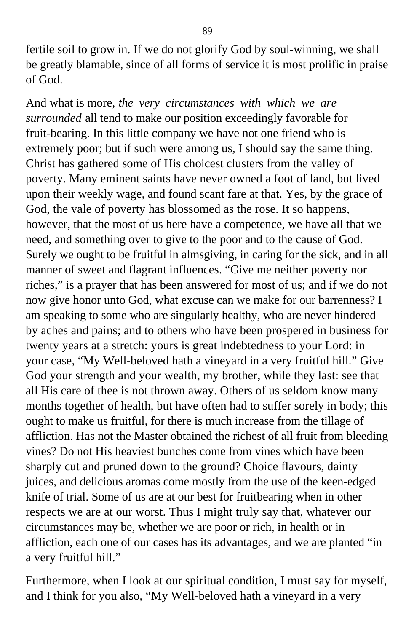fertile soil to grow in. If we do not glorify God by soul-winning, we shall be greatly blamable, since of all forms of service it is most prolific in praise of God.

And what is more, *the very circumstances with which we are surrounded* all tend to make our position exceedingly favorable for fruit-bearing. In this little company we have not one friend who is extremely poor; but if such were among us, I should say the same thing. Christ has gathered some of His choicest clusters from the valley of poverty. Many eminent saints have never owned a foot of land, but lived upon their weekly wage, and found scant fare at that. Yes, by the grace of God, the vale of poverty has blossomed as the rose. It so happens, however, that the most of us here have a competence, we have all that we need, and something over to give to the poor and to the cause of God. Surely we ought to be fruitful in almsgiving, in caring for the sick, and in all manner of sweet and flagrant influences. "Give me neither poverty nor riches," is a prayer that has been answered for most of us; and if we do not now give honor unto God, what excuse can we make for our barrenness? I am speaking to some who are singularly healthy, who are never hindered by aches and pains; and to others who have been prospered in business for twenty years at a stretch: yours is great indebtedness to your Lord: in your case, "My Well-beloved hath a vineyard in a very fruitful hill." Give God your strength and your wealth, my brother, while they last: see that all His care of thee is not thrown away. Others of us seldom know many months together of health, but have often had to suffer sorely in body; this ought to make us fruitful, for there is much increase from the tillage of affliction. Has not the Master obtained the richest of all fruit from bleeding vines? Do not His heaviest bunches come from vines which have been sharply cut and pruned down to the ground? Choice flavours, dainty juices, and delicious aromas come mostly from the use of the keen-edged knife of trial. Some of us are at our best for fruitbearing when in other respects we are at our worst. Thus I might truly say that, whatever our circumstances may be, whether we are poor or rich, in health or in affliction, each one of our cases has its advantages, and we are planted "in a very fruitful hill."

Furthermore, when I look at our spiritual condition, I must say for myself, and I think for you also, "My Well-beloved hath a vineyard in a very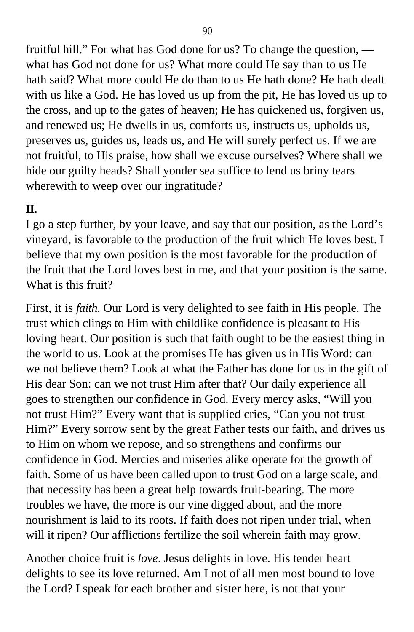fruitful hill." For what has God done for us? To change the question, what has God not done for us? What more could He say than to us He hath said? What more could He do than to us He hath done? He hath dealt with us like a God. He has loved us up from the pit, He has loved us up to the cross, and up to the gates of heaven; He has quickened us, forgiven us, and renewed us; He dwells in us, comforts us, instructs us, upholds us, preserves us, guides us, leads us, and He will surely perfect us. If we are not fruitful, to His praise, how shall we excuse ourselves? Where shall we hide our guilty heads? Shall yonder sea suffice to lend us briny tears wherewith to weep over our ingratitude?

### **II.**

I go a step further, by your leave, and say that our position, as the Lord's vineyard, is favorable to the production of the fruit which He loves best. I believe that my own position is the most favorable for the production of the fruit that the Lord loves best in me, and that your position is the same. What is this fruit?

First, it is *faith*. Our Lord is very delighted to see faith in His people. The trust which clings to Him with childlike confidence is pleasant to His loving heart. Our position is such that faith ought to be the easiest thing in the world to us. Look at the promises He has given us in His Word: can we not believe them? Look at what the Father has done for us in the gift of His dear Son: can we not trust Him after that? Our daily experience all goes to strengthen our confidence in God. Every mercy asks, "Will you not trust Him?" Every want that is supplied cries, "Can you not trust Him?" Every sorrow sent by the great Father tests our faith, and drives us to Him on whom we repose, and so strengthens and confirms our confidence in God. Mercies and miseries alike operate for the growth of faith. Some of us have been called upon to trust God on a large scale, and that necessity has been a great help towards fruit-bearing. The more troubles we have, the more is our vine digged about, and the more nourishment is laid to its roots. If faith does not ripen under trial, when will it ripen? Our afflictions fertilize the soil wherein faith may grow.

Another choice fruit is *love*. Jesus delights in love. His tender heart delights to see its love returned. Am I not of all men most bound to love the Lord? I speak for each brother and sister here, is not that your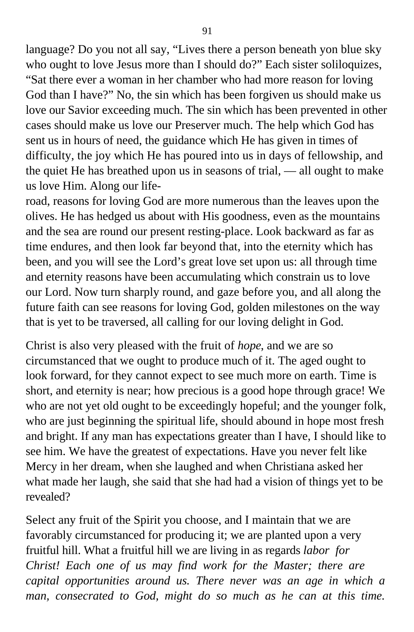language? Do you not all say, "Lives there a person beneath yon blue sky who ought to love Jesus more than I should do?" Each sister soliloquizes, "Sat there ever a woman in her chamber who had more reason for loving God than I have?" No, the sin which has been forgiven us should make us love our Savior exceeding much. The sin which has been prevented in other cases should make us love our Preserver much. The help which God has sent us in hours of need, the guidance which He has given in times of difficulty, the joy which He has poured into us in days of fellowship, and the quiet He has breathed upon us in seasons of trial, — all ought to make us love Him. Along our life-

road, reasons for loving God are more numerous than the leaves upon the olives. He has hedged us about with His goodness, even as the mountains and the sea are round our present resting-place. Look backward as far as time endures, and then look far beyond that, into the eternity which has been, and you will see the Lord's great love set upon us: all through time and eternity reasons have been accumulating which constrain us to love our Lord. Now turn sharply round, and gaze before you, and all along the future faith can see reasons for loving God, golden milestones on the way that is yet to be traversed, all calling for our loving delight in God.

Christ is also very pleased with the fruit of *hope*, and we are so circumstanced that we ought to produce much of it. The aged ought to look forward, for they cannot expect to see much more on earth. Time is short, and eternity is near; how precious is a good hope through grace! We who are not yet old ought to be exceedingly hopeful; and the younger folk, who are just beginning the spiritual life, should abound in hope most fresh and bright. If any man has expectations greater than I have, I should like to see him. We have the greatest of expectations. Have you never felt like Mercy in her dream, when she laughed and when Christiana asked her what made her laugh, she said that she had had a vision of things yet to be revealed?

Select any fruit of the Spirit you choose, and I maintain that we are favorably circumstanced for producing it; we are planted upon a very fruitful hill. What a fruitful hill we are living in as regards *labor for Christ! Each one of us may find work for the Master; there are capital opportunities around us. There never was an age in which a man, consecrated to God, might do so much as he can at this time.*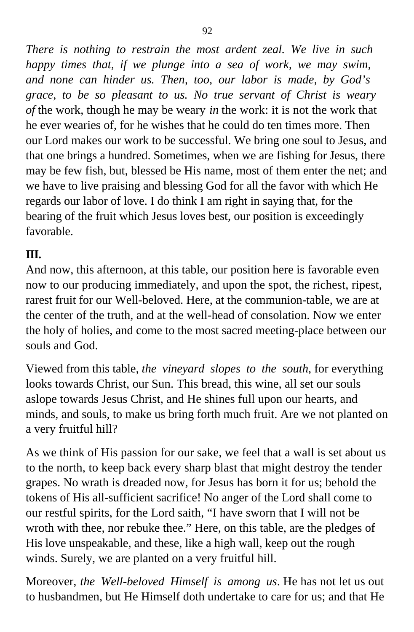92

*There is nothing to restrain the most ardent zeal. We live in such happy times that, if we plunge into a sea of work, we may swim, and none can hinder us. Then, too, our labor is made, by God's grace, to be so pleasant to us. No true servant of Christ is weary of* the work, though he may be weary *in* the work: it is not the work that he ever wearies of, for he wishes that he could do ten times more. Then our Lord makes our work to be successful. We bring one soul to Jesus, and that one brings a hundred. Sometimes, when we are fishing for Jesus, there may be few fish, but, blessed be His name, most of them enter the net; and we have to live praising and blessing God for all the favor with which He regards our labor of love. I do think I am right in saying that, for the bearing of the fruit which Jesus loves best, our position is exceedingly favorable.

## **III.**

And now, this afternoon, at this table, our position here is favorable even now to our producing immediately, and upon the spot, the richest, ripest, rarest fruit for our Well-beloved. Here, at the communion-table, we are at the center of the truth, and at the well-head of consolation. Now we enter the holy of holies, and come to the most sacred meeting-place between our souls and God.

Viewed from this table, *the vineyard slopes to the south*, for everything looks towards Christ, our Sun. This bread, this wine, all set our souls aslope towards Jesus Christ, and He shines full upon our hearts, and minds, and souls, to make us bring forth much fruit. Are we not planted on a very fruitful hill?

As we think of His passion for our sake, we feel that a wall is set about us to the north, to keep back every sharp blast that might destroy the tender grapes. No wrath is dreaded now, for Jesus has born it for us; behold the tokens of His all-sufficient sacrifice! No anger of the Lord shall come to our restful spirits, for the Lord saith, "I have sworn that I will not be wroth with thee, nor rebuke thee." Here, on this table, are the pledges of His love unspeakable, and these, like a high wall, keep out the rough winds. Surely, we are planted on a very fruitful hill.

Moreover, *the Well-beloved Himself is among us*. He has not let us out to husbandmen, but He Himself doth undertake to care for us; and that He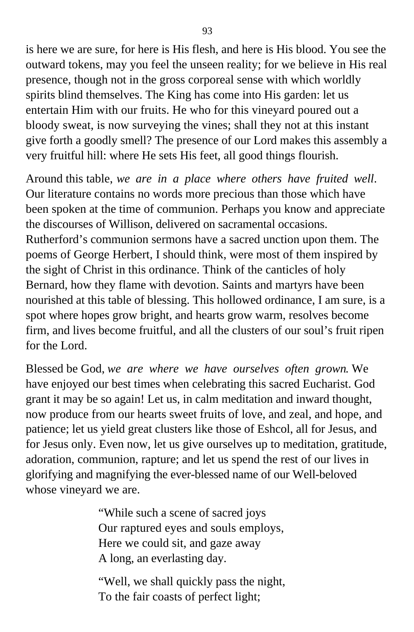is here we are sure, for here is His flesh, and here is His blood. You see the outward tokens, may you feel the unseen reality; for we believe in His real presence, though not in the gross corporeal sense with which worldly spirits blind themselves. The King has come into His garden: let us entertain Him with our fruits. He who for this vineyard poured out a bloody sweat, is now surveying the vines; shall they not at this instant give forth a goodly smell? The presence of our Lord makes this assembly a very fruitful hill: where He sets His feet, all good things flourish.

Around this table, *we are in a place where others have fruited well*. Our literature contains no words more precious than those which have been spoken at the time of communion. Perhaps you know and appreciate the discourses of Willison, delivered on sacramental occasions. Rutherford's communion sermons have a sacred unction upon them. The poems of George Herbert, I should think, were most of them inspired by the sight of Christ in this ordinance. Think of the canticles of holy Bernard, how they flame with devotion. Saints and martyrs have been nourished at this table of blessing. This hollowed ordinance, I am sure, is a spot where hopes grow bright, and hearts grow warm, resolves become firm, and lives become fruitful, and all the clusters of our soul's fruit ripen for the Lord.

Blessed be God, *we are where we have ourselves often grown*. We have enjoyed our best times when celebrating this sacred Eucharist. God grant it may be so again! Let us, in calm meditation and inward thought, now produce from our hearts sweet fruits of love, and zeal, and hope, and patience; let us yield great clusters like those of Eshcol, all for Jesus, and for Jesus only. Even now, let us give ourselves up to meditation, gratitude, adoration, communion, rapture; and let us spend the rest of our lives in glorifying and magnifying the ever-blessed name of our Well-beloved whose vineyard we are.

> "While such a scene of sacred joys Our raptured eyes and souls employs, Here we could sit, and gaze away A long, an everlasting day.

> "Well, we shall quickly pass the night, To the fair coasts of perfect light;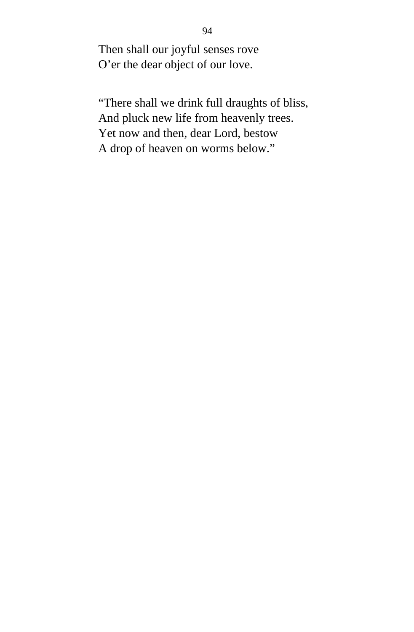Then shall our joyful senses rove O'er the dear object of our love.

"There shall we drink full draughts of bliss, And pluck new life from heavenly trees. Yet now and then, dear Lord, bestow A drop of heaven on worms below."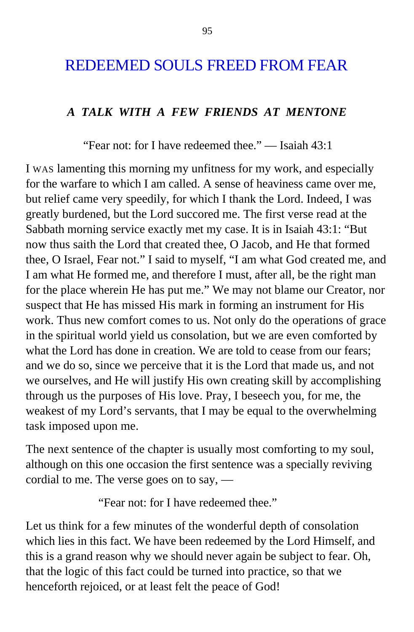# REDEEMED SOULS FREED FROM FEAR

#### *A TALK WITH A FEW FRIENDS AT MENTONE*

"Fear not: for I have redeemed thee." — Isaiah 43:1

I WAS lamenting this morning my unfitness for my work, and especially for the warfare to which I am called. A sense of heaviness came over me, but relief came very speedily, for which I thank the Lord. Indeed, I was greatly burdened, but the Lord succored me. The first verse read at the Sabbath morning service exactly met my case. It is in Isaiah 43:1: "But now thus saith the Lord that created thee, O Jacob, and He that formed thee, O Israel, Fear not." I said to myself, "I am what God created me, and I am what He formed me, and therefore I must, after all, be the right man for the place wherein He has put me." We may not blame our Creator, nor suspect that He has missed His mark in forming an instrument for His work. Thus new comfort comes to us. Not only do the operations of grace in the spiritual world yield us consolation, but we are even comforted by what the Lord has done in creation. We are told to cease from our fears; and we do so, since we perceive that it is the Lord that made us, and not we ourselves, and He will justify His own creating skill by accomplishing through us the purposes of His love. Pray, I beseech you, for me, the weakest of my Lord's servants, that I may be equal to the overwhelming task imposed upon me.

The next sentence of the chapter is usually most comforting to my soul, although on this one occasion the first sentence was a specially reviving cordial to me. The verse goes on to say, —

"Fear not: for I have redeemed thee."

Let us think for a few minutes of the wonderful depth of consolation which lies in this fact. We have been redeemed by the Lord Himself, and this is a grand reason why we should never again be subject to fear. Oh, that the logic of this fact could be turned into practice, so that we henceforth rejoiced, or at least felt the peace of God!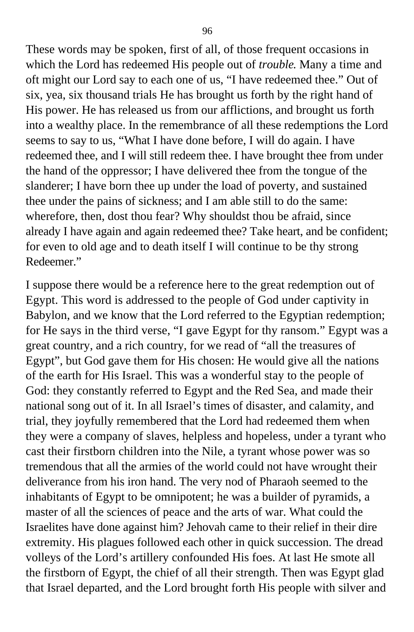These words may be spoken, first of all, of those frequent occasions in which the Lord has redeemed His people out of *trouble*. Many a time and oft might our Lord say to each one of us, "I have redeemed thee." Out of six, yea, six thousand trials He has brought us forth by the right hand of His power. He has released us from our afflictions, and brought us forth into a wealthy place. In the remembrance of all these redemptions the Lord seems to say to us, "What I have done before, I will do again. I have redeemed thee, and I will still redeem thee. I have brought thee from under the hand of the oppressor; I have delivered thee from the tongue of the slanderer; I have born thee up under the load of poverty, and sustained thee under the pains of sickness; and I am able still to do the same: wherefore, then, dost thou fear? Why shouldst thou be afraid, since already I have again and again redeemed thee? Take heart, and be confident; for even to old age and to death itself I will continue to be thy strong Redeemer."

I suppose there would be a reference here to the great redemption out of Egypt. This word is addressed to the people of God under captivity in Babylon, and we know that the Lord referred to the Egyptian redemption; for He says in the third verse, "I gave Egypt for thy ransom." Egypt was a great country, and a rich country, for we read of "all the treasures of Egypt", but God gave them for His chosen: He would give all the nations of the earth for His Israel. This was a wonderful stay to the people of God: they constantly referred to Egypt and the Red Sea, and made their national song out of it. In all Israel's times of disaster, and calamity, and trial, they joyfully remembered that the Lord had redeemed them when they were a company of slaves, helpless and hopeless, under a tyrant who cast their firstborn children into the Nile, a tyrant whose power was so tremendous that all the armies of the world could not have wrought their deliverance from his iron hand. The very nod of Pharaoh seemed to the inhabitants of Egypt to be omnipotent; he was a builder of pyramids, a master of all the sciences of peace and the arts of war. What could the Israelites have done against him? Jehovah came to their relief in their dire extremity. His plagues followed each other in quick succession. The dread volleys of the Lord's artillery confounded His foes. At last He smote all the firstborn of Egypt, the chief of all their strength. Then was Egypt glad that Israel departed, and the Lord brought forth His people with silver and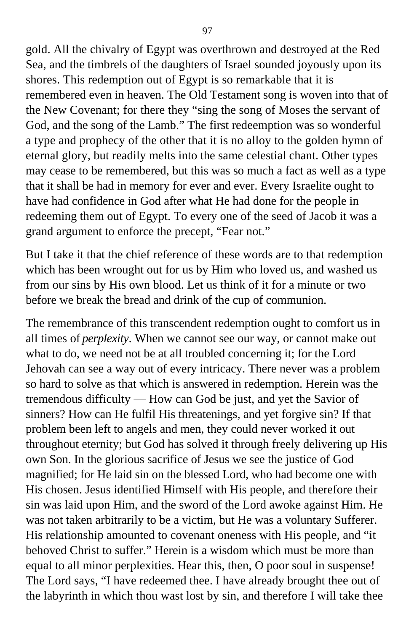gold. All the chivalry of Egypt was overthrown and destroyed at the Red Sea, and the timbrels of the daughters of Israel sounded joyously upon its shores. This redemption out of Egypt is so remarkable that it is remembered even in heaven. The Old Testament song is woven into that of the New Covenant; for there they "sing the song of Moses the servant of God, and the song of the Lamb." The first redeemption was so wonderful a type and prophecy of the other that it is no alloy to the golden hymn of eternal glory, but readily melts into the same celestial chant. Other types may cease to be remembered, but this was so much a fact as well as a type that it shall be had in memory for ever and ever. Every Israelite ought to have had confidence in God after what He had done for the people in redeeming them out of Egypt. To every one of the seed of Jacob it was a grand argument to enforce the precept, "Fear not."

But I take it that the chief reference of these words are to that redemption which has been wrought out for us by Him who loved us, and washed us from our sins by His own blood. Let us think of it for a minute or two before we break the bread and drink of the cup of communion.

The remembrance of this transcendent redemption ought to comfort us in all times of *perplexity*. When we cannot see our way, or cannot make out what to do, we need not be at all troubled concerning it; for the Lord Jehovah can see a way out of every intricacy. There never was a problem so hard to solve as that which is answered in redemption. Herein was the tremendous difficulty — How can God be just, and yet the Savior of sinners? How can He fulfil His threatenings, and yet forgive sin? If that problem been left to angels and men, they could never worked it out throughout eternity; but God has solved it through freely delivering up His own Son. In the glorious sacrifice of Jesus we see the justice of God magnified; for He laid sin on the blessed Lord, who had become one with His chosen. Jesus identified Himself with His people, and therefore their sin was laid upon Him, and the sword of the Lord awoke against Him. He was not taken arbitrarily to be a victim, but He was a voluntary Sufferer. His relationship amounted to covenant oneness with His people, and "it behoved Christ to suffer." Herein is a wisdom which must be more than equal to all minor perplexities. Hear this, then, O poor soul in suspense! The Lord says, "I have redeemed thee. I have already brought thee out of the labyrinth in which thou wast lost by sin, and therefore I will take thee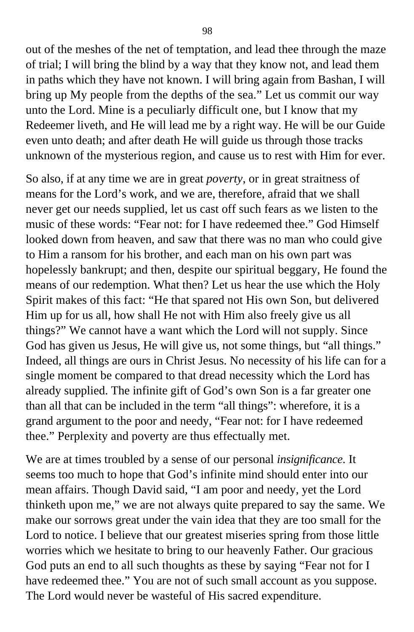out of the meshes of the net of temptation, and lead thee through the maze of trial; I will bring the blind by a way that they know not, and lead them in paths which they have not known. I will bring again from Bashan, I will bring up My people from the depths of the sea." Let us commit our way unto the Lord. Mine is a peculiarly difficult one, but I know that my Redeemer liveth, and He will lead me by a right way. He will be our Guide even unto death; and after death He will guide us through those tracks unknown of the mysterious region, and cause us to rest with Him for ever.

So also, if at any time we are in great *poverty*, or in great straitness of means for the Lord's work, and we are, therefore, afraid that we shall never get our needs supplied, let us cast off such fears as we listen to the music of these words: "Fear not: for I have redeemed thee." God Himself looked down from heaven, and saw that there was no man who could give to Him a ransom for his brother, and each man on his own part was hopelessly bankrupt; and then, despite our spiritual beggary, He found the means of our redemption. What then? Let us hear the use which the Holy Spirit makes of this fact: "He that spared not His own Son, but delivered Him up for us all, how shall He not with Him also freely give us all things?" We cannot have a want which the Lord will not supply. Since God has given us Jesus, He will give us, not some things, but "all things." Indeed, all things are ours in Christ Jesus. No necessity of his life can for a single moment be compared to that dread necessity which the Lord has already supplied. The infinite gift of God's own Son is a far greater one than all that can be included in the term "all things": wherefore, it is a grand argument to the poor and needy, "Fear not: for I have redeemed thee." Perplexity and poverty are thus effectually met.

We are at times troubled by a sense of our personal *insignificance*. It seems too much to hope that God's infinite mind should enter into our mean affairs. Though David said, "I am poor and needy, yet the Lord thinketh upon me," we are not always quite prepared to say the same. We make our sorrows great under the vain idea that they are too small for the Lord to notice. I believe that our greatest miseries spring from those little worries which we hesitate to bring to our heavenly Father. Our gracious God puts an end to all such thoughts as these by saying "Fear not for I have redeemed thee." You are not of such small account as you suppose. The Lord would never be wasteful of His sacred expenditure.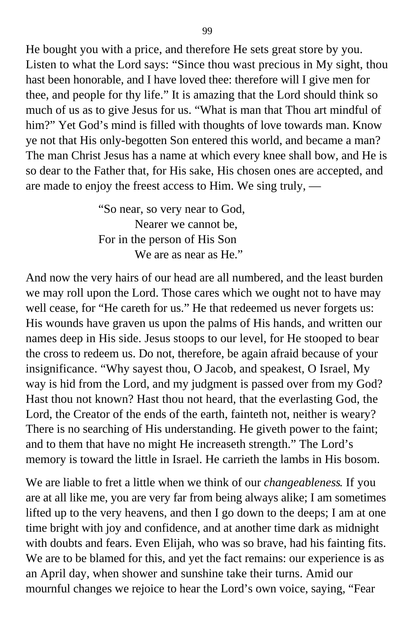He bought you with a price, and therefore He sets great store by you. Listen to what the Lord says: "Since thou wast precious in My sight, thou hast been honorable, and I have loved thee: therefore will I give men for thee, and people for thy life." It is amazing that the Lord should think so much of us as to give Jesus for us. "What is man that Thou art mindful of him?" Yet God's mind is filled with thoughts of love towards man. Know ye not that His only-begotten Son entered this world, and became a man? The man Christ Jesus has a name at which every knee shall bow, and He is so dear to the Father that, for His sake, His chosen ones are accepted, and are made to enjoy the freest access to Him. We sing truly, —

> "So near, so very near to God, Nearer we cannot be, For in the person of His Son We are as near as He."

And now the very hairs of our head are all numbered, and the least burden we may roll upon the Lord. Those cares which we ought not to have may well cease, for "He careth for us." He that redeemed us never forgets us: His wounds have graven us upon the palms of His hands, and written our names deep in His side. Jesus stoops to our level, for He stooped to bear the cross to redeem us. Do not, therefore, be again afraid because of your insignificance. "Why sayest thou, O Jacob, and speakest, O Israel, My way is hid from the Lord, and my judgment is passed over from my God? Hast thou not known? Hast thou not heard, that the everlasting God, the Lord, the Creator of the ends of the earth, fainteth not, neither is weary? There is no searching of His understanding. He giveth power to the faint; and to them that have no might He increaseth strength." The Lord's memory is toward the little in Israel. He carrieth the lambs in His bosom.

We are liable to fret a little when we think of our *changeableness*. If you are at all like me, you are very far from being always alike; I am sometimes lifted up to the very heavens, and then I go down to the deeps; I am at one time bright with joy and confidence, and at another time dark as midnight with doubts and fears. Even Elijah, who was so brave, had his fainting fits. We are to be blamed for this, and yet the fact remains: our experience is as an April day, when shower and sunshine take their turns. Amid our mournful changes we rejoice to hear the Lord's own voice, saying, "Fear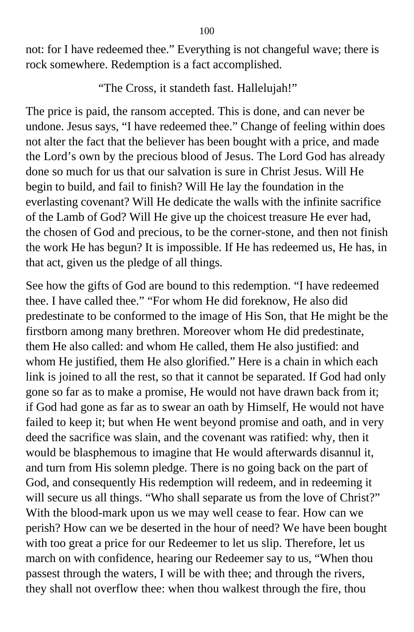not: for I have redeemed thee." Everything is not changeful wave; there is rock somewhere. Redemption is a fact accomplished.

"The Cross, it standeth fast. Hallelujah!"

The price is paid, the ransom accepted. This is done, and can never be undone. Jesus says, "I have redeemed thee." Change of feeling within does not alter the fact that the believer has been bought with a price, and made the Lord's own by the precious blood of Jesus. The Lord God has already done so much for us that our salvation is sure in Christ Jesus. Will He begin to build, and fail to finish? Will He lay the foundation in the everlasting covenant? Will He dedicate the walls with the infinite sacrifice of the Lamb of God? Will He give up the choicest treasure He ever had, the chosen of God and precious, to be the corner-stone, and then not finish the work He has begun? It is impossible. If He has redeemed us, He has, in that act, given us the pledge of all things.

See how the gifts of God are bound to this redemption. "I have redeemed thee. I have called thee." "For whom He did foreknow, He also did predestinate to be conformed to the image of His Son, that He might be the firstborn among many brethren. Moreover whom He did predestinate, them He also called: and whom He called, them He also justified: and whom He justified, them He also glorified." Here is a chain in which each link is joined to all the rest, so that it cannot be separated. If God had only gone so far as to make a promise, He would not have drawn back from it; if God had gone as far as to swear an oath by Himself, He would not have failed to keep it; but when He went beyond promise and oath, and in very deed the sacrifice was slain, and the covenant was ratified: why, then it would be blasphemous to imagine that He would afterwards disannul it, and turn from His solemn pledge. There is no going back on the part of God, and consequently His redemption will redeem, and in redeeming it will secure us all things. "Who shall separate us from the love of Christ?" With the blood-mark upon us we may well cease to fear. How can we perish? How can we be deserted in the hour of need? We have been bought with too great a price for our Redeemer to let us slip. Therefore, let us march on with confidence, hearing our Redeemer say to us, "When thou passest through the waters, I will be with thee; and through the rivers, they shall not overflow thee: when thou walkest through the fire, thou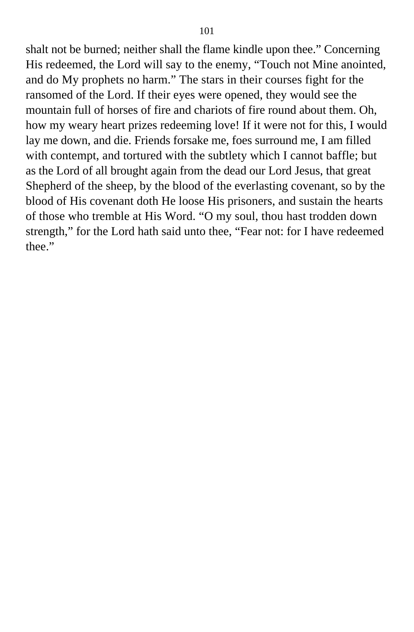shalt not be burned; neither shall the flame kindle upon thee." Concerning His redeemed, the Lord will say to the enemy, "Touch not Mine anointed, and do My prophets no harm." The stars in their courses fight for the ransomed of the Lord. If their eyes were opened, they would see the mountain full of horses of fire and chariots of fire round about them. Oh, how my weary heart prizes redeeming love! If it were not for this, I would lay me down, and die. Friends forsake me, foes surround me, I am filled with contempt, and tortured with the subtlety which I cannot baffle; but as the Lord of all brought again from the dead our Lord Jesus, that great Shepherd of the sheep, by the blood of the everlasting covenant, so by the blood of His covenant doth He loose His prisoners, and sustain the hearts of those who tremble at His Word. "O my soul, thou hast trodden down strength," for the Lord hath said unto thee, "Fear not: for I have redeemed thee."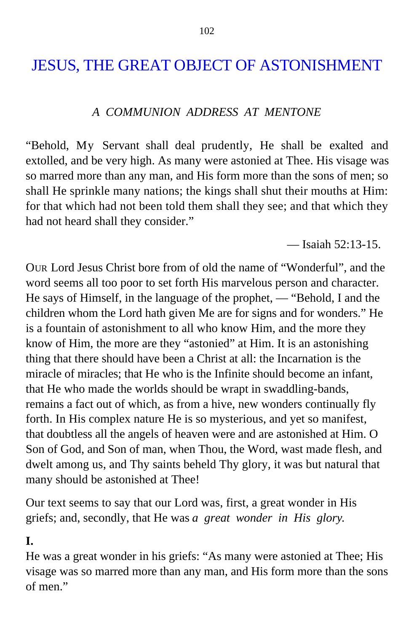# JESUS, THE GREAT OBJECT OF ASTONISHMENT

### *A COMMUNION ADDRESS AT MENTONE*

"Behold, My Servant shall deal prudently, He shall be exalted and extolled, and be very high. As many were astonied at Thee. His visage was so marred more than any man, and His form more than the sons of men; so shall He sprinkle many nations; the kings shall shut their mouths at Him: for that which had not been told them shall they see; and that which they had not heard shall they consider."

— Isaiah 52:13-15.

OUR Lord Jesus Christ bore from of old the name of "Wonderful", and the word seems all too poor to set forth His marvelous person and character. He says of Himself, in the language of the prophet, — "Behold, I and the children whom the Lord hath given Me are for signs and for wonders." He is a fountain of astonishment to all who know Him, and the more they know of Him, the more are they "astonied" at Him. It is an astonishing thing that there should have been a Christ at all: the Incarnation is the miracle of miracles; that He who is the Infinite should become an infant, that He who made the worlds should be wrapt in swaddling-bands, remains a fact out of which, as from a hive, new wonders continually fly forth. In His complex nature He is so mysterious, and yet so manifest, that doubtless all the angels of heaven were and are astonished at Him. O Son of God, and Son of man, when Thou, the Word, wast made flesh, and dwelt among us, and Thy saints beheld Thy glory, it was but natural that many should be astonished at Thee!

Our text seems to say that our Lord was, first, a great wonder in His griefs; and, secondly, that He was *a great wonder in His glory*.

## **I.**

He was a great wonder in his griefs: "As many were astonied at Thee; His visage was so marred more than any man, and His form more than the sons of men."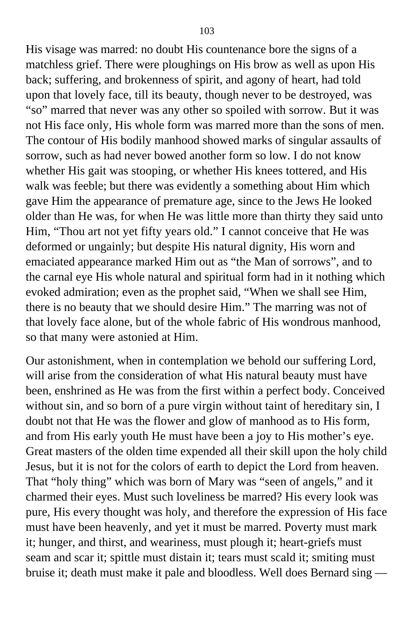His visage was marred: no doubt His countenance bore the signs of a matchless grief. There were ploughings on His brow as well as upon His back; suffering, and brokenness of spirit, and agony of heart, had told upon that lovely face, till its beauty, though never to be destroyed, was "so" marred that never was any other so spoiled with sorrow. But it was not His face only, His whole form was marred more than the sons of men. The contour of His bodily manhood showed marks of singular assaults of sorrow, such as had never bowed another form so low. I do not know whether His gait was stooping, or whether His knees tottered, and His walk was feeble; but there was evidently a something about Him which gave Him the appearance of premature age, since to the Jews He looked older than He was, for when He was little more than thirty they said unto Him, "Thou art not yet fifty years old." I cannot conceive that He was deformed or ungainly; but despite His natural dignity, His worn and emaciated appearance marked Him out as "the Man of sorrows", and to the carnal eye His whole natural and spiritual form had in it nothing which evoked admiration; even as the prophet said, "When we shall see Him, there is no beauty that we should desire Him." The marring was not of that lovely face alone, but of the whole fabric of His wondrous manhood, so that many were astonied at Him.

Our astonishment, when in contemplation we behold our suffering Lord, will arise from the consideration of what His natural beauty must have been, enshrined as He was from the first within a perfect body. Conceived without sin, and so born of a pure virgin without taint of hereditary sin, I doubt not that He was the flower and glow of manhood as to His form, and from His early youth He must have been a joy to His mother's eye. Great masters of the olden time expended all their skill upon the holy child Jesus, but it is not for the colors of earth to depict the Lord from heaven. That "holy thing" which was born of Mary was "seen of angels," and it charmed their eyes. Must such loveliness be marred? His every look was pure, His every thought was holy, and therefore the expression of His face must have been heavenly, and yet it must be marred. Poverty must mark it; hunger, and thirst, and weariness, must plough it; heart-griefs must seam and scar it; spittle must distain it; tears must scald it; smiting must bruise it; death must make it pale and bloodless. Well does Bernard sing —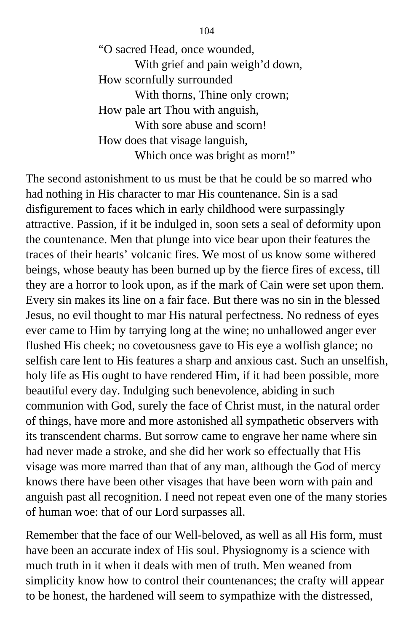"O sacred Head, once wounded, With grief and pain weigh'd down, How scornfully surrounded With thorns, Thine only crown; How pale art Thou with anguish, With sore abuse and scorn! How does that visage languish, Which once was bright as morn!"

The second astonishment to us must be that he could be so marred who had nothing in His character to mar His countenance. Sin is a sad disfigurement to faces which in early childhood were surpassingly attractive. Passion, if it be indulged in, soon sets a seal of deformity upon the countenance. Men that plunge into vice bear upon their features the traces of their hearts' volcanic fires. We most of us know some withered beings, whose beauty has been burned up by the fierce fires of excess, till they are a horror to look upon, as if the mark of Cain were set upon them. Every sin makes its line on a fair face. But there was no sin in the blessed Jesus, no evil thought to mar His natural perfectness. No redness of eyes ever came to Him by tarrying long at the wine; no unhallowed anger ever flushed His cheek; no covetousness gave to His eye a wolfish glance; no selfish care lent to His features a sharp and anxious cast. Such an unselfish, holy life as His ought to have rendered Him, if it had been possible, more beautiful every day. Indulging such benevolence, abiding in such communion with God, surely the face of Christ must, in the natural order of things, have more and more astonished all sympathetic observers with its transcendent charms. But sorrow came to engrave her name where sin had never made a stroke, and she did her work so effectually that His visage was more marred than that of any man, although the God of mercy knows there have been other visages that have been worn with pain and anguish past all recognition. I need not repeat even one of the many stories of human woe: that of our Lord surpasses all.

Remember that the face of our Well-beloved, as well as all His form, must have been an accurate index of His soul. Physiognomy is a science with much truth in it when it deals with men of truth. Men weaned from simplicity know how to control their countenances; the crafty will appear to be honest, the hardened will seem to sympathize with the distressed,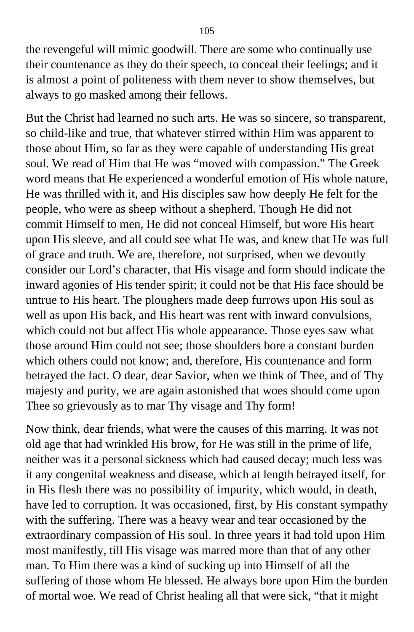the revengeful will mimic goodwill. There are some who continually use their countenance as they do their speech, to conceal their feelings; and it is almost a point of politeness with them never to show themselves, but always to go masked among their fellows.

But the Christ had learned no such arts. He was so sincere, so transparent, so child-like and true, that whatever stirred within Him was apparent to those about Him, so far as they were capable of understanding His great soul. We read of Him that He was "moved with compassion." The Greek word means that He experienced a wonderful emotion of His whole nature, He was thrilled with it, and His disciples saw how deeply He felt for the people, who were as sheep without a shepherd. Though He did not commit Himself to men, He did not conceal Himself, but wore His heart upon His sleeve, and all could see what He was, and knew that He was full of grace and truth. We are, therefore, not surprised, when we devoutly consider our Lord's character, that His visage and form should indicate the inward agonies of His tender spirit; it could not be that His face should be untrue to His heart. The ploughers made deep furrows upon His soul as well as upon His back, and His heart was rent with inward convulsions, which could not but affect His whole appearance. Those eyes saw what those around Him could not see; those shoulders bore a constant burden which others could not know; and, therefore, His countenance and form betrayed the fact. O dear, dear Savior, when we think of Thee, and of Thy majesty and purity, we are again astonished that woes should come upon Thee so grievously as to mar Thy visage and Thy form!

Now think, dear friends, what were the causes of this marring. It was not old age that had wrinkled His brow, for He was still in the prime of life, neither was it a personal sickness which had caused decay; much less was it any congenital weakness and disease, which at length betrayed itself, for in His flesh there was no possibility of impurity, which would, in death, have led to corruption. It was occasioned, first, by His constant sympathy with the suffering. There was a heavy wear and tear occasioned by the extraordinary compassion of His soul. In three years it had told upon Him most manifestly, till His visage was marred more than that of any other man. To Him there was a kind of sucking up into Himself of all the suffering of those whom He blessed. He always bore upon Him the burden of mortal woe. We read of Christ healing all that were sick, "that it might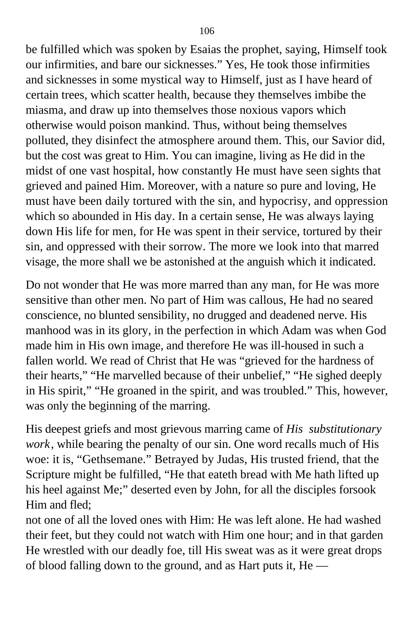be fulfilled which was spoken by Esaias the prophet, saying, Himself took our infirmities, and bare our sicknesses." Yes, He took those infirmities and sicknesses in some mystical way to Himself, just as I have heard of certain trees, which scatter health, because they themselves imbibe the miasma, and draw up into themselves those noxious vapors which otherwise would poison mankind. Thus, without being themselves polluted, they disinfect the atmosphere around them. This, our Savior did, but the cost was great to Him. You can imagine, living as He did in the midst of one vast hospital, how constantly He must have seen sights that grieved and pained Him. Moreover, with a nature so pure and loving, He must have been daily tortured with the sin, and hypocrisy, and oppression which so abounded in His day. In a certain sense, He was always laying down His life for men, for He was spent in their service, tortured by their sin, and oppressed with their sorrow. The more we look into that marred visage, the more shall we be astonished at the anguish which it indicated.

Do not wonder that He was more marred than any man, for He was more sensitive than other men. No part of Him was callous, He had no seared conscience, no blunted sensibility, no drugged and deadened nerve. His manhood was in its glory, in the perfection in which Adam was when God made him in His own image, and therefore He was ill-housed in such a fallen world. We read of Christ that He was "grieved for the hardness of their hearts," "He marvelled because of their unbelief," "He sighed deeply in His spirit," "He groaned in the spirit, and was troubled." This, however, was only the beginning of the marring.

His deepest griefs and most grievous marring came of *His substitutionary work*, while bearing the penalty of our sin. One word recalls much of His woe: it is, "Gethsemane." Betrayed by Judas, His trusted friend, that the Scripture might be fulfilled, "He that eateth bread with Me hath lifted up his heel against Me;" deserted even by John, for all the disciples forsook Him and fled;

not one of all the loved ones with Him: He was left alone. He had washed their feet, but they could not watch with Him one hour; and in that garden He wrestled with our deadly foe, till His sweat was as it were great drops of blood falling down to the ground, and as Hart puts it, He —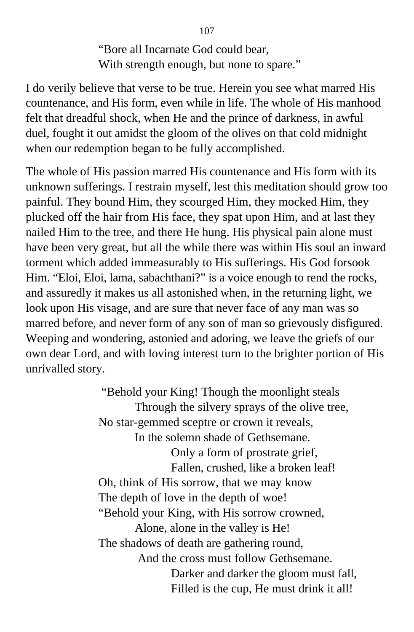"Bore all Incarnate God could bear, With strength enough, but none to spare."

I do verily believe that verse to be true. Herein you see what marred His countenance, and His form, even while in life. The whole of His manhood felt that dreadful shock, when He and the prince of darkness, in awful duel, fought it out amidst the gloom of the olives on that cold midnight when our redemption began to be fully accomplished.

The whole of His passion marred His countenance and His form with its unknown sufferings. I restrain myself, lest this meditation should grow too painful. They bound Him, they scourged Him, they mocked Him, they plucked off the hair from His face, they spat upon Him, and at last they nailed Him to the tree, and there He hung. His physical pain alone must have been very great, but all the while there was within His soul an inward torment which added immeasurably to His sufferings. His God forsook Him. "Eloi, Eloi, lama, sabachthani?" is a voice enough to rend the rocks, and assuredly it makes us all astonished when, in the returning light, we look upon His visage, and are sure that never face of any man was so marred before, and never form of any son of man so grievously disfigured. Weeping and wondering, astonied and adoring, we leave the griefs of our own dear Lord, and with loving interest turn to the brighter portion of His unrivalled story.

> "Behold your King! Though the moonlight steals Through the silvery sprays of the olive tree, No star-gemmed sceptre or crown it reveals, In the solemn shade of Gethsemane. Only a form of prostrate grief, Fallen, crushed, like a broken leaf! Oh, think of His sorrow, that we may know The depth of love in the depth of woe! "Behold your King, with His sorrow crowned, Alone, alone in the valley is He! The shadows of death are gathering round, And the cross must follow Gethsemane. Darker and darker the gloom must fall, Filled is the cup, He must drink it all!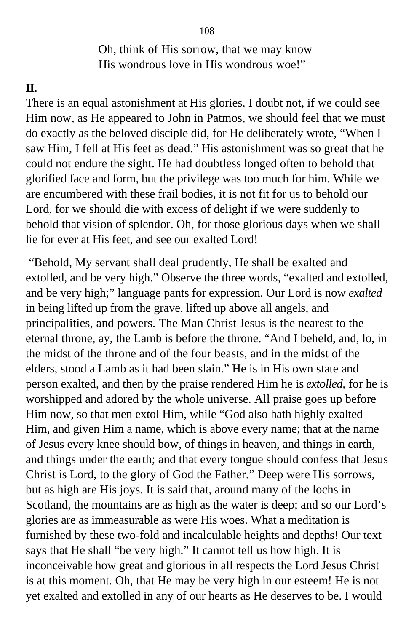Oh, think of His sorrow, that we may know His wondrous love in His wondrous woe!"

#### **II.**

There is an equal astonishment at His glories. I doubt not, if we could see Him now, as He appeared to John in Patmos, we should feel that we must do exactly as the beloved disciple did, for He deliberately wrote, "When I saw Him, I fell at His feet as dead." His astonishment was so great that he could not endure the sight. He had doubtless longed often to behold that glorified face and form, but the privilege was too much for him. While we are encumbered with these frail bodies, it is not fit for us to behold our Lord, for we should die with excess of delight if we were suddenly to behold that vision of splendor. Oh, for those glorious days when we shall lie for ever at His feet, and see our exalted Lord!

 "Behold, My servant shall deal prudently, He shall be exalted and extolled, and be very high." Observe the three words, "exalted and extolled, and be very high;" language pants for expression. Our Lord is now *exalted* in being lifted up from the grave, lifted up above all angels, and principalities, and powers. The Man Christ Jesus is the nearest to the eternal throne, ay, the Lamb is before the throne. "And I beheld, and, lo, in the midst of the throne and of the four beasts, and in the midst of the elders, stood a Lamb as it had been slain." He is in His own state and person exalted, and then by the praise rendered Him he is *extolled*, for he is worshipped and adored by the whole universe. All praise goes up before Him now, so that men extol Him, while "God also hath highly exalted Him, and given Him a name, which is above every name; that at the name of Jesus every knee should bow, of things in heaven, and things in earth, and things under the earth; and that every tongue should confess that Jesus Christ is Lord, to the glory of God the Father." Deep were His sorrows, but as high are His joys. It is said that, around many of the lochs in Scotland, the mountains are as high as the water is deep; and so our Lord's glories are as immeasurable as were His woes. What a meditation is furnished by these two-fold and incalculable heights and depths! Our text says that He shall "be very high." It cannot tell us how high. It is inconceivable how great and glorious in all respects the Lord Jesus Christ is at this moment. Oh, that He may be very high in our esteem! He is not yet exalted and extolled in any of our hearts as He deserves to be. I would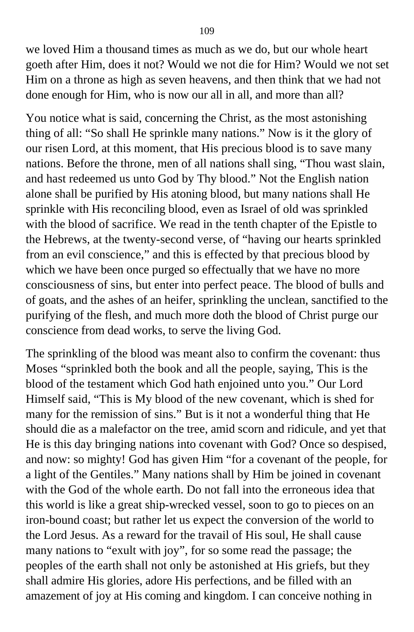we loved Him a thousand times as much as we do, but our whole heart goeth after Him, does it not? Would we not die for Him? Would we not set Him on a throne as high as seven heavens, and then think that we had not done enough for Him, who is now our all in all, and more than all?

You notice what is said, concerning the Christ, as the most astonishing thing of all: "So shall He sprinkle many nations." Now is it the glory of our risen Lord, at this moment, that His precious blood is to save many nations. Before the throne, men of all nations shall sing, "Thou wast slain, and hast redeemed us unto God by Thy blood." Not the English nation alone shall be purified by His atoning blood, but many nations shall He sprinkle with His reconciling blood, even as Israel of old was sprinkled with the blood of sacrifice. We read in the tenth chapter of the Epistle to the Hebrews, at the twenty-second verse, of "having our hearts sprinkled from an evil conscience," and this is effected by that precious blood by which we have been once purged so effectually that we have no more consciousness of sins, but enter into perfect peace. The blood of bulls and of goats, and the ashes of an heifer, sprinkling the unclean, sanctified to the purifying of the flesh, and much more doth the blood of Christ purge our conscience from dead works, to serve the living God.

The sprinkling of the blood was meant also to confirm the covenant: thus Moses "sprinkled both the book and all the people, saying, This is the blood of the testament which God hath enjoined unto you." Our Lord Himself said, "This is My blood of the new covenant, which is shed for many for the remission of sins." But is it not a wonderful thing that He should die as a malefactor on the tree, amid scorn and ridicule, and yet that He is this day bringing nations into covenant with God? Once so despised, and now: so mighty! God has given Him "for a covenant of the people, for a light of the Gentiles." Many nations shall by Him be joined in covenant with the God of the whole earth. Do not fall into the erroneous idea that this world is like a great ship-wrecked vessel, soon to go to pieces on an iron-bound coast; but rather let us expect the conversion of the world to the Lord Jesus. As a reward for the travail of His soul, He shall cause many nations to "exult with joy", for so some read the passage; the peoples of the earth shall not only be astonished at His griefs, but they shall admire His glories, adore His perfections, and be filled with an amazement of joy at His coming and kingdom. I can conceive nothing in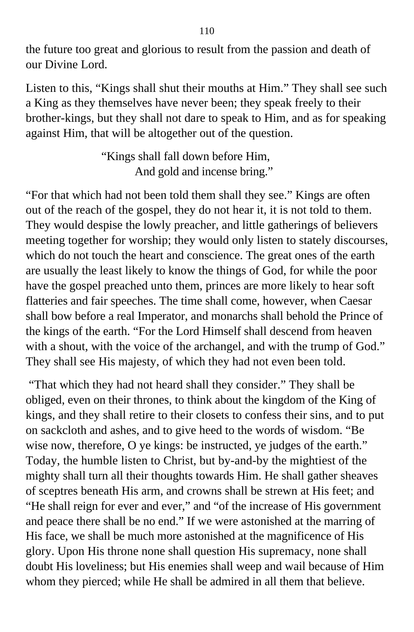the future too great and glorious to result from the passion and death of our Divine Lord.

Listen to this, "Kings shall shut their mouths at Him." They shall see such a King as they themselves have never been; they speak freely to their brother-kings, but they shall not dare to speak to Him, and as for speaking against Him, that will be altogether out of the question.

> "Kings shall fall down before Him, And gold and incense bring."

"For that which had not been told them shall they see." Kings are often out of the reach of the gospel, they do not hear it, it is not told to them. They would despise the lowly preacher, and little gatherings of believers meeting together for worship; they would only listen to stately discourses, which do not touch the heart and conscience. The great ones of the earth are usually the least likely to know the things of God, for while the poor have the gospel preached unto them, princes are more likely to hear soft flatteries and fair speeches. The time shall come, however, when Caesar shall bow before a real Imperator, and monarchs shall behold the Prince of the kings of the earth. "For the Lord Himself shall descend from heaven with a shout, with the voice of the archangel, and with the trump of God." They shall see His majesty, of which they had not even been told.

 "That which they had not heard shall they consider." They shall be obliged, even on their thrones, to think about the kingdom of the King of kings, and they shall retire to their closets to confess their sins, and to put on sackcloth and ashes, and to give heed to the words of wisdom. "Be wise now, therefore, O ye kings: be instructed, ye judges of the earth." Today, the humble listen to Christ, but by-and-by the mightiest of the mighty shall turn all their thoughts towards Him. He shall gather sheaves of sceptres beneath His arm, and crowns shall be strewn at His feet; and "He shall reign for ever and ever," and "of the increase of His government and peace there shall be no end." If we were astonished at the marring of His face, we shall be much more astonished at the magnificence of His glory. Upon His throne none shall question His supremacy, none shall doubt His loveliness; but His enemies shall weep and wail because of Him whom they pierced; while He shall be admired in all them that believe.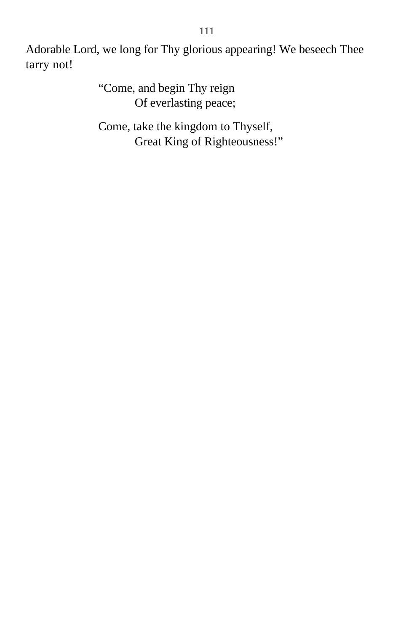Adorable Lord, we long for Thy glorious appearing! We beseech Thee tarry not!

> "Come, and begin Thy reign Of everlasting peace;

Come, take the kingdom to Thyself, Great King of Righteousness!"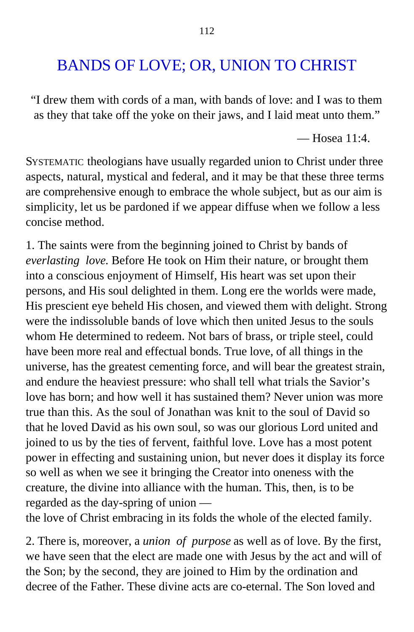# BANDS OF LOVE; OR, UNION TO CHRIST

"I drew them with cords of a man, with bands of love: and I was to them as they that take off the yoke on their jaws, and I laid meat unto them."

— Hosea 11:4.

SYSTEMATIC theologians have usually regarded union to Christ under three aspects, natural, mystical and federal, and it may be that these three terms are comprehensive enough to embrace the whole subject, but as our aim is simplicity, let us be pardoned if we appear diffuse when we follow a less concise method.

1. The saints were from the beginning joined to Christ by bands of *everlasting love*. Before He took on Him their nature, or brought them into a conscious enjoyment of Himself, His heart was set upon their persons, and His soul delighted in them. Long ere the worlds were made, His prescient eye beheld His chosen, and viewed them with delight. Strong were the indissoluble bands of love which then united Jesus to the souls whom He determined to redeem. Not bars of brass, or triple steel, could have been more real and effectual bonds. True love, of all things in the universe, has the greatest cementing force, and will bear the greatest strain, and endure the heaviest pressure: who shall tell what trials the Savior's love has born; and how well it has sustained them? Never union was more true than this. As the soul of Jonathan was knit to the soul of David so that he loved David as his own soul, so was our glorious Lord united and joined to us by the ties of fervent, faithful love. Love has a most potent power in effecting and sustaining union, but never does it display its force so well as when we see it bringing the Creator into oneness with the creature, the divine into alliance with the human. This, then, is to be regarded as the day-spring of union —

the love of Christ embracing in its folds the whole of the elected family.

2. There is, moreover, a *union of purpose* as well as of love. By the first, we have seen that the elect are made one with Jesus by the act and will of the Son; by the second, they are joined to Him by the ordination and decree of the Father. These divine acts are co-eternal. The Son loved and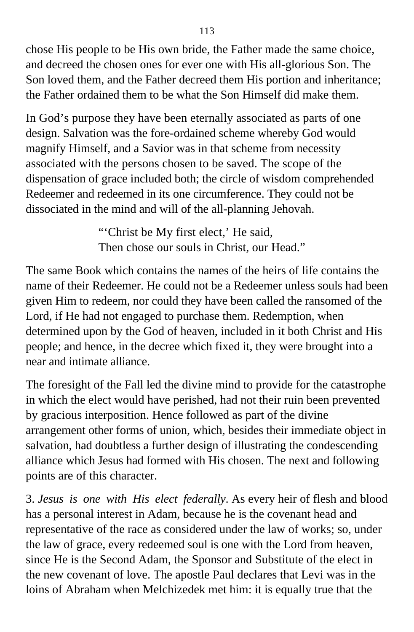chose His people to be His own bride, the Father made the same choice, and decreed the chosen ones for ever one with His all-glorious Son. The Son loved them, and the Father decreed them His portion and inheritance; the Father ordained them to be what the Son Himself did make them.

In God's purpose they have been eternally associated as parts of one design. Salvation was the fore-ordained scheme whereby God would magnify Himself, and a Savior was in that scheme from necessity associated with the persons chosen to be saved. The scope of the dispensation of grace included both; the circle of wisdom comprehended Redeemer and redeemed in its one circumference. They could not be dissociated in the mind and will of the all-planning Jehovah.

> "Christ be My first elect,' He said, Then chose our souls in Christ, our Head."

The same Book which contains the names of the heirs of life contains the name of their Redeemer. He could not be a Redeemer unless souls had been given Him to redeem, nor could they have been called the ransomed of the Lord, if He had not engaged to purchase them. Redemption, when determined upon by the God of heaven, included in it both Christ and His people; and hence, in the decree which fixed it, they were brought into a near and intimate alliance.

The foresight of the Fall led the divine mind to provide for the catastrophe in which the elect would have perished, had not their ruin been prevented by gracious interposition. Hence followed as part of the divine arrangement other forms of union, which, besides their immediate object in salvation, had doubtless a further design of illustrating the condescending alliance which Jesus had formed with His chosen. The next and following points are of this character.

3. *Jesus is one with His elect federally*. As every heir of flesh and blood has a personal interest in Adam, because he is the covenant head and representative of the race as considered under the law of works; so, under the law of grace, every redeemed soul is one with the Lord from heaven, since He is the Second Adam, the Sponsor and Substitute of the elect in the new covenant of love. The apostle Paul declares that Levi was in the loins of Abraham when Melchizedek met him: it is equally true that the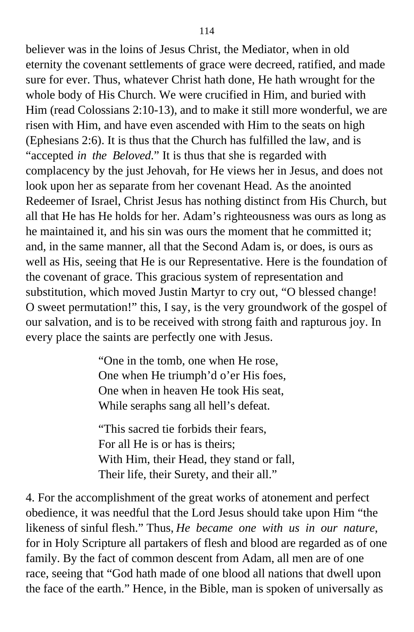believer was in the loins of Jesus Christ, the Mediator, when in old eternity the covenant settlements of grace were decreed, ratified, and made sure for ever. Thus, whatever Christ hath done, He hath wrought for the whole body of His Church. We were crucified in Him, and buried with Him (read Colossians 2:10-13), and to make it still more wonderful, we are risen with Him, and have even ascended with Him to the seats on high (Ephesians 2:6). It is thus that the Church has fulfilled the law, and is "accepted *in the Beloved*." It is thus that she is regarded with complacency by the just Jehovah, for He views her in Jesus, and does not look upon her as separate from her covenant Head. As the anointed Redeemer of Israel, Christ Jesus has nothing distinct from His Church, but all that He has He holds for her. Adam's righteousness was ours as long as he maintained it, and his sin was ours the moment that he committed it; and, in the same manner, all that the Second Adam is, or does, is ours as well as His, seeing that He is our Representative. Here is the foundation of the covenant of grace. This gracious system of representation and substitution, which moved Justin Martyr to cry out, "O blessed change! O sweet permutation!" this, I say, is the very groundwork of the gospel of our salvation, and is to be received with strong faith and rapturous joy. In every place the saints are perfectly one with Jesus.

> "One in the tomb, one when He rose, One when He triumph'd o'er His foes, One when in heaven He took His seat, While seraphs sang all hell's defeat.

"This sacred tie forbids their fears, For all He is or has is theirs; With Him, their Head, they stand or fall, Their life, their Surety, and their all."

4. For the accomplishment of the great works of atonement and perfect obedience, it was needful that the Lord Jesus should take upon Him "the likeness of sinful flesh." Thus, *He became one with us in our nature*, for in Holy Scripture all partakers of flesh and blood are regarded as of one family. By the fact of common descent from Adam, all men are of one race, seeing that "God hath made of one blood all nations that dwell upon the face of the earth." Hence, in the Bible, man is spoken of universally as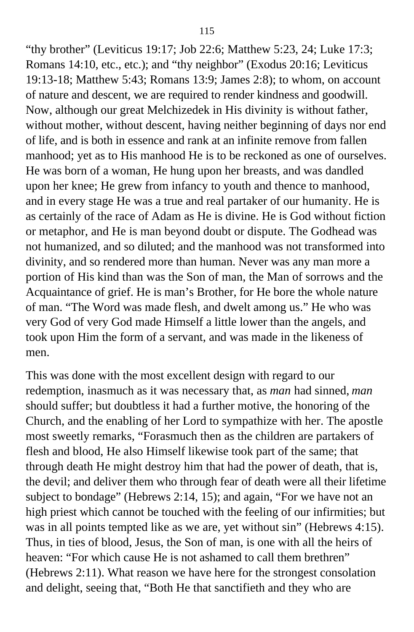"thy brother" (Leviticus 19:17; Job 22:6; Matthew 5:23, 24; Luke 17:3; Romans 14:10, etc., etc.); and "thy neighbor" (Exodus 20:16; Leviticus 19:13-18; Matthew 5:43; Romans 13:9; James 2:8); to whom, on account of nature and descent, we are required to render kindness and goodwill. Now, although our great Melchizedek in His divinity is without father, without mother, without descent, having neither beginning of days nor end of life, and is both in essence and rank at an infinite remove from fallen manhood; yet as to His manhood He is to be reckoned as one of ourselves. He was born of a woman, He hung upon her breasts, and was dandled upon her knee; He grew from infancy to youth and thence to manhood, and in every stage He was a true and real partaker of our humanity. He is as certainly of the race of Adam as He is divine. He is God without fiction or metaphor, and He is man beyond doubt or dispute. The Godhead was not humanized, and so diluted; and the manhood was not transformed into divinity, and so rendered more than human. Never was any man more a portion of His kind than was the Son of man, the Man of sorrows and the Acquaintance of grief. He is man's Brother, for He bore the whole nature of man. "The Word was made flesh, and dwelt among us." He who was very God of very God made Himself a little lower than the angels, and took upon Him the form of a servant, and was made in the likeness of men.

This was done with the most excellent design with regard to our redemption, inasmuch as it was necessary that, as *man* had sinned, *man* should suffer; but doubtless it had a further motive, the honoring of the Church, and the enabling of her Lord to sympathize with her. The apostle most sweetly remarks, "Forasmuch then as the children are partakers of flesh and blood, He also Himself likewise took part of the same; that through death He might destroy him that had the power of death, that is, the devil; and deliver them who through fear of death were all their lifetime subject to bondage" (Hebrews 2:14, 15); and again, "For we have not an high priest which cannot be touched with the feeling of our infirmities; but was in all points tempted like as we are, yet without sin" (Hebrews 4:15). Thus, in ties of blood, Jesus, the Son of man, is one with all the heirs of heaven: "For which cause He is not ashamed to call them brethren" (Hebrews 2:11). What reason we have here for the strongest consolation and delight, seeing that, "Both He that sanctifieth and they who are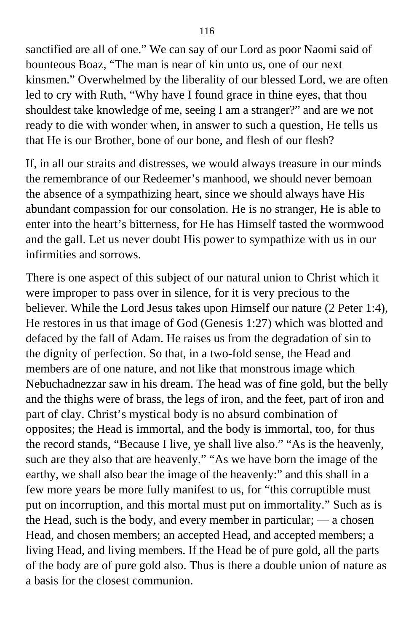sanctified are all of one." We can say of our Lord as poor Naomi said of bounteous Boaz, "The man is near of kin unto us, one of our next kinsmen." Overwhelmed by the liberality of our blessed Lord, we are often led to cry with Ruth, "Why have I found grace in thine eyes, that thou shouldest take knowledge of me, seeing I am a stranger?" and are we not ready to die with wonder when, in answer to such a question, He tells us that He is our Brother, bone of our bone, and flesh of our flesh?

If, in all our straits and distresses, we would always treasure in our minds the remembrance of our Redeemer's manhood, we should never bemoan the absence of a sympathizing heart, since we should always have His abundant compassion for our consolation. He is no stranger, He is able to enter into the heart's bitterness, for He has Himself tasted the wormwood and the gall. Let us never doubt His power to sympathize with us in our infirmities and sorrows.

There is one aspect of this subject of our natural union to Christ which it were improper to pass over in silence, for it is very precious to the believer. While the Lord Jesus takes upon Himself our nature (2 Peter 1:4), He restores in us that image of God (Genesis 1:27) which was blotted and defaced by the fall of Adam. He raises us from the degradation of sin to the dignity of perfection. So that, in a two-fold sense, the Head and members are of one nature, and not like that monstrous image which Nebuchadnezzar saw in his dream. The head was of fine gold, but the belly and the thighs were of brass, the legs of iron, and the feet, part of iron and part of clay. Christ's mystical body is no absurd combination of opposites; the Head is immortal, and the body is immortal, too, for thus the record stands, "Because I live, ye shall live also." "As is the heavenly, such are they also that are heavenly." "As we have born the image of the earthy, we shall also bear the image of the heavenly:" and this shall in a few more years be more fully manifest to us, for "this corruptible must put on incorruption, and this mortal must put on immortality." Such as is the Head, such is the body, and every member in particular; — a chosen Head, and chosen members; an accepted Head, and accepted members; a living Head, and living members. If the Head be of pure gold, all the parts of the body are of pure gold also. Thus is there a double union of nature as a basis for the closest communion.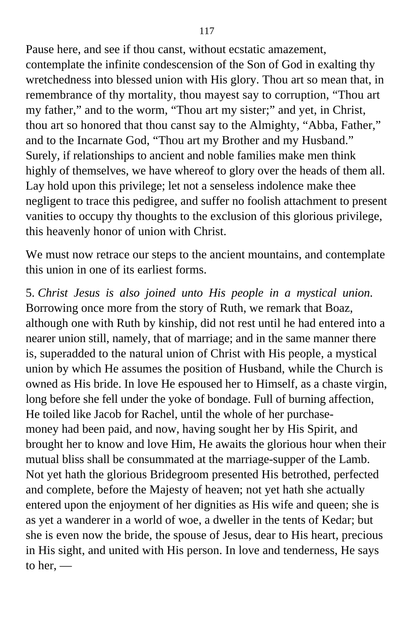Pause here, and see if thou canst, without ecstatic amazement, contemplate the infinite condescension of the Son of God in exalting thy wretchedness into blessed union with His glory. Thou art so mean that, in remembrance of thy mortality, thou mayest say to corruption, "Thou art my father," and to the worm, "Thou art my sister;" and yet, in Christ, thou art so honored that thou canst say to the Almighty, "Abba, Father," and to the Incarnate God, "Thou art my Brother and my Husband." Surely, if relationships to ancient and noble families make men think highly of themselves, we have whereof to glory over the heads of them all. Lay hold upon this privilege; let not a senseless indolence make thee negligent to trace this pedigree, and suffer no foolish attachment to present vanities to occupy thy thoughts to the exclusion of this glorious privilege, this heavenly honor of union with Christ.

We must now retrace our steps to the ancient mountains, and contemplate this union in one of its earliest forms.

5. *Christ Jesus is also joined unto His people in a mystical union*. Borrowing once more from the story of Ruth, we remark that Boaz, although one with Ruth by kinship, did not rest until he had entered into a nearer union still, namely, that of marriage; and in the same manner there is, superadded to the natural union of Christ with His people, a mystical union by which He assumes the position of Husband, while the Church is owned as His bride. In love He espoused her to Himself, as a chaste virgin, long before she fell under the yoke of bondage. Full of burning affection, He toiled like Jacob for Rachel, until the whole of her purchasemoney had been paid, and now, having sought her by His Spirit, and brought her to know and love Him, He awaits the glorious hour when their mutual bliss shall be consummated at the marriage-supper of the Lamb. Not yet hath the glorious Bridegroom presented His betrothed, perfected and complete, before the Majesty of heaven; not yet hath she actually entered upon the enjoyment of her dignities as His wife and queen; she is as yet a wanderer in a world of woe, a dweller in the tents of Kedar; but she is even now the bride, the spouse of Jesus, dear to His heart, precious in His sight, and united with His person. In love and tenderness, He says to her, —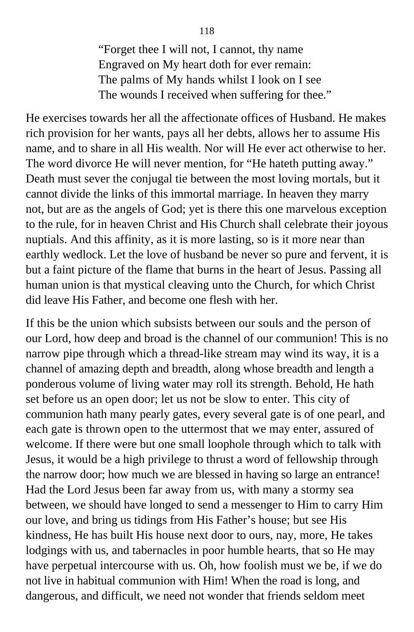"Forget thee I will not, I cannot, thy name Engraved on My heart doth for ever remain: The palms of My hands whilst I look on I see The wounds I received when suffering for thee."

He exercises towards her all the affectionate offices of Husband. He makes rich provision for her wants, pays all her debts, allows her to assume His name, and to share in all His wealth. Nor will He ever act otherwise to her. The word divorce He will never mention, for "He hateth putting away." Death must sever the conjugal tie between the most loving mortals, but it cannot divide the links of this immortal marriage. In heaven they marry not, but are as the angels of God; yet is there this one marvelous exception to the rule, for in heaven Christ and His Church shall celebrate their joyous nuptials. And this affinity, as it is more lasting, so is it more near than earthly wedlock. Let the love of husband be never so pure and fervent, it is but a faint picture of the flame that burns in the heart of Jesus. Passing all human union is that mystical cleaving unto the Church, for which Christ did leave His Father, and become one flesh with her.

If this be the union which subsists between our souls and the person of our Lord, how deep and broad is the channel of our communion! This is no narrow pipe through which a thread-like stream may wind its way, it is a channel of amazing depth and breadth, along whose breadth and length a ponderous volume of living water may roll its strength. Behold, He hath set before us an open door; let us not be slow to enter. This city of communion hath many pearly gates, every several gate is of one pearl, and each gate is thrown open to the uttermost that we may enter, assured of welcome. If there were but one small loophole through which to talk with Jesus, it would be a high privilege to thrust a word of fellowship through the narrow door; how much we are blessed in having so large an entrance! Had the Lord Jesus been far away from us, with many a stormy sea between, we should have longed to send a messenger to Him to carry Him our love, and bring us tidings from His Father's house; but see His kindness, He has built His house next door to ours, nay, more, He takes lodgings with us, and tabernacles in poor humble hearts, that so He may have perpetual intercourse with us. Oh, how foolish must we be, if we do not live in habitual communion with Him! When the road is long, and dangerous, and difficult, we need not wonder that friends seldom meet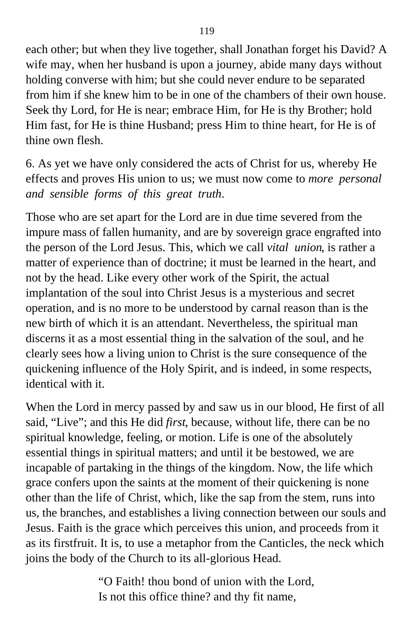each other; but when they live together, shall Jonathan forget his David? A wife may, when her husband is upon a journey, abide many days without holding converse with him; but she could never endure to be separated from him if she knew him to be in one of the chambers of their own house. Seek thy Lord, for He is near; embrace Him, for He is thy Brother; hold Him fast, for He is thine Husband; press Him to thine heart, for He is of thine own flesh.

6. As yet we have only considered the acts of Christ for us, whereby He effects and proves His union to us; we must now come to *more personal and sensible forms of this great truth*.

Those who are set apart for the Lord are in due time severed from the impure mass of fallen humanity, and are by sovereign grace engrafted into the person of the Lord Jesus. This, which we call *vital union*, is rather a matter of experience than of doctrine; it must be learned in the heart, and not by the head. Like every other work of the Spirit, the actual implantation of the soul into Christ Jesus is a mysterious and secret operation, and is no more to be understood by carnal reason than is the new birth of which it is an attendant. Nevertheless, the spiritual man discerns it as a most essential thing in the salvation of the soul, and he clearly sees how a living union to Christ is the sure consequence of the quickening influence of the Holy Spirit, and is indeed, in some respects, identical with it.

When the Lord in mercy passed by and saw us in our blood, He first of all said, "Live"; and this He did *first*, because, without life, there can be no spiritual knowledge, feeling, or motion. Life is one of the absolutely essential things in spiritual matters; and until it be bestowed, we are incapable of partaking in the things of the kingdom. Now, the life which grace confers upon the saints at the moment of their quickening is none other than the life of Christ, which, like the sap from the stem, runs into us, the branches, and establishes a living connection between our souls and Jesus. Faith is the grace which perceives this union, and proceeds from it as its firstfruit. It is, to use a metaphor from the Canticles, the neck which joins the body of the Church to its all-glorious Head.

> "O Faith! thou bond of union with the Lord, Is not this office thine? and thy fit name,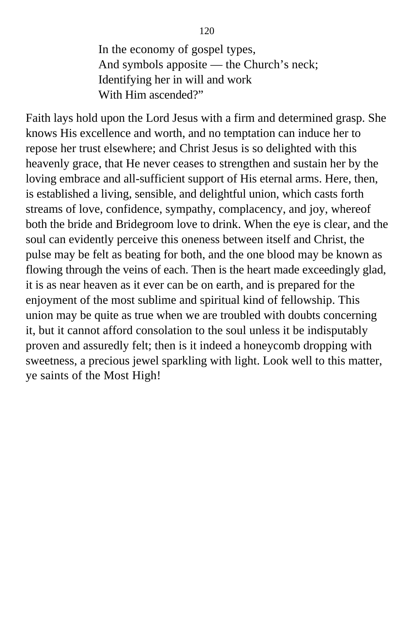In the economy of gospel types, And symbols apposite — the Church's neck; Identifying her in will and work With Him ascended?"

Faith lays hold upon the Lord Jesus with a firm and determined grasp. She knows His excellence and worth, and no temptation can induce her to repose her trust elsewhere; and Christ Jesus is so delighted with this heavenly grace, that He never ceases to strengthen and sustain her by the loving embrace and all-sufficient support of His eternal arms. Here, then, is established a living, sensible, and delightful union, which casts forth streams of love, confidence, sympathy, complacency, and joy, whereof both the bride and Bridegroom love to drink. When the eye is clear, and the soul can evidently perceive this oneness between itself and Christ, the pulse may be felt as beating for both, and the one blood may be known as flowing through the veins of each. Then is the heart made exceedingly glad, it is as near heaven as it ever can be on earth, and is prepared for the enjoyment of the most sublime and spiritual kind of fellowship. This union may be quite as true when we are troubled with doubts concerning it, but it cannot afford consolation to the soul unless it be indisputably proven and assuredly felt; then is it indeed a honeycomb dropping with sweetness, a precious jewel sparkling with light. Look well to this matter, ye saints of the Most High!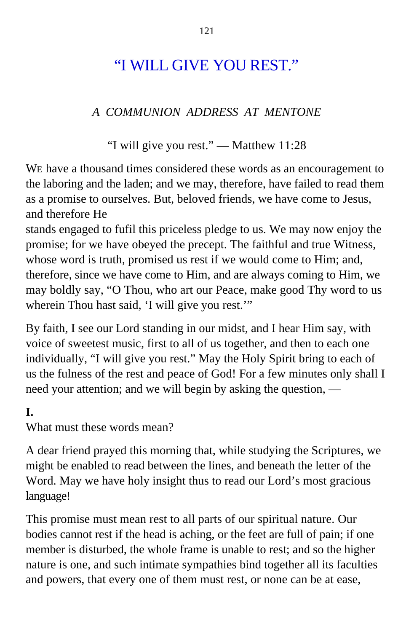# "I WILL GIVE YOU REST."

## *A COMMUNION ADDRESS AT MENTONE*

"I will give you rest." — Matthew 11:28

WE have a thousand times considered these words as an encouragement to the laboring and the laden; and we may, therefore, have failed to read them as a promise to ourselves. But, beloved friends, we have come to Jesus, and therefore He

stands engaged to fufil this priceless pledge to us. We may now enjoy the promise; for we have obeyed the precept. The faithful and true Witness, whose word is truth, promised us rest if we would come to Him; and, therefore, since we have come to Him, and are always coming to Him, we may boldly say, "O Thou, who art our Peace, make good Thy word to us wherein Thou hast said, 'I will give you rest.'"

By faith, I see our Lord standing in our midst, and I hear Him say, with voice of sweetest music, first to all of us together, and then to each one individually, "I will give you rest." May the Holy Spirit bring to each of us the fulness of the rest and peace of God! For a few minutes only shall I need your attention; and we will begin by asking the question, —

## **I.**

What must these words mean?

A dear friend prayed this morning that, while studying the Scriptures, we might be enabled to read between the lines, and beneath the letter of the Word. May we have holy insight thus to read our Lord's most gracious language!

This promise must mean rest to all parts of our spiritual nature. Our bodies cannot rest if the head is aching, or the feet are full of pain; if one member is disturbed, the whole frame is unable to rest; and so the higher nature is one, and such intimate sympathies bind together all its faculties and powers, that every one of them must rest, or none can be at ease,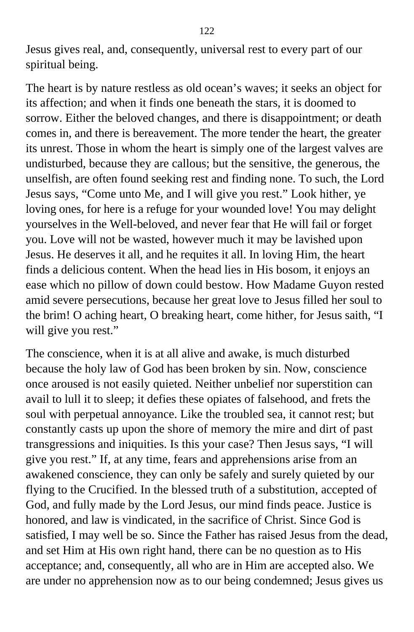Jesus gives real, and, consequently, universal rest to every part of our spiritual being.

The heart is by nature restless as old ocean's waves; it seeks an object for its affection; and when it finds one beneath the stars, it is doomed to sorrow. Either the beloved changes, and there is disappointment; or death comes in, and there is bereavement. The more tender the heart, the greater its unrest. Those in whom the heart is simply one of the largest valves are undisturbed, because they are callous; but the sensitive, the generous, the unselfish, are often found seeking rest and finding none. To such, the Lord Jesus says, "Come unto Me, and I will give you rest." Look hither, ye loving ones, for here is a refuge for your wounded love! You may delight yourselves in the Well-beloved, and never fear that He will fail or forget you. Love will not be wasted, however much it may be lavished upon Jesus. He deserves it all, and he requites it all. In loving Him, the heart finds a delicious content. When the head lies in His bosom, it enjoys an ease which no pillow of down could bestow. How Madame Guyon rested amid severe persecutions, because her great love to Jesus filled her soul to the brim! O aching heart, O breaking heart, come hither, for Jesus saith, "I will give you rest."

The conscience, when it is at all alive and awake, is much disturbed because the holy law of God has been broken by sin. Now, conscience once aroused is not easily quieted. Neither unbelief nor superstition can avail to lull it to sleep; it defies these opiates of falsehood, and frets the soul with perpetual annoyance. Like the troubled sea, it cannot rest; but constantly casts up upon the shore of memory the mire and dirt of past transgressions and iniquities. Is this your case? Then Jesus says, "I will give you rest." If, at any time, fears and apprehensions arise from an awakened conscience, they can only be safely and surely quieted by our flying to the Crucified. In the blessed truth of a substitution, accepted of God, and fully made by the Lord Jesus, our mind finds peace. Justice is honored, and law is vindicated, in the sacrifice of Christ. Since God is satisfied, I may well be so. Since the Father has raised Jesus from the dead, and set Him at His own right hand, there can be no question as to His acceptance; and, consequently, all who are in Him are accepted also. We are under no apprehension now as to our being condemned; Jesus gives us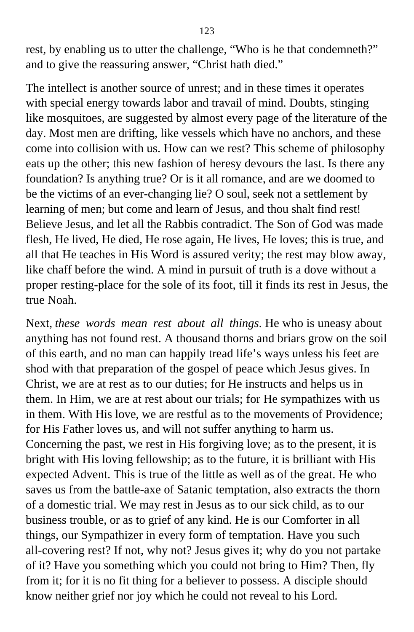rest, by enabling us to utter the challenge, "Who is he that condemneth?" and to give the reassuring answer, "Christ hath died."

The intellect is another source of unrest; and in these times it operates with special energy towards labor and travail of mind. Doubts, stinging like mosquitoes, are suggested by almost every page of the literature of the day. Most men are drifting, like vessels which have no anchors, and these come into collision with us. How can we rest? This scheme of philosophy eats up the other; this new fashion of heresy devours the last. Is there any foundation? Is anything true? Or is it all romance, and are we doomed to be the victims of an ever-changing lie? O soul, seek not a settlement by learning of men; but come and learn of Jesus, and thou shalt find rest! Believe Jesus, and let all the Rabbis contradict. The Son of God was made flesh, He lived, He died, He rose again, He lives, He loves; this is true, and all that He teaches in His Word is assured verity; the rest may blow away, like chaff before the wind. A mind in pursuit of truth is a dove without a proper resting-place for the sole of its foot, till it finds its rest in Jesus, the true Noah.

Next, *these words mean rest about all things*. He who is uneasy about anything has not found rest. A thousand thorns and briars grow on the soil of this earth, and no man can happily tread life's ways unless his feet are shod with that preparation of the gospel of peace which Jesus gives. In Christ, we are at rest as to our duties; for He instructs and helps us in them. In Him, we are at rest about our trials; for He sympathizes with us in them. With His love, we are restful as to the movements of Providence; for His Father loves us, and will not suffer anything to harm us. Concerning the past, we rest in His forgiving love; as to the present, it is bright with His loving fellowship; as to the future, it is brilliant with His expected Advent. This is true of the little as well as of the great. He who saves us from the battle-axe of Satanic temptation, also extracts the thorn of a domestic trial. We may rest in Jesus as to our sick child, as to our business trouble, or as to grief of any kind. He is our Comforter in all things, our Sympathizer in every form of temptation. Have you such all-covering rest? If not, why not? Jesus gives it; why do you not partake of it? Have you something which you could not bring to Him? Then, fly from it; for it is no fit thing for a believer to possess. A disciple should know neither grief nor joy which he could not reveal to his Lord.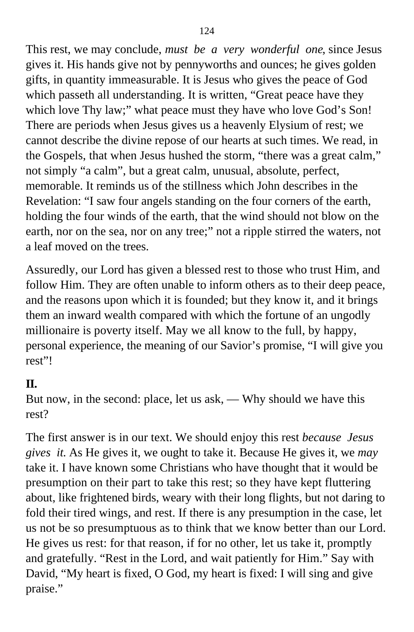This rest, we may conclude, *must be a very wonderful one*, since Jesus gives it. His hands give not by pennyworths and ounces; he gives golden gifts, in quantity immeasurable. It is Jesus who gives the peace of God which passeth all understanding. It is written, "Great peace have they which love Thy law;" what peace must they have who love God's Son! There are periods when Jesus gives us a heavenly Elysium of rest; we cannot describe the divine repose of our hearts at such times. We read, in the Gospels, that when Jesus hushed the storm, "there was a great calm," not simply "a calm", but a great calm, unusual, absolute, perfect, memorable. It reminds us of the stillness which John describes in the Revelation: "I saw four angels standing on the four corners of the earth, holding the four winds of the earth, that the wind should not blow on the earth, nor on the sea, nor on any tree;" not a ripple stirred the waters, not a leaf moved on the trees.

Assuredly, our Lord has given a blessed rest to those who trust Him, and follow Him. They are often unable to inform others as to their deep peace, and the reasons upon which it is founded; but they know it, and it brings them an inward wealth compared with which the fortune of an ungodly millionaire is poverty itself. May we all know to the full, by happy, personal experience, the meaning of our Savior's promise, "I will give you rest"!

## **II.**

But now, in the second: place, let us ask, — Why should we have this rest?

The first answer is in our text. We should enjoy this rest *because Jesus gives it*. As He gives it, we ought to take it. Because He gives it, we *may* take it. I have known some Christians who have thought that it would be presumption on their part to take this rest; so they have kept fluttering about, like frightened birds, weary with their long flights, but not daring to fold their tired wings, and rest. If there is any presumption in the case, let us not be so presumptuous as to think that we know better than our Lord. He gives us rest: for that reason, if for no other, let us take it, promptly and gratefully. "Rest in the Lord, and wait patiently for Him." Say with David, "My heart is fixed, O God, my heart is fixed: I will sing and give praise."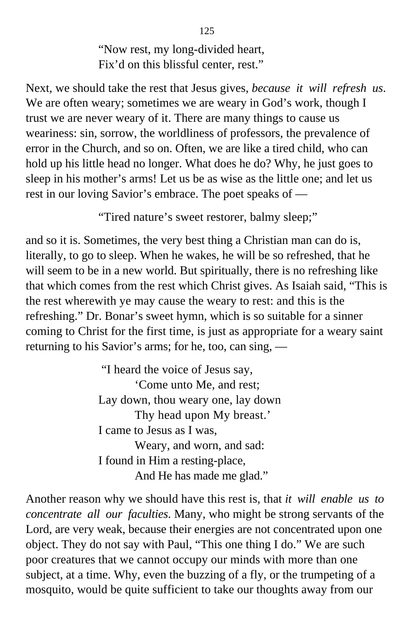"Now rest, my long-divided heart, Fix'd on this blissful center, rest."

Next, we should take the rest that Jesus gives, *because it will refresh us*. We are often weary; sometimes we are weary in God's work, though I trust we are never weary of it. There are many things to cause us weariness: sin, sorrow, the worldliness of professors, the prevalence of error in the Church, and so on. Often, we are like a tired child, who can hold up his little head no longer. What does he do? Why, he just goes to sleep in his mother's arms! Let us be as wise as the little one; and let us rest in our loving Savior's embrace. The poet speaks of —

"Tired nature's sweet restorer, balmy sleep;"

and so it is. Sometimes, the very best thing a Christian man can do is, literally, to go to sleep. When he wakes, he will be so refreshed, that he will seem to be in a new world. But spiritually, there is no refreshing like that which comes from the rest which Christ gives. As Isaiah said, "This is the rest wherewith ye may cause the weary to rest: and this is the refreshing." Dr. Bonar's sweet hymn, which is so suitable for a sinner coming to Christ for the first time, is just as appropriate for a weary saint returning to his Savior's arms; for he, too, can sing, —

> "I heard the voice of Jesus say, 'Come unto Me, and rest; Lay down, thou weary one, lay down Thy head upon My breast.' I came to Jesus as I was, Weary, and worn, and sad: I found in Him a resting-place, And He has made me glad."

Another reason why we should have this rest is, that *it will enable us to concentrate all our faculties*. Many, who might be strong servants of the Lord, are very weak, because their energies are not concentrated upon one object. They do not say with Paul, "This one thing I do." We are such poor creatures that we cannot occupy our minds with more than one subject, at a time. Why, even the buzzing of a fly, or the trumpeting of a mosquito, would be quite sufficient to take our thoughts away from our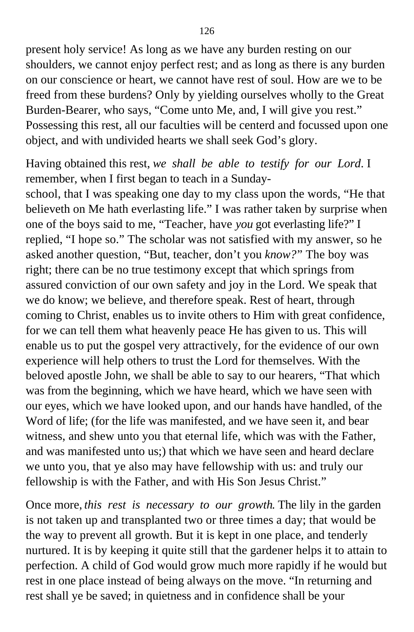present holy service! As long as we have any burden resting on our shoulders, we cannot enjoy perfect rest; and as long as there is any burden on our conscience or heart, we cannot have rest of soul. How are we to be freed from these burdens? Only by yielding ourselves wholly to the Great Burden-Bearer, who says, "Come unto Me, and, I will give you rest." Possessing this rest, all our faculties will be centerd and focussed upon one object, and with undivided hearts we shall seek God's glory.

Having obtained this rest, *we shall be able to testify for our Lord*. I remember, when I first began to teach in a Sunday-

school, that I was speaking one day to my class upon the words, "He that believeth on Me hath everlasting life." I was rather taken by surprise when one of the boys said to me, "Teacher, have *you* got everlasting life?" I replied, "I hope so." The scholar was not satisfied with my answer, so he asked another question, "But, teacher, don't you *know?*" The boy was right; there can be no true testimony except that which springs from assured conviction of our own safety and joy in the Lord. We speak that we do know; we believe, and therefore speak. Rest of heart, through coming to Christ, enables us to invite others to Him with great confidence, for we can tell them what heavenly peace He has given to us. This will enable us to put the gospel very attractively, for the evidence of our own experience will help others to trust the Lord for themselves. With the beloved apostle John, we shall be able to say to our hearers, "That which was from the beginning, which we have heard, which we have seen with our eyes, which we have looked upon, and our hands have handled, of the Word of life; (for the life was manifested, and we have seen it, and bear witness, and shew unto you that eternal life, which was with the Father, and was manifested unto us;) that which we have seen and heard declare we unto you, that ye also may have fellowship with us: and truly our fellowship is with the Father, and with His Son Jesus Christ."

Once more, *this rest is necessary to our growth*. The lily in the garden is not taken up and transplanted two or three times a day; that would be the way to prevent all growth. But it is kept in one place, and tenderly nurtured. It is by keeping it quite still that the gardener helps it to attain to perfection. A child of God would grow much more rapidly if he would but rest in one place instead of being always on the move. "In returning and rest shall ye be saved; in quietness and in confidence shall be your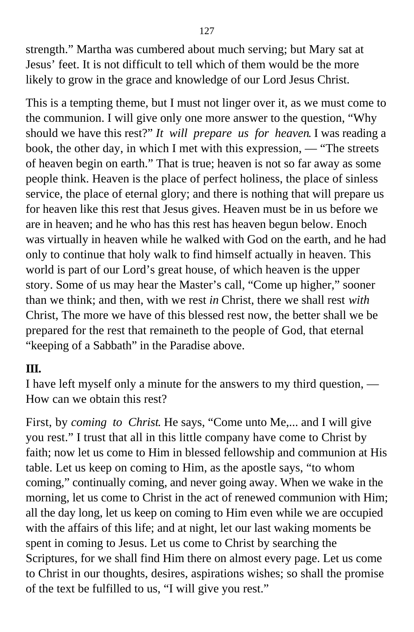strength." Martha was cumbered about much serving; but Mary sat at Jesus' feet. It is not difficult to tell which of them would be the more likely to grow in the grace and knowledge of our Lord Jesus Christ.

This is a tempting theme, but I must not linger over it, as we must come to the communion. I will give only one more answer to the question, "Why should we have this rest?" *It will prepare us for heaven*. I was reading a book, the other day, in which I met with this expression, — "The streets of heaven begin on earth." That is true; heaven is not so far away as some people think. Heaven is the place of perfect holiness, the place of sinless service, the place of eternal glory; and there is nothing that will prepare us for heaven like this rest that Jesus gives. Heaven must be in us before we are in heaven; and he who has this rest has heaven begun below. Enoch was virtually in heaven while he walked with God on the earth, and he had only to continue that holy walk to find himself actually in heaven. This world is part of our Lord's great house, of which heaven is the upper story. Some of us may hear the Master's call, "Come up higher," sooner than we think; and then, with we rest *in* Christ, there we shall rest *with* Christ, The more we have of this blessed rest now, the better shall we be prepared for the rest that remaineth to the people of God, that eternal "keeping of a Sabbath" in the Paradise above.

## **III.**

I have left myself only a minute for the answers to my third question, — How can we obtain this rest?

First, by *coming to Christ*. He says, "Come unto Me,... and I will give you rest." I trust that all in this little company have come to Christ by faith; now let us come to Him in blessed fellowship and communion at His table. Let us keep on coming to Him, as the apostle says, "to whom coming," continually coming, and never going away. When we wake in the morning, let us come to Christ in the act of renewed communion with Him; all the day long, let us keep on coming to Him even while we are occupied with the affairs of this life; and at night, let our last waking moments be spent in coming to Jesus. Let us come to Christ by searching the Scriptures, for we shall find Him there on almost every page. Let us come to Christ in our thoughts, desires, aspirations wishes; so shall the promise of the text be fulfilled to us, "I will give you rest."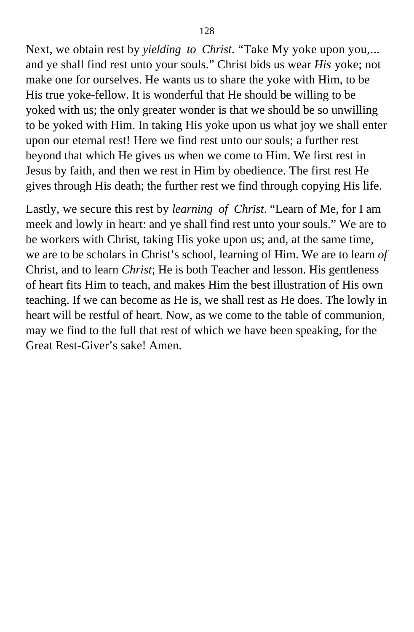Next, we obtain rest by *yielding to Christ*. "Take My yoke upon you,... and ye shall find rest unto your souls." Christ bids us wear *His* yoke; not make one for ourselves. He wants us to share the yoke with Him, to be His true yoke-fellow. It is wonderful that He should be willing to be yoked with us; the only greater wonder is that we should be so unwilling to be yoked with Him. In taking His yoke upon us what joy we shall enter upon our eternal rest! Here we find rest unto our souls; a further rest beyond that which He gives us when we come to Him. We first rest in Jesus by faith, and then we rest in Him by obedience. The first rest He gives through His death; the further rest we find through copying His life.

Lastly, we secure this rest by *learning of Christ*. "Learn of Me, for I am meek and lowly in heart: and ye shall find rest unto your souls." We are to be workers with Christ, taking His yoke upon us; and, at the same time, we are to be scholars in Christ's school, learning of Him. We are to learn *of* Christ, and to learn *Christ*; He is both Teacher and lesson. His gentleness of heart fits Him to teach, and makes Him the best illustration of His own teaching. If we can become as He is, we shall rest as He does. The lowly in heart will be restful of heart. Now, as we come to the table of communion, may we find to the full that rest of which we have been speaking, for the Great Rest-Giver's sake! Amen.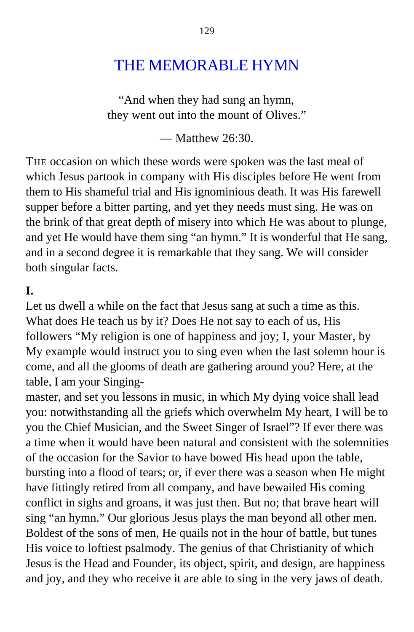# THE MEMORABLE HYMN

"And when they had sung an hymn, they went out into the mount of Olives."

— Matthew 26:30.

THE occasion on which these words were spoken was the last meal of which Jesus partook in company with His disciples before He went from them to His shameful trial and His ignominious death. It was His farewell supper before a bitter parting, and yet they needs must sing. He was on the brink of that great depth of misery into which He was about to plunge, and yet He would have them sing "an hymn." It is wonderful that He sang, and in a second degree it is remarkable that they sang. We will consider both singular facts.

#### **I.**

Let us dwell a while on the fact that Jesus sang at such a time as this. What does He teach us by it? Does He not say to each of us, His followers "My religion is one of happiness and joy; I, your Master, by My example would instruct you to sing even when the last solemn hour is come, and all the glooms of death are gathering around you? Here, at the table, I am your Singing-

master, and set you lessons in music, in which My dying voice shall lead you: notwithstanding all the griefs which overwhelm My heart, I will be to you the Chief Musician, and the Sweet Singer of Israel"? If ever there was a time when it would have been natural and consistent with the solemnities of the occasion for the Savior to have bowed His head upon the table, bursting into a flood of tears; or, if ever there was a season when He might have fittingly retired from all company, and have bewailed His coming conflict in sighs and groans, it was just then. But no; that brave heart will sing "an hymn." Our glorious Jesus plays the man beyond all other men. Boldest of the sons of men, He quails not in the hour of battle, but tunes His voice to loftiest psalmody. The genius of that Christianity of which Jesus is the Head and Founder, its object, spirit, and design, are happiness and joy, and they who receive it are able to sing in the very jaws of death.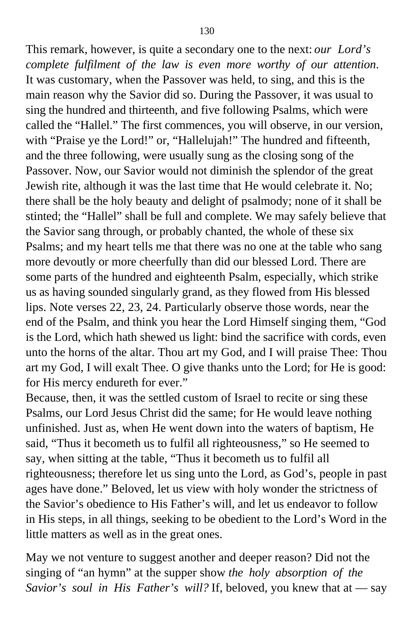This remark, however, is quite a secondary one to the next: *our Lord's complete fulfilment of the law is even more worthy of our attention*. It was customary, when the Passover was held, to sing, and this is the main reason why the Savior did so. During the Passover, it was usual to sing the hundred and thirteenth, and five following Psalms, which were called the "Hallel." The first commences, you will observe, in our version, with "Praise ye the Lord!" or, "Hallelujah!" The hundred and fifteenth, and the three following, were usually sung as the closing song of the Passover. Now, our Savior would not diminish the splendor of the great Jewish rite, although it was the last time that He would celebrate it. No; there shall be the holy beauty and delight of psalmody; none of it shall be stinted; the "Hallel" shall be full and complete. We may safely believe that the Savior sang through, or probably chanted, the whole of these six Psalms; and my heart tells me that there was no one at the table who sang more devoutly or more cheerfully than did our blessed Lord. There are some parts of the hundred and eighteenth Psalm, especially, which strike us as having sounded singularly grand, as they flowed from His blessed lips. Note verses 22, 23, 24. Particularly observe those words, near the end of the Psalm, and think you hear the Lord Himself singing them, "God is the Lord, which hath shewed us light: bind the sacrifice with cords, even unto the horns of the altar. Thou art my God, and I will praise Thee: Thou art my God, I will exalt Thee. O give thanks unto the Lord; for He is good: for His mercy endureth for ever."

Because, then, it was the settled custom of Israel to recite or sing these Psalms, our Lord Jesus Christ did the same; for He would leave nothing unfinished. Just as, when He went down into the waters of baptism, He said, "Thus it becometh us to fulfil all righteousness," so He seemed to say, when sitting at the table, "Thus it becometh us to fulfil all righteousness; therefore let us sing unto the Lord, as God's, people in past ages have done." Beloved, let us view with holy wonder the strictness of the Savior's obedience to His Father's will, and let us endeavor to follow in His steps, in all things, seeking to be obedient to the Lord's Word in the little matters as well as in the great ones.

May we not venture to suggest another and deeper reason? Did not the singing of "an hymn" at the supper show *the holy absorption of the Savior's soul in His Father's will?* If, beloved, you knew that at — say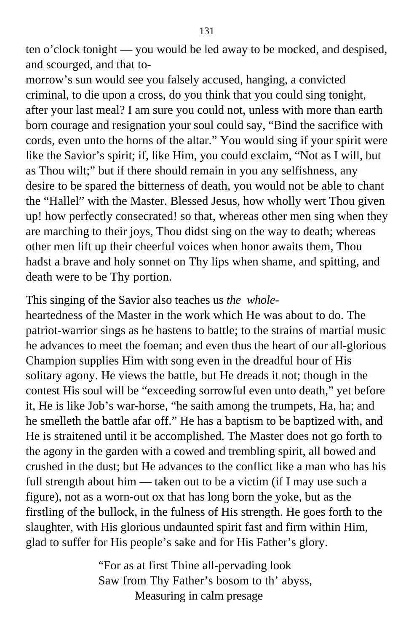ten o'clock tonight — you would be led away to be mocked, and despised, and scourged, and that to-

morrow's sun would see you falsely accused, hanging, a convicted criminal, to die upon a cross, do you think that you could sing tonight, after your last meal? I am sure you could not, unless with more than earth born courage and resignation your soul could say, "Bind the sacrifice with cords, even unto the horns of the altar." You would sing if your spirit were like the Savior's spirit; if, like Him, you could exclaim, "Not as I will, but as Thou wilt;" but if there should remain in you any selfishness, any desire to be spared the bitterness of death, you would not be able to chant the "Hallel" with the Master. Blessed Jesus, how wholly wert Thou given up! how perfectly consecrated! so that, whereas other men sing when they are marching to their joys, Thou didst sing on the way to death; whereas other men lift up their cheerful voices when honor awaits them, Thou hadst a brave and holy sonnet on Thy lips when shame, and spitting, and death were to be Thy portion.

#### This singing of the Savior also teaches us *the whole-*

heartedness of the Master in the work which He was about to do. The patriot-warrior sings as he hastens to battle; to the strains of martial music he advances to meet the foeman; and even thus the heart of our all-glorious Champion supplies Him with song even in the dreadful hour of His solitary agony. He views the battle, but He dreads it not; though in the contest His soul will be "exceeding sorrowful even unto death," yet before it, He is like Job's war-horse, "he saith among the trumpets, Ha, ha; and he smelleth the battle afar off." He has a baptism to be baptized with, and He is straitened until it be accomplished. The Master does not go forth to the agony in the garden with a cowed and trembling spirit, all bowed and crushed in the dust; but He advances to the conflict like a man who has his full strength about him — taken out to be a victim (if I may use such a figure), not as a worn-out ox that has long born the yoke, but as the firstling of the bullock, in the fulness of His strength. He goes forth to the slaughter, with His glorious undaunted spirit fast and firm within Him, glad to suffer for His people's sake and for His Father's glory.

> "For as at first Thine all-pervading look Saw from Thy Father's bosom to th' abyss, Measuring in calm presage

131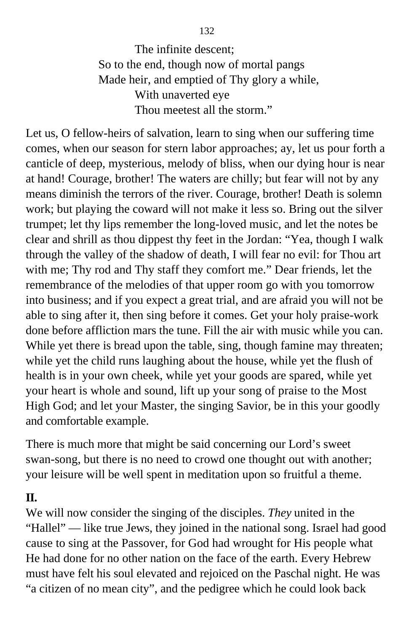Let us, O fellow-heirs of salvation, learn to sing when our suffering time comes, when our season for stern labor approaches; ay, let us pour forth a canticle of deep, mysterious, melody of bliss, when our dying hour is near at hand! Courage, brother! The waters are chilly; but fear will not by any means diminish the terrors of the river. Courage, brother! Death is solemn work; but playing the coward will not make it less so. Bring out the silver trumpet; let thy lips remember the long-loved music, and let the notes be clear and shrill as thou dippest thy feet in the Jordan: "Yea, though I walk through the valley of the shadow of death, I will fear no evil: for Thou art with me; Thy rod and Thy staff they comfort me." Dear friends, let the remembrance of the melodies of that upper room go with you tomorrow into business; and if you expect a great trial, and are afraid you will not be able to sing after it, then sing before it comes. Get your holy praise-work done before affliction mars the tune. Fill the air with music while you can. While yet there is bread upon the table, sing, though famine may threaten; while yet the child runs laughing about the house, while yet the flush of health is in your own cheek, while yet your goods are spared, while yet your heart is whole and sound, lift up your song of praise to the Most High God; and let your Master, the singing Savior, be in this your goodly and comfortable example.

There is much more that might be said concerning our Lord's sweet swan-song, but there is no need to crowd one thought out with another; your leisure will be well spent in meditation upon so fruitful a theme.

## **II.**

We will now consider the singing of the disciples. *They* united in the "Hallel" — like true Jews, they joined in the national song. Israel had good cause to sing at the Passover, for God had wrought for His people what He had done for no other nation on the face of the earth. Every Hebrew must have felt his soul elevated and rejoiced on the Paschal night. He was "a citizen of no mean city", and the pedigree which he could look back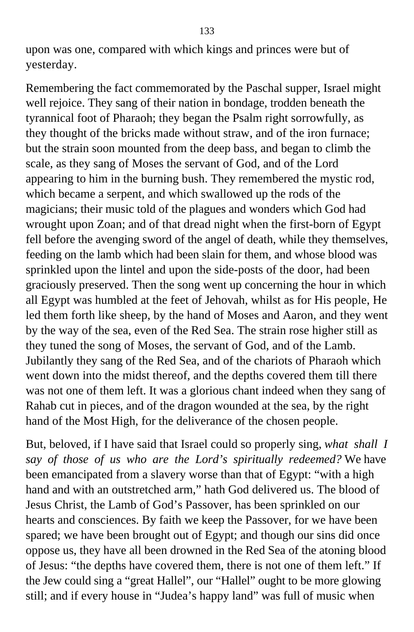upon was one, compared with which kings and princes were but of yesterday.

Remembering the fact commemorated by the Paschal supper, Israel might well rejoice. They sang of their nation in bondage, trodden beneath the tyrannical foot of Pharaoh; they began the Psalm right sorrowfully, as they thought of the bricks made without straw, and of the iron furnace; but the strain soon mounted from the deep bass, and began to climb the scale, as they sang of Moses the servant of God, and of the Lord appearing to him in the burning bush. They remembered the mystic rod, which became a serpent, and which swallowed up the rods of the magicians; their music told of the plagues and wonders which God had wrought upon Zoan; and of that dread night when the first-born of Egypt fell before the avenging sword of the angel of death, while they themselves, feeding on the lamb which had been slain for them, and whose blood was sprinkled upon the lintel and upon the side-posts of the door, had been graciously preserved. Then the song went up concerning the hour in which all Egypt was humbled at the feet of Jehovah, whilst as for His people, He led them forth like sheep, by the hand of Moses and Aaron, and they went by the way of the sea, even of the Red Sea. The strain rose higher still as they tuned the song of Moses, the servant of God, and of the Lamb. Jubilantly they sang of the Red Sea, and of the chariots of Pharaoh which went down into the midst thereof, and the depths covered them till there was not one of them left. It was a glorious chant indeed when they sang of Rahab cut in pieces, and of the dragon wounded at the sea, by the right hand of the Most High, for the deliverance of the chosen people.

But, beloved, if I have said that Israel could so properly sing, *what shall I say of those of us who are the Lord's spiritually redeemed?* We have been emancipated from a slavery worse than that of Egypt: "with a high hand and with an outstretched arm," hath God delivered us. The blood of Jesus Christ, the Lamb of God's Passover, has been sprinkled on our hearts and consciences. By faith we keep the Passover, for we have been spared; we have been brought out of Egypt; and though our sins did once oppose us, they have all been drowned in the Red Sea of the atoning blood of Jesus: "the depths have covered them, there is not one of them left." If the Jew could sing a "great Hallel", our "Hallel" ought to be more glowing still; and if every house in "Judea's happy land" was full of music when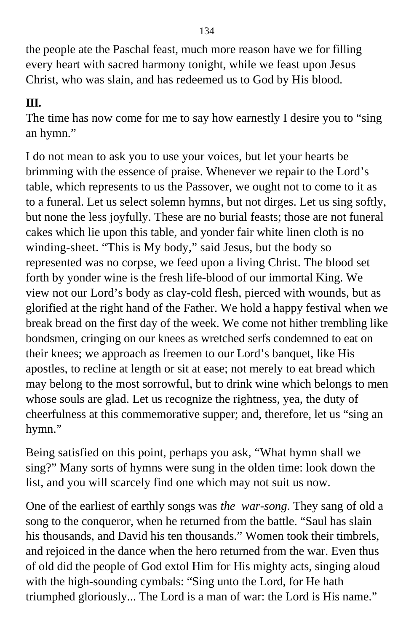the people ate the Paschal feast, much more reason have we for filling every heart with sacred harmony tonight, while we feast upon Jesus Christ, who was slain, and has redeemed us to God by His blood.

## **III.**

The time has now come for me to say how earnestly I desire you to "sing an hymn."

I do not mean to ask you to use your voices, but let your hearts be brimming with the essence of praise. Whenever we repair to the Lord's table, which represents to us the Passover, we ought not to come to it as to a funeral. Let us select solemn hymns, but not dirges. Let us sing softly, but none the less joyfully. These are no burial feasts; those are not funeral cakes which lie upon this table, and yonder fair white linen cloth is no winding-sheet. "This is My body," said Jesus, but the body so represented was no corpse, we feed upon a living Christ. The blood set forth by yonder wine is the fresh life-blood of our immortal King. We view not our Lord's body as clay-cold flesh, pierced with wounds, but as glorified at the right hand of the Father. We hold a happy festival when we break bread on the first day of the week. We come not hither trembling like bondsmen, cringing on our knees as wretched serfs condemned to eat on their knees; we approach as freemen to our Lord's banquet, like His apostles, to recline at length or sit at ease; not merely to eat bread which may belong to the most sorrowful, but to drink wine which belongs to men whose souls are glad. Let us recognize the rightness, yea, the duty of cheerfulness at this commemorative supper; and, therefore, let us "sing an hymn."

Being satisfied on this point, perhaps you ask, "What hymn shall we sing?" Many sorts of hymns were sung in the olden time: look down the list, and you will scarcely find one which may not suit us now.

One of the earliest of earthly songs was *the war-song*. They sang of old a song to the conqueror, when he returned from the battle. "Saul has slain his thousands, and David his ten thousands." Women took their timbrels, and rejoiced in the dance when the hero returned from the war. Even thus of old did the people of God extol Him for His mighty acts, singing aloud with the high-sounding cymbals: "Sing unto the Lord, for He hath triumphed gloriously... The Lord is a man of war: the Lord is His name."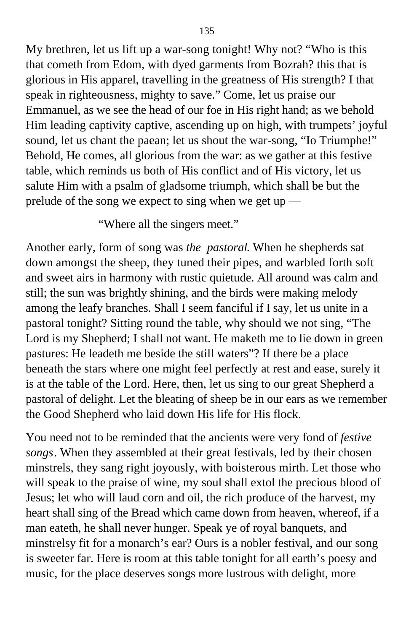My brethren, let us lift up a war-song tonight! Why not? "Who is this that cometh from Edom, with dyed garments from Bozrah? this that is glorious in His apparel, travelling in the greatness of His strength? I that speak in righteousness, mighty to save." Come, let us praise our Emmanuel, as we see the head of our foe in His right hand; as we behold Him leading captivity captive, ascending up on high, with trumpets' joyful sound, let us chant the paean; let us shout the war-song, "Io Triumphe!" Behold, He comes, all glorious from the war: as we gather at this festive table, which reminds us both of His conflict and of His victory, let us salute Him with a psalm of gladsome triumph, which shall be but the prelude of the song we expect to sing when we get up —

"Where all the singers meet."

Another early, form of song was *the pastoral*. When he shepherds sat down amongst the sheep, they tuned their pipes, and warbled forth soft and sweet airs in harmony with rustic quietude. All around was calm and still; the sun was brightly shining, and the birds were making melody among the leafy branches. Shall I seem fanciful if I say, let us unite in a pastoral tonight? Sitting round the table, why should we not sing, "The Lord is my Shepherd; I shall not want. He maketh me to lie down in green pastures: He leadeth me beside the still waters"? If there be a place beneath the stars where one might feel perfectly at rest and ease, surely it is at the table of the Lord. Here, then, let us sing to our great Shepherd a pastoral of delight. Let the bleating of sheep be in our ears as we remember the Good Shepherd who laid down His life for His flock.

You need not to be reminded that the ancients were very fond of *festive songs*. When they assembled at their great festivals, led by their chosen minstrels, they sang right joyously, with boisterous mirth. Let those who will speak to the praise of wine, my soul shall extol the precious blood of Jesus; let who will laud corn and oil, the rich produce of the harvest, my heart shall sing of the Bread which came down from heaven, whereof, if a man eateth, he shall never hunger. Speak ye of royal banquets, and minstrelsy fit for a monarch's ear? Ours is a nobler festival, and our song is sweeter far. Here is room at this table tonight for all earth's poesy and music, for the place deserves songs more lustrous with delight, more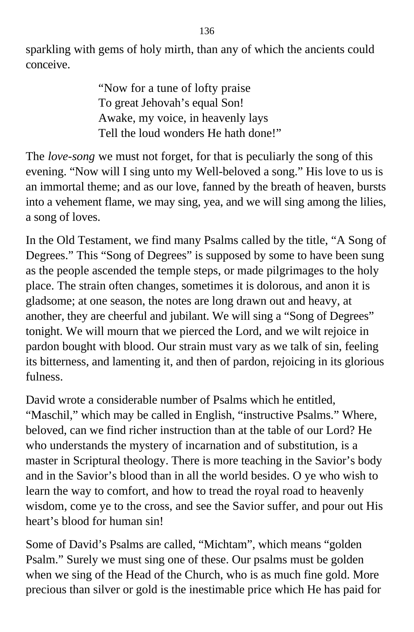sparkling with gems of holy mirth, than any of which the ancients could conceive.

> "Now for a tune of lofty praise To great Jehovah's equal Son! Awake, my voice, in heavenly lays Tell the loud wonders He hath done!"

The *love-song* we must not forget, for that is peculiarly the song of this evening. "Now will I sing unto my Well-beloved a song." His love to us is an immortal theme; and as our love, fanned by the breath of heaven, bursts into a vehement flame, we may sing, yea, and we will sing among the lilies, a song of loves.

In the Old Testament, we find many Psalms called by the title, "A Song of Degrees." This "Song of Degrees" is supposed by some to have been sung as the people ascended the temple steps, or made pilgrimages to the holy place. The strain often changes, sometimes it is dolorous, and anon it is gladsome; at one season, the notes are long drawn out and heavy, at another, they are cheerful and jubilant. We will sing a "Song of Degrees" tonight. We will mourn that we pierced the Lord, and we wilt rejoice in pardon bought with blood. Our strain must vary as we talk of sin, feeling its bitterness, and lamenting it, and then of pardon, rejoicing in its glorious fulness.

David wrote a considerable number of Psalms which he entitled, "Maschil," which may be called in English, "instructive Psalms." Where, beloved, can we find richer instruction than at the table of our Lord? He who understands the mystery of incarnation and of substitution, is a master in Scriptural theology. There is more teaching in the Savior's body and in the Savior's blood than in all the world besides. O ye who wish to learn the way to comfort, and how to tread the royal road to heavenly wisdom, come ye to the cross, and see the Savior suffer, and pour out His heart's blood for human sin!

Some of David's Psalms are called, "Michtam", which means "golden Psalm." Surely we must sing one of these. Our psalms must be golden when we sing of the Head of the Church, who is as much fine gold. More precious than silver or gold is the inestimable price which He has paid for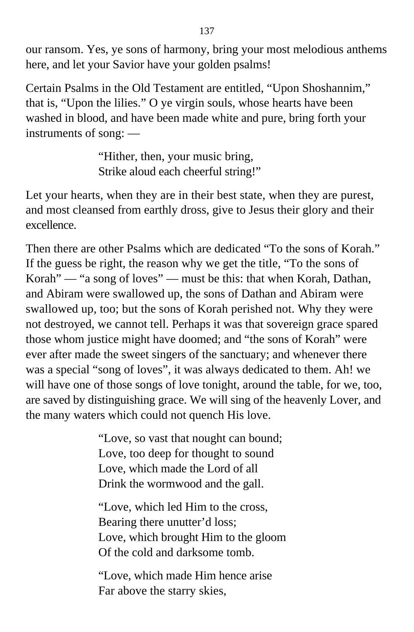our ransom. Yes, ye sons of harmony, bring your most melodious anthems here, and let your Savior have your golden psalms!

Certain Psalms in the Old Testament are entitled, "Upon Shoshannim," that is, "Upon the lilies." O ye virgin souls, whose hearts have been washed in blood, and have been made white and pure, bring forth your instruments of song: —

> "Hither, then, your music bring, Strike aloud each cheerful string!"

Let your hearts, when they are in their best state, when they are purest, and most cleansed from earthly dross, give to Jesus their glory and their excellence.

Then there are other Psalms which are dedicated "To the sons of Korah." If the guess be right, the reason why we get the title, "To the sons of Korah" — "a song of loves" — must be this: that when Korah, Dathan, and Abiram were swallowed up, the sons of Dathan and Abiram were swallowed up, too; but the sons of Korah perished not. Why they were not destroyed, we cannot tell. Perhaps it was that sovereign grace spared those whom justice might have doomed; and "the sons of Korah" were ever after made the sweet singers of the sanctuary; and whenever there was a special "song of loves", it was always dedicated to them. Ah! we will have one of those songs of love tonight, around the table, for we, too, are saved by distinguishing grace. We will sing of the heavenly Lover, and the many waters which could not quench His love.

> "Love, so vast that nought can bound; Love, too deep for thought to sound Love, which made the Lord of all Drink the wormwood and the gall.

"Love, which led Him to the cross, Bearing there unutter'd loss; Love, which brought Him to the gloom Of the cold and darksome tomb.

"Love, which made Him hence arise Far above the starry skies,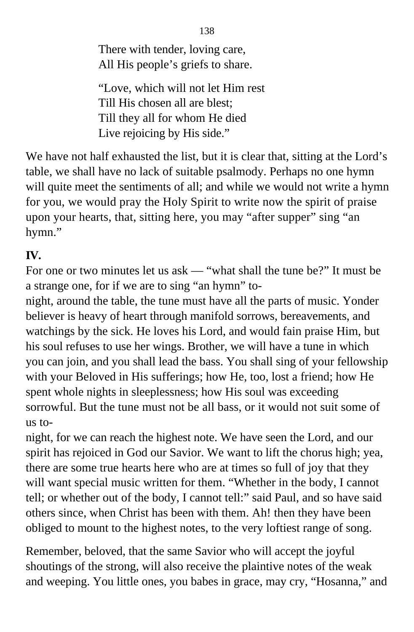There with tender, loving care, All His people's griefs to share.

"Love, which will not let Him rest Till His chosen all are blest; Till they all for whom He died Live rejoicing by His side."

We have not half exhausted the list, but it is clear that, sitting at the Lord's table, we shall have no lack of suitable psalmody. Perhaps no one hymn will quite meet the sentiments of all; and while we would not write a hymn for you, we would pray the Holy Spirit to write now the spirit of praise upon your hearts, that, sitting here, you may "after supper" sing "an hymn."

## **IV.**

For one or two minutes let us ask — "what shall the tune be?" It must be a strange one, for if we are to sing "an hymn" to-

night, around the table, the tune must have all the parts of music. Yonder believer is heavy of heart through manifold sorrows, bereavements, and watchings by the sick. He loves his Lord, and would fain praise Him, but his soul refuses to use her wings. Brother, we will have a tune in which you can join, and you shall lead the bass. You shall sing of your fellowship with your Beloved in His sufferings; how He, too, lost a friend; how He spent whole nights in sleeplessness; how His soul was exceeding sorrowful. But the tune must not be all bass, or it would not suit some of us to-

night, for we can reach the highest note. We have seen the Lord, and our spirit has rejoiced in God our Savior. We want to lift the chorus high; yea, there are some true hearts here who are at times so full of joy that they will want special music written for them. "Whether in the body, I cannot tell; or whether out of the body, I cannot tell:" said Paul, and so have said others since, when Christ has been with them. Ah! then they have been obliged to mount to the highest notes, to the very loftiest range of song.

Remember, beloved, that the same Savior who will accept the joyful shoutings of the strong, will also receive the plaintive notes of the weak and weeping. You little ones, you babes in grace, may cry, "Hosanna," and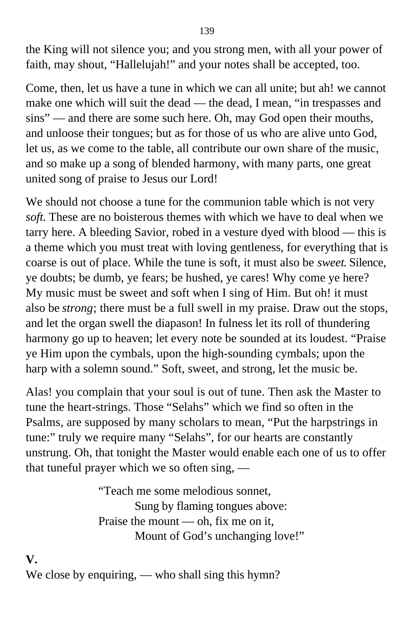the King will not silence you; and you strong men, with all your power of faith, may shout, "Hallelujah!" and your notes shall be accepted, too.

Come, then, let us have a tune in which we can all unite; but ah! we cannot make one which will suit the dead — the dead, I mean, "in trespasses and sins" — and there are some such here. Oh, may God open their mouths, and unloose their tongues; but as for those of us who are alive unto God, let us, as we come to the table, all contribute our own share of the music, and so make up a song of blended harmony, with many parts, one great united song of praise to Jesus our Lord!

We should not choose a tune for the communion table which is not very *soft*. These are no boisterous themes with which we have to deal when we tarry here. A bleeding Savior, robed in a vesture dyed with blood — this is a theme which you must treat with loving gentleness, for everything that is coarse is out of place. While the tune is soft, it must also be *sweet*. Silence, ye doubts; be dumb, ye fears; be hushed, ye cares! Why come ye here? My music must be sweet and soft when I sing of Him. But oh! it must also be *strong*; there must be a full swell in my praise. Draw out the stops, and let the organ swell the diapason! In fulness let its roll of thundering harmony go up to heaven; let every note be sounded at its loudest. "Praise ye Him upon the cymbals, upon the high-sounding cymbals; upon the harp with a solemn sound." Soft, sweet, and strong, let the music be.

Alas! you complain that your soul is out of tune. Then ask the Master to tune the heart-strings. Those "Selahs" which we find so often in the Psalms, are supposed by many scholars to mean, "Put the harpstrings in tune:" truly we require many "Selahs", for our hearts are constantly unstrung. Oh, that tonight the Master would enable each one of us to offer that tuneful prayer which we so often sing, —

> "Teach me some melodious sonnet, Sung by flaming tongues above: Praise the mount — oh, fix me on it, Mount of God's unchanging love!"

#### **V.**

We close by enquiring, — who shall sing this hymn?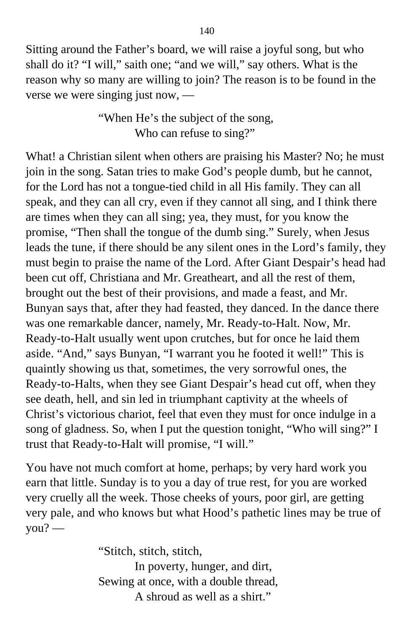Sitting around the Father's board, we will raise a joyful song, but who shall do it? "I will," saith one; "and we will," say others. What is the reason why so many are willing to join? The reason is to be found in the verse we were singing just now, —

### "When He's the subject of the song, Who can refuse to sing?"

What! a Christian silent when others are praising his Master? No; he must join in the song. Satan tries to make God's people dumb, but he cannot, for the Lord has not a tongue-tied child in all His family. They can all speak, and they can all cry, even if they cannot all sing, and I think there are times when they can all sing; yea, they must, for you know the promise, "Then shall the tongue of the dumb sing." Surely, when Jesus leads the tune, if there should be any silent ones in the Lord's family, they must begin to praise the name of the Lord. After Giant Despair's head had been cut off, Christiana and Mr. Greatheart, and all the rest of them, brought out the best of their provisions, and made a feast, and Mr. Bunyan says that, after they had feasted, they danced. In the dance there was one remarkable dancer, namely, Mr. Ready-to-Halt. Now, Mr. Ready-to-Halt usually went upon crutches, but for once he laid them aside. "And," says Bunyan, "I warrant you he footed it well!" This is quaintly showing us that, sometimes, the very sorrowful ones, the Ready-to-Halts, when they see Giant Despair's head cut off, when they see death, hell, and sin led in triumphant captivity at the wheels of Christ's victorious chariot, feel that even they must for once indulge in a song of gladness. So, when I put the question tonight, "Who will sing?" I trust that Ready-to-Halt will promise, "I will."

You have not much comfort at home, perhaps; by very hard work you earn that little. Sunday is to you a day of true rest, for you are worked very cruelly all the week. Those cheeks of yours, poor girl, are getting very pale, and who knows but what Hood's pathetic lines may be true of you? —

> "Stitch, stitch, stitch, In poverty, hunger, and dirt, Sewing at once, with a double thread, A shroud as well as a shirt."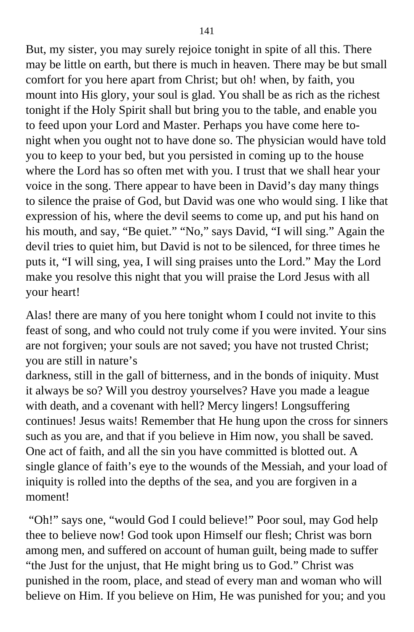But, my sister, you may surely rejoice tonight in spite of all this. There may be little on earth, but there is much in heaven. There may be but small comfort for you here apart from Christ; but oh! when, by faith, you mount into His glory, your soul is glad. You shall be as rich as the richest tonight if the Holy Spirit shall but bring you to the table, and enable you to feed upon your Lord and Master. Perhaps you have come here tonight when you ought not to have done so. The physician would have told you to keep to your bed, but you persisted in coming up to the house where the Lord has so often met with you. I trust that we shall hear your voice in the song. There appear to have been in David's day many things to silence the praise of God, but David was one who would sing. I like that expression of his, where the devil seems to come up, and put his hand on his mouth, and say, "Be quiet." "No," says David, "I will sing." Again the devil tries to quiet him, but David is not to be silenced, for three times he puts it, "I will sing, yea, I will sing praises unto the Lord." May the Lord make you resolve this night that you will praise the Lord Jesus with all your heart!

Alas! there are many of you here tonight whom I could not invite to this feast of song, and who could not truly come if you were invited. Your sins are not forgiven; your souls are not saved; you have not trusted Christ; you are still in nature's

darkness, still in the gall of bitterness, and in the bonds of iniquity. Must it always be so? Will you destroy yourselves? Have you made a league with death, and a covenant with hell? Mercy lingers! Longsuffering continues! Jesus waits! Remember that He hung upon the cross for sinners such as you are, and that if you believe in Him now, you shall be saved. One act of faith, and all the sin you have committed is blotted out. A single glance of faith's eye to the wounds of the Messiah, and your load of iniquity is rolled into the depths of the sea, and you are forgiven in a moment!

 "Oh!" says one, "would God I could believe!" Poor soul, may God help thee to believe now! God took upon Himself our flesh; Christ was born among men, and suffered on account of human guilt, being made to suffer "the Just for the unjust, that He might bring us to God." Christ was punished in the room, place, and stead of every man and woman who will believe on Him. If you believe on Him, He was punished for you; and you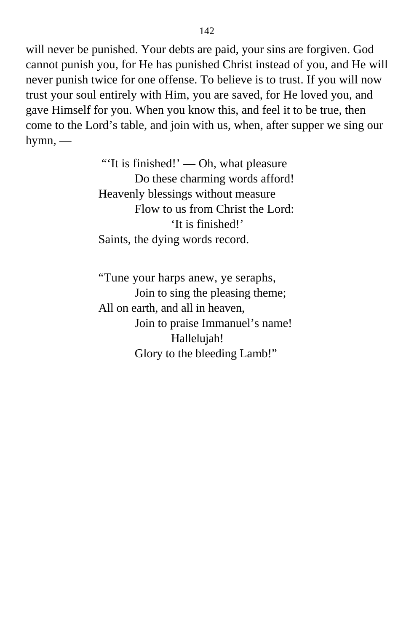will never be punished. Your debts are paid, your sins are forgiven. God cannot punish you, for He has punished Christ instead of you, and He will never punish twice for one offense. To believe is to trust. If you will now trust your soul entirely with Him, you are saved, for He loved you, and gave Himself for you. When you know this, and feel it to be true, then come to the Lord's table, and join with us, when, after supper we sing our hymn, —

> "'It is finished!' — Oh, what pleasure Do these charming words afford! Heavenly blessings without measure Flow to us from Christ the Lord: 'It is finished!' Saints, the dying words record.

"Tune your harps anew, ye seraphs, Join to sing the pleasing theme; All on earth, and all in heaven, Join to praise Immanuel's name! Hallelujah! Glory to the bleeding Lamb!"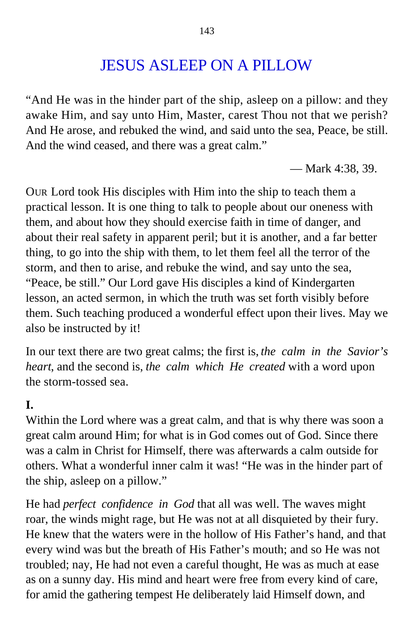# JESUS ASLEEP ON A PILLOW

"And He was in the hinder part of the ship, asleep on a pillow: and they awake Him, and say unto Him, Master, carest Thou not that we perish? And He arose, and rebuked the wind, and said unto the sea, Peace, be still. And the wind ceased, and there was a great calm."

— Mark 4:38, 39.

OUR Lord took His disciples with Him into the ship to teach them a practical lesson. It is one thing to talk to people about our oneness with them, and about how they should exercise faith in time of danger, and about their real safety in apparent peril; but it is another, and a far better thing, to go into the ship with them, to let them feel all the terror of the storm, and then to arise, and rebuke the wind, and say unto the sea, "Peace, be still." Our Lord gave His disciples a kind of Kindergarten lesson, an acted sermon, in which the truth was set forth visibly before them. Such teaching produced a wonderful effect upon their lives. May we also be instructed by it!

In our text there are two great calms; the first is, *the calm in the Savior's heart*, and the second is, *the calm which He created* with a word upon the storm-tossed sea.

## **I.**

Within the Lord where was a great calm, and that is why there was soon a great calm around Him; for what is in God comes out of God. Since there was a calm in Christ for Himself, there was afterwards a calm outside for others. What a wonderful inner calm it was! "He was in the hinder part of the ship, asleep on a pillow."

He had *perfect confidence in God* that all was well. The waves might roar, the winds might rage, but He was not at all disquieted by their fury. He knew that the waters were in the hollow of His Father's hand, and that every wind was but the breath of His Father's mouth; and so He was not troubled; nay, He had not even a careful thought, He was as much at ease as on a sunny day. His mind and heart were free from every kind of care, for amid the gathering tempest He deliberately laid Himself down, and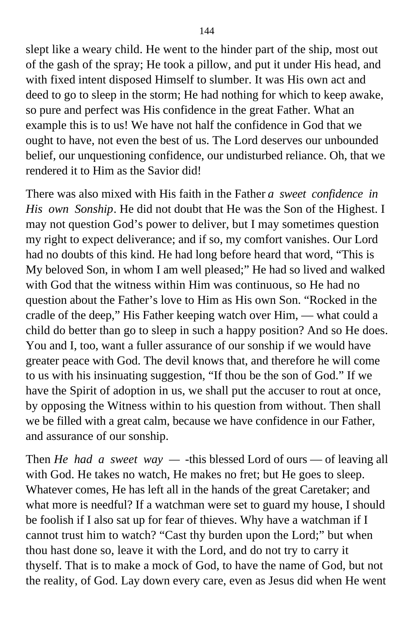slept like a weary child. He went to the hinder part of the ship, most out of the gash of the spray; He took a pillow, and put it under His head, and with fixed intent disposed Himself to slumber. It was His own act and deed to go to sleep in the storm; He had nothing for which to keep awake, so pure and perfect was His confidence in the great Father. What an example this is to us! We have not half the confidence in God that we ought to have, not even the best of us. The Lord deserves our unbounded belief, our unquestioning confidence, our undisturbed reliance. Oh, that we rendered it to Him as the Savior did!

There was also mixed with His faith in the Father *a sweet confidence in His own Sonship*. He did not doubt that He was the Son of the Highest. I may not question God's power to deliver, but I may sometimes question my right to expect deliverance; and if so, my comfort vanishes. Our Lord had no doubts of this kind. He had long before heard that word, "This is My beloved Son, in whom I am well pleased;" He had so lived and walked with God that the witness within Him was continuous, so He had no question about the Father's love to Him as His own Son. "Rocked in the cradle of the deep," His Father keeping watch over Him, — what could a child do better than go to sleep in such a happy position? And so He does. You and I, too, want a fuller assurance of our sonship if we would have greater peace with God. The devil knows that, and therefore he will come to us with his insinuating suggestion, "If thou be the son of God." If we have the Spirit of adoption in us, we shall put the accuser to rout at once, by opposing the Witness within to his question from without. Then shall we be filled with a great calm, because we have confidence in our Father, and assurance of our sonship.

Then *He had a sweet way —* -this blessed Lord of ours — of leaving all with God. He takes no watch, He makes no fret; but He goes to sleep. Whatever comes, He has left all in the hands of the great Caretaker; and what more is needful? If a watchman were set to guard my house, I should be foolish if I also sat up for fear of thieves. Why have a watchman if I cannot trust him to watch? "Cast thy burden upon the Lord;" but when thou hast done so, leave it with the Lord, and do not try to carry it thyself. That is to make a mock of God, to have the name of God, but not the reality, of God. Lay down every care, even as Jesus did when He went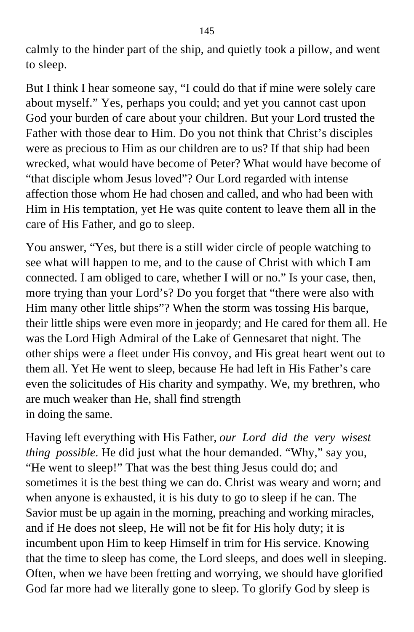calmly to the hinder part of the ship, and quietly took a pillow, and went to sleep.

But I think I hear someone say, "I could do that if mine were solely care about myself." Yes, perhaps you could; and yet you cannot cast upon God your burden of care about your children. But your Lord trusted the Father with those dear to Him. Do you not think that Christ's disciples were as precious to Him as our children are to us? If that ship had been wrecked, what would have become of Peter? What would have become of "that disciple whom Jesus loved"? Our Lord regarded with intense affection those whom He had chosen and called, and who had been with Him in His temptation, yet He was quite content to leave them all in the care of His Father, and go to sleep.

You answer, "Yes, but there is a still wider circle of people watching to see what will happen to me, and to the cause of Christ with which I am connected. I am obliged to care, whether I will or no." Is your case, then, more trying than your Lord's? Do you forget that "there were also with Him many other little ships"? When the storm was tossing His barque, their little ships were even more in jeopardy; and He cared for them all. He was the Lord High Admiral of the Lake of Gennesaret that night. The other ships were a fleet under His convoy, and His great heart went out to them all. Yet He went to sleep, because He had left in His Father's care even the solicitudes of His charity and sympathy. We, my brethren, who are much weaker than He, shall find strength in doing the same.

Having left everything with His Father, *our Lord did the very wisest thing possible*. He did just what the hour demanded. "Why," say you, "He went to sleep!" That was the best thing Jesus could do; and sometimes it is the best thing we can do. Christ was weary and worn; and when anyone is exhausted, it is his duty to go to sleep if he can. The Savior must be up again in the morning, preaching and working miracles, and if He does not sleep, He will not be fit for His holy duty; it is incumbent upon Him to keep Himself in trim for His service. Knowing that the time to sleep has come, the Lord sleeps, and does well in sleeping. Often, when we have been fretting and worrying, we should have glorified God far more had we literally gone to sleep. To glorify God by sleep is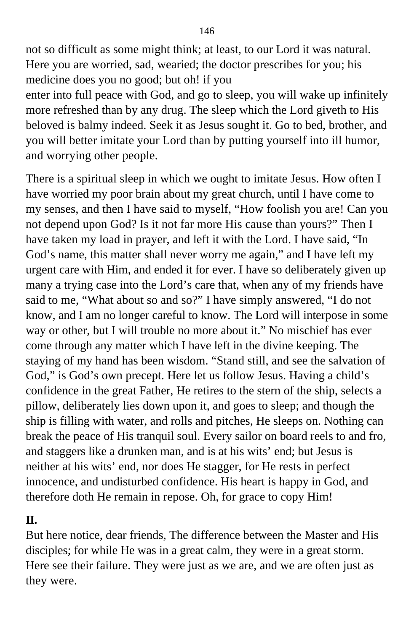not so difficult as some might think; at least, to our Lord it was natural. Here you are worried, sad, wearied; the doctor prescribes for you; his medicine does you no good; but oh! if you

enter into full peace with God, and go to sleep, you will wake up infinitely more refreshed than by any drug. The sleep which the Lord giveth to His beloved is balmy indeed. Seek it as Jesus sought it. Go to bed, brother, and you will better imitate your Lord than by putting yourself into ill humor, and worrying other people.

There is a spiritual sleep in which we ought to imitate Jesus. How often I have worried my poor brain about my great church, until I have come to my senses, and then I have said to myself, "How foolish you are! Can you not depend upon God? Is it not far more His cause than yours?" Then I have taken my load in prayer, and left it with the Lord. I have said, "In God's name, this matter shall never worry me again," and I have left my urgent care with Him, and ended it for ever. I have so deliberately given up many a trying case into the Lord's care that, when any of my friends have said to me, "What about so and so?" I have simply answered, "I do not know, and I am no longer careful to know. The Lord will interpose in some way or other, but I will trouble no more about it." No mischief has ever come through any matter which I have left in the divine keeping. The staying of my hand has been wisdom. "Stand still, and see the salvation of God," is God's own precept. Here let us follow Jesus. Having a child's confidence in the great Father, He retires to the stern of the ship, selects a pillow, deliberately lies down upon it, and goes to sleep; and though the ship is filling with water, and rolls and pitches, He sleeps on. Nothing can break the peace of His tranquil soul. Every sailor on board reels to and fro, and staggers like a drunken man, and is at his wits' end; but Jesus is neither at his wits' end, nor does He stagger, for He rests in perfect innocence, and undisturbed confidence. His heart is happy in God, and therefore doth He remain in repose. Oh, for grace to copy Him!

#### **II.**

But here notice, dear friends, The difference between the Master and His disciples; for while He was in a great calm, they were in a great storm. Here see their failure. They were just as we are, and we are often just as they were.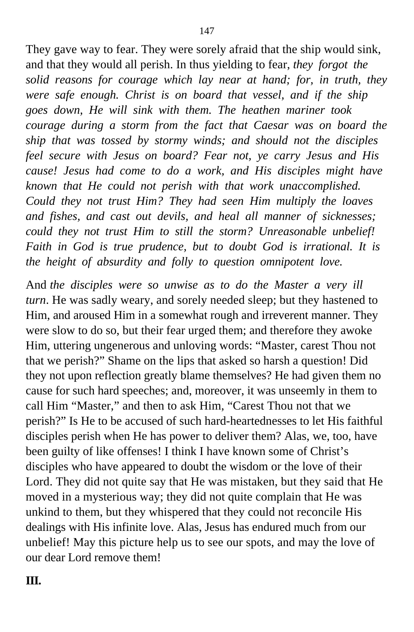They gave way to fear. They were sorely afraid that the ship would sink, and that they would all perish. In thus yielding to fear, *they forgot the solid reasons for courage which lay near at hand; for, in truth, they were safe enough. Christ is on board that vessel, and if the ship goes down, He will sink with them. The heathen mariner took courage during a storm from the fact that Caesar was on board the ship that was tossed by stormy winds; and should not the disciples feel secure with Jesus on board? Fear not, ye carry Jesus and His cause! Jesus had come to do a work, and His disciples might have known that He could not perish with that work unaccomplished. Could they not trust Him? They had seen Him multiply the loaves and fishes, and cast out devils, and heal all manner of sicknesses; could they not trust Him to still the storm? Unreasonable unbelief! Faith in God is true prudence, but to doubt God is irrational. It is the height of absurdity and folly to question omnipotent love.*

And *the disciples were so unwise as to do the Master a very ill turn*. He was sadly weary, and sorely needed sleep; but they hastened to Him, and aroused Him in a somewhat rough and irreverent manner. They were slow to do so, but their fear urged them; and therefore they awoke Him, uttering ungenerous and unloving words: "Master, carest Thou not that we perish?" Shame on the lips that asked so harsh a question! Did they not upon reflection greatly blame themselves? He had given them no cause for such hard speeches; and, moreover, it was unseemly in them to call Him "Master," and then to ask Him, "Carest Thou not that we perish?" Is He to be accused of such hard-heartednesses to let His faithful disciples perish when He has power to deliver them? Alas, we, too, have been guilty of like offenses! I think I have known some of Christ's disciples who have appeared to doubt the wisdom or the love of their Lord. They did not quite say that He was mistaken, but they said that He moved in a mysterious way; they did not quite complain that He was unkind to them, but they whispered that they could not reconcile His dealings with His infinite love. Alas, Jesus has endured much from our unbelief! May this picture help us to see our spots, and may the love of our dear Lord remove them!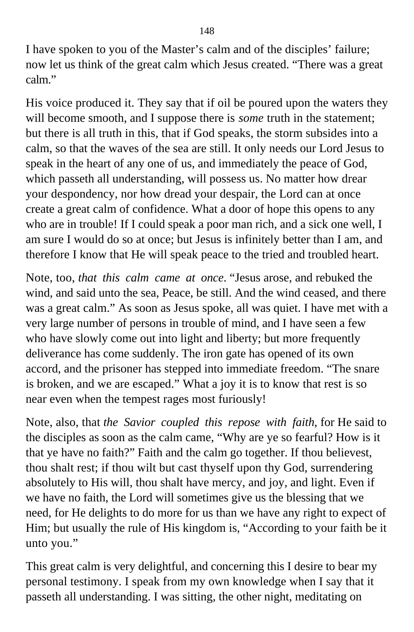I have spoken to you of the Master's calm and of the disciples' failure; now let us think of the great calm which Jesus created. "There was a great calm."

His voice produced it. They say that if oil be poured upon the waters they will become smooth, and I suppose there is *some* truth in the statement; but there is all truth in this, that if God speaks, the storm subsides into a calm, so that the waves of the sea are still. It only needs our Lord Jesus to speak in the heart of any one of us, and immediately the peace of God, which passeth all understanding, will possess us. No matter how drear your despondency, nor how dread your despair, the Lord can at once create a great calm of confidence. What a door of hope this opens to any who are in trouble! If I could speak a poor man rich, and a sick one well, I am sure I would do so at once; but Jesus is infinitely better than I am, and therefore I know that He will speak peace to the tried and troubled heart.

Note, too, *that this calm came at once*. "Jesus arose, and rebuked the wind, and said unto the sea, Peace, be still. And the wind ceased, and there was a great calm." As soon as Jesus spoke, all was quiet. I have met with a very large number of persons in trouble of mind, and I have seen a few who have slowly come out into light and liberty; but more frequently deliverance has come suddenly. The iron gate has opened of its own accord, and the prisoner has stepped into immediate freedom. "The snare is broken, and we are escaped." What a joy it is to know that rest is so near even when the tempest rages most furiously!

Note, also, that *the Savior coupled this repose with faith*, for He said to the disciples as soon as the calm came, "Why are ye so fearful? How is it that ye have no faith?" Faith and the calm go together. If thou believest, thou shalt rest; if thou wilt but cast thyself upon thy God, surrendering absolutely to His will, thou shalt have mercy, and joy, and light. Even if we have no faith, the Lord will sometimes give us the blessing that we need, for He delights to do more for us than we have any right to expect of Him; but usually the rule of His kingdom is, "According to your faith be it unto you."

This great calm is very delightful, and concerning this I desire to bear my personal testimony. I speak from my own knowledge when I say that it passeth all understanding. I was sitting, the other night, meditating on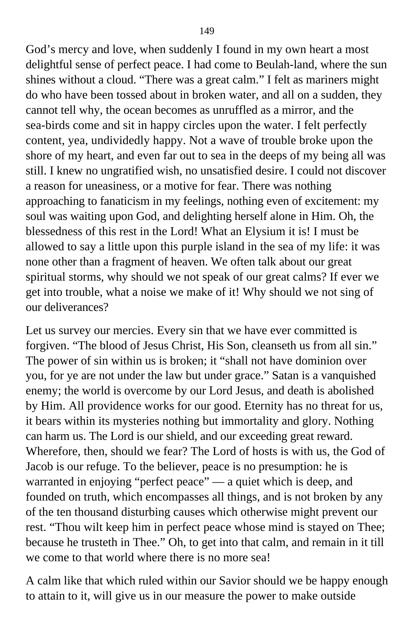God's mercy and love, when suddenly I found in my own heart a most delightful sense of perfect peace. I had come to Beulah-land, where the sun shines without a cloud. "There was a great calm." I felt as mariners might do who have been tossed about in broken water, and all on a sudden, they cannot tell why, the ocean becomes as unruffled as a mirror, and the sea-birds come and sit in happy circles upon the water. I felt perfectly content, yea, undividedly happy. Not a wave of trouble broke upon the shore of my heart, and even far out to sea in the deeps of my being all was still. I knew no ungratified wish, no unsatisfied desire. I could not discover a reason for uneasiness, or a motive for fear. There was nothing approaching to fanaticism in my feelings, nothing even of excitement: my soul was waiting upon God, and delighting herself alone in Him. Oh, the blessedness of this rest in the Lord! What an Elysium it is! I must be allowed to say a little upon this purple island in the sea of my life: it was none other than a fragment of heaven. We often talk about our great spiritual storms, why should we not speak of our great calms? If ever we get into trouble, what a noise we make of it! Why should we not sing of our deliverances?

Let us survey our mercies. Every sin that we have ever committed is forgiven. "The blood of Jesus Christ, His Son, cleanseth us from all sin." The power of sin within us is broken; it "shall not have dominion over you, for ye are not under the law but under grace." Satan is a vanquished enemy; the world is overcome by our Lord Jesus, and death is abolished by Him. All providence works for our good. Eternity has no threat for us, it bears within its mysteries nothing but immortality and glory. Nothing can harm us. The Lord is our shield, and our exceeding great reward. Wherefore, then, should we fear? The Lord of hosts is with us, the God of Jacob is our refuge. To the believer, peace is no presumption: he is warranted in enjoying "perfect peace" — a quiet which is deep, and founded on truth, which encompasses all things, and is not broken by any of the ten thousand disturbing causes which otherwise might prevent our rest. "Thou wilt keep him in perfect peace whose mind is stayed on Thee; because he trusteth in Thee." Oh, to get into that calm, and remain in it till we come to that world where there is no more sea!

A calm like that which ruled within our Savior should we be happy enough to attain to it, will give us in our measure the power to make outside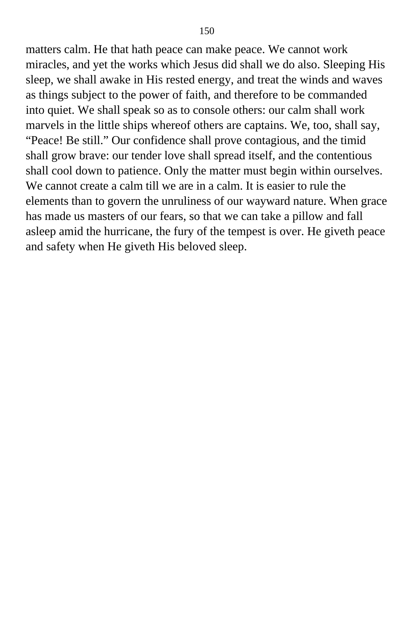matters calm. He that hath peace can make peace. We cannot work miracles, and yet the works which Jesus did shall we do also. Sleeping His sleep, we shall awake in His rested energy, and treat the winds and waves as things subject to the power of faith, and therefore to be commanded into quiet. We shall speak so as to console others: our calm shall work marvels in the little ships whereof others are captains. We, too, shall say, "Peace! Be still." Our confidence shall prove contagious, and the timid shall grow brave: our tender love shall spread itself, and the contentious shall cool down to patience. Only the matter must begin within ourselves. We cannot create a calm till we are in a calm. It is easier to rule the elements than to govern the unruliness of our wayward nature. When grace has made us masters of our fears, so that we can take a pillow and fall asleep amid the hurricane, the fury of the tempest is over. He giveth peace and safety when He giveth His beloved sleep.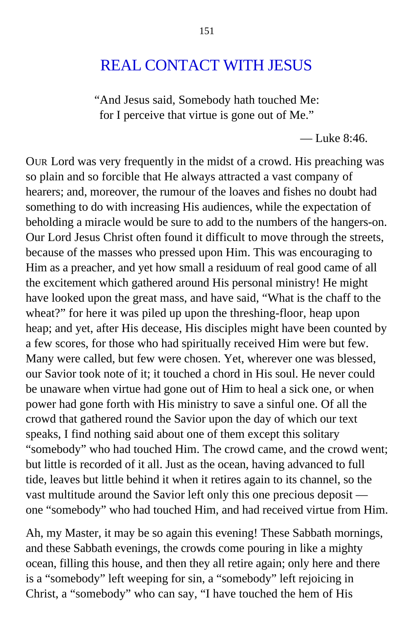## REAL CONTACT WITH JESUS

"And Jesus said, Somebody hath touched Me: for I perceive that virtue is gone out of Me."

— Luke 8:46.

OUR Lord was very frequently in the midst of a crowd. His preaching was so plain and so forcible that He always attracted a vast company of hearers; and, moreover, the rumour of the loaves and fishes no doubt had something to do with increasing His audiences, while the expectation of beholding a miracle would be sure to add to the numbers of the hangers-on. Our Lord Jesus Christ often found it difficult to move through the streets, because of the masses who pressed upon Him. This was encouraging to Him as a preacher, and yet how small a residuum of real good came of all the excitement which gathered around His personal ministry! He might have looked upon the great mass, and have said, "What is the chaff to the wheat?" for here it was piled up upon the threshing-floor, heap upon heap; and yet, after His decease, His disciples might have been counted by a few scores, for those who had spiritually received Him were but few. Many were called, but few were chosen. Yet, wherever one was blessed, our Savior took note of it; it touched a chord in His soul. He never could be unaware when virtue had gone out of Him to heal a sick one, or when power had gone forth with His ministry to save a sinful one. Of all the crowd that gathered round the Savior upon the day of which our text speaks, I find nothing said about one of them except this solitary "somebody" who had touched Him. The crowd came, and the crowd went; but little is recorded of it all. Just as the ocean, having advanced to full tide, leaves but little behind it when it retires again to its channel, so the vast multitude around the Savior left only this one precious deposit one "somebody" who had touched Him, and had received virtue from Him.

Ah, my Master, it may be so again this evening! These Sabbath mornings, and these Sabbath evenings, the crowds come pouring in like a mighty ocean, filling this house, and then they all retire again; only here and there is a "somebody" left weeping for sin, a "somebody" left rejoicing in Christ, a "somebody" who can say, "I have touched the hem of His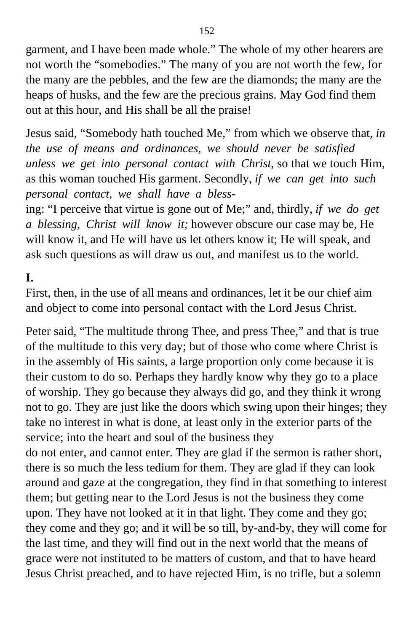garment, and I have been made whole." The whole of my other hearers are not worth the "somebodies." The many of you are not worth the few, for the many are the pebbles, and the few are the diamonds; the many are the heaps of husks, and the few are the precious grains. May God find them out at this hour, and His shall be all the praise!

Jesus said, "Somebody hath touched Me," from which we observe that, *in the use of means and ordinances, we should never be satisfied unless we get into personal contact with Christ*, so that we touch Him, as this woman touched His garment. Secondly, *if we can get into such personal contact, we shall have a bless-*

ing: "I perceive that virtue is gone out of Me;" and, thirdly, *if we do get a blessing, Christ will know it;* however obscure our case may be, He will know it, and He will have us let others know it; He will speak, and ask such questions as will draw us out, and manifest us to the world.

### **I.**

First, then, in the use of all means and ordinances, let it be our chief aim and object to come into personal contact with the Lord Jesus Christ.

Peter said, "The multitude throng Thee, and press Thee," and that is true of the multitude to this very day; but of those who come where Christ is in the assembly of His saints, a large proportion only come because it is their custom to do so. Perhaps they hardly know why they go to a place of worship. They go because they always did go, and they think it wrong not to go. They are just like the doors which swing upon their hinges; they take no interest in what is done, at least only in the exterior parts of the service; into the heart and soul of the business they

do not enter, and cannot enter. They are glad if the sermon is rather short, there is so much the less tedium for them. They are glad if they can look around and gaze at the congregation, they find in that something to interest them; but getting near to the Lord Jesus is not the business they come upon. They have not looked at it in that light. They come and they go; they come and they go; and it will be so till, by-and-by, they will come for the last time, and they will find out in the next world that the means of grace were not instituted to be matters of custom, and that to have heard Jesus Christ preached, and to have rejected Him, is no trifle, but a solemn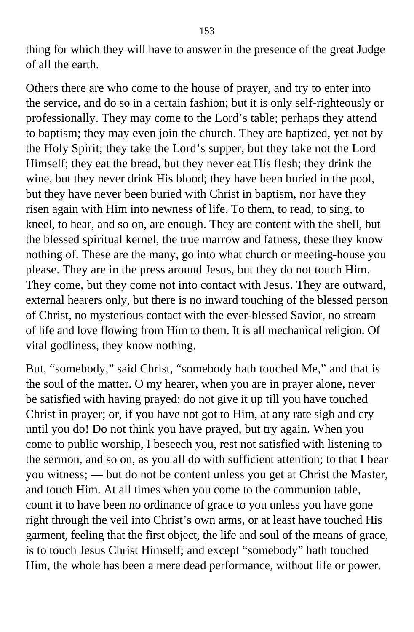thing for which they will have to answer in the presence of the great Judge of all the earth.

Others there are who come to the house of prayer, and try to enter into the service, and do so in a certain fashion; but it is only self-righteously or professionally. They may come to the Lord's table; perhaps they attend to baptism; they may even join the church. They are baptized, yet not by the Holy Spirit; they take the Lord's supper, but they take not the Lord Himself; they eat the bread, but they never eat His flesh; they drink the wine, but they never drink His blood; they have been buried in the pool, but they have never been buried with Christ in baptism, nor have they risen again with Him into newness of life. To them, to read, to sing, to kneel, to hear, and so on, are enough. They are content with the shell, but the blessed spiritual kernel, the true marrow and fatness, these they know nothing of. These are the many, go into what church or meeting-house you please. They are in the press around Jesus, but they do not touch Him. They come, but they come not into contact with Jesus. They are outward, external hearers only, but there is no inward touching of the blessed person of Christ, no mysterious contact with the ever-blessed Savior, no stream of life and love flowing from Him to them. It is all mechanical religion. Of vital godliness, they know nothing.

But, "somebody," said Christ, "somebody hath touched Me," and that is the soul of the matter. O my hearer, when you are in prayer alone, never be satisfied with having prayed; do not give it up till you have touched Christ in prayer; or, if you have not got to Him, at any rate sigh and cry until you do! Do not think you have prayed, but try again. When you come to public worship, I beseech you, rest not satisfied with listening to the sermon, and so on, as you all do with sufficient attention; to that I bear you witness; — but do not be content unless you get at Christ the Master, and touch Him. At all times when you come to the communion table, count it to have been no ordinance of grace to you unless you have gone right through the veil into Christ's own arms, or at least have touched His garment, feeling that the first object, the life and soul of the means of grace, is to touch Jesus Christ Himself; and except "somebody" hath touched Him, the whole has been a mere dead performance, without life or power.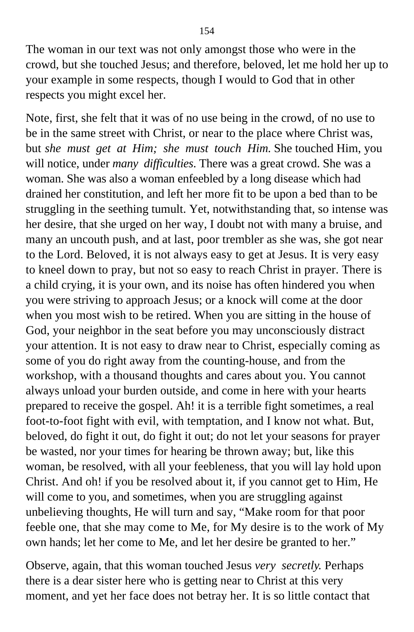The woman in our text was not only amongst those who were in the crowd, but she touched Jesus; and therefore, beloved, let me hold her up to your example in some respects, though I would to God that in other respects you might excel her.

Note, first, she felt that it was of no use being in the crowd, of no use to be in the same street with Christ, or near to the place where Christ was, but *she must get at Him; she must touch Him*. She touched Him, you will notice, under *many difficulties*. There was a great crowd. She was a woman. She was also a woman enfeebled by a long disease which had drained her constitution, and left her more fit to be upon a bed than to be struggling in the seething tumult. Yet, notwithstanding that, so intense was her desire, that she urged on her way, I doubt not with many a bruise, and many an uncouth push, and at last, poor trembler as she was, she got near to the Lord. Beloved, it is not always easy to get at Jesus. It is very easy to kneel down to pray, but not so easy to reach Christ in prayer. There is a child crying, it is your own, and its noise has often hindered you when you were striving to approach Jesus; or a knock will come at the door when you most wish to be retired. When you are sitting in the house of God, your neighbor in the seat before you may unconsciously distract your attention. It is not easy to draw near to Christ, especially coming as some of you do right away from the counting-house, and from the workshop, with a thousand thoughts and cares about you. You cannot always unload your burden outside, and come in here with your hearts prepared to receive the gospel. Ah! it is a terrible fight sometimes, a real foot-to-foot fight with evil, with temptation, and I know not what. But, beloved, do fight it out, do fight it out; do not let your seasons for prayer be wasted, nor your times for hearing be thrown away; but, like this woman, be resolved, with all your feebleness, that you will lay hold upon Christ. And oh! if you be resolved about it, if you cannot get to Him, He will come to you, and sometimes, when you are struggling against unbelieving thoughts, He will turn and say, "Make room for that poor feeble one, that she may come to Me, for My desire is to the work of My own hands; let her come to Me, and let her desire be granted to her."

Observe, again, that this woman touched Jesus *very secretly*. Perhaps there is a dear sister here who is getting near to Christ at this very moment, and yet her face does not betray her. It is so little contact that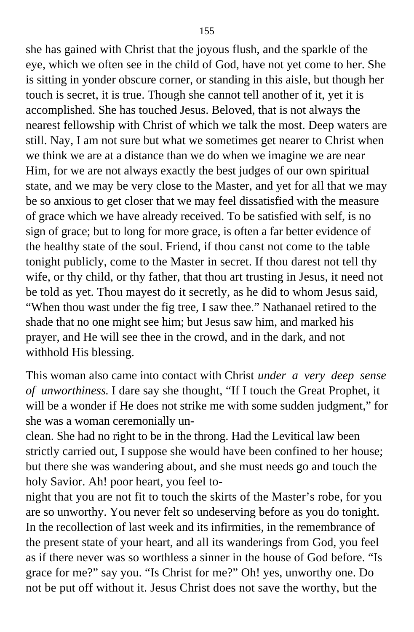she has gained with Christ that the joyous flush, and the sparkle of the eye, which we often see in the child of God, have not yet come to her. She is sitting in yonder obscure corner, or standing in this aisle, but though her touch is secret, it is true. Though she cannot tell another of it, yet it is accomplished. She has touched Jesus. Beloved, that is not always the nearest fellowship with Christ of which we talk the most. Deep waters are still. Nay, I am not sure but what we sometimes get nearer to Christ when we think we are at a distance than we do when we imagine we are near Him, for we are not always exactly the best judges of our own spiritual state, and we may be very close to the Master, and yet for all that we may be so anxious to get closer that we may feel dissatisfied with the measure of grace which we have already received. To be satisfied with self, is no sign of grace; but to long for more grace, is often a far better evidence of the healthy state of the soul. Friend, if thou canst not come to the table tonight publicly, come to the Master in secret. If thou darest not tell thy wife, or thy child, or thy father, that thou art trusting in Jesus, it need not be told as yet. Thou mayest do it secretly, as he did to whom Jesus said, "When thou wast under the fig tree, I saw thee." Nathanael retired to the shade that no one might see him; but Jesus saw him, and marked his prayer, and He will see thee in the crowd, and in the dark, and not withhold His blessing.

This woman also came into contact with Christ *under a very deep sense of unworthiness*. I dare say she thought, "If I touch the Great Prophet, it will be a wonder if He does not strike me with some sudden judgment," for she was a woman ceremonially un-

clean. She had no right to be in the throng. Had the Levitical law been strictly carried out, I suppose she would have been confined to her house; but there she was wandering about, and she must needs go and touch the holy Savior. Ah! poor heart, you feel to-

night that you are not fit to touch the skirts of the Master's robe, for you are so unworthy. You never felt so undeserving before as you do tonight. In the recollection of last week and its infirmities, in the remembrance of the present state of your heart, and all its wanderings from God, you feel as if there never was so worthless a sinner in the house of God before. "Is grace for me?" say you. "Is Christ for me?" Oh! yes, unworthy one. Do not be put off without it. Jesus Christ does not save the worthy, but the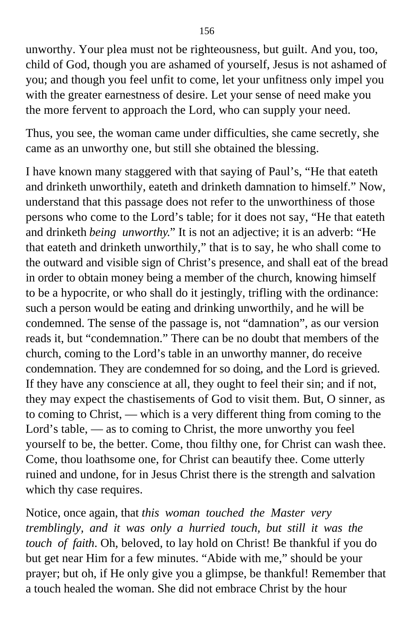unworthy. Your plea must not be righteousness, but guilt. And you, too, child of God, though you are ashamed of yourself, Jesus is not ashamed of you; and though you feel unfit to come, let your unfitness only impel you with the greater earnestness of desire. Let your sense of need make you the more fervent to approach the Lord, who can supply your need.

Thus, you see, the woman came under difficulties, she came secretly, she came as an unworthy one, but still she obtained the blessing.

I have known many staggered with that saying of Paul's, "He that eateth and drinketh unworthily, eateth and drinketh damnation to himself." Now, understand that this passage does not refer to the unworthiness of those persons who come to the Lord's table; for it does not say, "He that eateth and drinketh *being unworthy*." It is not an adjective; it is an adverb: "He that eateth and drinketh unworthily," that is to say, he who shall come to the outward and visible sign of Christ's presence, and shall eat of the bread in order to obtain money being a member of the church, knowing himself to be a hypocrite, or who shall do it jestingly, trifling with the ordinance: such a person would be eating and drinking unworthily, and he will be condemned. The sense of the passage is, not "damnation", as our version reads it, but "condemnation." There can be no doubt that members of the church, coming to the Lord's table in an unworthy manner, do receive condemnation. They are condemned for so doing, and the Lord is grieved. If they have any conscience at all, they ought to feel their sin; and if not, they may expect the chastisements of God to visit them. But, O sinner, as to coming to Christ, — which is a very different thing from coming to the Lord's table, — as to coming to Christ, the more unworthy you feel yourself to be, the better. Come, thou filthy one, for Christ can wash thee. Come, thou loathsome one, for Christ can beautify thee. Come utterly ruined and undone, for in Jesus Christ there is the strength and salvation which thy case requires.

Notice, once again, that *this woman touched the Master very tremblingly, and it was only a hurried touch, but still it was the touch of faith*. Oh, beloved, to lay hold on Christ! Be thankful if you do but get near Him for a few minutes. "Abide with me," should be your prayer; but oh, if He only give you a glimpse, be thankful! Remember that a touch healed the woman. She did not embrace Christ by the hour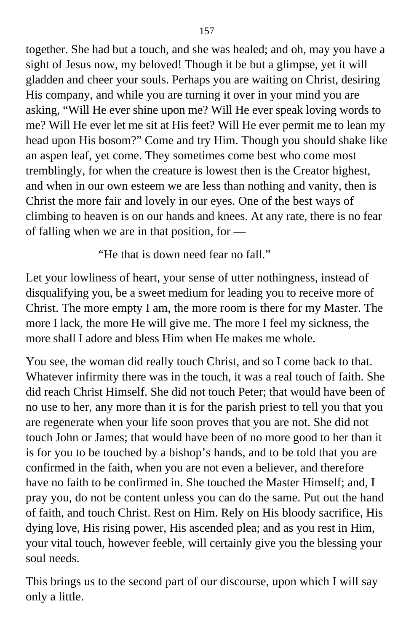together. She had but a touch, and she was healed; and oh, may you have a sight of Jesus now, my beloved! Though it be but a glimpse, yet it will gladden and cheer your souls. Perhaps you are waiting on Christ, desiring His company, and while you are turning it over in your mind you are asking, "Will He ever shine upon me? Will He ever speak loving words to me? Will He ever let me sit at His feet? Will He ever permit me to lean my head upon His bosom?" Come and try Him. Though you should shake like an aspen leaf, yet come. They sometimes come best who come most tremblingly, for when the creature is lowest then is the Creator highest, and when in our own esteem we are less than nothing and vanity, then is Christ the more fair and lovely in our eyes. One of the best ways of climbing to heaven is on our hands and knees. At any rate, there is no fear of falling when we are in that position, for —

"He that is down need fear no fall."

Let your lowliness of heart, your sense of utter nothingness, instead of disqualifying you, be a sweet medium for leading you to receive more of Christ. The more empty I am, the more room is there for my Master. The more I lack, the more He will give me. The more I feel my sickness, the more shall I adore and bless Him when He makes me whole.

You see, the woman did really touch Christ, and so I come back to that. Whatever infirmity there was in the touch, it was a real touch of faith. She did reach Christ Himself. She did not touch Peter; that would have been of no use to her, any more than it is for the parish priest to tell you that you are regenerate when your life soon proves that you are not. She did not touch John or James; that would have been of no more good to her than it is for you to be touched by a bishop's hands, and to be told that you are confirmed in the faith, when you are not even a believer, and therefore have no faith to be confirmed in. She touched the Master Himself; and, I pray you, do not be content unless you can do the same. Put out the hand of faith, and touch Christ. Rest on Him. Rely on His bloody sacrifice, His dying love, His rising power, His ascended plea; and as you rest in Him, your vital touch, however feeble, will certainly give you the blessing your soul needs.

This brings us to the second part of our discourse, upon which I will say only a little.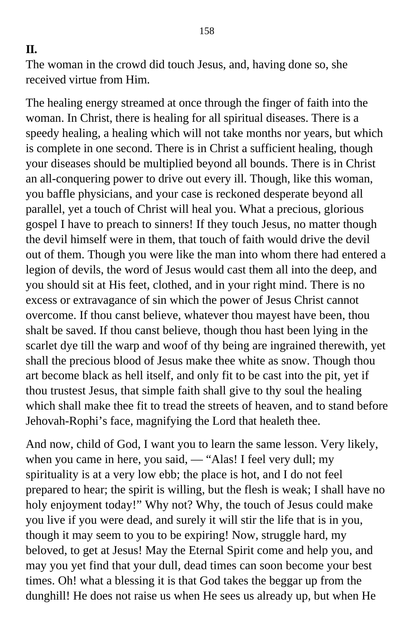**II.**

The woman in the crowd did touch Jesus, and, having done so, she received virtue from Him.

The healing energy streamed at once through the finger of faith into the woman. In Christ, there is healing for all spiritual diseases. There is a speedy healing, a healing which will not take months nor years, but which is complete in one second. There is in Christ a sufficient healing, though your diseases should be multiplied beyond all bounds. There is in Christ an all-conquering power to drive out every ill. Though, like this woman, you baffle physicians, and your case is reckoned desperate beyond all parallel, yet a touch of Christ will heal you. What a precious, glorious gospel I have to preach to sinners! If they touch Jesus, no matter though the devil himself were in them, that touch of faith would drive the devil out of them. Though you were like the man into whom there had entered a legion of devils, the word of Jesus would cast them all into the deep, and you should sit at His feet, clothed, and in your right mind. There is no excess or extravagance of sin which the power of Jesus Christ cannot overcome. If thou canst believe, whatever thou mayest have been, thou shalt be saved. If thou canst believe, though thou hast been lying in the scarlet dye till the warp and woof of thy being are ingrained therewith, yet shall the precious blood of Jesus make thee white as snow. Though thou art become black as hell itself, and only fit to be cast into the pit, yet if thou trustest Jesus, that simple faith shall give to thy soul the healing which shall make thee fit to tread the streets of heaven, and to stand before Jehovah-Rophi's face, magnifying the Lord that healeth thee.

And now, child of God, I want you to learn the same lesson. Very likely, when you came in here, you said, — "Alas! I feel very dull; my spirituality is at a very low ebb; the place is hot, and I do not feel prepared to hear; the spirit is willing, but the flesh is weak; I shall have no holy enjoyment today!" Why not? Why, the touch of Jesus could make you live if you were dead, and surely it will stir the life that is in you, though it may seem to you to be expiring! Now, struggle hard, my beloved, to get at Jesus! May the Eternal Spirit come and help you, and may you yet find that your dull, dead times can soon become your best times. Oh! what a blessing it is that God takes the beggar up from the dunghill! He does not raise us when He sees us already up, but when He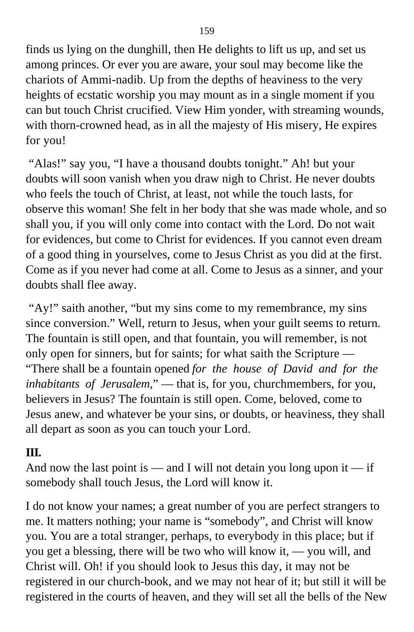finds us lying on the dunghill, then He delights to lift us up, and set us among princes. Or ever you are aware, your soul may become like the chariots of Ammi-nadib. Up from the depths of heaviness to the very heights of ecstatic worship you may mount as in a single moment if you can but touch Christ crucified. View Him yonder, with streaming wounds, with thorn-crowned head, as in all the majesty of His misery, He expires for you!

 "Alas!" say you, "I have a thousand doubts tonight." Ah! but your doubts will soon vanish when you draw nigh to Christ. He never doubts who feels the touch of Christ, at least, not while the touch lasts, for observe this woman! She felt in her body that she was made whole, and so shall you, if you will only come into contact with the Lord. Do not wait for evidences, but come to Christ for evidences. If you cannot even dream of a good thing in yourselves, come to Jesus Christ as you did at the first. Come as if you never had come at all. Come to Jesus as a sinner, and your doubts shall flee away.

 "Ay!" saith another, "but my sins come to my remembrance, my sins since conversion." Well, return to Jesus, when your guilt seems to return. The fountain is still open, and that fountain, you will remember, is not only open for sinners, but for saints; for what saith the Scripture — "There shall be a fountain opened *for the house of David and for the inhabitants of Jerusalem*," — that is, for you, churchmembers, for you, believers in Jesus? The fountain is still open. Come, beloved, come to Jesus anew, and whatever be your sins, or doubts, or heaviness, they shall all depart as soon as you can touch your Lord.

### **III.**

And now the last point is — and I will not detain you long upon it — if somebody shall touch Jesus, the Lord will know it.

I do not know your names; a great number of you are perfect strangers to me. It matters nothing; your name is "somebody", and Christ will know you. You are a total stranger, perhaps, to everybody in this place; but if you get a blessing, there will be two who will know it, — you will, and Christ will. Oh! if you should look to Jesus this day, it may not be registered in our church-book, and we may not hear of it; but still it will be registered in the courts of heaven, and they will set all the bells of the New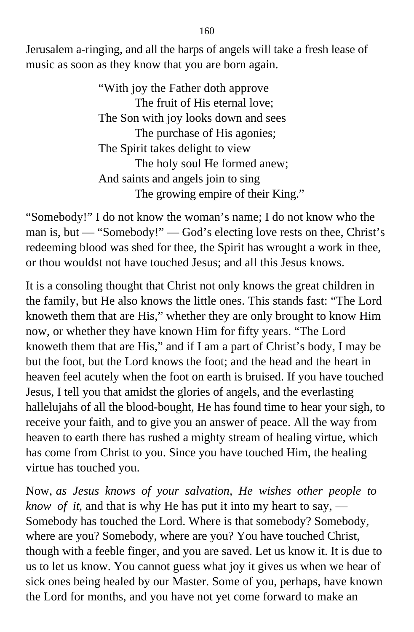Jerusalem a-ringing, and all the harps of angels will take a fresh lease of music as soon as they know that you are born again.

> "With joy the Father doth approve The fruit of His eternal love; The Son with joy looks down and sees The purchase of His agonies; The Spirit takes delight to view The holy soul He formed anew; And saints and angels join to sing The growing empire of their King."

"Somebody!" I do not know the woman's name; I do not know who the man is, but — "Somebody!" — God's electing love rests on thee, Christ's redeeming blood was shed for thee, the Spirit has wrought a work in thee, or thou wouldst not have touched Jesus; and all this Jesus knows.

It is a consoling thought that Christ not only knows the great children in the family, but He also knows the little ones. This stands fast: "The Lord knoweth them that are His," whether they are only brought to know Him now, or whether they have known Him for fifty years. "The Lord knoweth them that are His," and if I am a part of Christ's body, I may be but the foot, but the Lord knows the foot; and the head and the heart in heaven feel acutely when the foot on earth is bruised. If you have touched Jesus, I tell you that amidst the glories of angels, and the everlasting hallelujahs of all the blood-bought, He has found time to hear your sigh, to receive your faith, and to give you an answer of peace. All the way from heaven to earth there has rushed a mighty stream of healing virtue, which has come from Christ to you. Since you have touched Him, the healing virtue has touched you.

Now, *as Jesus knows of your salvation, He wishes other people to know of it*, and that is why He has put it into my heart to say, — Somebody has touched the Lord. Where is that somebody? Somebody, where are you? Somebody, where are you? You have touched Christ, though with a feeble finger, and you are saved. Let us know it. It is due to us to let us know. You cannot guess what joy it gives us when we hear of sick ones being healed by our Master. Some of you, perhaps, have known the Lord for months, and you have not yet come forward to make an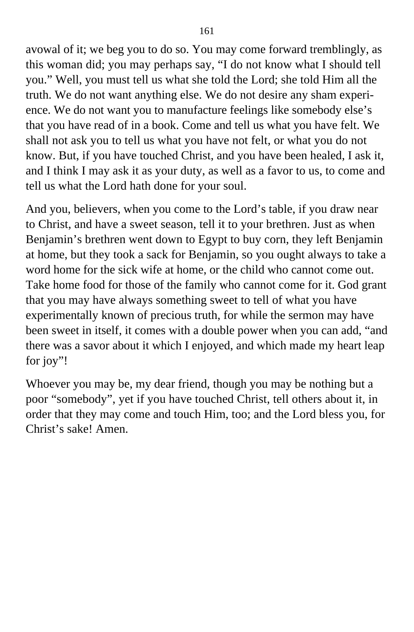avowal of it; we beg you to do so. You may come forward tremblingly, as this woman did; you may perhaps say, "I do not know what I should tell you." Well, you must tell us what she told the Lord; she told Him all the truth. We do not want anything else. We do not desire any sham experience. We do not want you to manufacture feelings like somebody else's that you have read of in a book. Come and tell us what you have felt. We shall not ask you to tell us what you have not felt, or what you do not know. But, if you have touched Christ, and you have been healed, I ask it, and I think I may ask it as your duty, as well as a favor to us, to come and tell us what the Lord hath done for your soul.

And you, believers, when you come to the Lord's table, if you draw near to Christ, and have a sweet season, tell it to your brethren. Just as when Benjamin's brethren went down to Egypt to buy corn, they left Benjamin at home, but they took a sack for Benjamin, so you ought always to take a word home for the sick wife at home, or the child who cannot come out. Take home food for those of the family who cannot come for it. God grant that you may have always something sweet to tell of what you have experimentally known of precious truth, for while the sermon may have been sweet in itself, it comes with a double power when you can add, "and there was a savor about it which I enjoyed, and which made my heart leap for joy"!

Whoever you may be, my dear friend, though you may be nothing but a poor "somebody", yet if you have touched Christ, tell others about it, in order that they may come and touch Him, too; and the Lord bless you, for Christ's sake! Amen.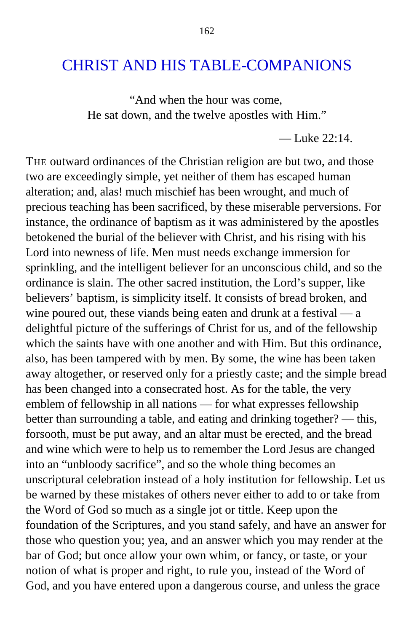## CHRIST AND HIS TABLE-COMPANIONS

"And when the hour was come, He sat down, and the twelve apostles with Him."

— Luke 22:14.

THE outward ordinances of the Christian religion are but two, and those two are exceedingly simple, yet neither of them has escaped human alteration; and, alas! much mischief has been wrought, and much of precious teaching has been sacrificed, by these miserable perversions. For instance, the ordinance of baptism as it was administered by the apostles betokened the burial of the believer with Christ, and his rising with his Lord into newness of life. Men must needs exchange immersion for sprinkling, and the intelligent believer for an unconscious child, and so the ordinance is slain. The other sacred institution, the Lord's supper, like believers' baptism, is simplicity itself. It consists of bread broken, and wine poured out, these viands being eaten and drunk at a festival — a delightful picture of the sufferings of Christ for us, and of the fellowship which the saints have with one another and with Him. But this ordinance, also, has been tampered with by men. By some, the wine has been taken away altogether, or reserved only for a priestly caste; and the simple bread has been changed into a consecrated host. As for the table, the very emblem of fellowship in all nations — for what expresses fellowship better than surrounding a table, and eating and drinking together? — this, forsooth, must be put away, and an altar must be erected, and the bread and wine which were to help us to remember the Lord Jesus are changed into an "unbloody sacrifice", and so the whole thing becomes an unscriptural celebration instead of a holy institution for fellowship. Let us be warned by these mistakes of others never either to add to or take from the Word of God so much as a single jot or tittle. Keep upon the foundation of the Scriptures, and you stand safely, and have an answer for those who question you; yea, and an answer which you may render at the bar of God; but once allow your own whim, or fancy, or taste, or your notion of what is proper and right, to rule you, instead of the Word of God, and you have entered upon a dangerous course, and unless the grace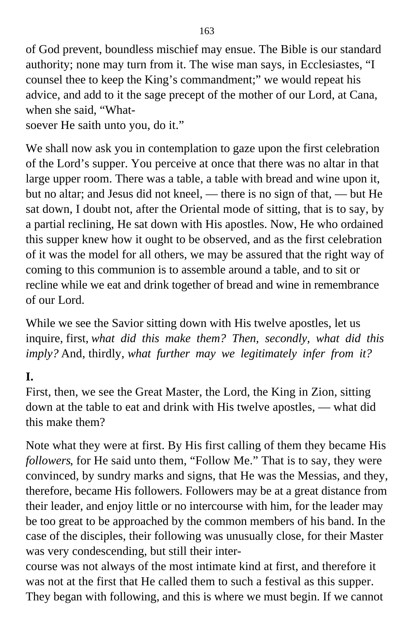of God prevent, boundless mischief may ensue. The Bible is our standard authority; none may turn from it. The wise man says, in Ecclesiastes, "I counsel thee to keep the King's commandment;" we would repeat his advice, and add to it the sage precept of the mother of our Lord, at Cana, when she said, "What-

soever He saith unto you, do it."

We shall now ask you in contemplation to gaze upon the first celebration of the Lord's supper. You perceive at once that there was no altar in that large upper room. There was a table, a table with bread and wine upon it, but no altar; and Jesus did not kneel, — there is no sign of that, — but He sat down, I doubt not, after the Oriental mode of sitting, that is to say, by a partial reclining, He sat down with His apostles. Now, He who ordained this supper knew how it ought to be observed, and as the first celebration of it was the model for all others, we may be assured that the right way of coming to this communion is to assemble around a table, and to sit or recline while we eat and drink together of bread and wine in remembrance of our Lord.

While we see the Savior sitting down with His twelve apostles, let us inquire, first, *what did this make them? Then, secondly, what did this imply?* And, thirdly, *what further may we legitimately infer from it?*

## **I.**

First, then, we see the Great Master, the Lord, the King in Zion, sitting down at the table to eat and drink with His twelve apostles, — what did this make them?

Note what they were at first. By His first calling of them they became His *followers*, for He said unto them, "Follow Me." That is to say, they were convinced, by sundry marks and signs, that He was the Messias, and they, therefore, became His followers. Followers may be at a great distance from their leader, and enjoy little or no intercourse with him, for the leader may be too great to be approached by the common members of his band. In the case of the disciples, their following was unusually close, for their Master was very condescending, but still their inter-

course was not always of the most intimate kind at first, and therefore it was not at the first that He called them to such a festival as this supper. They began with following, and this is where we must begin. If we cannot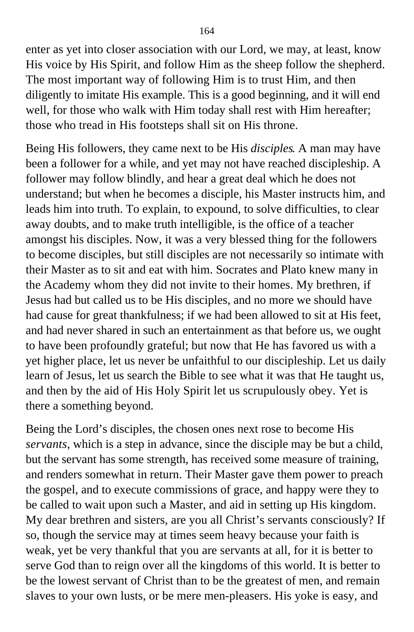enter as yet into closer association with our Lord, we may, at least, know His voice by His Spirit, and follow Him as the sheep follow the shepherd. The most important way of following Him is to trust Him, and then diligently to imitate His example. This is a good beginning, and it will end well, for those who walk with Him today shall rest with Him hereafter; those who tread in His footsteps shall sit on His throne.

Being His followers, they came next to be His *disciples*. A man may have been a follower for a while, and yet may not have reached discipleship. A follower may follow blindly, and hear a great deal which he does not understand; but when he becomes a disciple, his Master instructs him, and leads him into truth. To explain, to expound, to solve difficulties, to clear away doubts, and to make truth intelligible, is the office of a teacher amongst his disciples. Now, it was a very blessed thing for the followers to become disciples, but still disciples are not necessarily so intimate with their Master as to sit and eat with him. Socrates and Plato knew many in the Academy whom they did not invite to their homes. My brethren, if Jesus had but called us to be His disciples, and no more we should have had cause for great thankfulness; if we had been allowed to sit at His feet, and had never shared in such an entertainment as that before us, we ought to have been profoundly grateful; but now that He has favored us with a yet higher place, let us never be unfaithful to our discipleship. Let us daily learn of Jesus, let us search the Bible to see what it was that He taught us, and then by the aid of His Holy Spirit let us scrupulously obey. Yet is there a something beyond.

Being the Lord's disciples, the chosen ones next rose to become His *servants*, which is a step in advance, since the disciple may be but a child, but the servant has some strength, has received some measure of training, and renders somewhat in return. Their Master gave them power to preach the gospel, and to execute commissions of grace, and happy were they to be called to wait upon such a Master, and aid in setting up His kingdom. My dear brethren and sisters, are you all Christ's servants consciously? If so, though the service may at times seem heavy because your faith is weak, yet be very thankful that you are servants at all, for it is better to serve God than to reign over all the kingdoms of this world. It is better to be the lowest servant of Christ than to be the greatest of men, and remain slaves to your own lusts, or be mere men-pleasers. His yoke is easy, and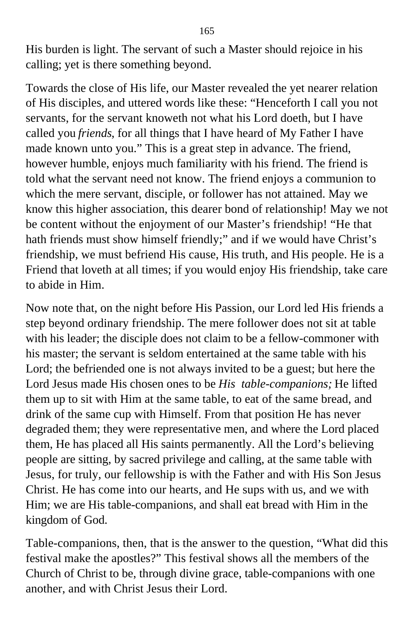His burden is light. The servant of such a Master should rejoice in his calling; yet is there something beyond.

Towards the close of His life, our Master revealed the yet nearer relation of His disciples, and uttered words like these: "Henceforth I call you not servants, for the servant knoweth not what his Lord doeth, but I have called you *friends*, for all things that I have heard of My Father I have made known unto you." This is a great step in advance. The friend, however humble, enjoys much familiarity with his friend. The friend is told what the servant need not know. The friend enjoys a communion to which the mere servant, disciple, or follower has not attained. May we know this higher association, this dearer bond of relationship! May we not be content without the enjoyment of our Master's friendship! "He that hath friends must show himself friendly;" and if we would have Christ's friendship, we must befriend His cause, His truth, and His people. He is a Friend that loveth at all times; if you would enjoy His friendship, take care to abide in Him.

Now note that, on the night before His Passion, our Lord led His friends a step beyond ordinary friendship. The mere follower does not sit at table with his leader; the disciple does not claim to be a fellow-commoner with his master; the servant is seldom entertained at the same table with his Lord; the befriended one is not always invited to be a guest; but here the Lord Jesus made His chosen ones to be *His table-companions;* He lifted them up to sit with Him at the same table, to eat of the same bread, and drink of the same cup with Himself. From that position He has never degraded them; they were representative men, and where the Lord placed them, He has placed all His saints permanently. All the Lord's believing people are sitting, by sacred privilege and calling, at the same table with Jesus, for truly, our fellowship is with the Father and with His Son Jesus Christ. He has come into our hearts, and He sups with us, and we with Him; we are His table-companions, and shall eat bread with Him in the kingdom of God.

Table-companions, then, that is the answer to the question, "What did this festival make the apostles?" This festival shows all the members of the Church of Christ to be, through divine grace, table-companions with one another, and with Christ Jesus their Lord.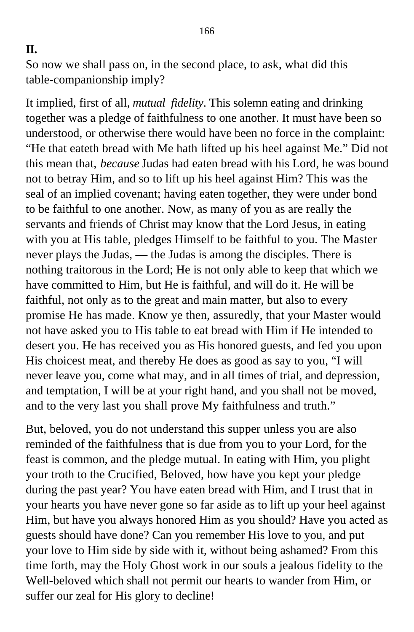#### **II.**

So now we shall pass on, in the second place, to ask, what did this table-companionship imply?

It implied, first of all, *mutual fidelity*. This solemn eating and drinking together was a pledge of faithfulness to one another. It must have been so understood, or otherwise there would have been no force in the complaint: "He that eateth bread with Me hath lifted up his heel against Me." Did not this mean that, *because* Judas had eaten bread with his Lord, he was bound not to betray Him, and so to lift up his heel against Him? This was the seal of an implied covenant; having eaten together, they were under bond to be faithful to one another. Now, as many of you as are really the servants and friends of Christ may know that the Lord Jesus, in eating with you at His table, pledges Himself to be faithful to you. The Master never plays the Judas, — the Judas is among the disciples. There is nothing traitorous in the Lord; He is not only able to keep that which we have committed to Him, but He is faithful, and will do it. He will be faithful, not only as to the great and main matter, but also to every promise He has made. Know ye then, assuredly, that your Master would not have asked you to His table to eat bread with Him if He intended to desert you. He has received you as His honored guests, and fed you upon His choicest meat, and thereby He does as good as say to you, "I will never leave you, come what may, and in all times of trial, and depression, and temptation, I will be at your right hand, and you shall not be moved, and to the very last you shall prove My faithfulness and truth."

But, beloved, you do not understand this supper unless you are also reminded of the faithfulness that is due from you to your Lord, for the feast is common, and the pledge mutual. In eating with Him, you plight your troth to the Crucified, Beloved, how have you kept your pledge during the past year? You have eaten bread with Him, and I trust that in your hearts you have never gone so far aside as to lift up your heel against Him, but have you always honored Him as you should? Have you acted as guests should have done? Can you remember His love to you, and put your love to Him side by side with it, without being ashamed? From this time forth, may the Holy Ghost work in our souls a jealous fidelity to the Well-beloved which shall not permit our hearts to wander from Him, or suffer our zeal for His glory to decline!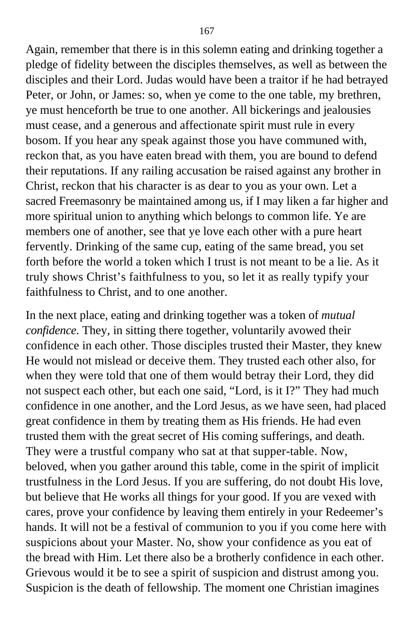Again, remember that there is in this solemn eating and drinking together a pledge of fidelity between the disciples themselves, as well as between the disciples and their Lord. Judas would have been a traitor if he had betrayed Peter, or John, or James: so, when ye come to the one table, my brethren, ye must henceforth be true to one another. All bickerings and jealousies must cease, and a generous and affectionate spirit must rule in every bosom. If you hear any speak against those you have communed with, reckon that, as you have eaten bread with them, you are bound to defend their reputations. If any railing accusation be raised against any brother in Christ, reckon that his character is as dear to you as your own. Let a sacred Freemasonry be maintained among us, if I may liken a far higher and more spiritual union to anything which belongs to common life. Ye are members one of another, see that ye love each other with a pure heart fervently. Drinking of the same cup, eating of the same bread, you set forth before the world a token which I trust is not meant to be a lie. As it truly shows Christ's faithfulness to you, so let it as really typify your faithfulness to Christ, and to one another.

In the next place, eating and drinking together was a token of *mutual confidence*. They, in sitting there together, voluntarily avowed their confidence in each other. Those disciples trusted their Master, they knew He would not mislead or deceive them. They trusted each other also, for when they were told that one of them would betray their Lord, they did not suspect each other, but each one said, "Lord, is it I?" They had much confidence in one another, and the Lord Jesus, as we have seen, had placed great confidence in them by treating them as His friends. He had even trusted them with the great secret of His coming sufferings, and death. They were a trustful company who sat at that supper-table. Now, beloved, when you gather around this table, come in the spirit of implicit trustfulness in the Lord Jesus. If you are suffering, do not doubt His love, but believe that He works all things for your good. If you are vexed with cares, prove your confidence by leaving them entirely in your Redeemer's hands. It will not be a festival of communion to you if you come here with suspicions about your Master. No, show your confidence as you eat of the bread with Him. Let there also be a brotherly confidence in each other. Grievous would it be to see a spirit of suspicion and distrust among you. Suspicion is the death of fellowship. The moment one Christian imagines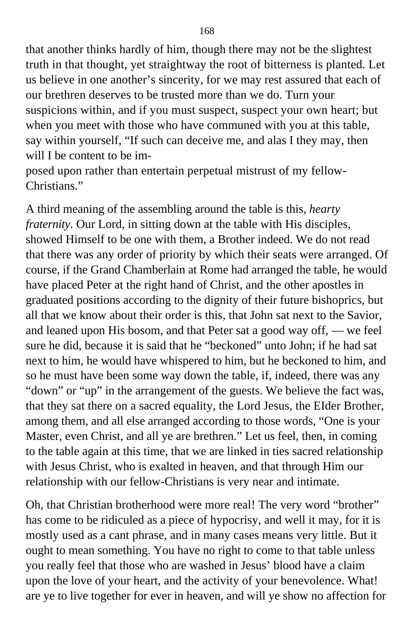that another thinks hardly of him, though there may not be the slightest truth in that thought, yet straightway the root of bitterness is planted. Let us believe in one another's sincerity, for we may rest assured that each of our brethren deserves to be trusted more than we do. Turn your suspicions within, and if you must suspect, suspect your own heart; but when you meet with those who have communed with you at this table, say within yourself, "If such can deceive me, and alas I they may, then will I be content to be im-

posed upon rather than entertain perpetual mistrust of my fellow-Christians<sup>"</sup>

A third meaning of the assembling around the table is this, *hearty fraternity*. Our Lord, in sitting down at the table with His disciples, showed Himself to be one with them, a Brother indeed. We do not read that there was any order of priority by which their seats were arranged. Of course, if the Grand Chamberlain at Rome had arranged the table, he would have placed Peter at the right hand of Christ, and the other apostles in graduated positions according to the dignity of their future bishoprics, but all that we know about their order is this, that John sat next to the Savior, and leaned upon His bosom, and that Peter sat a good way off, — we feel sure he did, because it is said that he "beckoned" unto John; if he had sat next to him, he would have whispered to him, but he beckoned to him, and so he must have been some way down the table, if, indeed, there was any "down" or "up" in the arrangement of the guests. We believe the fact was, that they sat there on a sacred equality, the Lord Jesus, the EIder Brother, among them, and all else arranged according to those words, "One is your Master, even Christ, and all ye are brethren." Let us feel, then, in coming to the table again at this time, that we are linked in ties sacred relationship with Jesus Christ, who is exalted in heaven, and that through Him our relationship with our fellow-Christians is very near and intimate.

Oh, that Christian brotherhood were more real! The very word "brother" has come to be ridiculed as a piece of hypocrisy, and well it may, for it is mostly used as a cant phrase, and in many cases means very little. But it ought to mean something. You have no right to come to that table unless you really feel that those who are washed in Jesus' blood have a claim upon the love of your heart, and the activity of your benevolence. What! are ye to live together for ever in heaven, and will ye show no affection for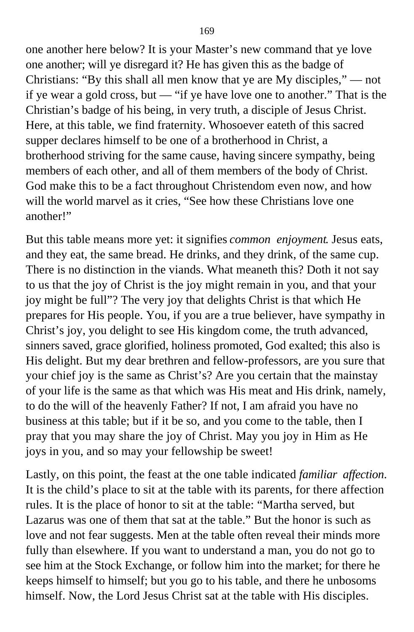one another here below? It is your Master's new command that ye love one another; will ye disregard it? He has given this as the badge of Christians: "By this shall all men know that ye are My disciples," — not if ye wear a gold cross, but — "if ye have love one to another." That is the Christian's badge of his being, in very truth, a disciple of Jesus Christ. Here, at this table, we find fraternity. Whosoever eateth of this sacred supper declares himself to be one of a brotherhood in Christ, a brotherhood striving for the same cause, having sincere sympathy, being members of each other, and all of them members of the body of Christ. God make this to be a fact throughout Christendom even now, and how will the world marvel as it cries, "See how these Christians love one another!"

But this table means more yet: it signifies *common enjoyment*. Jesus eats, and they eat, the same bread. He drinks, and they drink, of the same cup. There is no distinction in the viands. What meaneth this? Doth it not say to us that the joy of Christ is the joy might remain in you, and that your joy might be full"? The very joy that delights Christ is that which He prepares for His people. You, if you are a true believer, have sympathy in Christ's joy, you delight to see His kingdom come, the truth advanced, sinners saved, grace glorified, holiness promoted, God exalted; this also is His delight. But my dear brethren and fellow-professors, are you sure that your chief joy is the same as Christ's? Are you certain that the mainstay of your life is the same as that which was His meat and His drink, namely, to do the will of the heavenly Father? If not, I am afraid you have no business at this table; but if it be so, and you come to the table, then I pray that you may share the joy of Christ. May you joy in Him as He joys in you, and so may your fellowship be sweet!

Lastly, on this point, the feast at the one table indicated *familiar affection*. It is the child's place to sit at the table with its parents, for there affection rules. It is the place of honor to sit at the table: "Martha served, but Lazarus was one of them that sat at the table." But the honor is such as love and not fear suggests. Men at the table often reveal their minds more fully than elsewhere. If you want to understand a man, you do not go to see him at the Stock Exchange, or follow him into the market; for there he keeps himself to himself; but you go to his table, and there he unbosoms himself. Now, the Lord Jesus Christ sat at the table with His disciples.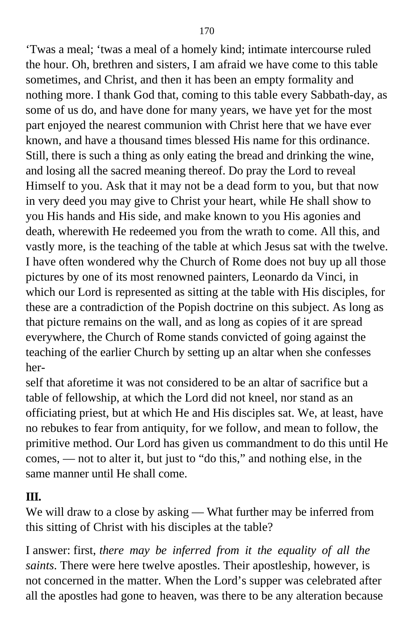'Twas a meal; 'twas a meal of a homely kind; intimate intercourse ruled the hour. Oh, brethren and sisters, I am afraid we have come to this table sometimes, and Christ, and then it has been an empty formality and nothing more. I thank God that, coming to this table every Sabbath-day, as some of us do, and have done for many years, we have yet for the most part enjoyed the nearest communion with Christ here that we have ever known, and have a thousand times blessed His name for this ordinance. Still, there is such a thing as only eating the bread and drinking the wine, and losing all the sacred meaning thereof. Do pray the Lord to reveal Himself to you. Ask that it may not be a dead form to you, but that now in very deed you may give to Christ your heart, while He shall show to you His hands and His side, and make known to you His agonies and death, wherewith He redeemed you from the wrath to come. All this, and vastly more, is the teaching of the table at which Jesus sat with the twelve. I have often wondered why the Church of Rome does not buy up all those pictures by one of its most renowned painters, Leonardo da Vinci, in which our Lord is represented as sitting at the table with His disciples, for these are a contradiction of the Popish doctrine on this subject. As long as that picture remains on the wall, and as long as copies of it are spread everywhere, the Church of Rome stands convicted of going against the teaching of the earlier Church by setting up an altar when she confesses her-

self that aforetime it was not considered to be an altar of sacrifice but a table of fellowship, at which the Lord did not kneel, nor stand as an officiating priest, but at which He and His disciples sat. We, at least, have no rebukes to fear from antiquity, for we follow, and mean to follow, the primitive method. Our Lord has given us commandment to do this until He comes, — not to alter it, but just to "do this," and nothing else, in the same manner until He shall come.

## **III.**

We will draw to a close by asking — What further may be inferred from this sitting of Christ with his disciples at the table?

I answer: first, *there may be inferred from it the equality of all the saints*. There were here twelve apostles. Their apostleship, however, is not concerned in the matter. When the Lord's supper was celebrated after all the apostles had gone to heaven, was there to be any alteration because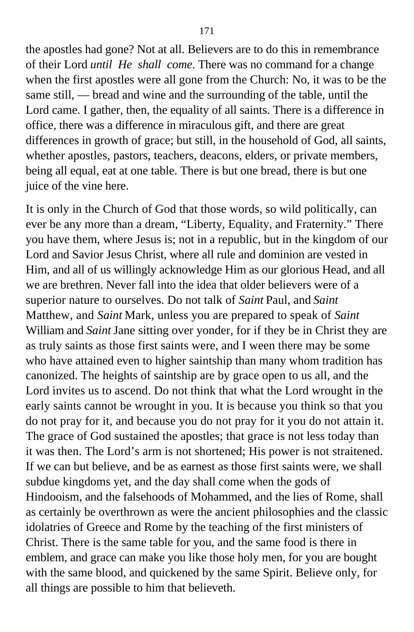the apostles had gone? Not at all. Believers are to do this in remembrance of their Lord *until He shall come*. There was no command for a change when the first apostles were all gone from the Church: No, it was to be the same still, — bread and wine and the surrounding of the table, until the Lord came. I gather, then, the equality of all saints. There is a difference in office, there was a difference in miraculous gift, and there are great differences in growth of grace; but still, in the household of God, all saints, whether apostles, pastors, teachers, deacons, elders, or private members, being all equal, eat at one table. There is but one bread, there is but one juice of the vine here.

It is only in the Church of God that those words, so wild politically, can ever be any more than a dream, "Liberty, Equality, and Fraternity." There you have them, where Jesus is; not in a republic, but in the kingdom of our Lord and Savior Jesus Christ, where all rule and dominion are vested in Him, and all of us willingly acknowledge Him as our glorious Head, and all we are brethren. Never fall into the idea that older believers were of a superior nature to ourselves. Do not talk of *Saint* Paul, and *Saint* Matthew, and *Saint* Mark, unless you are prepared to speak of *Saint* William and *Saint* Jane sitting over yonder, for if they be in Christ they are as truly saints as those first saints were, and I ween there may be some who have attained even to higher saintship than many whom tradition has canonized. The heights of saintship are by grace open to us all, and the Lord invites us to ascend. Do not think that what the Lord wrought in the early saints cannot be wrought in you. It is because you think so that you do not pray for it, and because you do not pray for it you do not attain it. The grace of God sustained the apostles; that grace is not less today than it was then. The Lord's arm is not shortened; His power is not straitened. If we can but believe, and be as earnest as those first saints were, we shall subdue kingdoms yet, and the day shall come when the gods of Hindooism, and the falsehoods of Mohammed, and the lies of Rome, shall as certainly be overthrown as were the ancient philosophies and the classic idolatries of Greece and Rome by the teaching of the first ministers of Christ. There is the same table for you, and the same food is there in emblem, and grace can make you like those holy men, for you are bought with the same blood, and quickened by the same Spirit. Believe only, for all things are possible to him that believeth.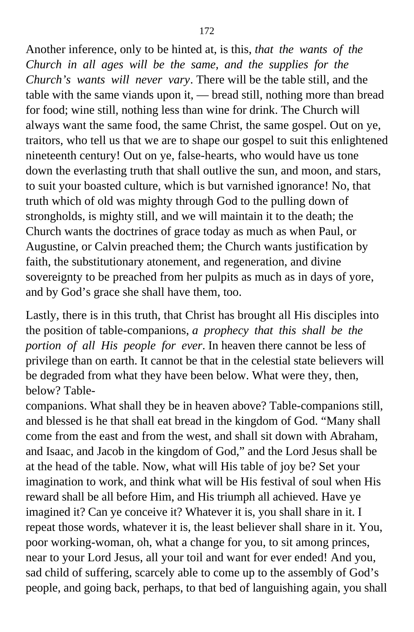Another inference, only to be hinted at, is this, *that the wants of the Church in all ages will be the same, and the supplies for the Church's wants will never vary*. There will be the table still, and the table with the same viands upon it, — bread still, nothing more than bread for food; wine still, nothing less than wine for drink. The Church will always want the same food, the same Christ, the same gospel. Out on ye, traitors, who tell us that we are to shape our gospel to suit this enlightened nineteenth century! Out on ye, false-hearts, who would have us tone down the everlasting truth that shall outlive the sun, and moon, and stars, to suit your boasted culture, which is but varnished ignorance! No, that truth which of old was mighty through God to the pulling down of strongholds, is mighty still, and we will maintain it to the death; the Church wants the doctrines of grace today as much as when Paul, or Augustine, or Calvin preached them; the Church wants justification by faith, the substitutionary atonement, and regeneration, and divine sovereignty to be preached from her pulpits as much as in days of yore, and by God's grace she shall have them, too.

Lastly, there is in this truth, that Christ has brought all His disciples into the position of table-companions, *a prophecy that this shall be the portion of all His people for ever*. In heaven there cannot be less of privilege than on earth. It cannot be that in the celestial state believers will be degraded from what they have been below. What were they, then, below? Table-

companions. What shall they be in heaven above? Table-companions still, and blessed is he that shall eat bread in the kingdom of God. "Many shall come from the east and from the west, and shall sit down with Abraham, and Isaac, and Jacob in the kingdom of God," and the Lord Jesus shall be at the head of the table. Now, what will His table of joy be? Set your imagination to work, and think what will be His festival of soul when His reward shall be all before Him, and His triumph all achieved. Have ye imagined it? Can ye conceive it? Whatever it is, you shall share in it. I repeat those words, whatever it is, the least believer shall share in it. You, poor working-woman, oh, what a change for you, to sit among princes, near to your Lord Jesus, all your toil and want for ever ended! And you, sad child of suffering, scarcely able to come up to the assembly of God's people, and going back, perhaps, to that bed of languishing again, you shall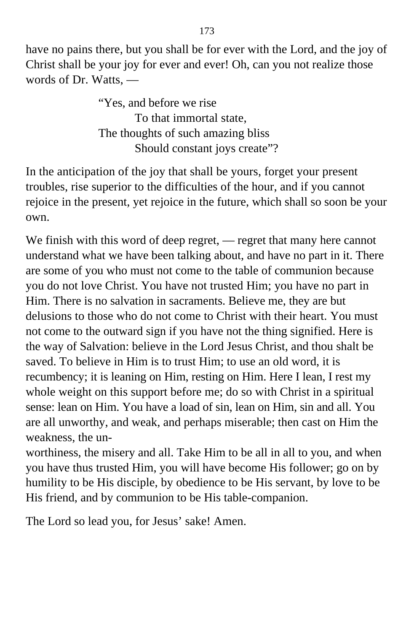have no pains there, but you shall be for ever with the Lord, and the joy of Christ shall be your joy for ever and ever! Oh, can you not realize those words of Dr. Watts, —

> "Yes, and before we rise To that immortal state, The thoughts of such amazing bliss Should constant joys create"?

In the anticipation of the joy that shall be yours, forget your present troubles, rise superior to the difficulties of the hour, and if you cannot rejoice in the present, yet rejoice in the future, which shall so soon be your own.

We finish with this word of deep regret, — regret that many here cannot understand what we have been talking about, and have no part in it. There are some of you who must not come to the table of communion because you do not love Christ. You have not trusted Him; you have no part in Him. There is no salvation in sacraments. Believe me, they are but delusions to those who do not come to Christ with their heart. You must not come to the outward sign if you have not the thing signified. Here is the way of Salvation: believe in the Lord Jesus Christ, and thou shalt be saved. To believe in Him is to trust Him; to use an old word, it is recumbency; it is leaning on Him, resting on Him. Here I lean, I rest my whole weight on this support before me; do so with Christ in a spiritual sense: lean on Him. You have a load of sin, lean on Him, sin and all. You are all unworthy, and weak, and perhaps miserable; then cast on Him the weakness, the un-

worthiness, the misery and all. Take Him to be all in all to you, and when you have thus trusted Him, you will have become His follower; go on by humility to be His disciple, by obedience to be His servant, by love to be His friend, and by communion to be His table-companion.

The Lord so lead you, for Jesus' sake! Amen.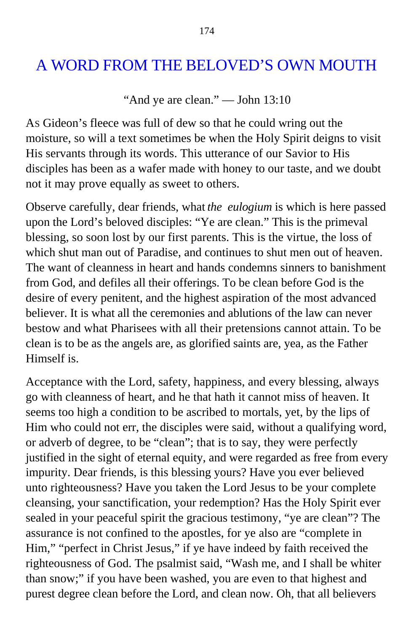# A WORD FROM THE BELOVED'S OWN MOUTH

"And ye are clean." — John 13:10

AS Gideon's fleece was full of dew so that he could wring out the moisture, so will a text sometimes be when the Holy Spirit deigns to visit His servants through its words. This utterance of our Savior to His disciples has been as a wafer made with honey to our taste, and we doubt not it may prove equally as sweet to others.

Observe carefully, dear friends, what *the eulogium* is which is here passed upon the Lord's beloved disciples: "Ye are clean." This is the primeval blessing, so soon lost by our first parents. This is the virtue, the loss of which shut man out of Paradise, and continues to shut men out of heaven. The want of cleanness in heart and hands condemns sinners to banishment from God, and defiles all their offerings. To be clean before God is the desire of every penitent, and the highest aspiration of the most advanced believer. It is what all the ceremonies and ablutions of the law can never bestow and what Pharisees with all their pretensions cannot attain. To be clean is to be as the angels are, as glorified saints are, yea, as the Father Himself is.

Acceptance with the Lord, safety, happiness, and every blessing, always go with cleanness of heart, and he that hath it cannot miss of heaven. It seems too high a condition to be ascribed to mortals, yet, by the lips of Him who could not err, the disciples were said, without a qualifying word, or adverb of degree, to be "clean"; that is to say, they were perfectly justified in the sight of eternal equity, and were regarded as free from every impurity. Dear friends, is this blessing yours? Have you ever believed unto righteousness? Have you taken the Lord Jesus to be your complete cleansing, your sanctification, your redemption? Has the Holy Spirit ever sealed in your peaceful spirit the gracious testimony, "ye are clean"? The assurance is not confined to the apostles, for ye also are "complete in Him," "perfect in Christ Jesus," if ye have indeed by faith received the righteousness of God. The psalmist said, "Wash me, and I shall be whiter than snow;" if you have been washed, you are even to that highest and purest degree clean before the Lord, and clean now. Oh, that all believers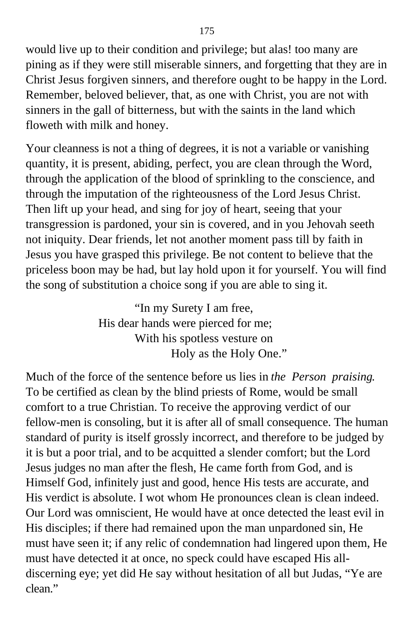would live up to their condition and privilege; but alas! too many are pining as if they were still miserable sinners, and forgetting that they are in Christ Jesus forgiven sinners, and therefore ought to be happy in the Lord. Remember, beloved believer, that, as one with Christ, you are not with sinners in the gall of bitterness, but with the saints in the land which floweth with milk and honey.

Your cleanness is not a thing of degrees, it is not a variable or vanishing quantity, it is present, abiding, perfect, you are clean through the Word, through the application of the blood of sprinkling to the conscience, and through the imputation of the righteousness of the Lord Jesus Christ. Then lift up your head, and sing for joy of heart, seeing that your transgression is pardoned, your sin is covered, and in you Jehovah seeth not iniquity. Dear friends, let not another moment pass till by faith in Jesus you have grasped this privilege. Be not content to believe that the priceless boon may be had, but lay hold upon it for yourself. You will find the song of substitution a choice song if you are able to sing it.

> "In my Surety I am free, His dear hands were pierced for me; With his spotless vesture on Holy as the Holy One."

Much of the force of the sentence before us lies in *the Person praising*. To be certified as clean by the blind priests of Rome, would be small comfort to a true Christian. To receive the approving verdict of our fellow-men is consoling, but it is after all of small consequence. The human standard of purity is itself grossly incorrect, and therefore to be judged by it is but a poor trial, and to be acquitted a slender comfort; but the Lord Jesus judges no man after the flesh, He came forth from God, and is Himself God, infinitely just and good, hence His tests are accurate, and His verdict is absolute. I wot whom He pronounces clean is clean indeed. Our Lord was omniscient, He would have at once detected the least evil in His disciples; if there had remained upon the man unpardoned sin, He must have seen it; if any relic of condemnation had lingered upon them, He must have detected it at once, no speck could have escaped His alldiscerning eye; yet did He say without hesitation of all but Judas, "Ye are clean"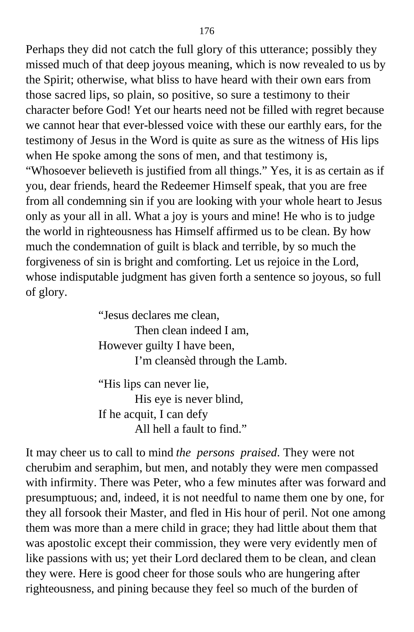Perhaps they did not catch the full glory of this utterance; possibly they missed much of that deep joyous meaning, which is now revealed to us by the Spirit; otherwise, what bliss to have heard with their own ears from those sacred lips, so plain, so positive, so sure a testimony to their character before God! Yet our hearts need not be filled with regret because we cannot hear that ever-blessed voice with these our earthly ears, for the testimony of Jesus in the Word is quite as sure as the witness of His lips when He spoke among the sons of men, and that testimony is, "Whosoever believeth is justified from all things." Yes, it is as certain as if you, dear friends, heard the Redeemer Himself speak, that you are free from all condemning sin if you are looking with your whole heart to Jesus only as your all in all. What a joy is yours and mine! He who is to judge the world in righteousness has Himself affirmed us to be clean. By how much the condemnation of guilt is black and terrible, by so much the forgiveness of sin is bright and comforting. Let us rejoice in the Lord, whose indisputable judgment has given forth a sentence so joyous, so full of glory.

> "Jesus declares me clean, Then clean indeed I am, However guilty I have been, I'm cleansèd through the Lamb. "His lips can never lie, His eye is never blind,

If he acquit, I can defy All hell a fault to find."

It may cheer us to call to mind *the persons praised*. They were not cherubim and seraphim, but men, and notably they were men compassed with infirmity. There was Peter, who a few minutes after was forward and presumptuous; and, indeed, it is not needful to name them one by one, for they all forsook their Master, and fled in His hour of peril. Not one among them was more than a mere child in grace; they had little about them that was apostolic except their commission, they were very evidently men of like passions with us; yet their Lord declared them to be clean, and clean they were. Here is good cheer for those souls who are hungering after righteousness, and pining because they feel so much of the burden of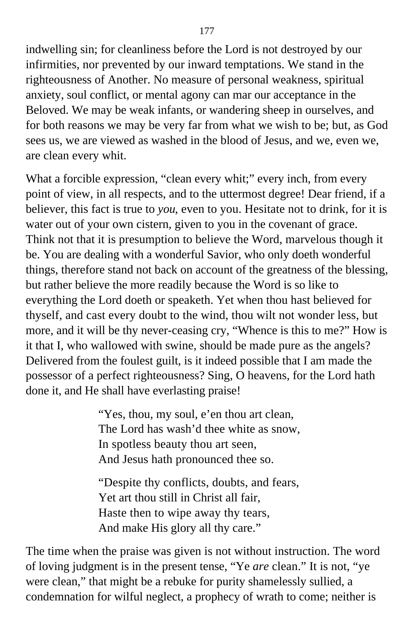indwelling sin; for cleanliness before the Lord is not destroyed by our infirmities, nor prevented by our inward temptations. We stand in the righteousness of Another. No measure of personal weakness, spiritual anxiety, soul conflict, or mental agony can mar our acceptance in the Beloved. We may be weak infants, or wandering sheep in ourselves, and for both reasons we may be very far from what we wish to be; but, as God sees us, we are viewed as washed in the blood of Jesus, and we, even we, are clean every whit.

What a forcible expression, "clean every whit;" every inch, from every point of view, in all respects, and to the uttermost degree! Dear friend, if a believer, this fact is true to *you*, even to you. Hesitate not to drink, for it is water out of your own cistern, given to you in the covenant of grace. Think not that it is presumption to believe the Word, marvelous though it be. You are dealing with a wonderful Savior, who only doeth wonderful things, therefore stand not back on account of the greatness of the blessing, but rather believe the more readily because the Word is so like to everything the Lord doeth or speaketh. Yet when thou hast believed for thyself, and cast every doubt to the wind, thou wilt not wonder less, but more, and it will be thy never-ceasing cry, "Whence is this to me?" How is it that I, who wallowed with swine, should be made pure as the angels? Delivered from the foulest guilt, is it indeed possible that I am made the possessor of a perfect righteousness? Sing, O heavens, for the Lord hath done it, and He shall have everlasting praise!

> "Yes, thou, my soul, e'en thou art clean, The Lord has wash'd thee white as snow, In spotless beauty thou art seen, And Jesus hath pronounced thee so.

> "Despite thy conflicts, doubts, and fears, Yet art thou still in Christ all fair, Haste then to wipe away thy tears, And make His glory all thy care."

The time when the praise was given is not without instruction. The word of loving judgment is in the present tense, "Ye *are* clean." It is not, "ye were clean," that might be a rebuke for purity shamelessly sullied, a condemnation for wilful neglect, a prophecy of wrath to come; neither is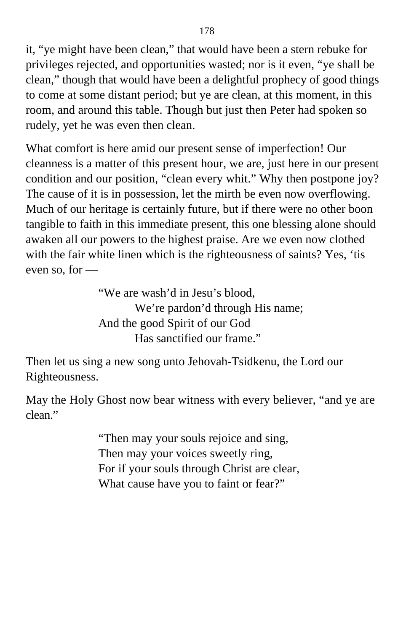it, "ye might have been clean," that would have been a stern rebuke for privileges rejected, and opportunities wasted; nor is it even, "ye shall be clean," though that would have been a delightful prophecy of good things to come at some distant period; but ye are clean, at this moment, in this room, and around this table. Though but just then Peter had spoken so rudely, yet he was even then clean.

What comfort is here amid our present sense of imperfection! Our cleanness is a matter of this present hour, we are, just here in our present condition and our position, "clean every whit." Why then postpone joy? The cause of it is in possession, let the mirth be even now overflowing. Much of our heritage is certainly future, but if there were no other boon tangible to faith in this immediate present, this one blessing alone should awaken all our powers to the highest praise. Are we even now clothed with the fair white linen which is the righteousness of saints? Yes, 'tis even so, for —

> "We are wash'd in Jesu's blood, We're pardon'd through His name; And the good Spirit of our God Has sanctified our frame."

Then let us sing a new song unto Jehovah-Tsidkenu, the Lord our Righteousness.

May the Holy Ghost now bear witness with every believer, "and ye are clean."

> "Then may your souls rejoice and sing, Then may your voices sweetly ring, For if your souls through Christ are clear, What cause have you to faint or fear?"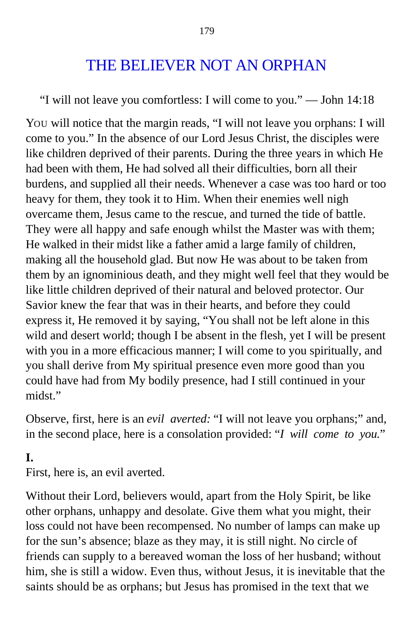# THE BELIEVER NOT AN ORPHAN

"I will not leave you comfortless: I will come to you." — John 14:18

YOU will notice that the margin reads, "I will not leave you orphans: I will come to you." In the absence of our Lord Jesus Christ, the disciples were like children deprived of their parents. During the three years in which He had been with them, He had solved all their difficulties, born all their burdens, and supplied all their needs. Whenever a case was too hard or too heavy for them, they took it to Him. When their enemies well nigh overcame them, Jesus came to the rescue, and turned the tide of battle. They were all happy and safe enough whilst the Master was with them; He walked in their midst like a father amid a large family of children, making all the household glad. But now He was about to be taken from them by an ignominious death, and they might well feel that they would be like little children deprived of their natural and beloved protector. Our Savior knew the fear that was in their hearts, and before they could express it, He removed it by saying, "You shall not be left alone in this wild and desert world; though I be absent in the flesh, yet I will be present with you in a more efficacious manner; I will come to you spiritually, and you shall derive from My spiritual presence even more good than you could have had from My bodily presence, had I still continued in your midst"

Observe, first, here is an *evil averted:* "I will not leave you orphans;" and, in the second place, here is a consolation provided: "*I will come to you.*"

## **I.**

First, here is, an evil averted.

Without their Lord, believers would, apart from the Holy Spirit, be like other orphans, unhappy and desolate. Give them what you might, their loss could not have been recompensed. No number of lamps can make up for the sun's absence; blaze as they may, it is still night. No circle of friends can supply to a bereaved woman the loss of her husband; without him, she is still a widow. Even thus, without Jesus, it is inevitable that the saints should be as orphans; but Jesus has promised in the text that we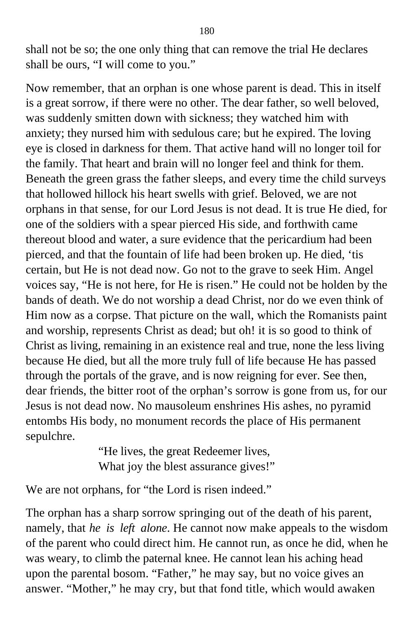shall not be so; the one only thing that can remove the trial He declares shall be ours, "I will come to you."

Now remember, that an orphan is one whose parent is dead. This in itself is a great sorrow, if there were no other. The dear father, so well beloved, was suddenly smitten down with sickness; they watched him with anxiety; they nursed him with sedulous care; but he expired. The loving eye is closed in darkness for them. That active hand will no longer toil for the family. That heart and brain will no longer feel and think for them. Beneath the green grass the father sleeps, and every time the child surveys that hollowed hillock his heart swells with grief. Beloved, we are not orphans in that sense, for our Lord Jesus is not dead. It is true He died, for one of the soldiers with a spear pierced His side, and forthwith came thereout blood and water, a sure evidence that the pericardium had been pierced, and that the fountain of life had been broken up. He died, 'tis certain, but He is not dead now. Go not to the grave to seek Him. Angel voices say, "He is not here, for He is risen." He could not be holden by the bands of death. We do not worship a dead Christ, nor do we even think of Him now as a corpse. That picture on the wall, which the Romanists paint and worship, represents Christ as dead; but oh! it is so good to think of Christ as living, remaining in an existence real and true, none the less living because He died, but all the more truly full of life because He has passed through the portals of the grave, and is now reigning for ever. See then, dear friends, the bitter root of the orphan's sorrow is gone from us, for our Jesus is not dead now. No mausoleum enshrines His ashes, no pyramid entombs His body, no monument records the place of His permanent sepulchre.

> "He lives, the great Redeemer lives, What joy the blest assurance gives!"

We are not orphans, for "the Lord is risen indeed."

The orphan has a sharp sorrow springing out of the death of his parent, namely, that *he is left alone*. He cannot now make appeals to the wisdom of the parent who could direct him. He cannot run, as once he did, when he was weary, to climb the paternal knee. He cannot lean his aching head upon the parental bosom. "Father," he may say, but no voice gives an answer. "Mother," he may cry, but that fond title, which would awaken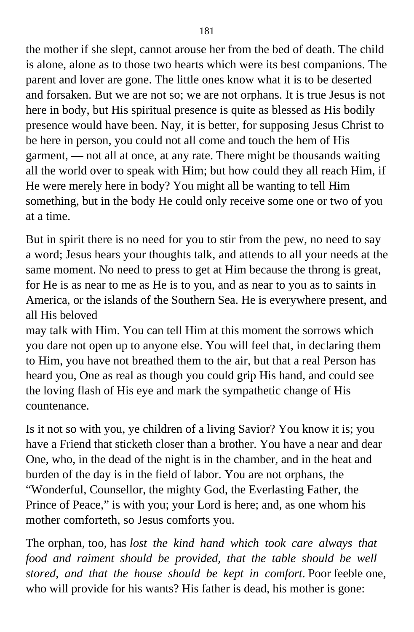the mother if she slept, cannot arouse her from the bed of death. The child is alone, alone as to those two hearts which were its best companions. The parent and lover are gone. The little ones know what it is to be deserted and forsaken. But we are not so; we are not orphans. It is true Jesus is not here in body, but His spiritual presence is quite as blessed as His bodily presence would have been. Nay, it is better, for supposing Jesus Christ to be here in person, you could not all come and touch the hem of His garment, — not all at once, at any rate. There might be thousands waiting all the world over to speak with Him; but how could they all reach Him, if He were merely here in body? You might all be wanting to tell Him something, but in the body He could only receive some one or two of you at a time.

But in spirit there is no need for you to stir from the pew, no need to say a word; Jesus hears your thoughts talk, and attends to all your needs at the same moment. No need to press to get at Him because the throng is great, for He is as near to me as He is to you, and as near to you as to saints in America, or the islands of the Southern Sea. He is everywhere present, and all His beloved

may talk with Him. You can tell Him at this moment the sorrows which you dare not open up to anyone else. You will feel that, in declaring them to Him, you have not breathed them to the air, but that a real Person has heard you, One as real as though you could grip His hand, and could see the loving flash of His eye and mark the sympathetic change of His countenance.

Is it not so with you, ye children of a living Savior? You know it is; you have a Friend that sticketh closer than a brother. You have a near and dear One, who, in the dead of the night is in the chamber, and in the heat and burden of the day is in the field of labor. You are not orphans, the "Wonderful, Counsellor, the mighty God, the Everlasting Father, the Prince of Peace," is with you; your Lord is here; and, as one whom his mother comforteth, so Jesus comforts you.

The orphan, too, has *lost the kind hand which took care always that food and raiment should be provided, that the table should be well stored, and that the house should be kept in comfort*. Poor feeble one, who will provide for his wants? His father is dead, his mother is gone: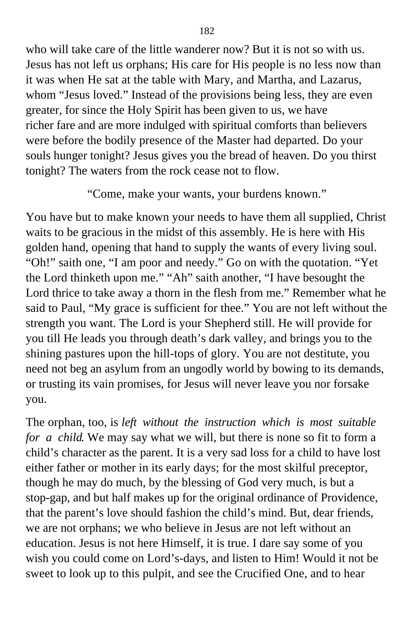who will take care of the little wanderer now? But it is not so with us. Jesus has not left us orphans; His care for His people is no less now than it was when He sat at the table with Mary, and Martha, and Lazarus, whom "Jesus loved." Instead of the provisions being less, they are even greater, for since the Holy Spirit has been given to us, we have richer fare and are more indulged with spiritual comforts than believers were before the bodily presence of the Master had departed. Do your souls hunger tonight? Jesus gives you the bread of heaven. Do you thirst tonight? The waters from the rock cease not to flow.

#### "Come, make your wants, your burdens known."

You have but to make known your needs to have them all supplied, Christ waits to be gracious in the midst of this assembly. He is here with His golden hand, opening that hand to supply the wants of every living soul. "Oh!" saith one, "I am poor and needy." Go on with the quotation. "Yet the Lord thinketh upon me." "Ah" saith another, "I have besought the Lord thrice to take away a thorn in the flesh from me." Remember what he said to Paul, "My grace is sufficient for thee." You are not left without the strength you want. The Lord is your Shepherd still. He will provide for you till He leads you through death's dark valley, and brings you to the shining pastures upon the hill-tops of glory. You are not destitute, you need not beg an asylum from an ungodly world by bowing to its demands, or trusting its vain promises, for Jesus will never leave you nor forsake you.

The orphan, too, is *left without the instruction which is most suitable for a child*. We may say what we will, but there is none so fit to form a child's character as the parent. It is a very sad loss for a child to have lost either father or mother in its early days; for the most skilful preceptor, though he may do much, by the blessing of God very much, is but a stop-gap, and but half makes up for the original ordinance of Providence, that the parent's love should fashion the child's mind. But, dear friends, we are not orphans; we who believe in Jesus are not left without an education. Jesus is not here Himself, it is true. I dare say some of you wish you could come on Lord's-days, and listen to Him! Would it not be sweet to look up to this pulpit, and see the Crucified One, and to hear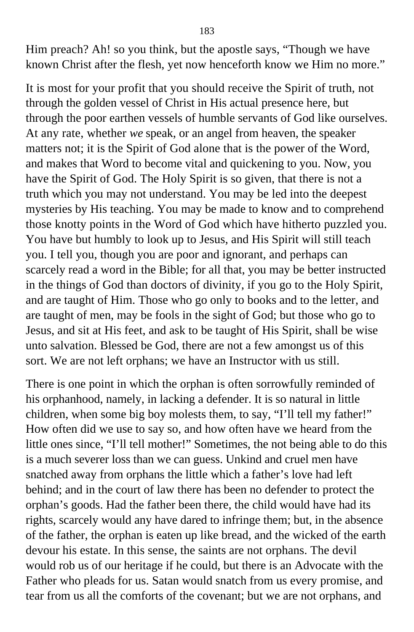Him preach? Ah! so you think, but the apostle says, "Though we have known Christ after the flesh, yet now henceforth know we Him no more."

It is most for your profit that you should receive the Spirit of truth, not through the golden vessel of Christ in His actual presence here, but through the poor earthen vessels of humble servants of God like ourselves. At any rate, whether *we* speak, or an angel from heaven, the speaker matters not; it is the Spirit of God alone that is the power of the Word, and makes that Word to become vital and quickening to you. Now, you have the Spirit of God. The Holy Spirit is so given, that there is not a truth which you may not understand. You may be led into the deepest mysteries by His teaching. You may be made to know and to comprehend those knotty points in the Word of God which have hitherto puzzled you. You have but humbly to look up to Jesus, and His Spirit will still teach you. I tell you, though you are poor and ignorant, and perhaps can scarcely read a word in the Bible; for all that, you may be better instructed in the things of God than doctors of divinity, if you go to the Holy Spirit, and are taught of Him. Those who go only to books and to the letter, and are taught of men, may be fools in the sight of God; but those who go to Jesus, and sit at His feet, and ask to be taught of His Spirit, shall be wise unto salvation. Blessed be God, there are not a few amongst us of this sort. We are not left orphans; we have an Instructor with us still.

There is one point in which the orphan is often sorrowfully reminded of his orphanhood, namely, in lacking a defender. It is so natural in little children, when some big boy molests them, to say, "I'll tell my father!" How often did we use to say so, and how often have we heard from the little ones since, "I'll tell mother!" Sometimes, the not being able to do this is a much severer loss than we can guess. Unkind and cruel men have snatched away from orphans the little which a father's love had left behind; and in the court of law there has been no defender to protect the orphan's goods. Had the father been there, the child would have had its rights, scarcely would any have dared to infringe them; but, in the absence of the father, the orphan is eaten up like bread, and the wicked of the earth devour his estate. In this sense, the saints are not orphans. The devil would rob us of our heritage if he could, but there is an Advocate with the Father who pleads for us. Satan would snatch from us every promise, and tear from us all the comforts of the covenant; but we are not orphans, and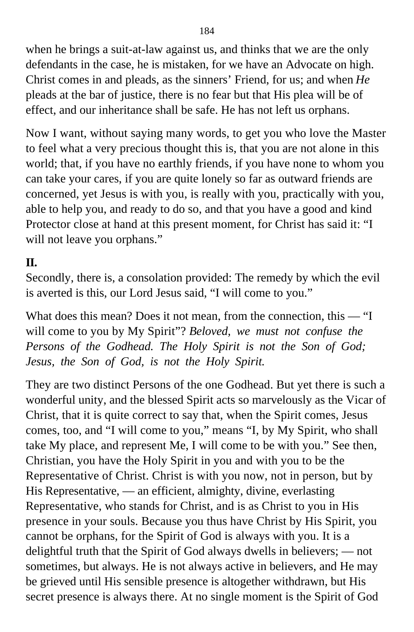when he brings a suit-at-law against us, and thinks that we are the only defendants in the case, he is mistaken, for we have an Advocate on high. Christ comes in and pleads, as the sinners' Friend, for us; and when *He* pleads at the bar of justice, there is no fear but that His plea will be of effect, and our inheritance shall be safe. He has not left us orphans.

Now I want, without saying many words, to get you who love the Master to feel what a very precious thought this is, that you are not alone in this world; that, if you have no earthly friends, if you have none to whom you can take your cares, if you are quite lonely so far as outward friends are concerned, yet Jesus is with you, is really with you, practically with you, able to help you, and ready to do so, and that you have a good and kind Protector close at hand at this present moment, for Christ has said it: "I will not leave you orphans."

## **II.**

Secondly, there is, a consolation provided: The remedy by which the evil is averted is this, our Lord Jesus said, "I will come to you."

What does this mean? Does it not mean, from the connection, this — "I will come to you by My Spirit"? *Beloved, we must not confuse the Persons of the Godhead. The Holy Spirit is not the Son of God; Jesus, the Son of God, is not the Holy Spirit.*

They are two distinct Persons of the one Godhead. But yet there is such a wonderful unity, and the blessed Spirit acts so marvelously as the Vicar of Christ, that it is quite correct to say that, when the Spirit comes, Jesus comes, too, and "I will come to you," means "I, by My Spirit, who shall take My place, and represent Me, I will come to be with you." See then, Christian, you have the Holy Spirit in you and with you to be the Representative of Christ. Christ is with you now, not in person, but by His Representative, — an efficient, almighty, divine, everlasting Representative, who stands for Christ, and is as Christ to you in His presence in your souls. Because you thus have Christ by His Spirit, you cannot be orphans, for the Spirit of God is always with you. It is a delightful truth that the Spirit of God always dwells in believers; — not sometimes, but always. He is not always active in believers, and He may be grieved until His sensible presence is altogether withdrawn, but His secret presence is always there. At no single moment is the Spirit of God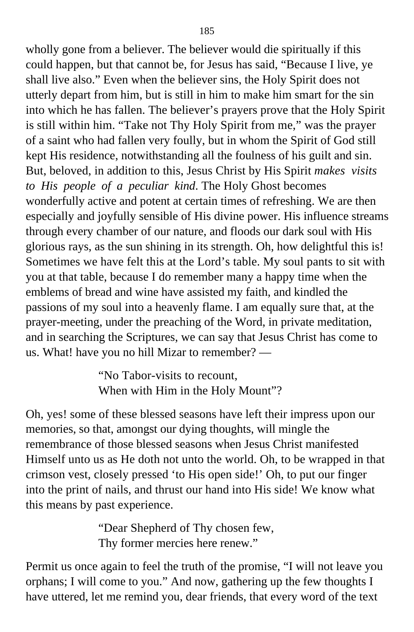wholly gone from a believer. The believer would die spiritually if this could happen, but that cannot be, for Jesus has said, "Because I live, ye shall live also." Even when the believer sins, the Holy Spirit does not utterly depart from him, but is still in him to make him smart for the sin into which he has fallen. The believer's prayers prove that the Holy Spirit is still within him. "Take not Thy Holy Spirit from me," was the prayer of a saint who had fallen very foully, but in whom the Spirit of God still kept His residence, notwithstanding all the foulness of his guilt and sin. But, beloved, in addition to this, Jesus Christ by His Spirit *makes visits to His people of a peculiar kind*. The Holy Ghost becomes wonderfully active and potent at certain times of refreshing. We are then especially and joyfully sensible of His divine power. His influence streams through every chamber of our nature, and floods our dark soul with His glorious rays, as the sun shining in its strength. Oh, how delightful this is! Sometimes we have felt this at the Lord's table. My soul pants to sit with you at that table, because I do remember many a happy time when the emblems of bread and wine have assisted my faith, and kindled the passions of my soul into a heavenly flame. I am equally sure that, at the prayer-meeting, under the preaching of the Word, in private meditation, and in searching the Scriptures, we can say that Jesus Christ has come to us. What! have you no hill Mizar to remember? —

> "No Tabor-visits to recount, When with Him in the Holy Mount"?

Oh, yes! some of these blessed seasons have left their impress upon our memories, so that, amongst our dying thoughts, will mingle the remembrance of those blessed seasons when Jesus Christ manifested Himself unto us as He doth not unto the world. Oh, to be wrapped in that crimson vest, closely pressed 'to His open side!' Oh, to put our finger into the print of nails, and thrust our hand into His side! We know what this means by past experience.

> "Dear Shepherd of Thy chosen few, Thy former mercies here renew."

Permit us once again to feel the truth of the promise, "I will not leave you orphans; I will come to you." And now, gathering up the few thoughts I have uttered, let me remind you, dear friends, that every word of the text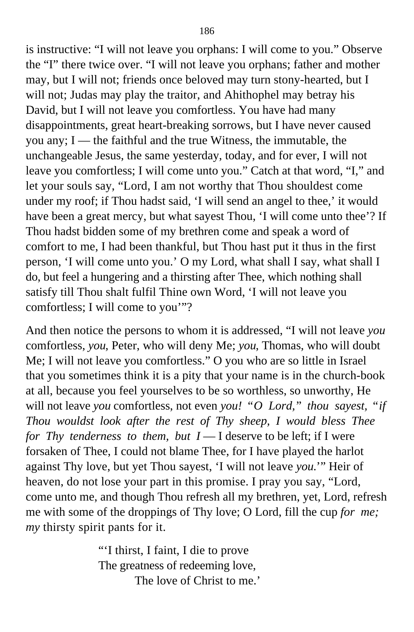is instructive: "I will not leave you orphans: I will come to you." Observe the "I" there twice over. "I will not leave you orphans; father and mother may, but I will not; friends once beloved may turn stony-hearted, but I will not; Judas may play the traitor, and Ahithophel may betray his David, but I will not leave you comfortless. You have had many disappointments, great heart-breaking sorrows, but I have never caused you any; I — the faithful and the true Witness, the immutable, the unchangeable Jesus, the same yesterday, today, and for ever, I will not leave you comfortless; I will come unto you." Catch at that word, "I," and let your souls say, "Lord, I am not worthy that Thou shouldest come under my roof; if Thou hadst said, 'I will send an angel to thee,' it would have been a great mercy, but what sayest Thou, 'I will come unto thee'? If Thou hadst bidden some of my brethren come and speak a word of comfort to me, I had been thankful, but Thou hast put it thus in the first person, 'I will come unto you.' O my Lord, what shall I say, what shall I do, but feel a hungering and a thirsting after Thee, which nothing shall satisfy till Thou shalt fulfil Thine own Word, 'I will not leave you comfortless; I will come to you'"?

And then notice the persons to whom it is addressed, "I will not leave *you* comfortless, *you*, Peter, who will deny Me; *you*, Thomas, who will doubt Me; I will not leave you comfortless." O you who are so little in Israel that you sometimes think it is a pity that your name is in the church-book at all, because you feel yourselves to be so worthless, so unworthy, He will not leave *you* comfortless, not even *you!* "*O Lord,*" *thou sayest,* "*if Thou wouldst look after the rest of Thy sheep, I would bless Thee for Thy tenderness to them, but*  $I - I$  deserve to be left; if I were forsaken of Thee, I could not blame Thee, for I have played the harlot against Thy love, but yet Thou sayest, 'I will not leave *you*.'" Heir of heaven, do not lose your part in this promise. I pray you say, "Lord, come unto me, and though Thou refresh all my brethren, yet, Lord, refresh me with some of the droppings of Thy love; O Lord, fill the cup *for me; my* thirsty spirit pants for it.

> "'I thirst, I faint, I die to prove The greatness of redeeming love, The love of Christ to me.'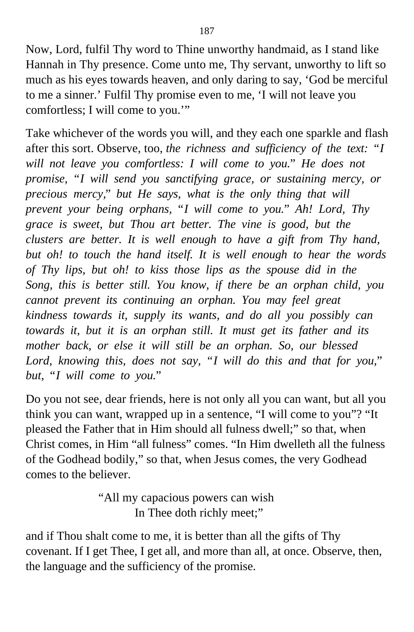Now, Lord, fulfil Thy word to Thine unworthy handmaid, as I stand like Hannah in Thy presence. Come unto me, Thy servant, unworthy to lift so much as his eyes towards heaven, and only daring to say, 'God be merciful to me a sinner.' Fulfil Thy promise even to me, 'I will not leave you comfortless; I will come to you.'"

Take whichever of the words you will, and they each one sparkle and flash after this sort. Observe, too, *the richness and sufficiency of the text:* "*I will not leave you comfortless: I will come to you.*" *He does not promise,* "*I will send you sanctifying grace, or sustaining mercy, or precious mercy,*" *but He says, what is the only thing that will prevent your being orphans,* "*I will come to you.*" *Ah! Lord, Thy grace is sweet, but Thou art better. The vine is good, but the clusters are better. It is well enough to have a gift from Thy hand, but oh! to touch the hand itself. It is well enough to hear the words of Thy lips, but oh! to kiss those lips as the spouse did in the Song, this is better still. You know, if there be an orphan child, you cannot prevent its continuing an orphan. You may feel great kindness towards it, supply its wants, and do all you possibly can towards it, but it is an orphan still. It must get its father and its mother back, or else it will still be an orphan. So, our blessed Lord, knowing this, does not say,* "*I will do this and that for you,*" *but,* "*I will come to you.*"

Do you not see, dear friends, here is not only all you can want, but all you think you can want, wrapped up in a sentence, "I will come to you"? "It pleased the Father that in Him should all fulness dwell;" so that, when Christ comes, in Him "all fulness" comes. "In Him dwelleth all the fulness of the Godhead bodily," so that, when Jesus comes, the very Godhead comes to the believer.

> "All my capacious powers can wish In Thee doth richly meet;"

and if Thou shalt come to me, it is better than all the gifts of Thy covenant. If I get Thee, I get all, and more than all, at once. Observe, then, the language and the sufficiency of the promise.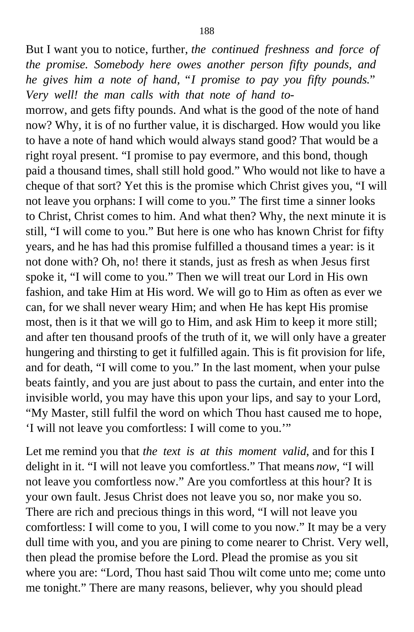But I want you to notice, further, *the continued freshness and force of the promise. Somebody here owes another person fifty pounds, and he gives him a note of hand,* "*I promise to pay you fifty pounds.*" *Very well! the man calls with that note of hand to-*

morrow, and gets fifty pounds. And what is the good of the note of hand now? Why, it is of no further value, it is discharged. How would you like to have a note of hand which would always stand good? That would be a right royal present. "I promise to pay evermore, and this bond, though paid a thousand times, shall still hold good." Who would not like to have a cheque of that sort? Yet this is the promise which Christ gives you, "I will not leave you orphans: I will come to you." The first time a sinner looks to Christ, Christ comes to him. And what then? Why, the next minute it is still, "I will come to you." But here is one who has known Christ for fifty years, and he has had this promise fulfilled a thousand times a year: is it not done with? Oh, no! there it stands, just as fresh as when Jesus first spoke it, "I will come to you." Then we will treat our Lord in His own fashion, and take Him at His word. We will go to Him as often as ever we can, for we shall never weary Him; and when He has kept His promise most, then is it that we will go to Him, and ask Him to keep it more still; and after ten thousand proofs of the truth of it, we will only have a greater hungering and thirsting to get it fulfilled again. This is fit provision for life, and for death, "I will come to you." In the last moment, when your pulse beats faintly, and you are just about to pass the curtain, and enter into the invisible world, you may have this upon your lips, and say to your Lord, "My Master, still fulfil the word on which Thou hast caused me to hope, 'I will not leave you comfortless: I will come to you.'"

Let me remind you that *the text is at this moment valid*, and for this I delight in it. "I will not leave you comfortless." That means *now*, "I will not leave you comfortless now." Are you comfortless at this hour? It is your own fault. Jesus Christ does not leave you so, nor make you so. There are rich and precious things in this word, "I will not leave you comfortless: I will come to you, I will come to you now." It may be a very dull time with you, and you are pining to come nearer to Christ. Very well, then plead the promise before the Lord. Plead the promise as you sit where you are: "Lord, Thou hast said Thou wilt come unto me; come unto me tonight." There are many reasons, believer, why you should plead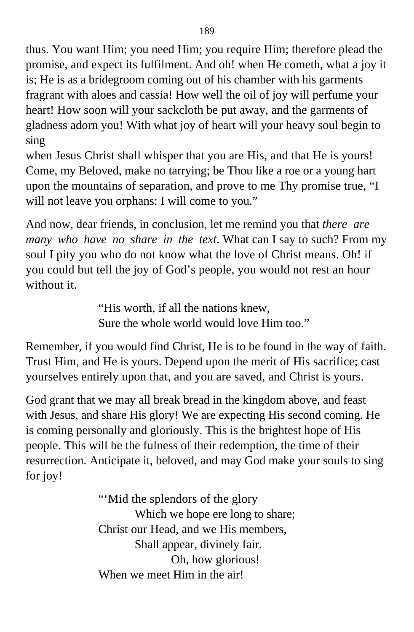thus. You want Him; you need Him; you require Him; therefore plead the promise, and expect its fulfilment. And oh! when He cometh, what a joy it is; He is as a bridegroom coming out of his chamber with his garments fragrant with aloes and cassia! How well the oil of joy will perfume your heart! How soon will your sackcloth be put away, and the garments of gladness adorn you! With what joy of heart will your heavy soul begin to sing

when Jesus Christ shall whisper that you are His, and that He is yours! Come, my Beloved, make no tarrying; be Thou like a roe or a young hart upon the mountains of separation, and prove to me Thy promise true, "I will not leave you orphans: I will come to you."

And now, dear friends, in conclusion, let me remind you that *there are many who have no share in the text*. What can I say to such? From my soul I pity you who do not know what the love of Christ means. Oh! if you could but tell the joy of God's people, you would not rest an hour without it.

> "His worth, if all the nations knew, Sure the whole world would love Him too."

Remember, if you would find Christ, He is to be found in the way of faith. Trust Him, and He is yours. Depend upon the merit of His sacrifice; cast yourselves entirely upon that, and you are saved, and Christ is yours.

God grant that we may all break bread in the kingdom above, and feast with Jesus, and share His glory! We are expecting His second coming. He is coming personally and gloriously. This is the brightest hope of His people. This will be the fulness of their redemption, the time of their resurrection. Anticipate it, beloved, and may God make your souls to sing for joy!

> "'Mid the splendors of the glory" Which we hope ere long to share; Christ our Head, and we His members, Shall appear, divinely fair. Oh, how glorious! When we meet Him in the air!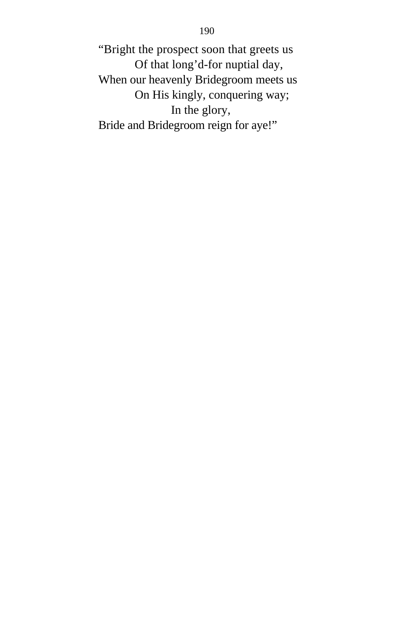"Bright the prospect soon that greets us Of that long'd-for nuptial day, When our heavenly Bridegroom meets us On His kingly, conquering way; In the glory, Bride and Bridegroom reign for aye!"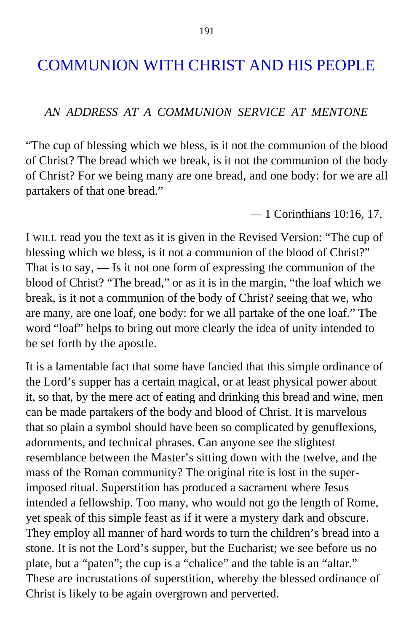# COMMUNION WITH CHRIST AND HIS PEOPLE

#### *AN ADDRESS AT A COMMUNION SERVICE AT MENTONE*

"The cup of blessing which we bless, is it not the communion of the blood of Christ? The bread which we break, is it not the communion of the body of Christ? For we being many are one bread, and one body: for we are all partakers of that one bread."

— 1 Corinthians 10:16, 17.

I WILL read you the text as it is given in the Revised Version: "The cup of blessing which we bless, is it not a communion of the blood of Christ?" That is to say, — Is it not one form of expressing the communion of the blood of Christ? "The bread," or as it is in the margin, "the loaf which we break, is it not a communion of the body of Christ? seeing that we, who are many, are one loaf, one body: for we all partake of the one loaf." The word "loaf" helps to bring out more clearly the idea of unity intended to be set forth by the apostle.

It is a lamentable fact that some have fancied that this simple ordinance of the Lord's supper has a certain magical, or at least physical power about it, so that, by the mere act of eating and drinking this bread and wine, men can be made partakers of the body and blood of Christ. It is marvelous that so plain a symbol should have been so complicated by genuflexions, adornments, and technical phrases. Can anyone see the slightest resemblance between the Master's sitting down with the twelve, and the mass of the Roman community? The original rite is lost in the superimposed ritual. Superstition has produced a sacrament where Jesus intended a fellowship. Too many, who would not go the length of Rome, yet speak of this simple feast as if it were a mystery dark and obscure. They employ all manner of hard words to turn the children's bread into a stone. It is not the Lord's supper, but the Eucharist; we see before us no plate, but a "paten"; the cup is a "chalice" and the table is an "altar." These are incrustations of superstition, whereby the blessed ordinance of Christ is likely to be again overgrown and perverted.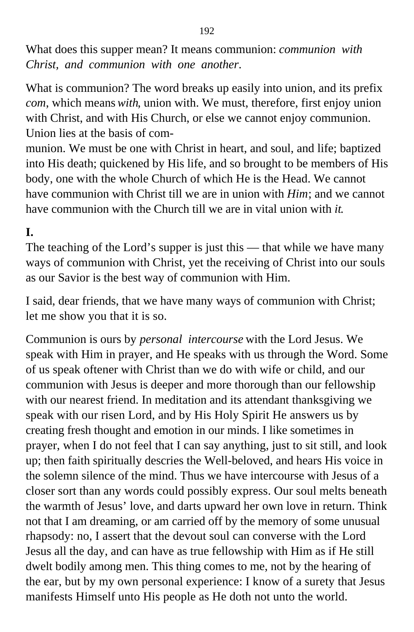What does this supper mean? It means communion: *communion with Christ, and communion with one another*.

What is communion? The word breaks up easily into union, and its prefix *com*, which means *with*, union with. We must, therefore, first enjoy union with Christ, and with His Church, or else we cannot enjoy communion. Union lies at the basis of com-

munion. We must be one with Christ in heart, and soul, and life; baptized into His death; quickened by His life, and so brought to be members of His body, one with the whole Church of which He is the Head. We cannot have communion with Christ till we are in union with *Him*; and we cannot have communion with the Church till we are in vital union with *it*.

## **I.**

The teaching of the Lord's supper is just this — that while we have many ways of communion with Christ, yet the receiving of Christ into our souls as our Savior is the best way of communion with Him.

I said, dear friends, that we have many ways of communion with Christ; let me show you that it is so.

Communion is ours by *personal intercourse* with the Lord Jesus. We speak with Him in prayer, and He speaks with us through the Word. Some of us speak oftener with Christ than we do with wife or child, and our communion with Jesus is deeper and more thorough than our fellowship with our nearest friend. In meditation and its attendant thanksgiving we speak with our risen Lord, and by His Holy Spirit He answers us by creating fresh thought and emotion in our minds. I like sometimes in prayer, when I do not feel that I can say anything, just to sit still, and look up; then faith spiritually descries the Well-beloved, and hears His voice in the solemn silence of the mind. Thus we have intercourse with Jesus of a closer sort than any words could possibly express. Our soul melts beneath the warmth of Jesus' love, and darts upward her own love in return. Think not that I am dreaming, or am carried off by the memory of some unusual rhapsody: no, I assert that the devout soul can converse with the Lord Jesus all the day, and can have as true fellowship with Him as if He still dwelt bodily among men. This thing comes to me, not by the hearing of the ear, but by my own personal experience: I know of a surety that Jesus manifests Himself unto His people as He doth not unto the world.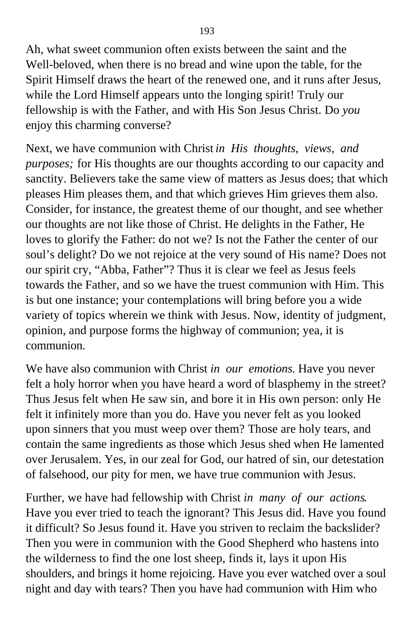Ah, what sweet communion often exists between the saint and the Well-beloved, when there is no bread and wine upon the table, for the Spirit Himself draws the heart of the renewed one, and it runs after Jesus, while the Lord Himself appears unto the longing spirit! Truly our fellowship is with the Father, and with His Son Jesus Christ. Do *you* enjoy this charming converse?

Next, we have communion with Christ *in His thoughts, views, and purposes;* for His thoughts are our thoughts according to our capacity and sanctity. Believers take the same view of matters as Jesus does; that which pleases Him pleases them, and that which grieves Him grieves them also. Consider, for instance, the greatest theme of our thought, and see whether our thoughts are not like those of Christ. He delights in the Father, He loves to glorify the Father: do not we? Is not the Father the center of our soul's delight? Do we not rejoice at the very sound of His name? Does not our spirit cry, "Abba, Father"? Thus it is clear we feel as Jesus feels towards the Father, and so we have the truest communion with Him. This is but one instance; your contemplations will bring before you a wide variety of topics wherein we think with Jesus. Now, identity of judgment, opinion, and purpose forms the highway of communion; yea, it is communion.

We have also communion with Christ *in our emotions*. Have you never felt a holy horror when you have heard a word of blasphemy in the street? Thus Jesus felt when He saw sin, and bore it in His own person: only He felt it infinitely more than you do. Have you never felt as you looked upon sinners that you must weep over them? Those are holy tears, and contain the same ingredients as those which Jesus shed when He lamented over Jerusalem. Yes, in our zeal for God, our hatred of sin, our detestation of falsehood, our pity for men, we have true communion with Jesus.

Further, we have had fellowship with Christ *in many of our actions*. Have you ever tried to teach the ignorant? This Jesus did. Have you found it difficult? So Jesus found it. Have you striven to reclaim the backslider? Then you were in communion with the Good Shepherd who hastens into the wilderness to find the one lost sheep, finds it, lays it upon His shoulders, and brings it home rejoicing. Have you ever watched over a soul night and day with tears? Then you have had communion with Him who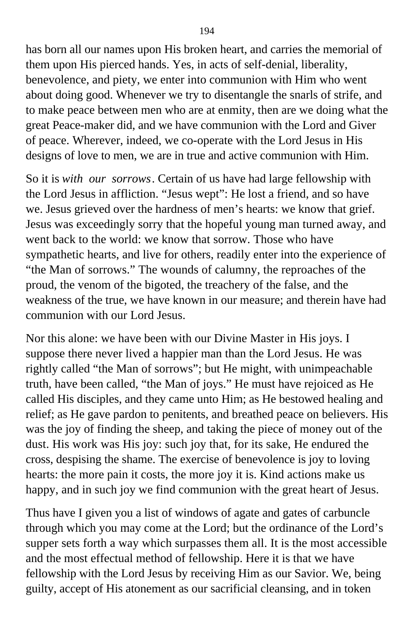has born all our names upon His broken heart, and carries the memorial of them upon His pierced hands. Yes, in acts of self-denial, liberality, benevolence, and piety, we enter into communion with Him who went about doing good. Whenever we try to disentangle the snarls of strife, and to make peace between men who are at enmity, then are we doing what the great Peace-maker did, and we have communion with the Lord and Giver of peace. Wherever, indeed, we co-operate with the Lord Jesus in His designs of love to men, we are in true and active communion with Him.

So it is *with our sorrows*. Certain of us have had large fellowship with the Lord Jesus in affliction. "Jesus wept": He lost a friend, and so have we. Jesus grieved over the hardness of men's hearts: we know that grief. Jesus was exceedingly sorry that the hopeful young man turned away, and went back to the world: we know that sorrow. Those who have sympathetic hearts, and live for others, readily enter into the experience of "the Man of sorrows." The wounds of calumny, the reproaches of the proud, the venom of the bigoted, the treachery of the false, and the weakness of the true, we have known in our measure; and therein have had communion with our Lord Jesus.

Nor this alone: we have been with our Divine Master in His joys. I suppose there never lived a happier man than the Lord Jesus. He was rightly called "the Man of sorrows"; but He might, with unimpeachable truth, have been called, "the Man of joys." He must have rejoiced as He called His disciples, and they came unto Him; as He bestowed healing and relief; as He gave pardon to penitents, and breathed peace on believers. His was the joy of finding the sheep, and taking the piece of money out of the dust. His work was His joy: such joy that, for its sake, He endured the cross, despising the shame. The exercise of benevolence is joy to loving hearts: the more pain it costs, the more joy it is. Kind actions make us happy, and in such joy we find communion with the great heart of Jesus.

Thus have I given you a list of windows of agate and gates of carbuncle through which you may come at the Lord; but the ordinance of the Lord's supper sets forth a way which surpasses them all. It is the most accessible and the most effectual method of fellowship. Here it is that we have fellowship with the Lord Jesus by receiving Him as our Savior. We, being guilty, accept of His atonement as our sacrificial cleansing, and in token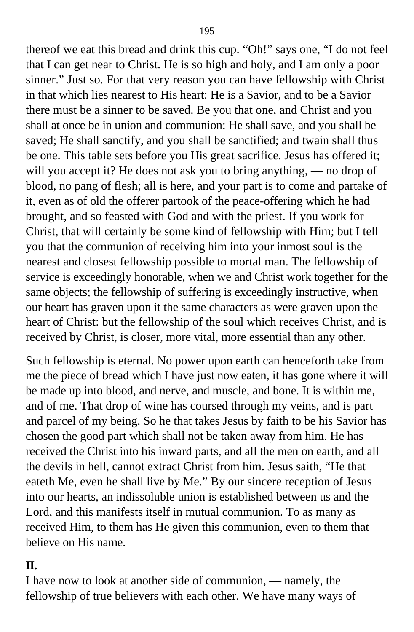thereof we eat this bread and drink this cup. "Oh!" says one, "I do not feel that I can get near to Christ. He is so high and holy, and I am only a poor sinner." Just so. For that very reason you can have fellowship with Christ in that which lies nearest to His heart: He is a Savior, and to be a Savior there must be a sinner to be saved. Be you that one, and Christ and you shall at once be in union and communion: He shall save, and you shall be saved; He shall sanctify, and you shall be sanctified; and twain shall thus be one. This table sets before you His great sacrifice. Jesus has offered it; will you accept it? He does not ask you to bring anything, — no drop of blood, no pang of flesh; all is here, and your part is to come and partake of it, even as of old the offerer partook of the peace-offering which he had brought, and so feasted with God and with the priest. If you work for Christ, that will certainly be some kind of fellowship with Him; but I tell you that the communion of receiving him into your inmost soul is the nearest and closest fellowship possible to mortal man. The fellowship of service is exceedingly honorable, when we and Christ work together for the same objects; the fellowship of suffering is exceedingly instructive, when our heart has graven upon it the same characters as were graven upon the heart of Christ: but the fellowship of the soul which receives Christ, and is received by Christ, is closer, more vital, more essential than any other.

Such fellowship is eternal. No power upon earth can henceforth take from me the piece of bread which I have just now eaten, it has gone where it will be made up into blood, and nerve, and muscle, and bone. It is within me, and of me. That drop of wine has coursed through my veins, and is part and parcel of my being. So he that takes Jesus by faith to be his Savior has chosen the good part which shall not be taken away from him. He has received the Christ into his inward parts, and all the men on earth, and all the devils in hell, cannot extract Christ from him. Jesus saith, "He that eateth Me, even he shall live by Me." By our sincere reception of Jesus into our hearts, an indissoluble union is established between us and the Lord, and this manifests itself in mutual communion. To as many as received Him, to them has He given this communion, even to them that believe on His name.

#### **II.**

I have now to look at another side of communion, — namely, the fellowship of true believers with each other. We have many ways of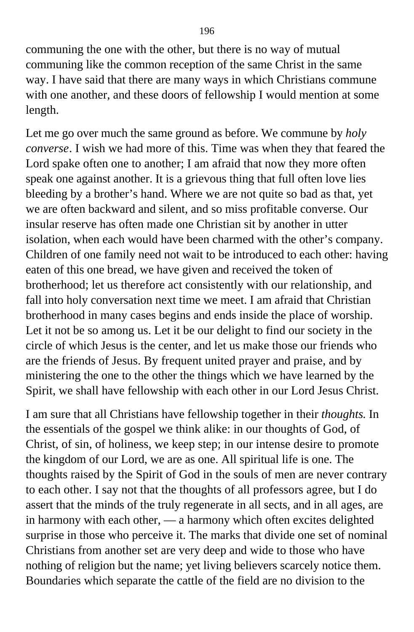communing the one with the other, but there is no way of mutual communing like the common reception of the same Christ in the same way. I have said that there are many ways in which Christians commune with one another, and these doors of fellowship I would mention at some length.

Let me go over much the same ground as before. We commune by *holy converse*. I wish we had more of this. Time was when they that feared the Lord spake often one to another; I am afraid that now they more often speak one against another. It is a grievous thing that full often love lies bleeding by a brother's hand. Where we are not quite so bad as that, yet we are often backward and silent, and so miss profitable converse. Our insular reserve has often made one Christian sit by another in utter isolation, when each would have been charmed with the other's company. Children of one family need not wait to be introduced to each other: having eaten of this one bread, we have given and received the token of brotherhood; let us therefore act consistently with our relationship, and fall into holy conversation next time we meet. I am afraid that Christian brotherhood in many cases begins and ends inside the place of worship. Let it not be so among us. Let it be our delight to find our society in the circle of which Jesus is the center, and let us make those our friends who are the friends of Jesus. By frequent united prayer and praise, and by ministering the one to the other the things which we have learned by the Spirit, we shall have fellowship with each other in our Lord Jesus Christ.

I am sure that all Christians have fellowship together in their *thoughts*. In the essentials of the gospel we think alike: in our thoughts of God, of Christ, of sin, of holiness, we keep step; in our intense desire to promote the kingdom of our Lord, we are as one. All spiritual life is one. The thoughts raised by the Spirit of God in the souls of men are never contrary to each other. I say not that the thoughts of all professors agree, but I do assert that the minds of the truly regenerate in all sects, and in all ages, are in harmony with each other, — a harmony which often excites delighted surprise in those who perceive it. The marks that divide one set of nominal Christians from another set are very deep and wide to those who have nothing of religion but the name; yet living believers scarcely notice them. Boundaries which separate the cattle of the field are no division to the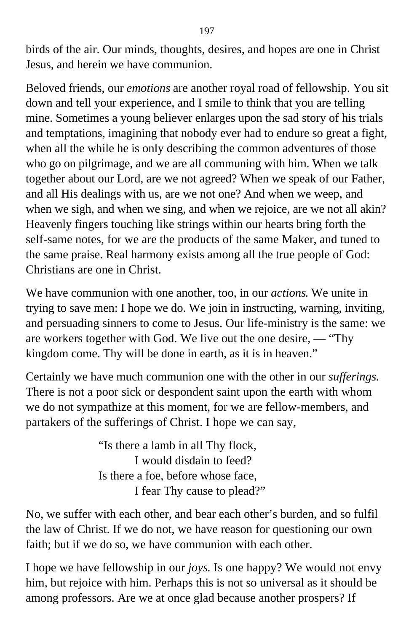birds of the air. Our minds, thoughts, desires, and hopes are one in Christ Jesus, and herein we have communion.

Beloved friends, our *emotions* are another royal road of fellowship. You sit down and tell your experience, and I smile to think that you are telling mine. Sometimes a young believer enlarges upon the sad story of his trials and temptations, imagining that nobody ever had to endure so great a fight, when all the while he is only describing the common adventures of those who go on pilgrimage, and we are all communing with him. When we talk together about our Lord, are we not agreed? When we speak of our Father, and all His dealings with us, are we not one? And when we weep, and when we sigh, and when we sing, and when we rejoice, are we not all akin? Heavenly fingers touching like strings within our hearts bring forth the self-same notes, for we are the products of the same Maker, and tuned to the same praise. Real harmony exists among all the true people of God: Christians are one in Christ.

We have communion with one another, too, in our *actions*. We unite in trying to save men: I hope we do. We join in instructing, warning, inviting, and persuading sinners to come to Jesus. Our life-ministry is the same: we are workers together with God. We live out the one desire, — "Thy kingdom come. Thy will be done in earth, as it is in heaven."

Certainly we have much communion one with the other in our *sufferings*. There is not a poor sick or despondent saint upon the earth with whom we do not sympathize at this moment, for we are fellow-members, and partakers of the sufferings of Christ. I hope we can say,

> "Is there a lamb in all Thy flock, I would disdain to feed? Is there a foe, before whose face, I fear Thy cause to plead?"

No, we suffer with each other, and bear each other's burden, and so fulfil the law of Christ. If we do not, we have reason for questioning our own faith; but if we do so, we have communion with each other.

I hope we have fellowship in our *joys*. Is one happy? We would not envy him, but rejoice with him. Perhaps this is not so universal as it should be among professors. Are we at once glad because another prospers? If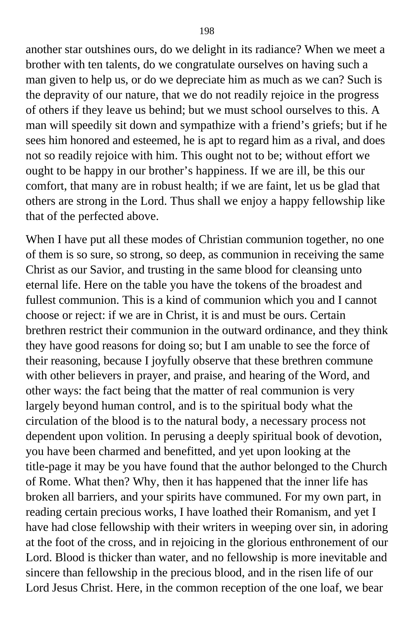another star outshines ours, do we delight in its radiance? When we meet a brother with ten talents, do we congratulate ourselves on having such a man given to help us, or do we depreciate him as much as we can? Such is the depravity of our nature, that we do not readily rejoice in the progress of others if they leave us behind; but we must school ourselves to this. A man will speedily sit down and sympathize with a friend's griefs; but if he sees him honored and esteemed, he is apt to regard him as a rival, and does not so readily rejoice with him. This ought not to be; without effort we ought to be happy in our brother's happiness. If we are ill, be this our comfort, that many are in robust health; if we are faint, let us be glad that others are strong in the Lord. Thus shall we enjoy a happy fellowship like that of the perfected above.

When I have put all these modes of Christian communion together, no one of them is so sure, so strong, so deep, as communion in receiving the same Christ as our Savior, and trusting in the same blood for cleansing unto eternal life. Here on the table you have the tokens of the broadest and fullest communion. This is a kind of communion which you and I cannot choose or reject: if we are in Christ, it is and must be ours. Certain brethren restrict their communion in the outward ordinance, and they think they have good reasons for doing so; but I am unable to see the force of their reasoning, because I joyfully observe that these brethren commune with other believers in prayer, and praise, and hearing of the Word, and other ways: the fact being that the matter of real communion is very largely beyond human control, and is to the spiritual body what the circulation of the blood is to the natural body, a necessary process not dependent upon volition. In perusing a deeply spiritual book of devotion, you have been charmed and benefitted, and yet upon looking at the title-page it may be you have found that the author belonged to the Church of Rome. What then? Why, then it has happened that the inner life has broken all barriers, and your spirits have communed. For my own part, in reading certain precious works, I have loathed their Romanism, and yet I have had close fellowship with their writers in weeping over sin, in adoring at the foot of the cross, and in rejoicing in the glorious enthronement of our Lord. Blood is thicker than water, and no fellowship is more inevitable and sincere than fellowship in the precious blood, and in the risen life of our Lord Jesus Christ. Here, in the common reception of the one loaf, we bear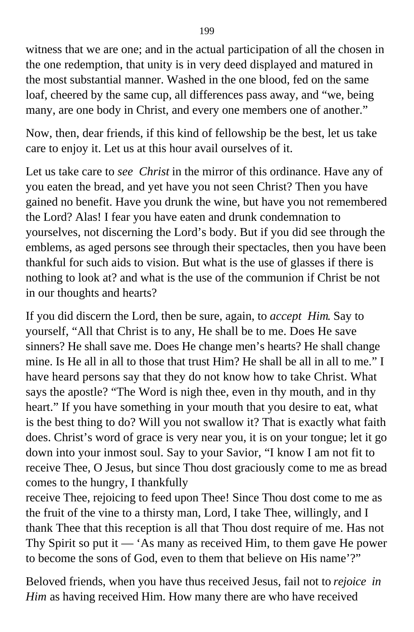witness that we are one; and in the actual participation of all the chosen in the one redemption, that unity is in very deed displayed and matured in the most substantial manner. Washed in the one blood, fed on the same loaf, cheered by the same cup, all differences pass away, and "we, being many, are one body in Christ, and every one members one of another."

Now, then, dear friends, if this kind of fellowship be the best, let us take care to enjoy it. Let us at this hour avail ourselves of it.

Let us take care to *see Christ* in the mirror of this ordinance. Have any of you eaten the bread, and yet have you not seen Christ? Then you have gained no benefit. Have you drunk the wine, but have you not remembered the Lord? Alas! I fear you have eaten and drunk condemnation to yourselves, not discerning the Lord's body. But if you did see through the emblems, as aged persons see through their spectacles, then you have been thankful for such aids to vision. But what is the use of glasses if there is nothing to look at? and what is the use of the communion if Christ be not in our thoughts and hearts?

If you did discern the Lord, then be sure, again, to *accept Him*. Say to yourself, "All that Christ is to any, He shall be to me. Does He save sinners? He shall save me. Does He change men's hearts? He shall change mine. Is He all in all to those that trust Him? He shall be all in all to me." I have heard persons say that they do not know how to take Christ. What says the apostle? "The Word is nigh thee, even in thy mouth, and in thy heart." If you have something in your mouth that you desire to eat, what is the best thing to do? Will you not swallow it? That is exactly what faith does. Christ's word of grace is very near you, it is on your tongue; let it go down into your inmost soul. Say to your Savior, "I know I am not fit to receive Thee, O Jesus, but since Thou dost graciously come to me as bread comes to the hungry, I thankfully

receive Thee, rejoicing to feed upon Thee! Since Thou dost come to me as the fruit of the vine to a thirsty man, Lord, I take Thee, willingly, and I thank Thee that this reception is all that Thou dost require of me. Has not Thy Spirit so put it — 'As many as received Him, to them gave He power to become the sons of God, even to them that believe on His name'?"

Beloved friends, when you have thus received Jesus, fail not to *rejoice in Him* as having received Him. How many there are who have received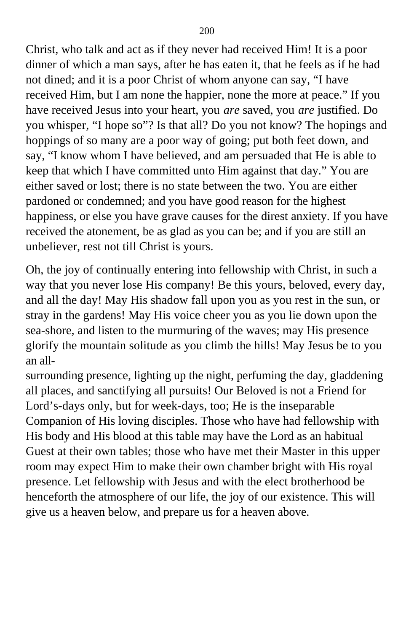Christ, who talk and act as if they never had received Him! It is a poor dinner of which a man says, after he has eaten it, that he feels as if he had not dined; and it is a poor Christ of whom anyone can say, "I have received Him, but I am none the happier, none the more at peace." If you have received Jesus into your heart, you *are* saved, you *are* justified. Do you whisper, "I hope so"? Is that all? Do you not know? The hopings and hoppings of so many are a poor way of going; put both feet down, and say, "I know whom I have believed, and am persuaded that He is able to keep that which I have committed unto Him against that day." You are either saved or lost; there is no state between the two. You are either pardoned or condemned; and you have good reason for the highest happiness, or else you have grave causes for the direst anxiety. If you have received the atonement, be as glad as you can be; and if you are still an unbeliever, rest not till Christ is yours.

Oh, the joy of continually entering into fellowship with Christ, in such a way that you never lose His company! Be this yours, beloved, every day, and all the day! May His shadow fall upon you as you rest in the sun, or stray in the gardens! May His voice cheer you as you lie down upon the sea-shore, and listen to the murmuring of the waves; may His presence glorify the mountain solitude as you climb the hills! May Jesus be to you an all-

surrounding presence, lighting up the night, perfuming the day, gladdening all places, and sanctifying all pursuits! Our Beloved is not a Friend for Lord's-days only, but for week-days, too; He is the inseparable Companion of His loving disciples. Those who have had fellowship with His body and His blood at this table may have the Lord as an habitual Guest at their own tables; those who have met their Master in this upper room may expect Him to make their own chamber bright with His royal presence. Let fellowship with Jesus and with the elect brotherhood be henceforth the atmosphere of our life, the joy of our existence. This will give us a heaven below, and prepare us for a heaven above.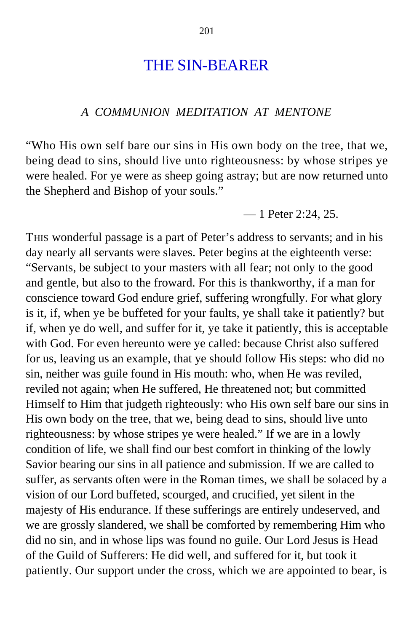## THE SIN-BEARER

#### *A COMMUNION MEDITATION AT MENTONE*

"Who His own self bare our sins in His own body on the tree, that we, being dead to sins, should live unto righteousness: by whose stripes ye were healed. For ye were as sheep going astray; but are now returned unto the Shepherd and Bishop of your souls."

— 1 Peter 2:24, 25.

THIS wonderful passage is a part of Peter's address to servants; and in his day nearly all servants were slaves. Peter begins at the eighteenth verse: "Servants, be subject to your masters with all fear; not only to the good and gentle, but also to the froward. For this is thankworthy, if a man for conscience toward God endure grief, suffering wrongfully. For what glory is it, if, when ye be buffeted for your faults, ye shall take it patiently? but if, when ye do well, and suffer for it, ye take it patiently, this is acceptable with God. For even hereunto were ye called: because Christ also suffered for us, leaving us an example, that ye should follow His steps: who did no sin, neither was guile found in His mouth: who, when He was reviled, reviled not again; when He suffered, He threatened not; but committed Himself to Him that judgeth righteously: who His own self bare our sins in His own body on the tree, that we, being dead to sins, should live unto righteousness: by whose stripes ye were healed." If we are in a lowly condition of life, we shall find our best comfort in thinking of the lowly Savior bearing our sins in all patience and submission. If we are called to suffer, as servants often were in the Roman times, we shall be solaced by a vision of our Lord buffeted, scourged, and crucified, yet silent in the majesty of His endurance. If these sufferings are entirely undeserved, and we are grossly slandered, we shall be comforted by remembering Him who did no sin, and in whose lips was found no guile. Our Lord Jesus is Head of the Guild of Sufferers: He did well, and suffered for it, but took it patiently. Our support under the cross, which we are appointed to bear, is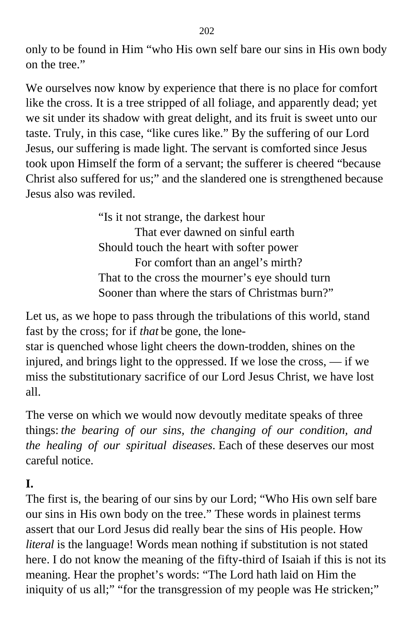only to be found in Him "who His own self bare our sins in His own body on the tree."

We ourselves now know by experience that there is no place for comfort like the cross. It is a tree stripped of all foliage, and apparently dead; yet we sit under its shadow with great delight, and its fruit is sweet unto our taste. Truly, in this case, "like cures like." By the suffering of our Lord Jesus, our suffering is made light. The servant is comforted since Jesus took upon Himself the form of a servant; the sufferer is cheered "because Christ also suffered for us;" and the slandered one is strengthened because Jesus also was reviled.

> "Is it not strange, the darkest hour That ever dawned on sinful earth Should touch the heart with softer power For comfort than an angel's mirth? That to the cross the mourner's eye should turn Sooner than where the stars of Christmas burn?"

Let us, as we hope to pass through the tribulations of this world, stand fast by the cross; for if *that* be gone, the lone-

star is quenched whose light cheers the down-trodden, shines on the injured, and brings light to the oppressed. If we lose the cross, — if we miss the substitutionary sacrifice of our Lord Jesus Christ, we have lost all.

The verse on which we would now devoutly meditate speaks of three things: *the bearing of our sins, the changing of our condition, and the healing of our spiritual diseases*. Each of these deserves our most careful notice.

### **I.**

The first is, the bearing of our sins by our Lord; "Who His own self bare our sins in His own body on the tree." These words in plainest terms assert that our Lord Jesus did really bear the sins of His people. How *literal* is the language! Words mean nothing if substitution is not stated here. I do not know the meaning of the fifty-third of Isaiah if this is not its meaning. Hear the prophet's words: "The Lord hath laid on Him the iniquity of us all;" "for the transgression of my people was He stricken;"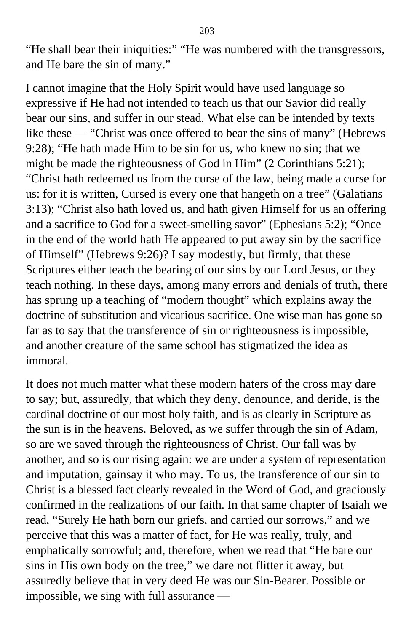"He shall bear their iniquities:" "He was numbered with the transgressors, and He bare the sin of many."

I cannot imagine that the Holy Spirit would have used language so expressive if He had not intended to teach us that our Savior did really bear our sins, and suffer in our stead. What else can be intended by texts like these — "Christ was once offered to bear the sins of many" (Hebrews 9:28); "He hath made Him to be sin for us, who knew no sin; that we might be made the righteousness of God in Him" (2 Corinthians 5:21); "Christ hath redeemed us from the curse of the law, being made a curse for us: for it is written, Cursed is every one that hangeth on a tree" (Galatians 3:13); "Christ also hath loved us, and hath given Himself for us an offering and a sacrifice to God for a sweet-smelling savor" (Ephesians 5:2); "Once in the end of the world hath He appeared to put away sin by the sacrifice of Himself" (Hebrews 9:26)? I say modestly, but firmly, that these Scriptures either teach the bearing of our sins by our Lord Jesus, or they teach nothing. In these days, among many errors and denials of truth, there has sprung up a teaching of "modern thought" which explains away the doctrine of substitution and vicarious sacrifice. One wise man has gone so far as to say that the transference of sin or righteousness is impossible, and another creature of the same school has stigmatized the idea as immoral.

It does not much matter what these modern haters of the cross may dare to say; but, assuredly, that which they deny, denounce, and deride, is the cardinal doctrine of our most holy faith, and is as clearly in Scripture as the sun is in the heavens. Beloved, as we suffer through the sin of Adam, so are we saved through the righteousness of Christ. Our fall was by another, and so is our rising again: we are under a system of representation and imputation, gainsay it who may. To us, the transference of our sin to Christ is a blessed fact clearly revealed in the Word of God, and graciously confirmed in the realizations of our faith. In that same chapter of Isaiah we read, "Surely He hath born our griefs, and carried our sorrows," and we perceive that this was a matter of fact, for He was really, truly, and emphatically sorrowful; and, therefore, when we read that "He bare our sins in His own body on the tree," we dare not flitter it away, but assuredly believe that in very deed He was our Sin-Bearer. Possible or impossible, we sing with full assurance —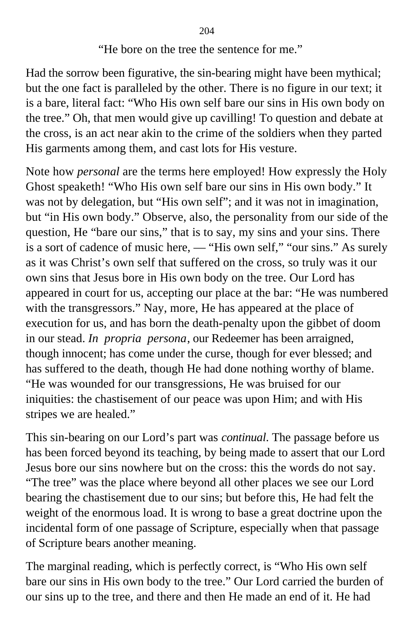Had the sorrow been figurative, the sin-bearing might have been mythical; but the one fact is paralleled by the other. There is no figure in our text; it is a bare, literal fact: "Who His own self bare our sins in His own body on the tree." Oh, that men would give up cavilling! To question and debate at the cross, is an act near akin to the crime of the soldiers when they parted His garments among them, and cast lots for His vesture.

Note how *personal* are the terms here employed! How expressly the Holy Ghost speaketh! "Who His own self bare our sins in His own body." It was not by delegation, but "His own self"; and it was not in imagination, but "in His own body." Observe, also, the personality from our side of the question, He "bare our sins," that is to say, my sins and your sins. There is a sort of cadence of music here, — "His own self," "our sins." As surely as it was Christ's own self that suffered on the cross, so truly was it our own sins that Jesus bore in His own body on the tree. Our Lord has appeared in court for us, accepting our place at the bar: "He was numbered with the transgressors." Nay, more, He has appeared at the place of execution for us, and has born the death-penalty upon the gibbet of doom in our stead. *In propria persona*, our Redeemer has been arraigned, though innocent; has come under the curse, though for ever blessed; and has suffered to the death, though He had done nothing worthy of blame. "He was wounded for our transgressions, He was bruised for our iniquities: the chastisement of our peace was upon Him; and with His stripes we are healed."

This sin-bearing on our Lord's part was *continual*. The passage before us has been forced beyond its teaching, by being made to assert that our Lord Jesus bore our sins nowhere but on the cross: this the words do not say. "The tree" was the place where beyond all other places we see our Lord bearing the chastisement due to our sins; but before this, He had felt the weight of the enormous load. It is wrong to base a great doctrine upon the incidental form of one passage of Scripture, especially when that passage of Scripture bears another meaning.

The marginal reading, which is perfectly correct, is "Who His own self bare our sins in His own body to the tree." Our Lord carried the burden of our sins up to the tree, and there and then He made an end of it. He had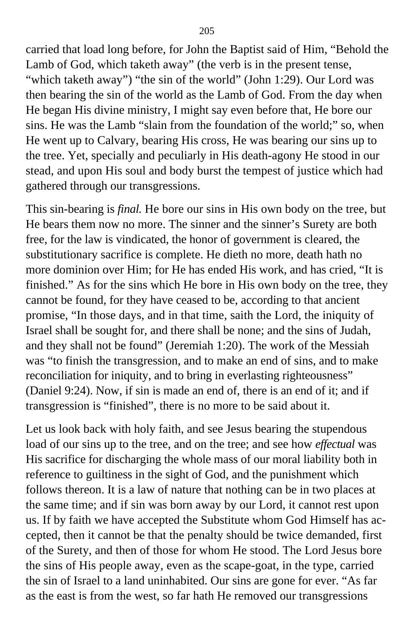carried that load long before, for John the Baptist said of Him, "Behold the Lamb of God, which taketh away" (the verb is in the present tense, "which taketh away") "the sin of the world" (John 1:29). Our Lord was then bearing the sin of the world as the Lamb of God. From the day when He began His divine ministry, I might say even before that, He bore our sins. He was the Lamb "slain from the foundation of the world;" so, when He went up to Calvary, bearing His cross, He was bearing our sins up to the tree. Yet, specially and peculiarly in His death-agony He stood in our stead, and upon His soul and body burst the tempest of justice which had gathered through our transgressions.

This sin-bearing is *final.* He bore our sins in His own body on the tree, but He bears them now no more. The sinner and the sinner's Surety are both free, for the law is vindicated, the honor of government is cleared, the substitutionary sacrifice is complete. He dieth no more, death hath no more dominion over Him; for He has ended His work, and has cried, "It is finished." As for the sins which He bore in His own body on the tree, they cannot be found, for they have ceased to be, according to that ancient promise, "In those days, and in that time, saith the Lord, the iniquity of Israel shall be sought for, and there shall be none; and the sins of Judah, and they shall not be found" (Jeremiah 1:20). The work of the Messiah was "to finish the transgression, and to make an end of sins, and to make reconciliation for iniquity, and to bring in everlasting righteousness" (Daniel 9:24). Now, if sin is made an end of, there is an end of it; and if transgression is "finished", there is no more to be said about it.

Let us look back with holy faith, and see Jesus bearing the stupendous load of our sins up to the tree, and on the tree; and see how *effectual* was His sacrifice for discharging the whole mass of our moral liability both in reference to guiltiness in the sight of God, and the punishment which follows thereon. It is a law of nature that nothing can be in two places at the same time; and if sin was born away by our Lord, it cannot rest upon us. If by faith we have accepted the Substitute whom God Himself has accepted, then it cannot be that the penalty should be twice demanded, first of the Surety, and then of those for whom He stood. The Lord Jesus bore the sins of His people away, even as the scape-goat, in the type, carried the sin of Israel to a land uninhabited. Our sins are gone for ever. "As far as the east is from the west, so far hath He removed our transgressions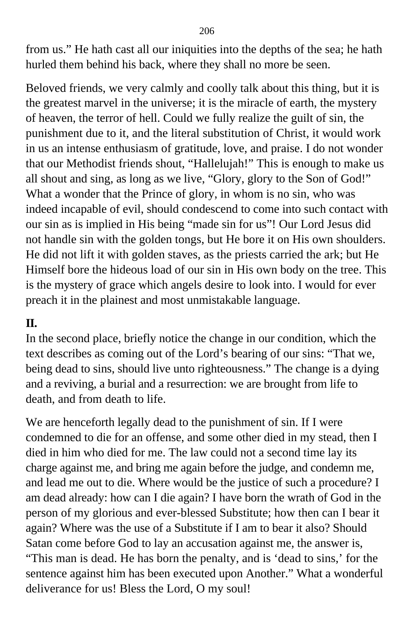from us." He hath cast all our iniquities into the depths of the sea; he hath hurled them behind his back, where they shall no more be seen.

Beloved friends, we very calmly and coolly talk about this thing, but it is the greatest marvel in the universe; it is the miracle of earth, the mystery of heaven, the terror of hell. Could we fully realize the guilt of sin, the punishment due to it, and the literal substitution of Christ, it would work in us an intense enthusiasm of gratitude, love, and praise. I do not wonder that our Methodist friends shout, "Hallelujah!" This is enough to make us all shout and sing, as long as we live, "Glory, glory to the Son of God!" What a wonder that the Prince of glory, in whom is no sin, who was indeed incapable of evil, should condescend to come into such contact with our sin as is implied in His being "made sin for us"! Our Lord Jesus did not handle sin with the golden tongs, but He bore it on His own shoulders. He did not lift it with golden staves, as the priests carried the ark; but He Himself bore the hideous load of our sin in His own body on the tree. This is the mystery of grace which angels desire to look into. I would for ever preach it in the plainest and most unmistakable language.

## **II.**

In the second place, briefly notice the change in our condition, which the text describes as coming out of the Lord's bearing of our sins: "That we, being dead to sins, should live unto righteousness." The change is a dying and a reviving, a burial and a resurrection: we are brought from life to death, and from death to life.

We are henceforth legally dead to the punishment of sin. If I were condemned to die for an offense, and some other died in my stead, then I died in him who died for me. The law could not a second time lay its charge against me, and bring me again before the judge, and condemn me, and lead me out to die. Where would be the justice of such a procedure? I am dead already: how can I die again? I have born the wrath of God in the person of my glorious and ever-blessed Substitute; how then can I bear it again? Where was the use of a Substitute if I am to bear it also? Should Satan come before God to lay an accusation against me, the answer is, "This man is dead. He has born the penalty, and is 'dead to sins,' for the sentence against him has been executed upon Another." What a wonderful deliverance for us! Bless the Lord, O my soul!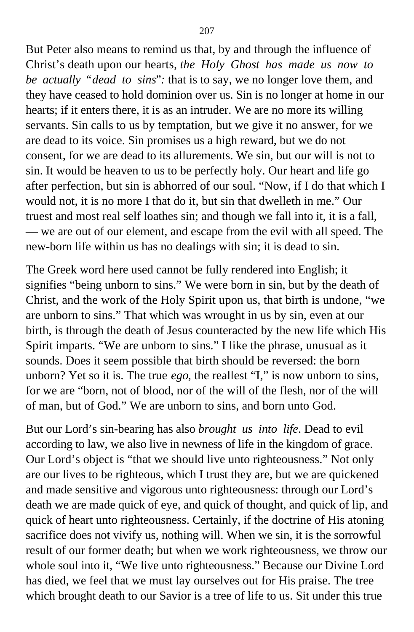But Peter also means to remind us that, by and through the influence of Christ's death upon our hearts, *the Holy Ghost has made us now to be actually* "*dead to sins*"*:* that is to say, we no longer love them, and they have ceased to hold dominion over us. Sin is no longer at home in our hearts; if it enters there, it is as an intruder. We are no more its willing servants. Sin calls to us by temptation, but we give it no answer, for we are dead to its voice. Sin promises us a high reward, but we do not consent, for we are dead to its allurements. We sin, but our will is not to sin. It would be heaven to us to be perfectly holy. Our heart and life go after perfection, but sin is abhorred of our soul. "Now, if I do that which I would not, it is no more I that do it, but sin that dwelleth in me." Our truest and most real self loathes sin; and though we fall into it, it is a fall, — we are out of our element, and escape from the evil with all speed. The new-born life within us has no dealings with sin; it is dead to sin.

The Greek word here used cannot be fully rendered into English; it signifies "being unborn to sins." We were born in sin, but by the death of Christ, and the work of the Holy Spirit upon us, that birth is undone, "we are unborn to sins." That which was wrought in us by sin, even at our birth, is through the death of Jesus counteracted by the new life which His Spirit imparts. "We are unborn to sins." I like the phrase, unusual as it sounds. Does it seem possible that birth should be reversed: the born unborn? Yet so it is. The true *ego*, the reallest "I," is now unborn to sins, for we are "born, not of blood, nor of the will of the flesh, nor of the will of man, but of God." We are unborn to sins, and born unto God.

But our Lord's sin-bearing has also *brought us into life*. Dead to evil according to law, we also live in newness of life in the kingdom of grace. Our Lord's object is "that we should live unto righteousness." Not only are our lives to be righteous, which I trust they are, but we are quickened and made sensitive and vigorous unto righteousness: through our Lord's death we are made quick of eye, and quick of thought, and quick of lip, and quick of heart unto righteousness. Certainly, if the doctrine of His atoning sacrifice does not vivify us, nothing will. When we sin, it is the sorrowful result of our former death; but when we work righteousness, we throw our whole soul into it, "We live unto righteousness." Because our Divine Lord has died, we feel that we must lay ourselves out for His praise. The tree which brought death to our Savior is a tree of life to us. Sit under this true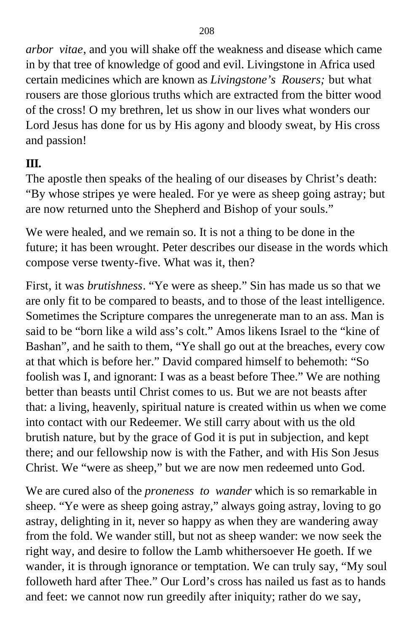*arbor vitae*, and you will shake off the weakness and disease which came in by that tree of knowledge of good and evil. Livingstone in Africa used certain medicines which are known as *Livingstone's Rousers;* but what rousers are those glorious truths which are extracted from the bitter wood of the cross! O my brethren, let us show in our lives what wonders our Lord Jesus has done for us by His agony and bloody sweat, by His cross and passion!

# **III.**

The apostle then speaks of the healing of our diseases by Christ's death: "By whose stripes ye were healed. For ye were as sheep going astray; but are now returned unto the Shepherd and Bishop of your souls."

We were healed, and we remain so. It is not a thing to be done in the future; it has been wrought. Peter describes our disease in the words which compose verse twenty-five. What was it, then?

First, it was *brutishness*. "Ye were as sheep." Sin has made us so that we are only fit to be compared to beasts, and to those of the least intelligence. Sometimes the Scripture compares the unregenerate man to an ass. Man is said to be "born like a wild ass's colt." Amos likens Israel to the "kine of Bashan", and he saith to them, "Ye shall go out at the breaches, every cow at that which is before her." David compared himself to behemoth: "So foolish was I, and ignorant: I was as a beast before Thee." We are nothing better than beasts until Christ comes to us. But we are not beasts after that: a living, heavenly, spiritual nature is created within us when we come into contact with our Redeemer. We still carry about with us the old brutish nature, but by the grace of God it is put in subjection, and kept there; and our fellowship now is with the Father, and with His Son Jesus Christ. We "were as sheep," but we are now men redeemed unto God.

We are cured also of the *proneness to wander* which is so remarkable in sheep. "Ye were as sheep going astray," always going astray, loving to go astray, delighting in it, never so happy as when they are wandering away from the fold. We wander still, but not as sheep wander: we now seek the right way, and desire to follow the Lamb whithersoever He goeth. If we wander, it is through ignorance or temptation. We can truly say, "My soul followeth hard after Thee." Our Lord's cross has nailed us fast as to hands and feet: we cannot now run greedily after iniquity; rather do we say,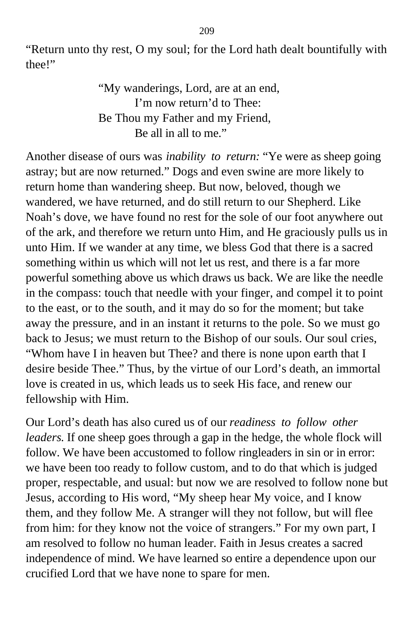"Return unto thy rest, O my soul; for the Lord hath dealt bountifully with thee!"

> "My wanderings, Lord, are at an end, I'm now return'd to Thee: Be Thou my Father and my Friend, Be all in all to me."

Another disease of ours was *inability to return:* "Ye were as sheep going astray; but are now returned." Dogs and even swine are more likely to return home than wandering sheep. But now, beloved, though we wandered, we have returned, and do still return to our Shepherd. Like Noah's dove, we have found no rest for the sole of our foot anywhere out of the ark, and therefore we return unto Him, and He graciously pulls us in unto Him. If we wander at any time, we bless God that there is a sacred something within us which will not let us rest, and there is a far more powerful something above us which draws us back. We are like the needle in the compass: touch that needle with your finger, and compel it to point to the east, or to the south, and it may do so for the moment; but take away the pressure, and in an instant it returns to the pole. So we must go back to Jesus; we must return to the Bishop of our souls. Our soul cries, "Whom have I in heaven but Thee? and there is none upon earth that I desire beside Thee." Thus, by the virtue of our Lord's death, an immortal love is created in us, which leads us to seek His face, and renew our fellowship with Him.

Our Lord's death has also cured us of our *readiness to follow other leaders*. If one sheep goes through a gap in the hedge, the whole flock will follow. We have been accustomed to follow ringleaders in sin or in error: we have been too ready to follow custom, and to do that which is judged proper, respectable, and usual: but now we are resolved to follow none but Jesus, according to His word, "My sheep hear My voice, and I know them, and they follow Me. A stranger will they not follow, but will flee from him: for they know not the voice of strangers." For my own part, I am resolved to follow no human leader. Faith in Jesus creates a sacred independence of mind. We have learned so entire a dependence upon our crucified Lord that we have none to spare for men.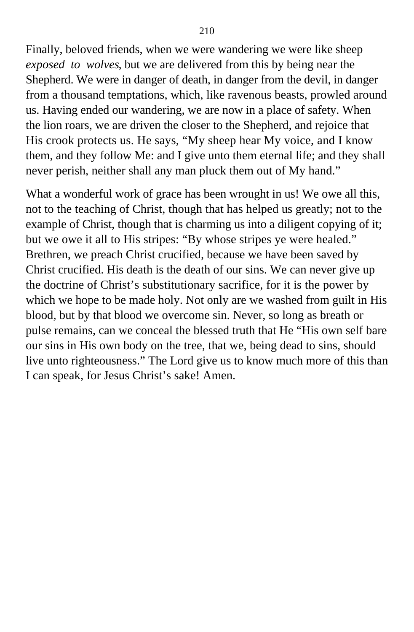Finally, beloved friends, when we were wandering we were like sheep *exposed to wolves*, but we are delivered from this by being near the Shepherd. We were in danger of death, in danger from the devil, in danger from a thousand temptations, which, like ravenous beasts, prowled around us. Having ended our wandering, we are now in a place of safety. When the lion roars, we are driven the closer to the Shepherd, and rejoice that His crook protects us. He says, "My sheep hear My voice, and I know them, and they follow Me: and I give unto them eternal life; and they shall never perish, neither shall any man pluck them out of My hand."

What a wonderful work of grace has been wrought in us! We owe all this, not to the teaching of Christ, though that has helped us greatly; not to the example of Christ, though that is charming us into a diligent copying of it; but we owe it all to His stripes: "By whose stripes ye were healed." Brethren, we preach Christ crucified, because we have been saved by Christ crucified. His death is the death of our sins. We can never give up the doctrine of Christ's substitutionary sacrifice, for it is the power by which we hope to be made holy. Not only are we washed from guilt in His blood, but by that blood we overcome sin. Never, so long as breath or pulse remains, can we conceal the blessed truth that He "His own self bare our sins in His own body on the tree, that we, being dead to sins, should live unto righteousness." The Lord give us to know much more of this than I can speak, for Jesus Christ's sake! Amen.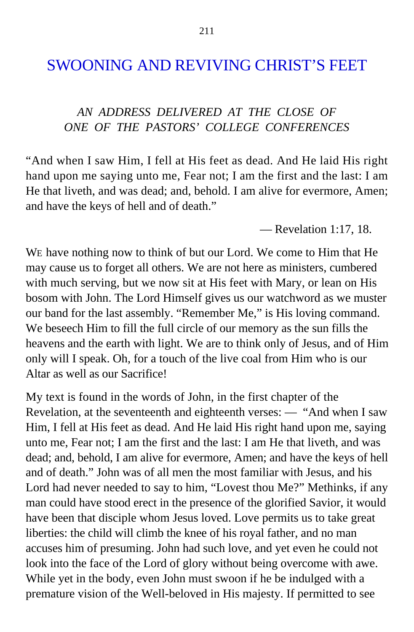# SWOONING AND REVIVING CHRIST'S FEET

#### *AN ADDRESS DELIVERED AT THE CLOSE OF ONE OF THE PASTORS' COLLEGE CONFERENCES*

"And when I saw Him, I fell at His feet as dead. And He laid His right hand upon me saying unto me, Fear not; I am the first and the last: I am He that liveth, and was dead; and, behold. I am alive for evermore, Amen; and have the keys of hell and of death."

— Revelation 1:17, 18.

WE have nothing now to think of but our Lord. We come to Him that He may cause us to forget all others. We are not here as ministers, cumbered with much serving, but we now sit at His feet with Mary, or lean on His bosom with John. The Lord Himself gives us our watchword as we muster our band for the last assembly. "Remember Me," is His loving command. We beseech Him to fill the full circle of our memory as the sun fills the heavens and the earth with light. We are to think only of Jesus, and of Him only will I speak. Oh, for a touch of the live coal from Him who is our Altar as well as our Sacrifice!

My text is found in the words of John, in the first chapter of the Revelation, at the seventeenth and eighteenth verses: — "And when I saw Him, I fell at His feet as dead. And He laid His right hand upon me, saying unto me, Fear not; I am the first and the last: I am He that liveth, and was dead; and, behold, I am alive for evermore, Amen; and have the keys of hell and of death." John was of all men the most familiar with Jesus, and his Lord had never needed to say to him, "Lovest thou Me?" Methinks, if any man could have stood erect in the presence of the glorified Savior, it would have been that disciple whom Jesus loved. Love permits us to take great liberties: the child will climb the knee of his royal father, and no man accuses him of presuming. John had such love, and yet even he could not look into the face of the Lord of glory without being overcome with awe. While yet in the body, even John must swoon if he be indulged with a premature vision of the Well-beloved in His majesty. If permitted to see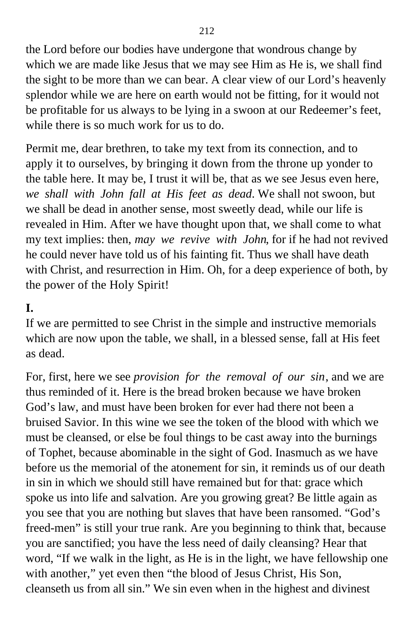the Lord before our bodies have undergone that wondrous change by which we are made like Jesus that we may see Him as He is, we shall find the sight to be more than we can bear. A clear view of our Lord's heavenly splendor while we are here on earth would not be fitting, for it would not be profitable for us always to be lying in a swoon at our Redeemer's feet, while there is so much work for us to do.

Permit me, dear brethren, to take my text from its connection, and to apply it to ourselves, by bringing it down from the throne up yonder to the table here. It may be, I trust it will be, that as we see Jesus even here, *we shall with John fall at His feet as dead*. We shall not swoon, but we shall be dead in another sense, most sweetly dead, while our life is revealed in Him. After we have thought upon that, we shall come to what my text implies: then, *may we revive with John*, for if he had not revived he could never have told us of his fainting fit. Thus we shall have death with Christ, and resurrection in Him. Oh, for a deep experience of both, by the power of the Holy Spirit!

### **I.**

If we are permitted to see Christ in the simple and instructive memorials which are now upon the table, we shall, in a blessed sense, fall at His feet as dead.

For, first, here we see *provision for the removal of our sin*, and we are thus reminded of it. Here is the bread broken because we have broken God's law, and must have been broken for ever had there not been a bruised Savior. In this wine we see the token of the blood with which we must be cleansed, or else be foul things to be cast away into the burnings of Tophet, because abominable in the sight of God. Inasmuch as we have before us the memorial of the atonement for sin, it reminds us of our death in sin in which we should still have remained but for that: grace which spoke us into life and salvation. Are you growing great? Be little again as you see that you are nothing but slaves that have been ransomed. "God's freed-men" is still your true rank. Are you beginning to think that, because you are sanctified; you have the less need of daily cleansing? Hear that word, "If we walk in the light, as He is in the light, we have fellowship one with another," yet even then "the blood of Jesus Christ, His Son, cleanseth us from all sin." We sin even when in the highest and divinest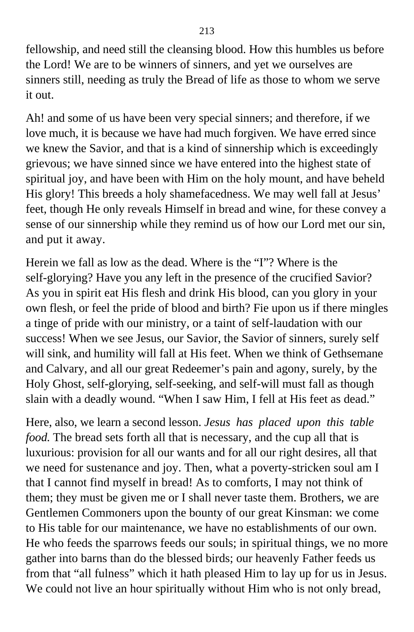fellowship, and need still the cleansing blood. How this humbles us before the Lord! We are to be winners of sinners, and yet we ourselves are sinners still, needing as truly the Bread of life as those to whom we serve it out.

Ah! and some of us have been very special sinners; and therefore, if we love much, it is because we have had much forgiven. We have erred since we knew the Savior, and that is a kind of sinnership which is exceedingly grievous; we have sinned since we have entered into the highest state of spiritual joy, and have been with Him on the holy mount, and have beheld His glory! This breeds a holy shamefacedness. We may well fall at Jesus' feet, though He only reveals Himself in bread and wine, for these convey a sense of our sinnership while they remind us of how our Lord met our sin, and put it away.

Herein we fall as low as the dead. Where is the "I"? Where is the self-glorying? Have you any left in the presence of the crucified Savior? As you in spirit eat His flesh and drink His blood, can you glory in your own flesh, or feel the pride of blood and birth? Fie upon us if there mingles a tinge of pride with our ministry, or a taint of self-laudation with our success! When we see Jesus, our Savior, the Savior of sinners, surely self will sink, and humility will fall at His feet. When we think of Gethsemane and Calvary, and all our great Redeemer's pain and agony, surely, by the Holy Ghost, self-glorying, self-seeking, and self-will must fall as though slain with a deadly wound. "When I saw Him, I fell at His feet as dead."

Here, also, we learn a second lesson. *Jesus has placed upon this table food*. The bread sets forth all that is necessary, and the cup all that is luxurious: provision for all our wants and for all our right desires, all that we need for sustenance and joy. Then, what a poverty-stricken soul am I that I cannot find myself in bread! As to comforts, I may not think of them; they must be given me or I shall never taste them. Brothers, we are Gentlemen Commoners upon the bounty of our great Kinsman: we come to His table for our maintenance, we have no establishments of our own. He who feeds the sparrows feeds our souls; in spiritual things, we no more gather into barns than do the blessed birds; our heavenly Father feeds us from that "all fulness" which it hath pleased Him to lay up for us in Jesus. We could not live an hour spiritually without Him who is not only bread,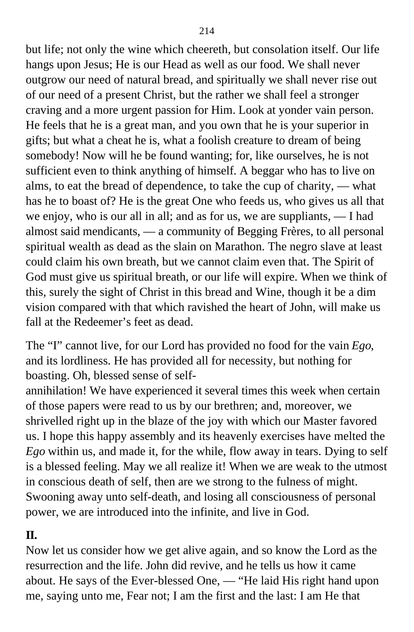but life; not only the wine which cheereth, but consolation itself. Our life hangs upon Jesus; He is our Head as well as our food. We shall never outgrow our need of natural bread, and spiritually we shall never rise out of our need of a present Christ, but the rather we shall feel a stronger craving and a more urgent passion for Him. Look at yonder vain person. He feels that he is a great man, and you own that he is your superior in gifts; but what a cheat he is, what a foolish creature to dream of being somebody! Now will he be found wanting; for, like ourselves, he is not sufficient even to think anything of himself. A beggar who has to live on alms, to eat the bread of dependence, to take the cup of charity, — what has he to boast of? He is the great One who feeds us, who gives us all that we enjoy, who is our all in all; and as for us, we are suppliants, — I had almost said mendicants, — a community of Begging Frères, to all personal spiritual wealth as dead as the slain on Marathon. The negro slave at least could claim his own breath, but we cannot claim even that. The Spirit of God must give us spiritual breath, or our life will expire. When we think of this, surely the sight of Christ in this bread and Wine, though it be a dim vision compared with that which ravished the heart of John, will make us fall at the Redeemer's feet as dead.

The "I" cannot live, for our Lord has provided no food for the vain *Ego*, and its lordliness. He has provided all for necessity, but nothing for boasting. Oh, blessed sense of self-

annihilation! We have experienced it several times this week when certain of those papers were read to us by our brethren; and, moreover, we shrivelled right up in the blaze of the joy with which our Master favored us. I hope this happy assembly and its heavenly exercises have melted the *Ego* within us, and made it, for the while, flow away in tears. Dying to self is a blessed feeling. May we all realize it! When we are weak to the utmost in conscious death of self, then are we strong to the fulness of might. Swooning away unto self-death, and losing all consciousness of personal power, we are introduced into the infinite, and live in God.

# **II.**

Now let us consider how we get alive again, and so know the Lord as the resurrection and the life. John did revive, and he tells us how it came about. He says of the Ever-blessed One, — "He laid His right hand upon me, saying unto me, Fear not; I am the first and the last: I am He that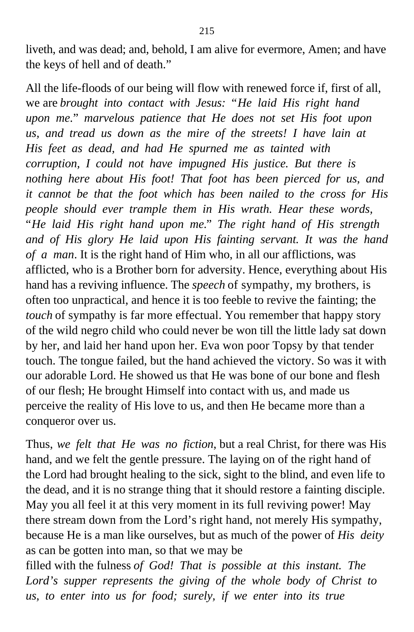liveth, and was dead; and, behold, I am alive for evermore, Amen; and have the keys of hell and of death."

All the life-floods of our being will flow with renewed force if, first of all, we are *brought into contact with Jesus:* "*He laid His right hand upon me.*" *marvelous patience that He does not set His foot upon us, and tread us down as the mire of the streets! I have lain at His feet as dead, and had He spurned me as tainted with corruption, I could not have impugned His justice. But there is nothing here about His foot! That foot has been pierced for us, and it cannot be that the foot which has been nailed to the cross for His people should ever trample them in His wrath. Hear these words,* "*He laid His right hand upon me.*" *The right hand of His strength and of His glory He laid upon His fainting servant. It was the hand of a man*. It is the right hand of Him who, in all our afflictions, was afflicted, who is a Brother born for adversity. Hence, everything about His hand has a reviving influence. The *speech* of sympathy, my brothers, is often too unpractical, and hence it is too feeble to revive the fainting; the *touch* of sympathy is far more effectual. You remember that happy story of the wild negro child who could never be won till the little lady sat down by her, and laid her hand upon her. Eva won poor Topsy by that tender touch. The tongue failed, but the hand achieved the victory. So was it with our adorable Lord. He showed us that He was bone of our bone and flesh of our flesh; He brought Himself into contact with us, and made us perceive the reality of His love to us, and then He became more than a conqueror over us.

Thus, *we felt that He was no fiction*, but a real Christ, for there was His hand, and we felt the gentle pressure. The laying on of the right hand of the Lord had brought healing to the sick, sight to the blind, and even life to the dead, and it is no strange thing that it should restore a fainting disciple. May you all feel it at this very moment in its full reviving power! May there stream down from the Lord's right hand, not merely His sympathy, because He is a man like ourselves, but as much of the power of *His deity* as can be gotten into man, so that we may be

filled with the fulness *of God! That is possible at this instant. The Lord's supper represents the giving of the whole body of Christ to us, to enter into us for food; surely, if we enter into its true*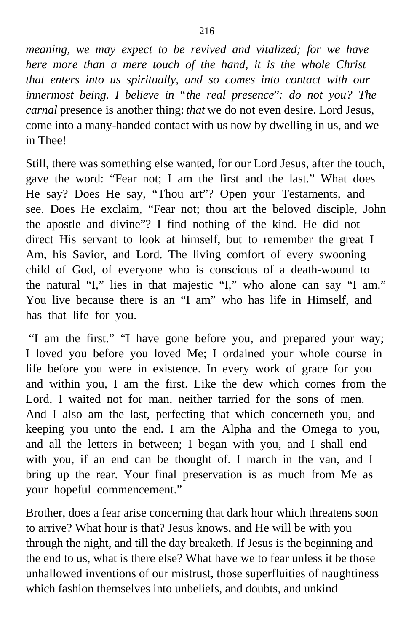*meaning, we may expect to be revived and vitalized; for we have here more than a mere touch of the hand, it is the whole Christ that enters into us spiritually, and so comes into contact with our innermost being. I believe in* "*the real presence*"*: do not you? The carnal* presence is another thing: *that* we do not even desire. Lord Jesus, come into a many-handed contact with us now by dwelling in us, and we in Thee!

Still, there was something else wanted, for our Lord Jesus, after the touch, gave the word: "Fear not; I am the first and the last." What does He say? Does He say, "Thou art"? Open your Testaments, and see. Does He exclaim, "Fear not; thou art the beloved disciple, John the apostle and divine"? I find nothing of the kind. He did not direct His servant to look at himself, but to remember the great I Am, his Savior, and Lord. The living comfort of every swooning child of God, of everyone who is conscious of a death-wound to the natural "I," lies in that majestic "I," who alone can say "I am." You live because there is an "I am" who has life in Himself, and has that life for you.

 "I am the first." "I have gone before you, and prepared your way; I loved you before you loved Me; I ordained your whole course in life before you were in existence. In every work of grace for you and within you, I am the first. Like the dew which comes from the Lord, I waited not for man, neither tarried for the sons of men. And I also am the last, perfecting that which concerneth you, and keeping you unto the end. I am the Alpha and the Omega to you, and all the letters in between; I began with you, and I shall end with you, if an end can be thought of. I march in the van, and I bring up the rear. Your final preservation is as much from Me as your hopeful commencement."

Brother, does a fear arise concerning that dark hour which threatens soon to arrive? What hour is that? Jesus knows, and He will be with you through the night, and till the day breaketh. If Jesus is the beginning and the end to us, what is there else? What have we to fear unless it be those unhallowed inventions of our mistrust, those superfluities of naughtiness which fashion themselves into unbeliefs, and doubts, and unkind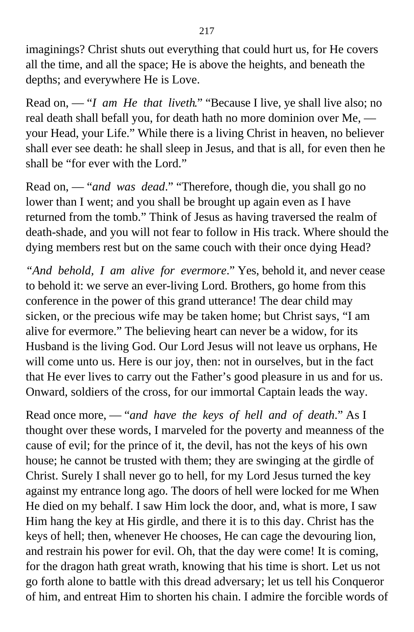imaginings? Christ shuts out everything that could hurt us, for He covers all the time, and all the space; He is above the heights, and beneath the depths; and everywhere He is Love.

Read on, — "*I am He that liveth*." "Because I live, ye shall live also; no real death shall befall you, for death hath no more dominion over Me, your Head, your Life." While there is a living Christ in heaven, no believer shall ever see death: he shall sleep in Jesus, and that is all, for even then he shall be "for ever with the Lord."

Read on, — "*and was dead*." "Therefore, though die, you shall go no lower than I went; and you shall be brought up again even as I have returned from the tomb." Think of Jesus as having traversed the realm of death-shade, and you will not fear to follow in His track. Where should the dying members rest but on the same couch with their once dying Head?

*"And behold, I am alive for evermore*." Yes, behold it, and never cease to behold it: we serve an ever-living Lord. Brothers, go home from this conference in the power of this grand utterance! The dear child may sicken, or the precious wife may be taken home; but Christ says, "I am alive for evermore." The believing heart can never be a widow, for its Husband is the living God. Our Lord Jesus will not leave us orphans, He will come unto us. Here is our joy, then: not in ourselves, but in the fact that He ever lives to carry out the Father's good pleasure in us and for us. Onward, soldiers of the cross, for our immortal Captain leads the way.

Read once more, — "*and have the keys of hell and of death*." As I thought over these words, I marveled for the poverty and meanness of the cause of evil; for the prince of it, the devil, has not the keys of his own house; he cannot be trusted with them; they are swinging at the girdle of Christ. Surely I shall never go to hell, for my Lord Jesus turned the key against my entrance long ago. The doors of hell were locked for me When He died on my behalf. I saw Him lock the door, and, what is more, I saw Him hang the key at His girdle, and there it is to this day. Christ has the keys of hell; then, whenever He chooses, He can cage the devouring lion, and restrain his power for evil. Oh, that the day were come! It is coming, for the dragon hath great wrath, knowing that his time is short. Let us not go forth alone to battle with this dread adversary; let us tell his Conqueror of him, and entreat Him to shorten his chain. I admire the forcible words of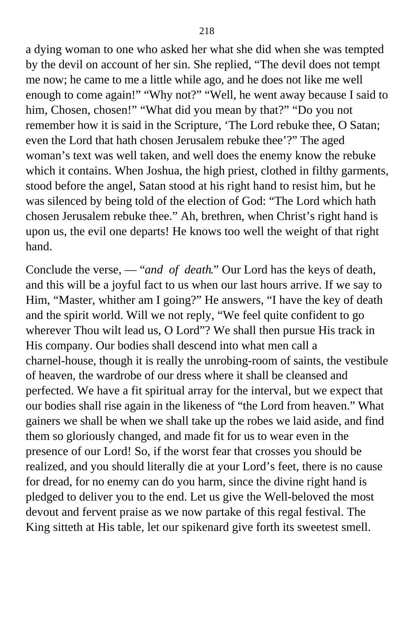a dying woman to one who asked her what she did when she was tempted by the devil on account of her sin. She replied, "The devil does not tempt me now; he came to me a little while ago, and he does not like me well enough to come again!" "Why not?" "Well, he went away because I said to him, Chosen, chosen!" "What did you mean by that?" "Do you not remember how it is said in the Scripture, 'The Lord rebuke thee, O Satan; even the Lord that hath chosen Jerusalem rebuke thee'?" The aged woman's text was well taken, and well does the enemy know the rebuke which it contains. When Joshua, the high priest, clothed in filthy garments, stood before the angel, Satan stood at his right hand to resist him, but he was silenced by being told of the election of God: "The Lord which hath chosen Jerusalem rebuke thee." Ah, brethren, when Christ's right hand is upon us, the evil one departs! He knows too well the weight of that right hand.

Conclude the verse, — "*and of death*." Our Lord has the keys of death, and this will be a joyful fact to us when our last hours arrive. If we say to Him, "Master, whither am I going?" He answers, "I have the key of death and the spirit world. Will we not reply, "We feel quite confident to go wherever Thou wilt lead us, O Lord"? We shall then pursue His track in His company. Our bodies shall descend into what men call a charnel-house, though it is really the unrobing-room of saints, the vestibule of heaven, the wardrobe of our dress where it shall be cleansed and perfected. We have a fit spiritual array for the interval, but we expect that our bodies shall rise again in the likeness of "the Lord from heaven." What gainers we shall be when we shall take up the robes we laid aside, and find them so gloriously changed, and made fit for us to wear even in the presence of our Lord! So, if the worst fear that crosses you should be realized, and you should literally die at your Lord's feet, there is no cause for dread, for no enemy can do you harm, since the divine right hand is pledged to deliver you to the end. Let us give the Well-beloved the most devout and fervent praise as we now partake of this regal festival. The King sitteth at His table, let our spikenard give forth its sweetest smell.